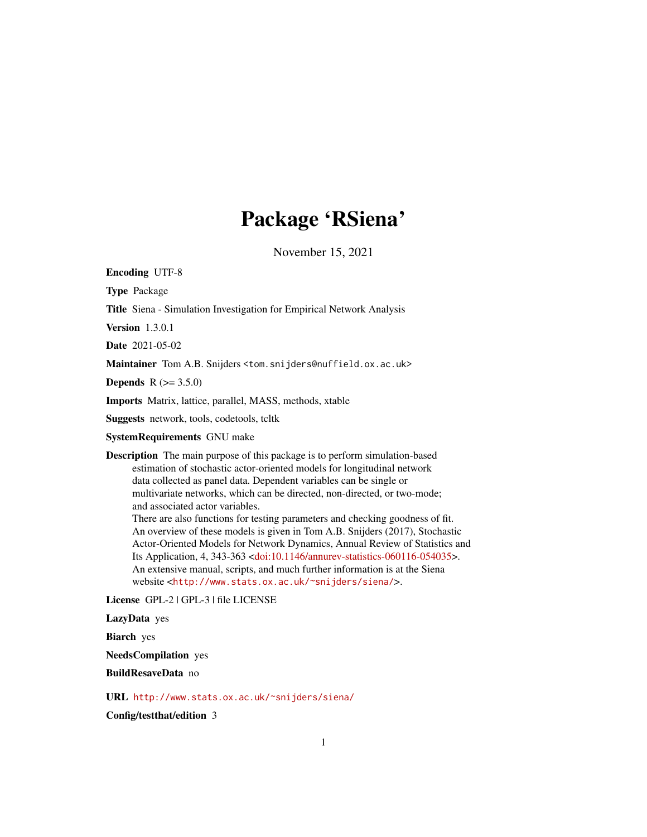# Package 'RSiena'

November 15, 2021

<span id="page-0-0"></span>Encoding UTF-8

Type Package

Title Siena - Simulation Investigation for Empirical Network Analysis

Version 1.3.0.1

Date 2021-05-02

Maintainer Tom A.B. Snijders <tom. snijders@nuffield.ox.ac.uk>

**Depends**  $R (= 3.5.0)$ 

Imports Matrix, lattice, parallel, MASS, methods, xtable

Suggests network, tools, codetools, tcltk

SystemRequirements GNU make

Description The main purpose of this package is to perform simulation-based estimation of stochastic actor-oriented models for longitudinal network data collected as panel data. Dependent variables can be single or multivariate networks, which can be directed, non-directed, or two-mode; and associated actor variables.

There are also functions for testing parameters and checking goodness of fit. An overview of these models is given in Tom A.B. Snijders (2017), Stochastic Actor-Oriented Models for Network Dynamics, Annual Review of Statistics and Its Application, 4, 343-363 [<doi:10.1146/annurev-statistics-060116-054035>](https://doi.org/10.1146/annurev-statistics-060116-054035). An extensive manual, scripts, and much further information is at the Siena website <<http://www.stats.ox.ac.uk/~snijders/siena/>>.

License GPL-2 | GPL-3 | file LICENSE

LazyData yes

Biarch yes

NeedsCompilation yes

BuildResaveData no

URL <http://www.stats.ox.ac.uk/~snijders/siena/>

Config/testthat/edition 3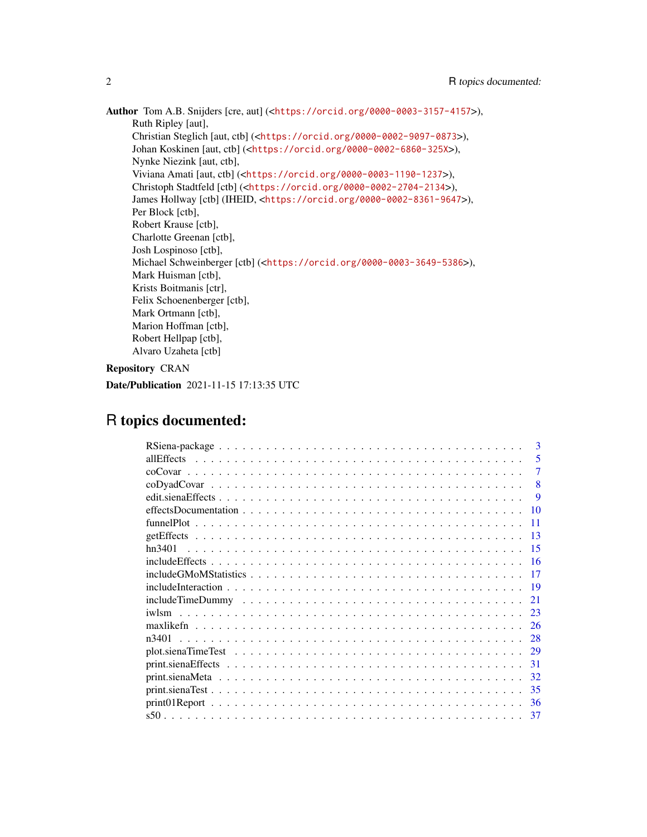Author Tom A.B. Snijders [cre, aut] (<<https://orcid.org/0000-0003-3157-4157>>), Ruth Ripley [aut], Christian Steglich [aut, ctb] (<<https://orcid.org/0000-0002-9097-0873>>), Johan Koskinen [aut, ctb] (<<https://orcid.org/0000-0002-6860-325X>>), Nynke Niezink [aut, ctb], Viviana Amati [aut, ctb] (<<https://orcid.org/0000-0003-1190-1237>>), Christoph Stadtfeld [ctb] (<<https://orcid.org/0000-0002-2704-2134>>), James Hollway [ctb] (IHEID, <<https://orcid.org/0000-0002-8361-9647>>), Per Block [ctb], Robert Krause [ctb], Charlotte Greenan [ctb], Josh Lospinoso [ctb], Michael Schweinberger [ctb] (<<https://orcid.org/0000-0003-3649-5386>>), Mark Huisman [ctb], Krists Boitmanis [ctr], Felix Schoenenberger [ctb], Mark Ortmann [ctb], Marion Hoffman [ctb], Robert Hellpap [ctb], Alvaro Uzaheta [ctb]

Repository CRAN

```
Date/Publication 2021-11-15 17:13:35 UTC
```
# R topics documented:

| 3                                                                                                                                                                                                                                     |
|---------------------------------------------------------------------------------------------------------------------------------------------------------------------------------------------------------------------------------------|
| 5<br>allEffects                                                                                                                                                                                                                       |
| 7                                                                                                                                                                                                                                     |
| 8                                                                                                                                                                                                                                     |
| <b>9</b>                                                                                                                                                                                                                              |
| 10                                                                                                                                                                                                                                    |
| 11                                                                                                                                                                                                                                    |
| 13                                                                                                                                                                                                                                    |
| 15                                                                                                                                                                                                                                    |
| $include Effect matrix matrix matrix matrix matrix matrix matrix matrix matrix matrix matrix matrix matrix matrix matrix matrix matrix matrix matrix matrix matrix matrix matrix matrix matrix matrix matrix matrix matrix matrix 16$ |
| 17                                                                                                                                                                                                                                    |
| 19                                                                                                                                                                                                                                    |
| 21                                                                                                                                                                                                                                    |
| 23                                                                                                                                                                                                                                    |
| 26                                                                                                                                                                                                                                    |
| 28                                                                                                                                                                                                                                    |
| 29                                                                                                                                                                                                                                    |
| 31                                                                                                                                                                                                                                    |
| 32                                                                                                                                                                                                                                    |
| 35                                                                                                                                                                                                                                    |
| 36                                                                                                                                                                                                                                    |
| 37                                                                                                                                                                                                                                    |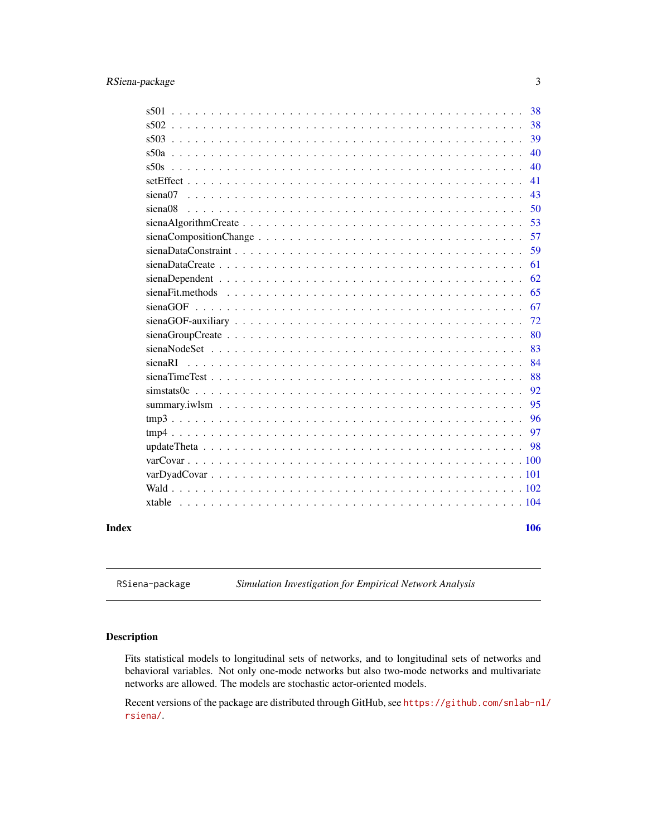# <span id="page-2-0"></span>RSiena-package 3

|       | 38                                                                                                                            |
|-------|-------------------------------------------------------------------------------------------------------------------------------|
|       | 38                                                                                                                            |
|       | 39                                                                                                                            |
|       | 40                                                                                                                            |
|       | 40                                                                                                                            |
|       | 41                                                                                                                            |
|       | 43                                                                                                                            |
|       | 50<br>siena08                                                                                                                 |
|       | 53<br>$sienaAlgorithmCreate \dots \dots \dots \dots \dots \dots \dots \dots \dots \dots \dots \dots \dots \dots \dots$        |
|       | 57                                                                                                                            |
|       | 59                                                                                                                            |
|       | 61<br>$sienaDataCreate \dots \dots \dots \dots \dots \dots \dots \dots \dots \dots \dots \dots \dots \dots \dots \dots \dots$ |
|       | 62                                                                                                                            |
|       | 65                                                                                                                            |
|       | 67                                                                                                                            |
|       | 72<br>$sienaGOF-auxiliary \ldots \ldots \ldots \ldots \ldots \ldots \ldots \ldots \ldots \ldots \ldots \ldots$                |
|       | 80                                                                                                                            |
|       | 83                                                                                                                            |
|       | 84                                                                                                                            |
|       | 88                                                                                                                            |
|       | 92                                                                                                                            |
|       | 95                                                                                                                            |
|       | 96                                                                                                                            |
|       | 97                                                                                                                            |
|       | 98                                                                                                                            |
|       |                                                                                                                               |
|       |                                                                                                                               |
|       |                                                                                                                               |
|       |                                                                                                                               |
|       |                                                                                                                               |
| Index | 106                                                                                                                           |

RSiena-package *Simulation Investigation for Empirical Network Analysis*

# Description

Fits statistical models to longitudinal sets of networks, and to longitudinal sets of networks and behavioral variables. Not only one-mode networks but also two-mode networks and multivariate networks are allowed. The models are stochastic actor-oriented models.

Recent versions of the package are distributed through GitHub, see [https://github.com/snlab-nl](https://github.com/snlab-nl/rsiena/)/ [rsiena/](https://github.com/snlab-nl/rsiena/).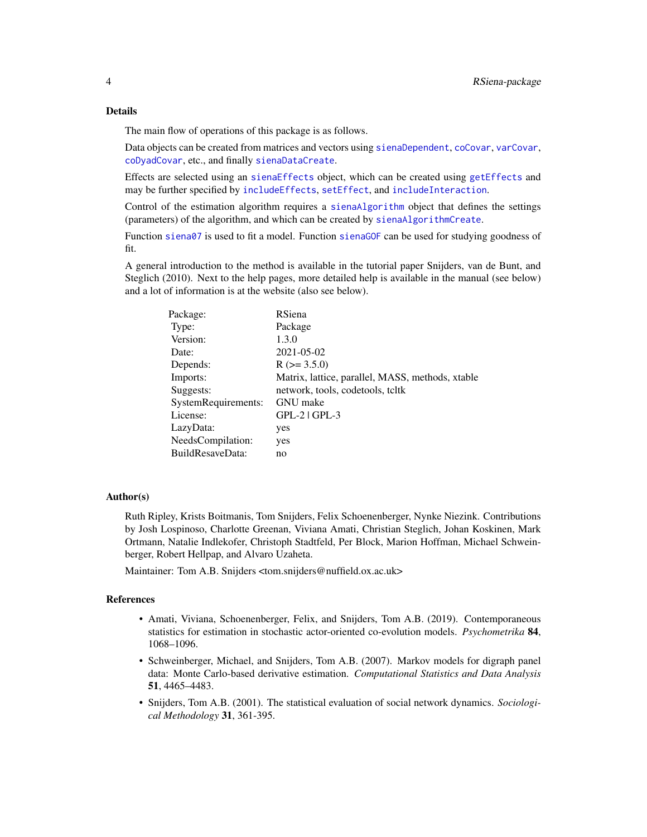The main flow of operations of this package is as follows.

Data objects can be created from matrices and vectors using [sienaDependent](#page-61-1), [coCovar](#page-6-1), [varCovar](#page-99-1), [coDyadCovar](#page-7-1), etc., and finally [sienaDataCreate](#page-60-1).

Effects are selected using an [sienaEffects](#page-12-1) object, which can be created using [getEffects](#page-12-2) and may be further specified by [includeEffects](#page-15-1), [setEffect](#page-40-1), and [includeInteraction](#page-18-1).

Control of the estimation algorithm requires a [sienaAlgorithm](#page-52-1) object that defines the settings (parameters) of the algorithm, and which can be created by [sienaAlgorithmCreate](#page-52-2).

Function [siena07](#page-42-1) is used to fit a model. Function [sienaGOF](#page-66-1) can be used for studying goodness of fit.

A general introduction to the method is available in the tutorial paper Snijders, van de Bunt, and Steglich (2010). Next to the help pages, more detailed help is available in the manual (see below) and a lot of information is at the website (also see below).

| Package:            | RSiena                                           |
|---------------------|--------------------------------------------------|
| Type:               | Package                                          |
| Version:            | 1.3.0                                            |
| Date:               | 2021-05-02                                       |
| Depends:            | $R$ ( $>=$ 3.5.0)                                |
| Imports:            | Matrix, lattice, parallel, MASS, methods, xtable |
| Suggests:           | network, tools, codetools, tcltk                 |
| SystemRequirements: | <b>GNU</b> make                                  |
| License:            | $GPL-2$ $  GPL-3$                                |
| LazyData:           | yes                                              |
| NeedsCompilation:   | yes                                              |
| BuildResaveData:    | no                                               |

#### Author(s)

Ruth Ripley, Krists Boitmanis, Tom Snijders, Felix Schoenenberger, Nynke Niezink. Contributions by Josh Lospinoso, Charlotte Greenan, Viviana Amati, Christian Steglich, Johan Koskinen, Mark Ortmann, Natalie Indlekofer, Christoph Stadtfeld, Per Block, Marion Hoffman, Michael Schweinberger, Robert Hellpap, and Alvaro Uzaheta.

Maintainer: Tom A.B. Snijders <tom.snijders@nuffield.ox.ac.uk>

# References

- Amati, Viviana, Schoenenberger, Felix, and Snijders, Tom A.B. (2019). Contemporaneous statistics for estimation in stochastic actor-oriented co-evolution models. *Psychometrika* 84, 1068–1096.
- Schweinberger, Michael, and Snijders, Tom A.B. (2007). Markov models for digraph panel data: Monte Carlo-based derivative estimation. *Computational Statistics and Data Analysis* 51, 4465–4483.
- Snijders, Tom A.B. (2001). The statistical evaluation of social network dynamics. *Sociological Methodology* 31, 361-395.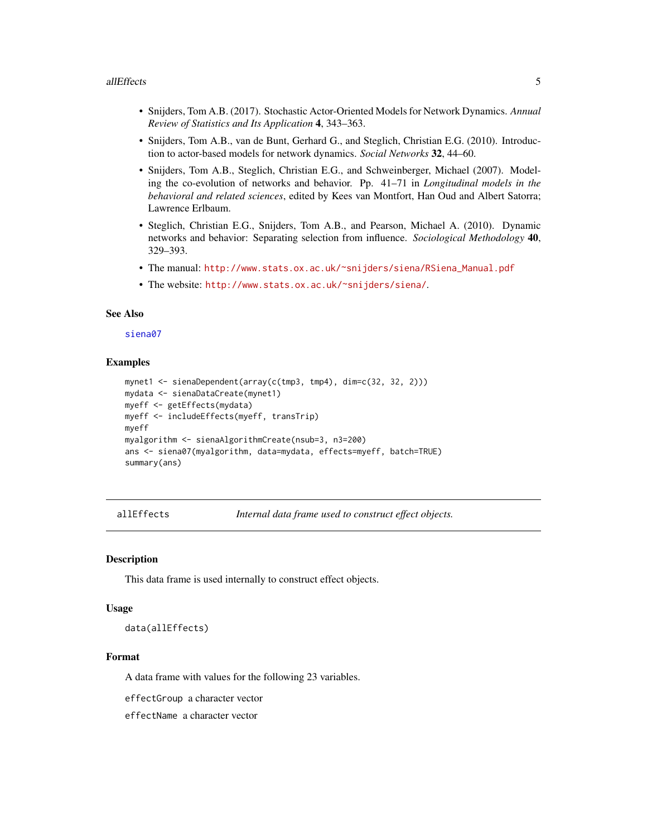#### <span id="page-4-0"></span>allEffects 5

- Snijders, Tom A.B. (2017). Stochastic Actor-Oriented Models for Network Dynamics. *Annual Review of Statistics and Its Application* 4, 343–363.
- Snijders, Tom A.B., van de Bunt, Gerhard G., and Steglich, Christian E.G. (2010). Introduction to actor-based models for network dynamics. *Social Networks* 32, 44–60.
- Snijders, Tom A.B., Steglich, Christian E.G., and Schweinberger, Michael (2007). Modeling the co-evolution of networks and behavior. Pp. 41–71 in *Longitudinal models in the behavioral and related sciences*, edited by Kees van Montfort, Han Oud and Albert Satorra; Lawrence Erlbaum.
- Steglich, Christian E.G., Snijders, Tom A.B., and Pearson, Michael A. (2010). Dynamic networks and behavior: Separating selection from influence. *Sociological Methodology* 40, 329–393.
- The manual: [http://www.stats.ox.ac.uk/~snijders/siena/RSiena\\_Manual.pdf](http://www.stats.ox.ac.uk/~snijders/siena/RSiena_Manual.pdf)
- The website: <http://www.stats.ox.ac.uk/~snijders/siena/>.

#### See Also

#### [siena07](#page-42-1)

#### Examples

```
mynet1 <- sienaDependent(array(c(tmp3, tmp4), dim=c(32, 32, 2)))
mydata <- sienaDataCreate(mynet1)
myeff <- getEffects(mydata)
myeff <- includeEffects(myeff, transTrip)
myeff
myalgorithm <- sienaAlgorithmCreate(nsub=3, n3=200)
ans <- siena07(myalgorithm, data=mydata, effects=myeff, batch=TRUE)
summary(ans)
```
allEffects *Internal data frame used to construct effect objects.*

#### **Description**

This data frame is used internally to construct effect objects.

### Usage

data(allEffects)

# Format

A data frame with values for the following 23 variables.

effectGroup a character vector

effectName a character vector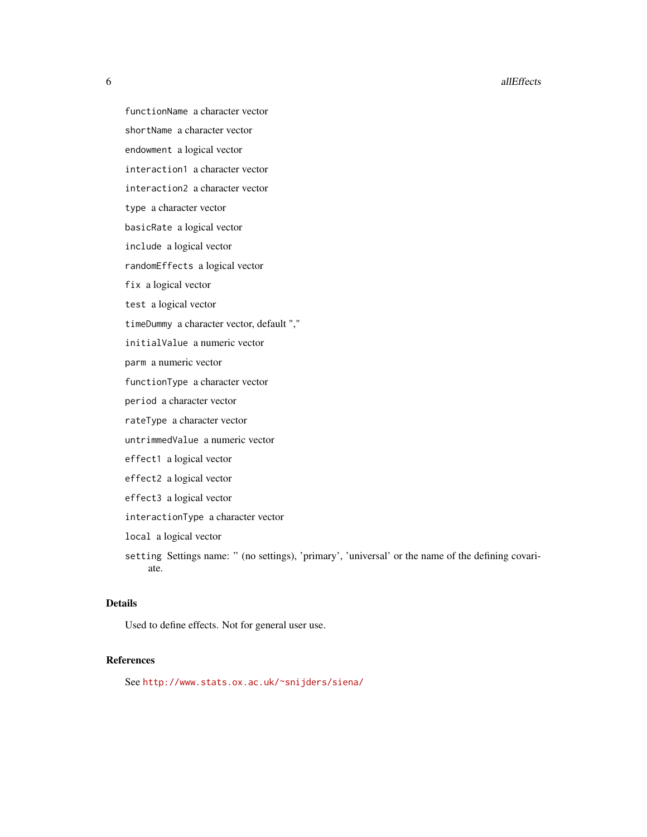**6 allEffects** 

functionName a character vector shortName a character vector endowment a logical vector interaction1 a character vector interaction2 a character vector type a character vector basicRate a logical vector include a logical vector randomEffects a logical vector fix a logical vector test a logical vector timeDummy a character vector, default "," initialValue a numeric vector parm a numeric vector functionType a character vector period a character vector rateType a character vector untrimmedValue a numeric vector effect1 a logical vector effect2 a logical vector effect3 a logical vector interactionType a character vector local a logical vector setting Settings name: " (no settings), 'primary', 'universal' or the name of the defining covariate.

# Details

Used to define effects. Not for general user use.

# References

See <http://www.stats.ox.ac.uk/~snijders/siena/>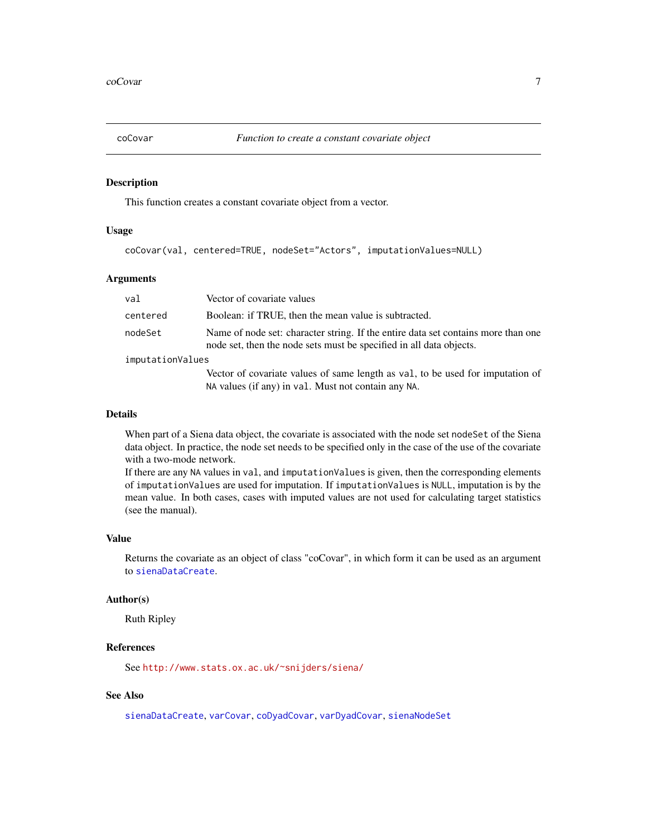<span id="page-6-1"></span><span id="page-6-0"></span>

#### Description

This function creates a constant covariate object from a vector.

# Usage

```
coCovar(val, centered=TRUE, nodeSet="Actors", imputationValues=NULL)
```
# Arguments

| val              | Vector of covariate values                                                                                                                               |
|------------------|----------------------------------------------------------------------------------------------------------------------------------------------------------|
| centered         | Boolean: if TRUE, then the mean value is subtracted.                                                                                                     |
| nodeSet          | Name of node set: character string. If the entire data set contains more than one<br>node set, then the node sets must be specified in all data objects. |
| imputationValues |                                                                                                                                                          |
|                  | Vector of covariate values of same length as val, to be used for imputation of                                                                           |
|                  | NA values (if any) in val. Must not contain any NA.                                                                                                      |

# Details

When part of a Siena data object, the covariate is associated with the node set node Set of the Siena data object. In practice, the node set needs to be specified only in the case of the use of the covariate with a two-mode network.

If there are any NA values in val, and imputationValues is given, then the corresponding elements of imputationValues are used for imputation. If imputationValues is NULL, imputation is by the mean value. In both cases, cases with imputed values are not used for calculating target statistics (see the manual).

#### Value

Returns the covariate as an object of class "coCovar", in which form it can be used as an argument to [sienaDataCreate](#page-60-1).

#### Author(s)

Ruth Ripley

#### References

See <http://www.stats.ox.ac.uk/~snijders/siena/>

# See Also

[sienaDataCreate](#page-60-1), [varCovar](#page-99-1), [coDyadCovar](#page-7-1), [varDyadCovar](#page-100-1), [sienaNodeSet](#page-82-1)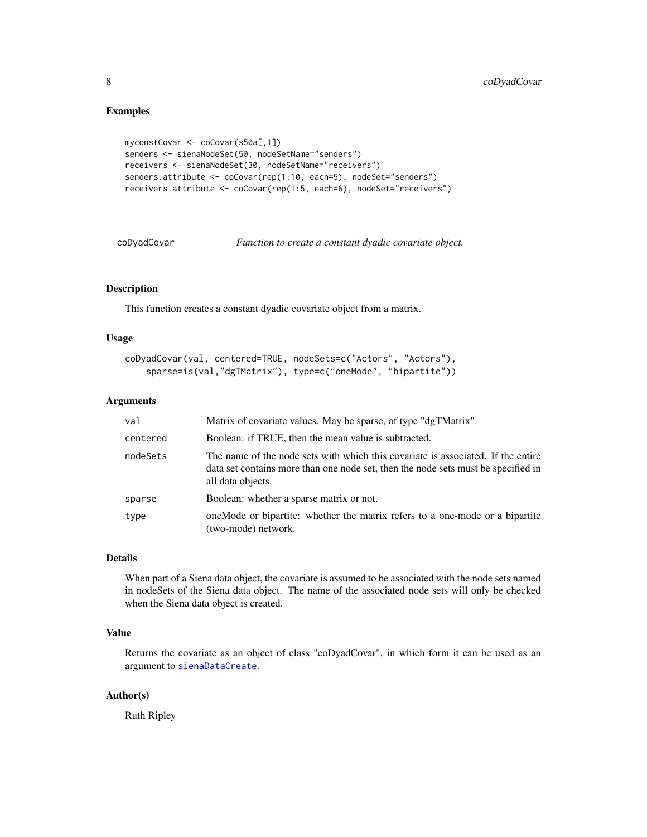# Examples

```
myconstCovar <- coCovar(s50a[,1])
senders <- sienaNodeSet(50, nodeSetName="senders")
receivers <- sienaNodeSet(30, nodeSetName="receivers")
senders.attribute <- coCovar(rep(1:10, each=5), nodeSet="senders")
receivers.attribute <- coCovar(rep(1:5, each=6), nodeSet="receivers")
```
<span id="page-7-1"></span>coDyadCovar *Function to create a constant dyadic covariate object.*

## Description

This function creates a constant dyadic covariate object from a matrix.

# Usage

```
coDyadCovar(val, centered=TRUE, nodeSets=c("Actors", "Actors"),
    sparse=is(val,"dgTMatrix"), type=c("oneMode", "bipartite"))
```
# Arguments

| val      | Matrix of covariate values. May be sparse, of type "dgTMatrix".                                                                                                                            |
|----------|--------------------------------------------------------------------------------------------------------------------------------------------------------------------------------------------|
| centered | Boolean: if TRUE, then the mean value is subtracted.                                                                                                                                       |
| nodeSets | The name of the node sets with which this covariate is associated. If the entire<br>data set contains more than one node set, then the node sets must be specified in<br>all data objects. |
| sparse   | Boolean: whether a sparse matrix or not.                                                                                                                                                   |
| type     | one Mode or bipartite: whether the matrix refers to a one-mode or a bipartite<br>(two-mode) network.                                                                                       |

# Details

When part of a Siena data object, the covariate is assumed to be associated with the node sets named in nodeSets of the Siena data object. The name of the associated node sets will only be checked when the Siena data object is created.

# Value

Returns the covariate as an object of class "coDyadCovar", in which form it can be used as an argument to [sienaDataCreate](#page-60-1).

# Author(s)

Ruth Ripley

<span id="page-7-0"></span>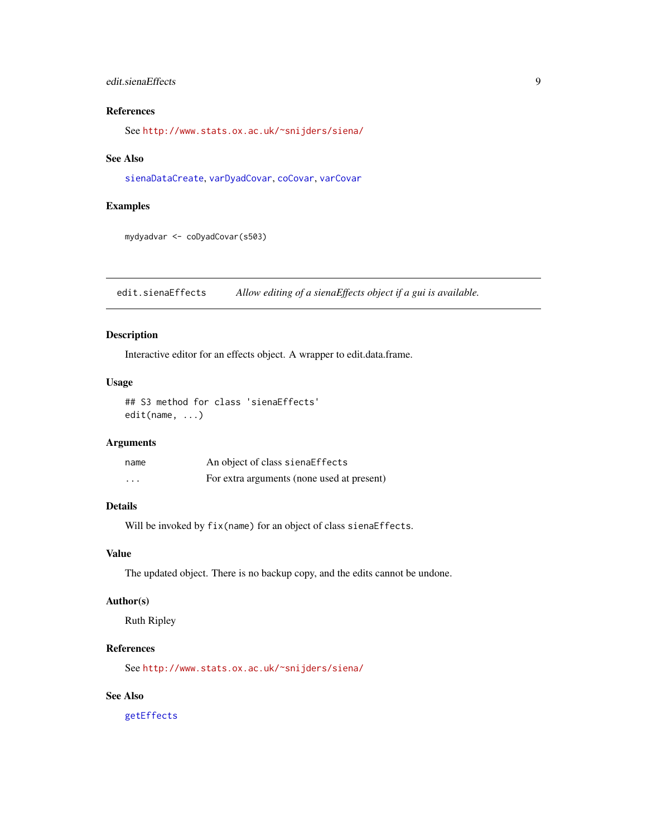# <span id="page-8-0"></span>edit.sienaEffects 9

# References

See <http://www.stats.ox.ac.uk/~snijders/siena/>

# See Also

[sienaDataCreate](#page-60-1), [varDyadCovar](#page-100-1), [coCovar](#page-6-1), [varCovar](#page-99-1)

# Examples

mydyadvar <- coDyadCovar(s503)

edit.sienaEffects *Allow editing of a sienaEffects object if a gui is available.*

### Description

Interactive editor for an effects object. A wrapper to edit.data.frame.

# Usage

## S3 method for class 'sienaEffects' edit(name, ...)

# Arguments

| name     | An object of class sienaEffects            |
|----------|--------------------------------------------|
| $\cdots$ | For extra arguments (none used at present) |

# Details

Will be invoked by fix(name) for an object of class sienaEffects.

# Value

The updated object. There is no backup copy, and the edits cannot be undone.

# Author(s)

Ruth Ripley

# References

See <http://www.stats.ox.ac.uk/~snijders/siena/>

# See Also

[getEffects](#page-12-2)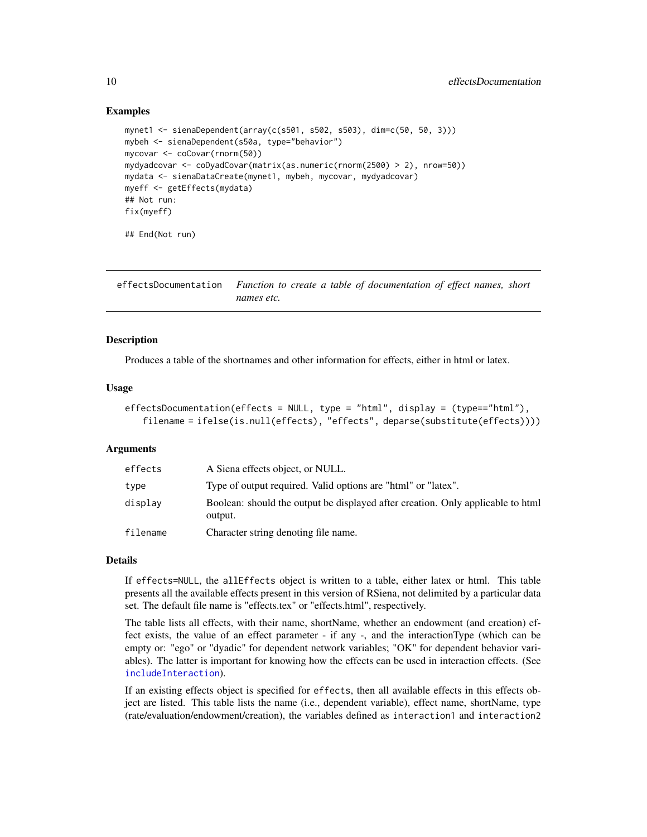# Examples

```
mynet1 <- sienaDependent(array(c(s501, s502, s503), dim=c(50, 50, 3)))
mybeh <- sienaDependent(s50a, type="behavior")
mycovar <- coCovar(rnorm(50))
mydyadcovar <- coDyadCovar(matrix(as.numeric(rnorm(2500) > 2), nrow=50))
mydata <- sienaDataCreate(mynet1, mybeh, mycovar, mydyadcovar)
myeff <- getEffects(mydata)
## Not run:
fix(myeff)
```

```
## End(Not run)
```
<span id="page-9-1"></span>effectsDocumentation *Function to create a table of documentation of effect names, short names etc.*

# **Description**

Produces a table of the shortnames and other information for effects, either in html or latex.

# Usage

```
effectsDocumentation(effects = NULL, type = "html", display = (type=="html"),
   filename = ifelse(is.null(effects), "effects", deparse(substitute(effects))))
```
#### Arguments

| effects  | A Siena effects object, or NULL.                                                           |
|----------|--------------------------------------------------------------------------------------------|
| type     | Type of output required. Valid options are "html" or "latex".                              |
| display  | Boolean: should the output be displayed after creation. Only applicable to html<br>output. |
| filename | Character string denoting file name.                                                       |

#### Details

If effects=NULL, the allEffects object is written to a table, either latex or html. This table presents all the available effects present in this version of RSiena, not delimited by a particular data set. The default file name is "effects.tex" or "effects.html", respectively.

The table lists all effects, with their name, shortName, whether an endowment (and creation) effect exists, the value of an effect parameter - if any -, and the interactionType (which can be empty or: "ego" or "dyadic" for dependent network variables; "OK" for dependent behavior variables). The latter is important for knowing how the effects can be used in interaction effects. (See [includeInteraction](#page-18-1)).

If an existing effects object is specified for effects, then all available effects in this effects object are listed. This table lists the name (i.e., dependent variable), effect name, shortName, type (rate/evaluation/endowment/creation), the variables defined as interaction1 and interaction2

<span id="page-9-0"></span>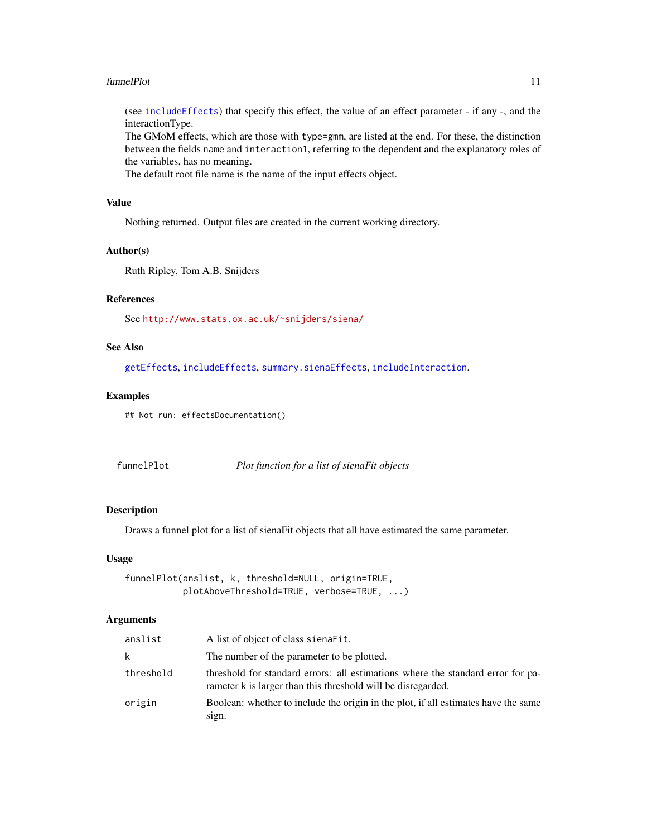#### <span id="page-10-0"></span>funnelPlot 11

(see [includeEffects](#page-15-1)) that specify this effect, the value of an effect parameter - if any -, and the interactionType.

The GMoM effects, which are those with type=gmm, are listed at the end. For these, the distinction between the fields name and interaction1, referring to the dependent and the explanatory roles of the variables, has no meaning.

The default root file name is the name of the input effects object.

# Value

Nothing returned. Output files are created in the current working directory.

# Author(s)

Ruth Ripley, Tom A.B. Snijders

# References

See <http://www.stats.ox.ac.uk/~snijders/siena/>

# See Also

[getEffects](#page-12-2), [includeEffects](#page-15-1), [summary.sienaEffects](#page-30-1), [includeInteraction](#page-18-1).

#### Examples

## Not run: effectsDocumentation()

<span id="page-10-1"></span>funnelPlot *Plot function for a list of sienaFit objects*

# Description

Draws a funnel plot for a list of sienaFit objects that all have estimated the same parameter.

# Usage

funnelPlot(anslist, k, threshold=NULL, origin=TRUE, plotAboveThreshold=TRUE, verbose=TRUE, ...)

#### Arguments

| anslist   | A list of object of class sienaFit.                                                                                                             |
|-----------|-------------------------------------------------------------------------------------------------------------------------------------------------|
| k         | The number of the parameter to be plotted.                                                                                                      |
| threshold | threshold for standard errors: all estimations where the standard error for pa-<br>rameter k is larger than this threshold will be disregarded. |
| origin    | Boolean: whether to include the origin in the plot, if all estimates have the same<br>sign.                                                     |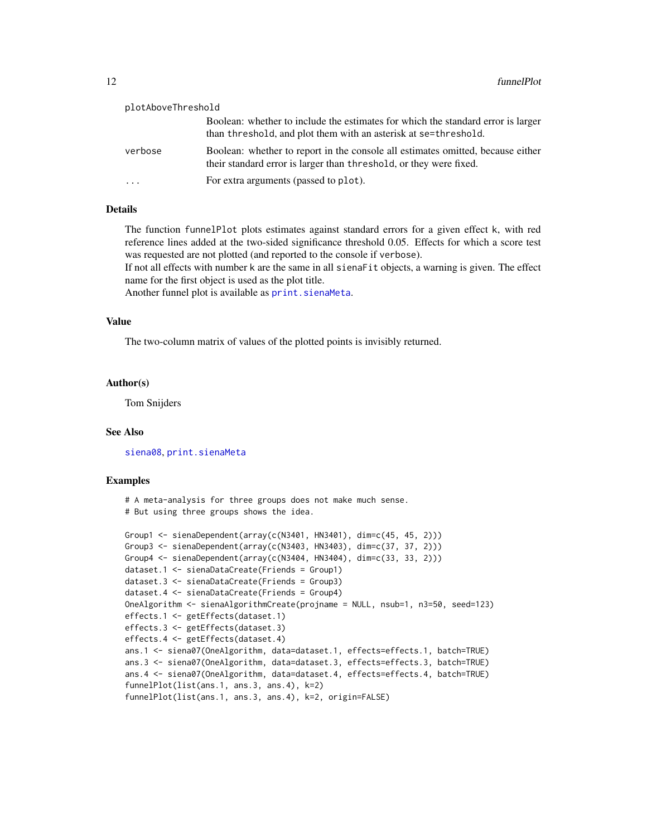| plotAboveThreshold |                                                                                                                                                       |  |
|--------------------|-------------------------------------------------------------------------------------------------------------------------------------------------------|--|
|                    | Boolean: whether to include the estimates for which the standard error is larger<br>than threshold, and plot them with an asterisk at se=threshold.   |  |
| verbose            | Boolean: whether to report in the console all estimates omitted, because either<br>their standard error is larger than threshold, or they were fixed. |  |
|                    | For extra arguments (passed to plot).                                                                                                                 |  |

# Details

The function funnelPlot plots estimates against standard errors for a given effect k, with red reference lines added at the two-sided significance threshold 0.05. Effects for which a score test was requested are not plotted (and reported to the console if verbose).

If not all effects with number k are the same in all sienaFit objects, a warning is given. The effect name for the first object is used as the plot title.

Another funnel plot is available as print. sienaMeta.

# Value

The two-column matrix of values of the plotted points is invisibly returned.

# Author(s)

Tom Snijders

#### See Also

[siena08](#page-49-1), [print.sienaMeta](#page-31-1)

#### Examples

```
# A meta-analysis for three groups does not make much sense.
# But using three groups shows the idea.
Group1 <- sienaDependent(array(c(N3401, HN3401), dim=c(45, 45, 2)))
Group3 <- sienaDependent(array(c(N3403, HN3403), dim=c(37, 37, 2)))
Group4 <- sienaDependent(array(c(N3404, HN3404), dim=c(33, 33, 2)))
dataset.1 <- sienaDataCreate(Friends = Group1)
dataset.3 <- sienaDataCreate(Friends = Group3)
dataset.4 <- sienaDataCreate(Friends = Group4)
OneAlgorithm <- sienaAlgorithmCreate(projname = NULL, nsub=1, n3=50, seed=123)
effects.1 <- getEffects(dataset.1)
effects.3 <- getEffects(dataset.3)
effects.4 <- getEffects(dataset.4)
ans.1 <- siena07(OneAlgorithm, data=dataset.1, effects=effects.1, batch=TRUE)
ans.3 <- siena07(OneAlgorithm, data=dataset.3, effects=effects.3, batch=TRUE)
ans.4 <- siena07(OneAlgorithm, data=dataset.4, effects=effects.4, batch=TRUE)
funnelPlot(list(ans.1, ans.3, ans.4), k=2)
funnelPlot(list(ans.1, ans.3, ans.4), k=2, origin=FALSE)
```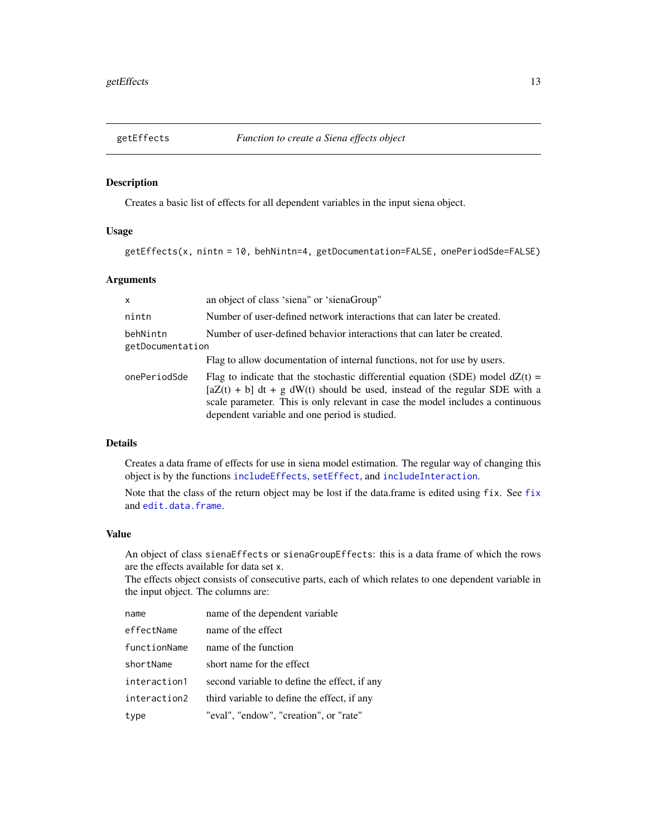<span id="page-12-2"></span><span id="page-12-0"></span>

#### <span id="page-12-1"></span>Description

Creates a basic list of effects for all dependent variables in the input siena object.

# Usage

getEffects(x, nintn = 10, behNintn=4, getDocumentation=FALSE, onePeriodSde=FALSE)

# Arguments

| $\mathsf{x}$                                                                                            | an object of class 'siena" or 'sienaGroup"                                                                                                                                                                                                                                                          |
|---------------------------------------------------------------------------------------------------------|-----------------------------------------------------------------------------------------------------------------------------------------------------------------------------------------------------------------------------------------------------------------------------------------------------|
| nintn                                                                                                   | Number of user-defined network interactions that can later be created.                                                                                                                                                                                                                              |
| Number of user-defined behavior interactions that can later be created.<br>behNintn<br>getDocumentation |                                                                                                                                                                                                                                                                                                     |
|                                                                                                         | Flag to allow documentation of internal functions, not for use by users.                                                                                                                                                                                                                            |
| onePeriodSde                                                                                            | Flag to indicate that the stochastic differential equation (SDE) model $dZ(t)$ =<br>$[aZ(t) + b]$ dt + g dW(t) should be used, instead of the regular SDE with a<br>scale parameter. This is only relevant in case the model includes a continuous<br>dependent variable and one period is studied. |

# Details

Creates a data frame of effects for use in siena model estimation. The regular way of changing this object is by the functions [includeEffects](#page-15-1), [setEffect](#page-40-1), and [includeInteraction](#page-18-1).

Note that the class of the return object may be lost if the data.frame is edited using fix. See [fix](#page-0-0) and [edit.data.frame](#page-0-0).

#### Value

An object of class sienaEffects or sienaGroupEffects: this is a data frame of which the rows are the effects available for data set x.

The effects object consists of consecutive parts, each of which relates to one dependent variable in the input object. The columns are:

| name         | name of the dependent variable               |
|--------------|----------------------------------------------|
| effectName   | name of the effect                           |
| functionName | name of the function                         |
| shortName    | short name for the effect                    |
| interaction1 | second variable to define the effect, if any |
| interaction2 | third variable to define the effect, if any  |
| type         | "eval", "endow", "creation", or "rate"       |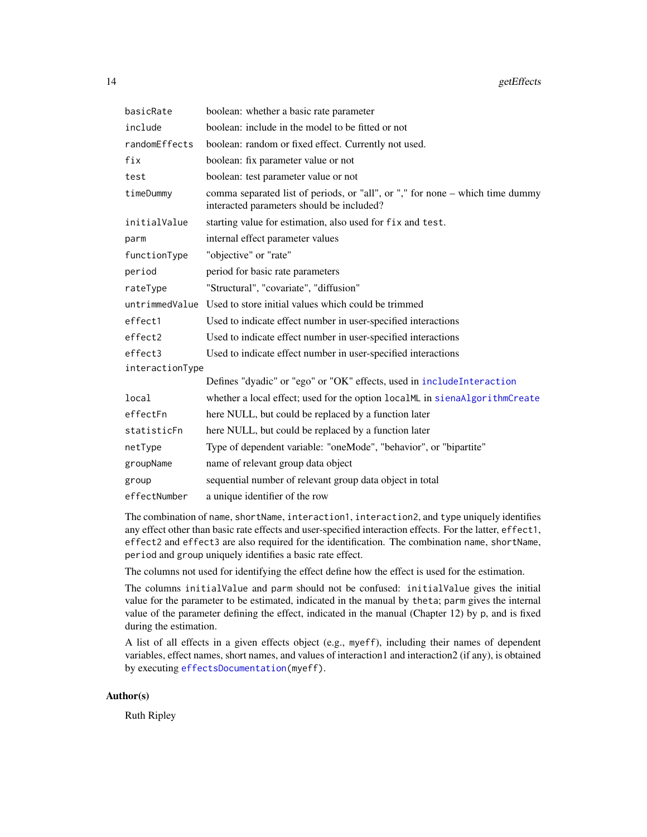| basicRate       | boolean: whether a basic rate parameter                                                                                    |  |
|-----------------|----------------------------------------------------------------------------------------------------------------------------|--|
| include         | boolean: include in the model to be fitted or not                                                                          |  |
| randomEffects   | boolean: random or fixed effect. Currently not used.                                                                       |  |
| fix             | boolean: fix parameter value or not                                                                                        |  |
| test            | boolean: test parameter value or not                                                                                       |  |
| timeDummy       | comma separated list of periods, or "all", or "," for none – which time dummy<br>interacted parameters should be included? |  |
| initialValue    | starting value for estimation, also used for fix and test.                                                                 |  |
| parm            | internal effect parameter values                                                                                           |  |
| functionType    | "objective" or "rate"                                                                                                      |  |
| period          | period for basic rate parameters                                                                                           |  |
| rateType        | "Structural", "covariate", "diffusion"                                                                                     |  |
|                 | untrimmed Value Used to store initial values which could be trimmed                                                        |  |
| effect1         | Used to indicate effect number in user-specified interactions                                                              |  |
| effect2         | Used to indicate effect number in user-specified interactions                                                              |  |
| effect3         | Used to indicate effect number in user-specified interactions                                                              |  |
| interactionType |                                                                                                                            |  |
|                 | Defines "dyadic" or "ego" or "OK" effects, used in includeInteraction                                                      |  |
| local           | whether a local effect; used for the option localML in sienaAlgorithmCreate                                                |  |
| effectFn        | here NULL, but could be replaced by a function later                                                                       |  |
| statisticFn     | here NULL, but could be replaced by a function later                                                                       |  |
| netType         | Type of dependent variable: "oneMode", "behavior", or "bipartite"                                                          |  |
| groupName       | name of relevant group data object                                                                                         |  |
| group           | sequential number of relevant group data object in total                                                                   |  |
| effectNumber    | a unique identifier of the row                                                                                             |  |

The combination of name, shortName, interaction1, interaction2, and type uniquely identifies any effect other than basic rate effects and user-specified interaction effects. For the latter, effect1, effect2 and effect3 are also required for the identification. The combination name, shortName, period and group uniquely identifies a basic rate effect.

The columns not used for identifying the effect define how the effect is used for the estimation.

The columns initialValue and parm should not be confused: initialValue gives the initial value for the parameter to be estimated, indicated in the manual by theta; parm gives the internal value of the parameter defining the effect, indicated in the manual (Chapter 12) by p, and is fixed during the estimation.

A list of all effects in a given effects object (e.g., myeff), including their names of dependent variables, effect names, short names, and values of interaction1 and interaction2 (if any), is obtained by executing [effectsDocumentation\(](#page-9-1)myeff).

# Author(s)

Ruth Ripley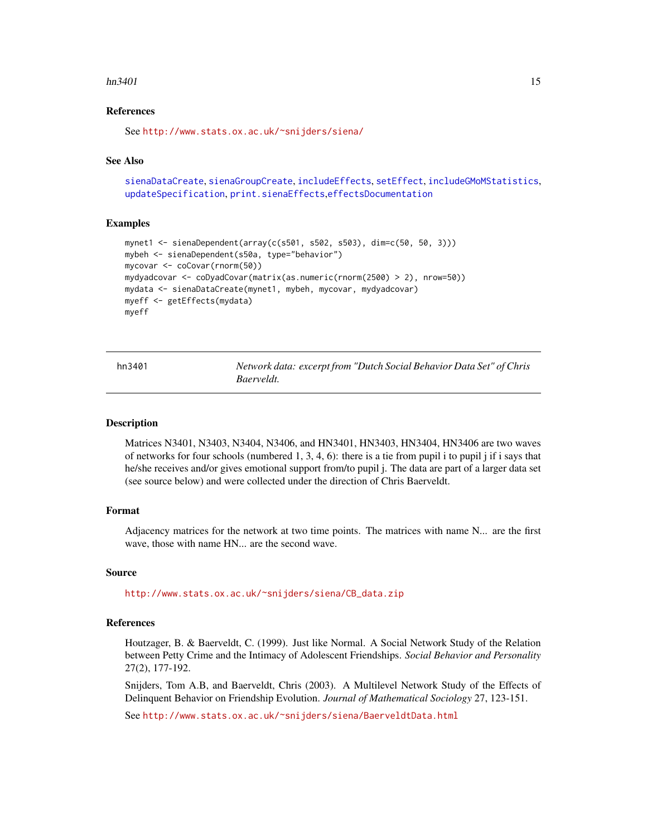#### <span id="page-14-0"></span> $hn3401$  15

# References

See <http://www.stats.ox.ac.uk/~snijders/siena/>

#### See Also

```
sienaDataCreate, sienaGroupCreate, includeEffects, setEffect, includeGMoMStatistics,
updateSpecification, print.sienaEffects,effectsDocumentation
```
### Examples

```
mynet1 <- sienaDependent(array(c(s501, s502, s503), dim=c(50, 50, 3)))
mybeh <- sienaDependent(s50a, type="behavior")
mycovar <- coCovar(rnorm(50))
mydyadcovar <- coDyadCovar(matrix(as.numeric(rnorm(2500) > 2), nrow=50))
mydata <- sienaDataCreate(mynet1, mybeh, mycovar, mydyadcovar)
myeff <- getEffects(mydata)
myeff
```

| hn3401 | Network data: excerpt from "Dutch Social Behavior Data Set" of Chris |  |  |
|--------|----------------------------------------------------------------------|--|--|
|        | Baerveldt.                                                           |  |  |

#### Description

Matrices N3401, N3403, N3404, N3406, and HN3401, HN3403, HN3404, HN3406 are two waves of networks for four schools (numbered 1, 3, 4, 6): there is a tie from pupil i to pupil j if i says that he/she receives and/or gives emotional support from/to pupil j. The data are part of a larger data set (see source below) and were collected under the direction of Chris Baerveldt.

# Format

Adjacency matrices for the network at two time points. The matrices with name N... are the first wave, those with name HN... are the second wave.

#### Source

[http://www.stats.ox.ac.uk/~snijders/siena/CB\\_data.zip](http://www.stats.ox.ac.uk/~snijders/siena/CB_data.zip)

# References

Houtzager, B. & Baerveldt, C. (1999). Just like Normal. A Social Network Study of the Relation between Petty Crime and the Intimacy of Adolescent Friendships. *Social Behavior and Personality* 27(2), 177-192.

Snijders, Tom A.B, and Baerveldt, Chris (2003). A Multilevel Network Study of the Effects of Delinquent Behavior on Friendship Evolution. *Journal of Mathematical Sociology* 27, 123-151.

See <http://www.stats.ox.ac.uk/~snijders/siena/BaerveldtData.html>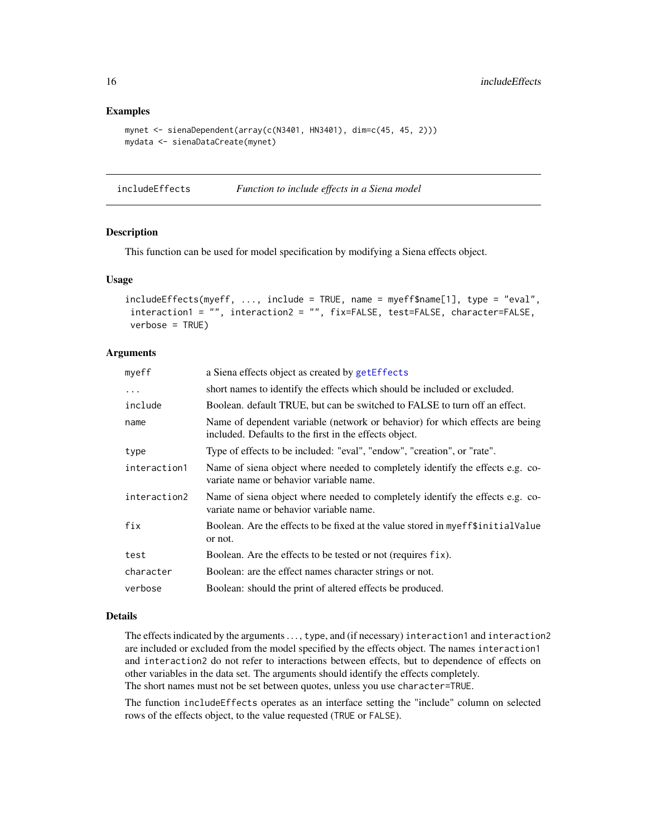#### Examples

```
mynet <- sienaDependent(array(c(N3401, HN3401), dim=c(45, 45, 2)))
mydata <- sienaDataCreate(mynet)
```
<span id="page-15-1"></span>includeEffects *Function to include effects in a Siena model*

# Description

This function can be used for model specification by modifying a Siena effects object.

# Usage

```
includeEffects(myeff, ..., include = TRUE, name = myeff$name[1], type = "eval",
interaction1 = "", interaction2 = "", fix=FALSE, test=FALSE, character=FALSE,
verbose = TRUE)
```
# **Arguments**

| myeff        | a Siena effects object as created by getEffects                                                                                        |
|--------------|----------------------------------------------------------------------------------------------------------------------------------------|
| $\ddots$     | short names to identify the effects which should be included or excluded.                                                              |
| include      | Boolean. default TRUE, but can be switched to FALSE to turn off an effect.                                                             |
| name         | Name of dependent variable (network or behavior) for which effects are being<br>included. Defaults to the first in the effects object. |
| type         | Type of effects to be included: "eval", "endow", "creation", or "rate".                                                                |
| interaction1 | Name of siena object where needed to completely identify the effects e.g. co-<br>variate name or behavior variable name.               |
| interaction2 | Name of siena object where needed to completely identify the effects e.g. co-<br>variate name or behavior variable name.               |
| fix          | Boolean. Are the effects to be fixed at the value stored in myeff\$initialValue<br>or not.                                             |
| test         | Boolean. Are the effects to be tested or not (requires fix).                                                                           |
| character    | Boolean: are the effect names character strings or not.                                                                                |
| verbose      | Boolean: should the print of altered effects be produced.                                                                              |

# Details

The effects indicated by the arguments ..., type, and (if necessary) interaction1 and interaction2 are included or excluded from the model specified by the effects object. The names interaction1 and interaction2 do not refer to interactions between effects, but to dependence of effects on other variables in the data set. The arguments should identify the effects completely. The short names must not be set between quotes, unless you use character=TRUE.

The function includeEffects operates as an interface setting the "include" column on selected rows of the effects object, to the value requested (TRUE or FALSE).

<span id="page-15-0"></span>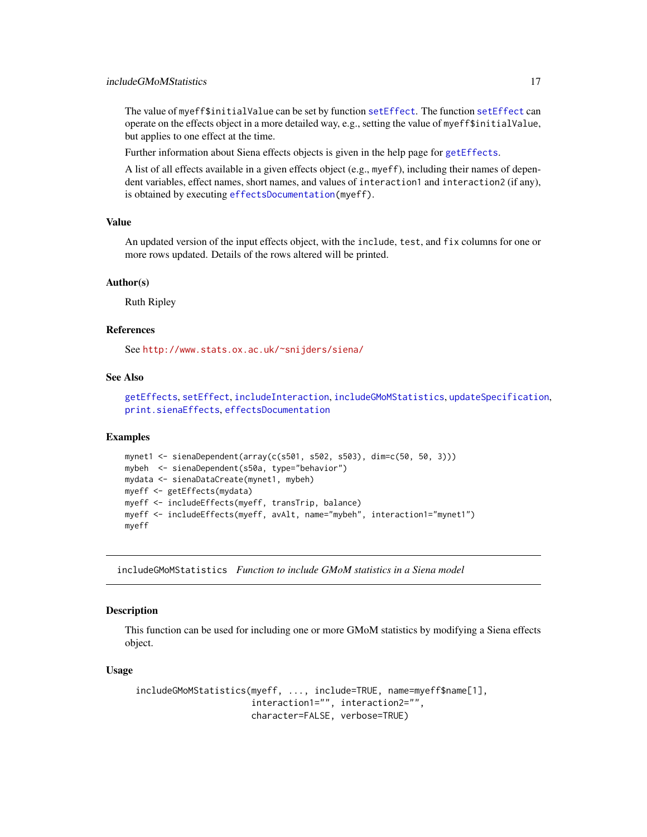<span id="page-16-0"></span>The value of myeff\$initialValue can be set by function [setEffect](#page-40-1). The function [setEffect](#page-40-1) can operate on the effects object in a more detailed way, e.g., setting the value of myeff\$initialValue, but applies to one effect at the time.

Further information about Siena effects objects is given in the help page for [getEffects](#page-12-2).

A list of all effects available in a given effects object (e.g., myeff), including their names of dependent variables, effect names, short names, and values of interaction1 and interaction2 (if any), is obtained by executing [effectsDocumentation\(](#page-9-1)myeff).

#### Value

An updated version of the input effects object, with the include, test, and fix columns for one or more rows updated. Details of the rows altered will be printed.

## Author(s)

Ruth Ripley

# References

See <http://www.stats.ox.ac.uk/~snijders/siena/>

# See Also

```
getEffects, setEffect, includeInteraction, includeGMoMStatistics, updateSpecification,
print.sienaEffects, effectsDocumentation
```
#### Examples

```
mynet1 <- sienaDependent(array(c(s501, s502, s503), dim=c(50, 50, 3)))
mybeh <- sienaDependent(s50a, type="behavior")
mydata <- sienaDataCreate(mynet1, mybeh)
myeff <- getEffects(mydata)
myeff <- includeEffects(myeff, transTrip, balance)
myeff <- includeEffects(myeff, avAlt, name="mybeh", interaction1="mynet1")
myeff
```
<span id="page-16-1"></span>includeGMoMStatistics *Function to include GMoM statistics in a Siena model*

#### Description

This function can be used for including one or more GMoM statistics by modifying a Siena effects object.

#### Usage

```
includeGMoMStatistics(myeff, ..., include=TRUE, name=myeff$name[1],
                      interaction1="", interaction2="",
                      character=FALSE, verbose=TRUE)
```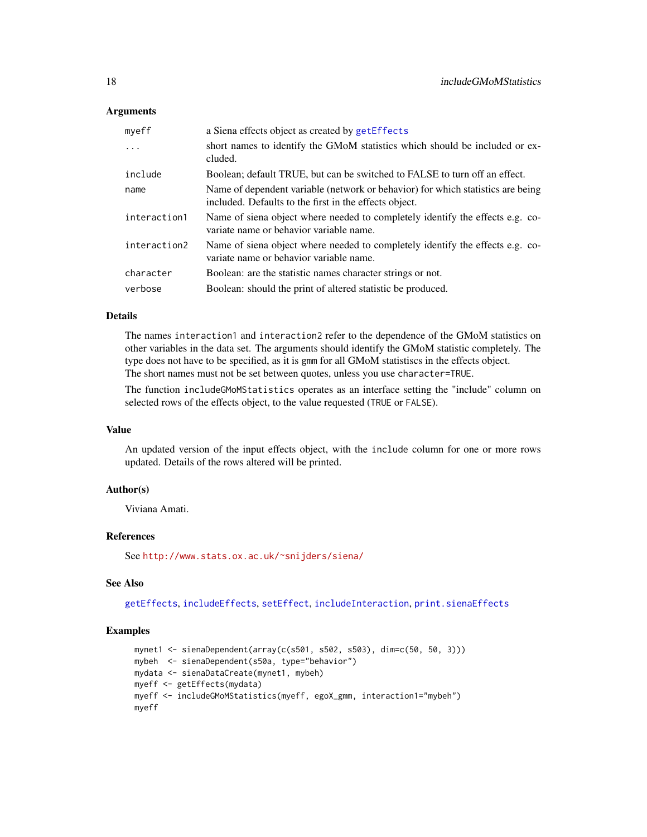# **Arguments**

| myeff        | a Siena effects object as created by getEffects                                                                                           |
|--------------|-------------------------------------------------------------------------------------------------------------------------------------------|
| $\cdot$      | short names to identify the GMoM statistics which should be included or ex-<br>cluded.                                                    |
| include      | Boolean; default TRUE, but can be switched to FALSE to turn off an effect.                                                                |
| name         | Name of dependent variable (network or behavior) for which statistics are being<br>included. Defaults to the first in the effects object. |
| interaction1 | Name of siena object where needed to completely identify the effects e.g. co-<br>variate name or behavior variable name.                  |
| interaction2 | Name of siena object where needed to completely identify the effects e.g. co-<br>variate name or behavior variable name.                  |
| character    | Boolean: are the statistic names character strings or not.                                                                                |
| verbose      | Boolean: should the print of altered statistic be produced.                                                                               |

# Details

The names interaction1 and interaction2 refer to the dependence of the GMoM statistics on other variables in the data set. The arguments should identify the GMoM statistic completely. The type does not have to be specified, as it is gmm for all GMoM statistiscs in the effects object. The short names must not be set between quotes, unless you use character=TRUE.

The function includeGMoMStatistics operates as an interface setting the "include" column on selected rows of the effects object, to the value requested (TRUE or FALSE).

#### Value

An updated version of the input effects object, with the include column for one or more rows updated. Details of the rows altered will be printed.

# Author(s)

Viviana Amati.

# References

See <http://www.stats.ox.ac.uk/~snijders/siena/>

# See Also

[getEffects](#page-12-2), [includeEffects](#page-15-1), [setEffect](#page-40-1), [includeInteraction](#page-18-1), [print.sienaEffects](#page-30-2)

#### Examples

```
mynet1 <- sienaDependent(array(c(s501, s502, s503), dim=c(50, 50, 3)))
mybeh <- sienaDependent(s50a, type="behavior")
mydata <- sienaDataCreate(mynet1, mybeh)
myeff <- getEffects(mydata)
myeff <- includeGMoMStatistics(myeff, egoX_gmm, interaction1="mybeh")
myeff
```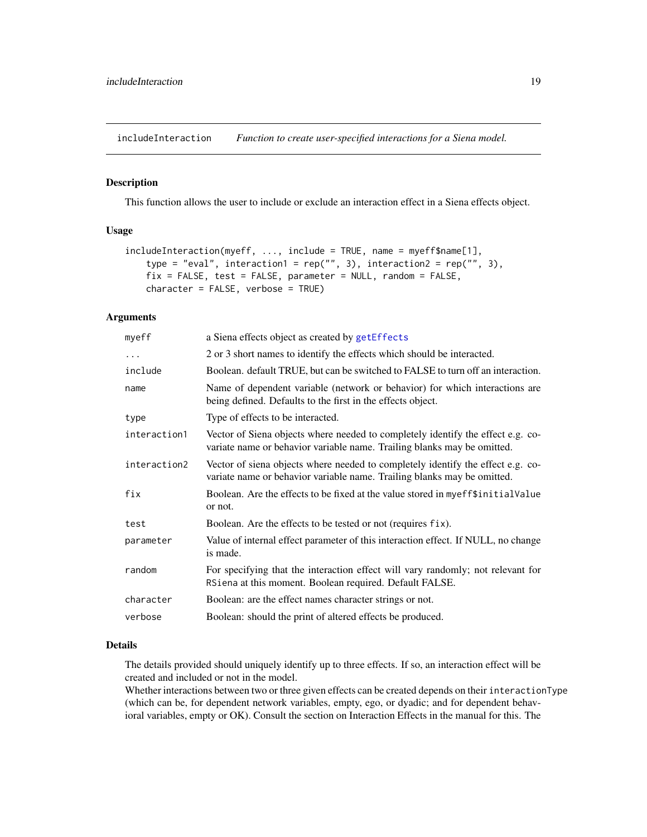<span id="page-18-1"></span><span id="page-18-0"></span>includeInteraction *Function to create user-specified interactions for a Siena model.*

#### Description

This function allows the user to include or exclude an interaction effect in a Siena effects object.

# Usage

```
includeInteraction(myeff, ..., include = TRUE, name = myeff$name[1],
    type = "eval", interaction1 = rep("", 3), interaction2 = rep("", 3),
    fix = FALSE, test = FALSE, parameter = NULL, random = FALSE,character = FALSE, verbose = TRUE)
```
# **Arguments**

| myeff        | a Siena effects object as created by getEffects                                                                                                            |
|--------------|------------------------------------------------------------------------------------------------------------------------------------------------------------|
| .            | 2 or 3 short names to identify the effects which should be interacted.                                                                                     |
| include      | Boolean. default TRUE, but can be switched to FALSE to turn off an interaction.                                                                            |
| name         | Name of dependent variable (network or behavior) for which interactions are<br>being defined. Defaults to the first in the effects object.                 |
| type         | Type of effects to be interacted.                                                                                                                          |
| interaction1 | Vector of Siena objects where needed to completely identify the effect e.g. co-<br>variate name or behavior variable name. Trailing blanks may be omitted. |
| interaction2 | Vector of siena objects where needed to completely identify the effect e.g. co-<br>variate name or behavior variable name. Trailing blanks may be omitted. |
| fix          | Boolean. Are the effects to be fixed at the value stored in myeff\$initialValue<br>or not.                                                                 |
| test         | Boolean. Are the effects to be tested or not (requires fix).                                                                                               |
| parameter    | Value of internal effect parameter of this interaction effect. If NULL, no change<br>is made.                                                              |
| random       | For specifying that the interaction effect will vary randomly; not relevant for<br>RSiena at this moment. Boolean required. Default FALSE.                 |
| character    | Boolean: are the effect names character strings or not.                                                                                                    |
| verbose      | Boolean: should the print of altered effects be produced.                                                                                                  |

#### Details

The details provided should uniquely identify up to three effects. If so, an interaction effect will be created and included or not in the model.

Whether interactions between two or three given effects can be created depends on their interactionType (which can be, for dependent network variables, empty, ego, or dyadic; and for dependent behavioral variables, empty or OK). Consult the section on Interaction Effects in the manual for this. The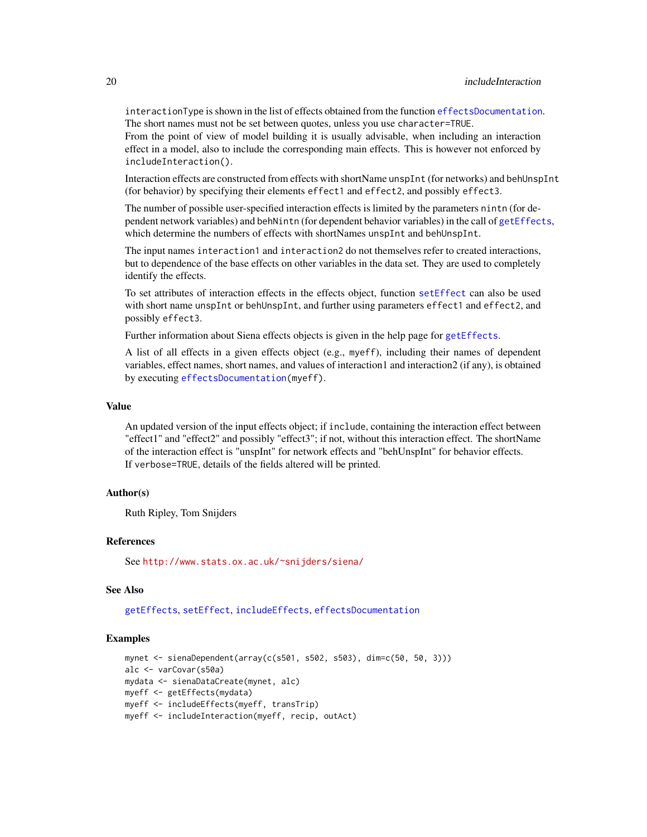interactionType is shown in the list of effects obtained from the function [effectsDocumentation](#page-9-1). The short names must not be set between quotes, unless you use character=TRUE.

From the point of view of model building it is usually advisable, when including an interaction effect in a model, also to include the corresponding main effects. This is however not enforced by includeInteraction().

Interaction effects are constructed from effects with shortName unspInt (for networks) and behUnspInt (for behavior) by specifying their elements effect1 and effect2, and possibly effect3.

The number of possible user-specified interaction effects is limited by the parameters nintn (for dependent network variables) and behNintn (for dependent behavior variables) in the call of [getEffects](#page-12-2), which determine the numbers of effects with shortNames unspInt and behUnspInt.

The input names interaction1 and interaction2 do not themselves refer to created interactions, but to dependence of the base effects on other variables in the data set. They are used to completely identify the effects.

To set attributes of interaction effects in the effects object, function [setEffect](#page-40-1) can also be used with short name unspInt or behUnspInt, and further using parameters effect1 and effect2, and possibly effect3.

Further information about Siena effects objects is given in the help page for [getEffects](#page-12-2).

A list of all effects in a given effects object (e.g., myeff), including their names of dependent variables, effect names, short names, and values of interaction1 and interaction2 (if any), is obtained by executing [effectsDocumentation\(](#page-9-1)myeff).

# Value

An updated version of the input effects object; if include, containing the interaction effect between "effect1" and "effect2" and possibly "effect3"; if not, without this interaction effect. The shortName of the interaction effect is "unspInt" for network effects and "behUnspInt" for behavior effects. If verbose=TRUE, details of the fields altered will be printed.

# Author(s)

Ruth Ripley, Tom Snijders

# References

See <http://www.stats.ox.ac.uk/~snijders/siena/>

# See Also

[getEffects](#page-12-2), [setEffect](#page-40-1), [includeEffects](#page-15-1), [effectsDocumentation](#page-9-1)

#### Examples

```
mynet <- sienaDependent(array(c(s501, s502, s503), dim=c(50, 50, 3)))
alc <- varCovar(s50a)
mydata <- sienaDataCreate(mynet, alc)
myeff <- getEffects(mydata)
myeff <- includeEffects(myeff, transTrip)
myeff <- includeInteraction(myeff, recip, outAct)
```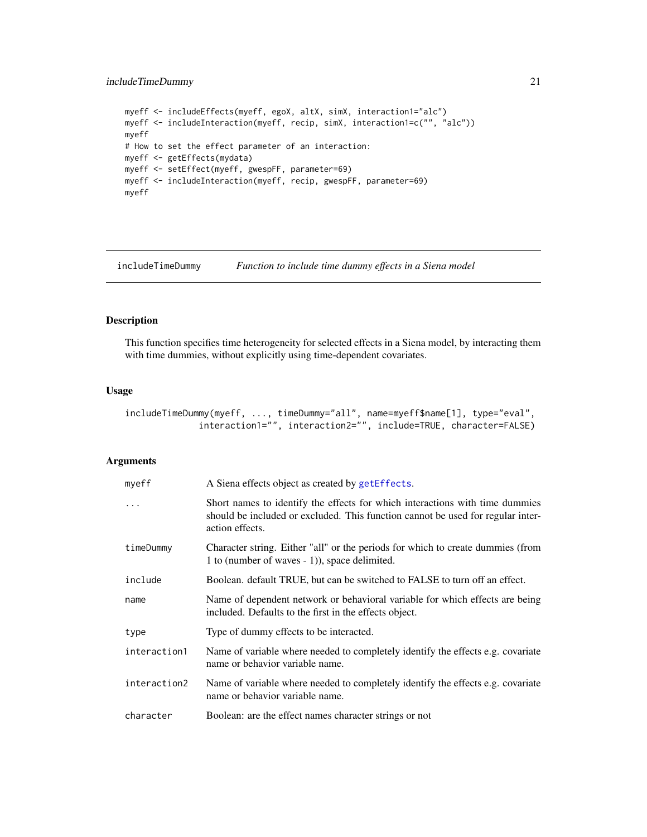# <span id="page-20-0"></span>includeTimeDummy 21

```
myeff <- includeEffects(myeff, egoX, altX, simX, interaction1="alc")
myeff <- includeInteraction(myeff, recip, simX, interaction1=c("", "alc"))
myeff
# How to set the effect parameter of an interaction:
myeff <- getEffects(mydata)
myeff <- setEffect(myeff, gwespFF, parameter=69)
myeff <- includeInteraction(myeff, recip, gwespFF, parameter=69)
myeff
```
<span id="page-20-1"></span>includeTimeDummy *Function to include time dummy effects in a Siena model*

# Description

This function specifies time heterogeneity for selected effects in a Siena model, by interacting them with time dummies, without explicitly using time-dependent covariates.

# Usage

```
includeTimeDummy(myeff, ..., timeDummy="all", name=myeff$name[1], type="eval",
             interaction1="", interaction2="", include=TRUE, character=FALSE)
```
# Arguments

| myeff        | A Siena effects object as created by getEffects.                                                                                                                                   |
|--------------|------------------------------------------------------------------------------------------------------------------------------------------------------------------------------------|
|              | Short names to identify the effects for which interactions with time dummies<br>should be included or excluded. This function cannot be used for regular inter-<br>action effects. |
| timeDummy    | Character string. Either "all" or the periods for which to create dummies (from<br>1 to (number of waves - 1)), space delimited.                                                   |
| include      | Boolean. default TRUE, but can be switched to FALSE to turn off an effect.                                                                                                         |
| name         | Name of dependent network or behavioral variable for which effects are being<br>included. Defaults to the first in the effects object.                                             |
| type         | Type of dummy effects to be interacted.                                                                                                                                            |
| interaction1 | Name of variable where needed to completely identify the effects e.g. covariate<br>name or behavior variable name.                                                                 |
| interaction2 | Name of variable where needed to completely identify the effects e.g. covariate<br>name or behavior variable name.                                                                 |
| character    | Boolean: are the effect names character strings or not                                                                                                                             |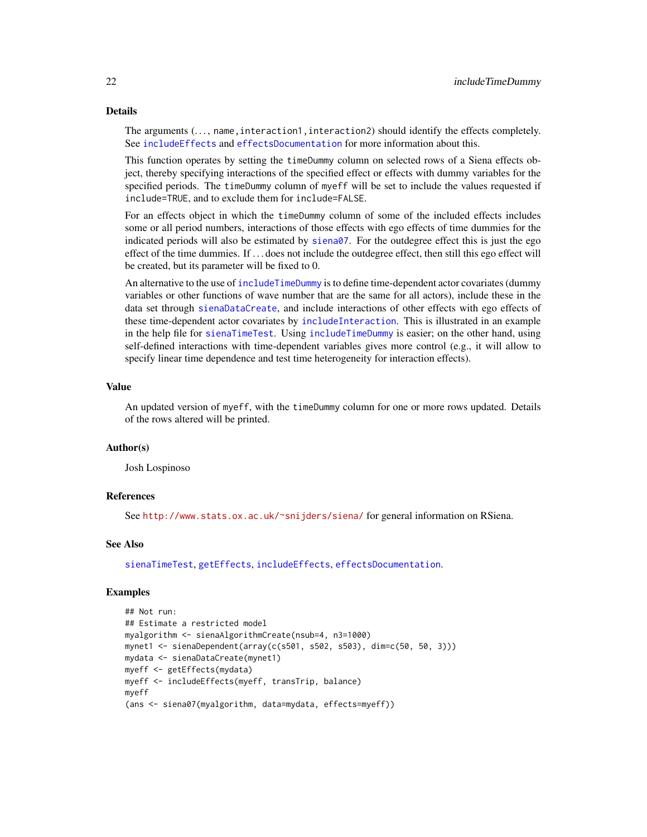#### Details

The arguments  $(\ldots)$  name, interaction1, interaction2) should identify the effects completely. See [includeEffects](#page-15-1) and [effectsDocumentation](#page-9-1) for more information about this.

This function operates by setting the timeDummy column on selected rows of a Siena effects object, thereby specifying interactions of the specified effect or effects with dummy variables for the specified periods. The timeDummy column of myeff will be set to include the values requested if include=TRUE, and to exclude them for include=FALSE.

For an effects object in which the timeDummy column of some of the included effects includes some or all period numbers, interactions of those effects with ego effects of time dummies for the indicated periods will also be estimated by [siena07](#page-42-1). For the outdegree effect this is just the ego effect of the time dummies. If . . . does not include the outdegree effect, then still this ego effect will be created, but its parameter will be fixed to 0.

An alternative to the use of [includeTimeDummy](#page-20-1) is to define time-dependent actor covariates (dummy variables or other functions of wave number that are the same for all actors), include these in the data set through [sienaDataCreate](#page-60-1), and include interactions of other effects with ego effects of these time-dependent actor covariates by [includeInteraction](#page-18-1). This is illustrated in an example in the help file for [sienaTimeTest](#page-87-1). Using [includeTimeDummy](#page-20-1) is easier; on the other hand, using self-defined interactions with time-dependent variables gives more control (e.g., it will allow to specify linear time dependence and test time heterogeneity for interaction effects).

## Value

An updated version of myeff, with the timeDummy column for one or more rows updated. Details of the rows altered will be printed.

# Author(s)

Josh Lospinoso

#### References

See <http://www.stats.ox.ac.uk/~snijders/siena/> for general information on RSiena.

## See Also

[sienaTimeTest](#page-87-1), [getEffects](#page-12-2), [includeEffects](#page-15-1), [effectsDocumentation](#page-9-1).

#### Examples

```
## Not run:
## Estimate a restricted model
myalgorithm <- sienaAlgorithmCreate(nsub=4, n3=1000)
mynet1 <- sienaDependent(array(c(s501, s502, s503), dim=c(50, 50, 3)))
mydata <- sienaDataCreate(mynet1)
myeff <- getEffects(mydata)
myeff <- includeEffects(myeff, transTrip, balance)
myeff
(ans <- siena07(myalgorithm, data=mydata, effects=myeff))
```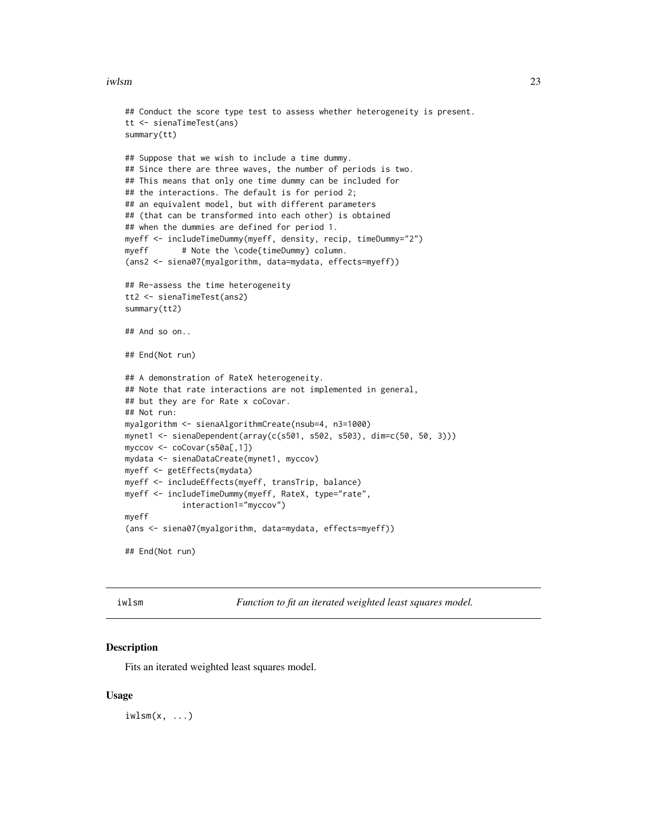#### <span id="page-22-0"></span>iwlsm 23

```
## Conduct the score type test to assess whether heterogeneity is present.
tt <- sienaTimeTest(ans)
summary(tt)
## Suppose that we wish to include a time dummy.
## Since there are three waves, the number of periods is two.
## This means that only one time dummy can be included for
## the interactions. The default is for period 2;
## an equivalent model, but with different parameters
## (that can be transformed into each other) is obtained
## when the dummies are defined for period 1.
myeff <- includeTimeDummy(myeff, density, recip, timeDummy="2")
myeff # Note the \code{timeDummy} column.
(ans2 <- siena07(myalgorithm, data=mydata, effects=myeff))
## Re-assess the time heterogeneity
tt2 <- sienaTimeTest(ans2)
summary(tt2)
## And so on..
## End(Not run)
## A demonstration of RateX heterogeneity.
## Note that rate interactions are not implemented in general,
## but they are for Rate x coCovar.
## Not run:
myalgorithm <- sienaAlgorithmCreate(nsub=4, n3=1000)
mynet1 <- sienaDependent(array(c(s501, s502, s503), dim=c(50, 50, 3)))
myccov <- coCovar(s50a[,1])
mydata <- sienaDataCreate(mynet1, myccov)
myeff <- getEffects(mydata)
myeff <- includeEffects(myeff, transTrip, balance)
myeff <- includeTimeDummy(myeff, RateX, type="rate",
            interaction1="myccov")
myeff
(ans <- siena07(myalgorithm, data=mydata, effects=myeff))
## End(Not run)
```
iwlsm *Function to fit an iterated weighted least squares model.*

#### **Description**

Fits an iterated weighted least squares model.

#### Usage

 $i$ wlsm $(x, \ldots)$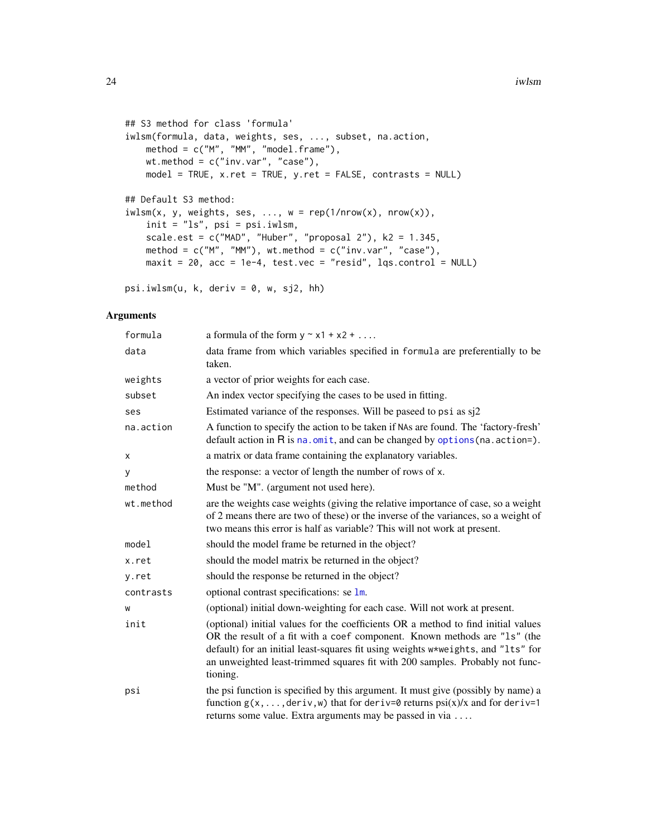```
## S3 method for class 'formula'
iwlsm(formula, data, weights, ses, ..., subset, na.action,
   method = c("M", "MM", "model.frame"),
   wt.method = c("inv.var", "case"),
   model = TRUE, x.ret = TRUE, y.ret = FALSE, contrasts = NULL)
## Default S3 method:
iwlsm(x, y, weights, ses, ..., w = rep(1/nrow(x), nrow(x)),init = "ls", psi = psi.iwlsm,
   scale.est = c("MAD", "Huber", "proposal 2"), k2 = 1.345,method = c("M", "MM"), wt.method = c("inv.var", "case"),
   maxit = 20, acc = 1e-4, test.vec = "resid", lqs.control = NULL)
```
psi.iwlsm(u, k, deriv = 0, w, sj2, hh)

## Arguments

| formula   | a formula of the form $y \sim x1 + x2 + $                                                                                                                                                                                                                                                                                                      |
|-----------|------------------------------------------------------------------------------------------------------------------------------------------------------------------------------------------------------------------------------------------------------------------------------------------------------------------------------------------------|
| data      | data frame from which variables specified in formula are preferentially to be<br>taken.                                                                                                                                                                                                                                                        |
| weights   | a vector of prior weights for each case.                                                                                                                                                                                                                                                                                                       |
| subset    | An index vector specifying the cases to be used in fitting.                                                                                                                                                                                                                                                                                    |
| ses       | Estimated variance of the responses. Will be paseed to psi as sj2                                                                                                                                                                                                                                                                              |
| na.action | A function to specify the action to be taken if NAs are found. The 'factory-fresh'<br>default action in $R$ is $na$ . omit, and can be changed by options (na. action=).                                                                                                                                                                       |
| x         | a matrix or data frame containing the explanatory variables.                                                                                                                                                                                                                                                                                   |
| y         | the response: a vector of length the number of rows of x.                                                                                                                                                                                                                                                                                      |
| method    | Must be "M". (argument not used here).                                                                                                                                                                                                                                                                                                         |
| wt.method | are the weights case weights (giving the relative importance of case, so a weight<br>of 2 means there are two of these) or the inverse of the variances, so a weight of<br>two means this error is half as variable? This will not work at present.                                                                                            |
| model     | should the model frame be returned in the object?                                                                                                                                                                                                                                                                                              |
| x.ret     | should the model matrix be returned in the object?                                                                                                                                                                                                                                                                                             |
| y.ret     | should the response be returned in the object?                                                                                                                                                                                                                                                                                                 |
| contrasts | optional contrast specifications: se 1m.                                                                                                                                                                                                                                                                                                       |
| W         | (optional) initial down-weighting for each case. Will not work at present.                                                                                                                                                                                                                                                                     |
| init      | (optional) initial values for the coefficients OR a method to find initial values<br>OR the result of a fit with a coef component. Known methods are "1s" (the<br>default) for an initial least-squares fit using weights w*weights, and "1ts" for<br>an unweighted least-trimmed squares fit with 200 samples. Probably not func-<br>tioning. |
| psi       | the psi function is specified by this argument. It must give (possibly by name) a<br>function $g(x, \ldots, \text{deriv}, w)$ that for deriv=0 returns $psi(x)/x$ and for deriv=1<br>returns some value. Extra arguments may be passed in via                                                                                                  |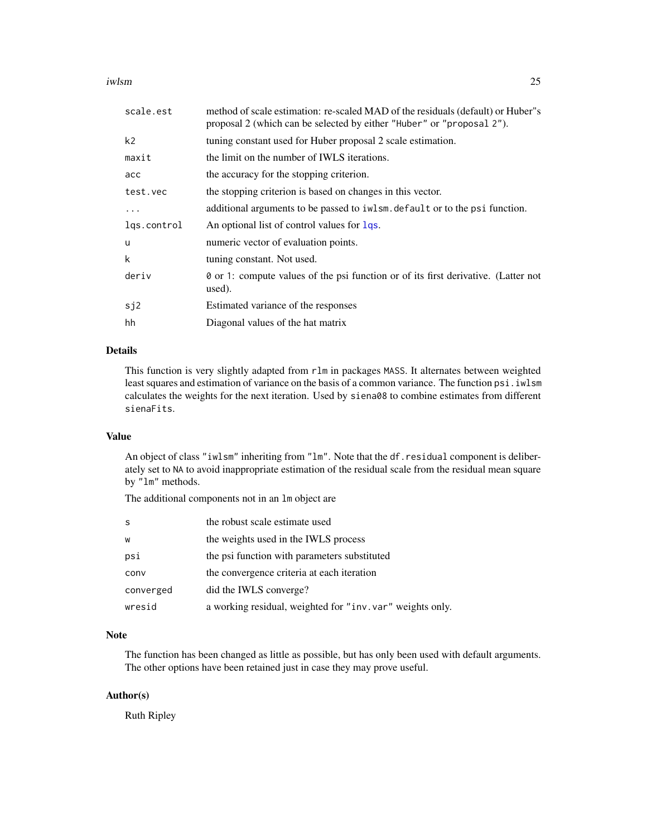#### iwlsm 25

| scale.est      | method of scale estimation: re-scaled MAD of the residuals (default) or Huber''s<br>proposal 2 (which can be selected by either "Huber" or "proposal 2"). |  |
|----------------|-----------------------------------------------------------------------------------------------------------------------------------------------------------|--|
| k <sub>2</sub> | tuning constant used for Huber proposal 2 scale estimation.                                                                                               |  |
| maxit          | the limit on the number of IWLS iterations.                                                                                                               |  |
| acc            | the accuracy for the stopping criterion.                                                                                                                  |  |
| test.vec       | the stopping criterion is based on changes in this vector.                                                                                                |  |
| $\cdot$        | additional arguments to be passed to iwlsm. default or to the psi function.                                                                               |  |
| lgs.control    | An optional list of control values for lqs.                                                                                                               |  |
| u              | numeric vector of evaluation points.                                                                                                                      |  |
| k              | tuning constant. Not used.                                                                                                                                |  |
| deriv          | ⊘ or 1: compute values of the psi function or of its first derivative. (Latter not<br>used).                                                              |  |
| sj2            | Estimated variance of the responses                                                                                                                       |  |
| hh             | Diagonal values of the hat matrix                                                                                                                         |  |

#### Details

This function is very slightly adapted from rlm in packages MASS. It alternates between weighted least squares and estimation of variance on the basis of a common variance. The function psi.iwlsm calculates the weights for the next iteration. Used by siena08 to combine estimates from different sienaFits.

# Value

An object of class "iwlsm" inheriting from "lm". Note that the df. residual component is deliberately set to NA to avoid inappropriate estimation of the residual scale from the residual mean square by "lm" methods.

The additional components not in an lm object are

| S         | the robust scale estimate used                            |
|-----------|-----------------------------------------------------------|
| W         | the weights used in the IWLS process                      |
| psi       | the psi function with parameters substituted              |
| conv      | the convergence criteria at each iteration                |
| converged | did the IWLS converge?                                    |
| wresid    | a working residual, weighted for "inv. var" weights only. |

# Note

The function has been changed as little as possible, but has only been used with default arguments. The other options have been retained just in case they may prove useful.

# Author(s)

Ruth Ripley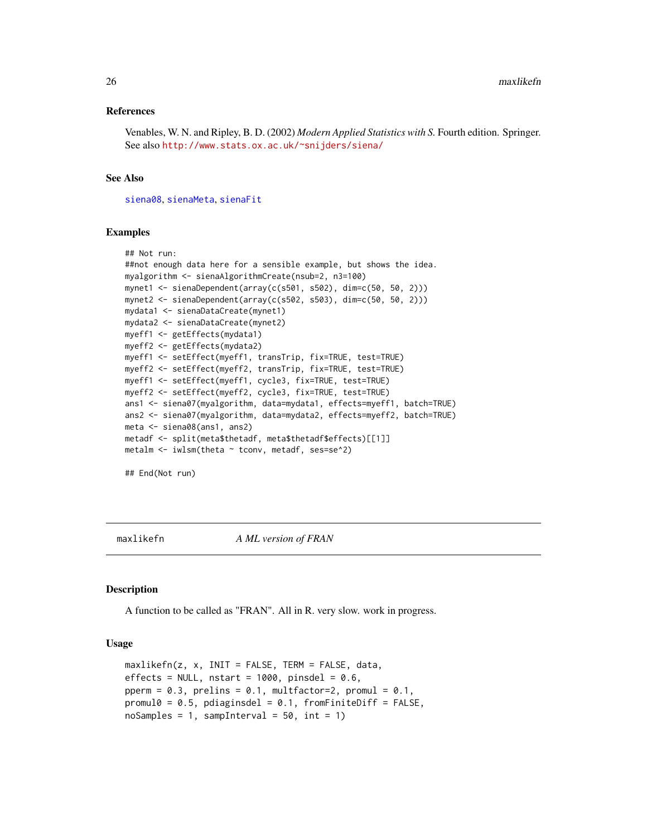#### <span id="page-25-0"></span>References

Venables, W. N. and Ripley, B. D. (2002) *Modern Applied Statistics with S.* Fourth edition. Springer. See also <http://www.stats.ox.ac.uk/~snijders/siena/>

#### See Also

[siena08](#page-49-1), [sienaMeta](#page-49-2), [sienaFit](#page-64-1)

#### Examples

```
## Not run:
##not enough data here for a sensible example, but shows the idea.
myalgorithm <- sienaAlgorithmCreate(nsub=2, n3=100)
mynet1 <- sienaDependent(array(c(s501, s502), dim=c(50, 50, 2)))
mynet2 <- sienaDependent(array(c(s502, s503), dim=c(50, 50, 2)))
mydata1 <- sienaDataCreate(mynet1)
mydata2 <- sienaDataCreate(mynet2)
myeff1 <- getEffects(mydata1)
myeff2 <- getEffects(mydata2)
myeff1 <- setEffect(myeff1, transTrip, fix=TRUE, test=TRUE)
myeff2 <- setEffect(myeff2, transTrip, fix=TRUE, test=TRUE)
myeff1 <- setEffect(myeff1, cycle3, fix=TRUE, test=TRUE)
myeff2 <- setEffect(myeff2, cycle3, fix=TRUE, test=TRUE)
ans1 <- siena07(myalgorithm, data=mydata1, effects=myeff1, batch=TRUE)
ans2 <- siena07(myalgorithm, data=mydata2, effects=myeff2, batch=TRUE)
meta <- siena08(ans1, ans2)
metadf <- split(meta$thetadf, meta$thetadf$effects)[[1]]
metalm <- iwlsm(theta ~ tconv, metadf, ses=se^2)
```
## End(Not run)

maxlikefn *A ML version of FRAN*

#### **Description**

A function to be called as "FRAN". All in R. very slow. work in progress.

#### Usage

```
maxlikefn(z, x, INIT = FALSE, TERM = FALSE, data,
effects = NULL, nstart = 1000, pinsdel = 0.6,
pperm = 0.3, prelins = 0.1, multfactor=2, promul = 0.1,
promul0 = 0.5, pdiaginsdel = 0.1, fromFiniteDiff = FALSE,
nosamples = 1, samplinglet = 50, int = 1)
```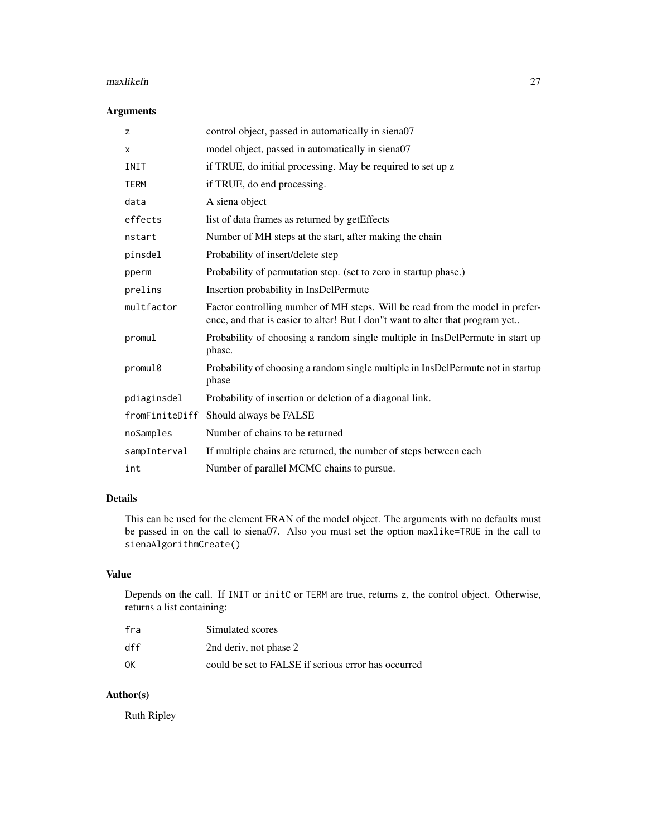#### maxlikefn 27

# Arguments

| z              | control object, passed in automatically in siena07                                                                                                             |
|----------------|----------------------------------------------------------------------------------------------------------------------------------------------------------------|
| X              | model object, passed in automatically in siena07                                                                                                               |
| INIT           | if TRUE, do initial processing. May be required to set up z                                                                                                    |
| <b>TERM</b>    | if TRUE, do end processing.                                                                                                                                    |
| data           | A siena object                                                                                                                                                 |
| effects        | list of data frames as returned by getEffects                                                                                                                  |
| nstart         | Number of MH steps at the start, after making the chain                                                                                                        |
| pinsdel        | Probability of insert/delete step                                                                                                                              |
| pperm          | Probability of permutation step. (set to zero in startup phase.)                                                                                               |
| prelins        | Insertion probability in InsDelPermute                                                                                                                         |
| multfactor     | Factor controlling number of MH steps. Will be read from the model in prefer-<br>ence, and that is easier to alter! But I don"t want to alter that program yet |
| promul         | Probability of choosing a random single multiple in InsDelPermute in start up<br>phase.                                                                        |
| promul0        | Probability of choosing a random single multiple in InsDelPermute not in startup<br>phase                                                                      |
| pdiaginsdel    | Probability of insertion or deletion of a diagonal link.                                                                                                       |
| fromFiniteDiff | Should always be FALSE                                                                                                                                         |
| noSamples      | Number of chains to be returned                                                                                                                                |
| sampInterval   | If multiple chains are returned, the number of steps between each                                                                                              |
| int            | Number of parallel MCMC chains to pursue.                                                                                                                      |

# Details

This can be used for the element FRAN of the model object. The arguments with no defaults must be passed in on the call to siena07. Also you must set the option maxlike=TRUE in the call to sienaAlgorithmCreate()

# Value

Depends on the call. If INIT or initC or TERM are true, returns z, the control object. Otherwise, returns a list containing:

| fra | Simulated scores                                    |
|-----|-----------------------------------------------------|
| dff | 2nd deriv, not phase 2                              |
| ΟK  | could be set to FALSE if serious error has occurred |

# Author(s)

Ruth Ripley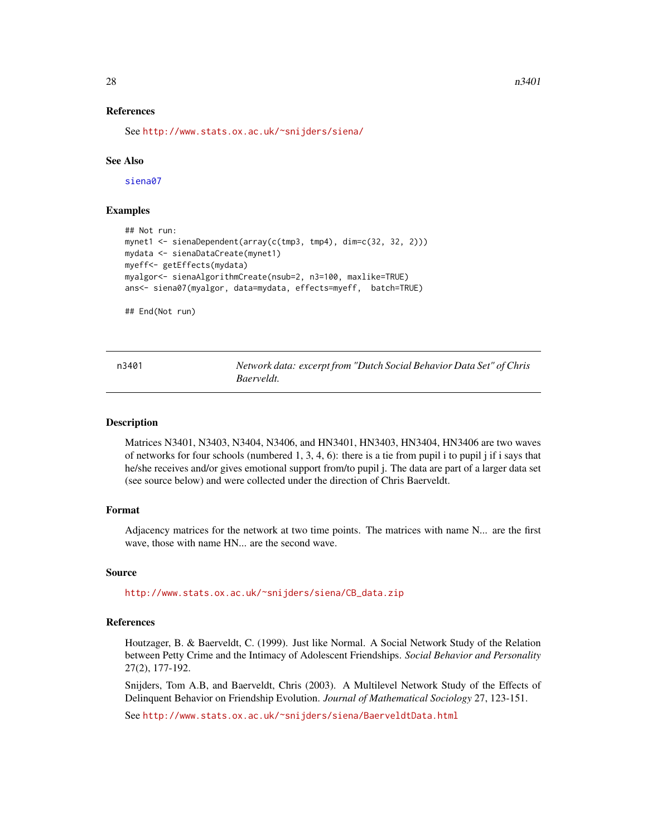#### <span id="page-27-0"></span>References

See <http://www.stats.ox.ac.uk/~snijders/siena/>

#### See Also

[siena07](#page-42-1)

# Examples

```
## Not run:
mynet1 <- sienaDependent(array(c(tmp3, tmp4), dim=c(32, 32, 2)))
mydata <- sienaDataCreate(mynet1)
myeff<- getEffects(mydata)
myalgor<- sienaAlgorithmCreate(nsub=2, n3=100, maxlike=TRUE)
ans<- siena07(myalgor, data=mydata, effects=myeff, batch=TRUE)
```
## End(Not run)

| n3401 | Network data: excerpt from "Dutch Social Behavior Data Set" of Chris |  |
|-------|----------------------------------------------------------------------|--|
|       | Baerveldt.                                                           |  |

#### Description

Matrices N3401, N3403, N3404, N3406, and HN3401, HN3403, HN3404, HN3406 are two waves of networks for four schools (numbered 1, 3, 4, 6): there is a tie from pupil i to pupil j if i says that he/she receives and/or gives emotional support from/to pupil j. The data are part of a larger data set (see source below) and were collected under the direction of Chris Baerveldt.

#### Format

Adjacency matrices for the network at two time points. The matrices with name N... are the first wave, those with name HN... are the second wave.

# Source

[http://www.stats.ox.ac.uk/~snijders/siena/CB\\_data.zip](http://www.stats.ox.ac.uk/~snijders/siena/CB_data.zip)

# References

Houtzager, B. & Baerveldt, C. (1999). Just like Normal. A Social Network Study of the Relation between Petty Crime and the Intimacy of Adolescent Friendships. *Social Behavior and Personality* 27(2), 177-192.

Snijders, Tom A.B, and Baerveldt, Chris (2003). A Multilevel Network Study of the Effects of Delinquent Behavior on Friendship Evolution. *Journal of Mathematical Sociology* 27, 123-151.

See <http://www.stats.ox.ac.uk/~snijders/siena/BaerveldtData.html>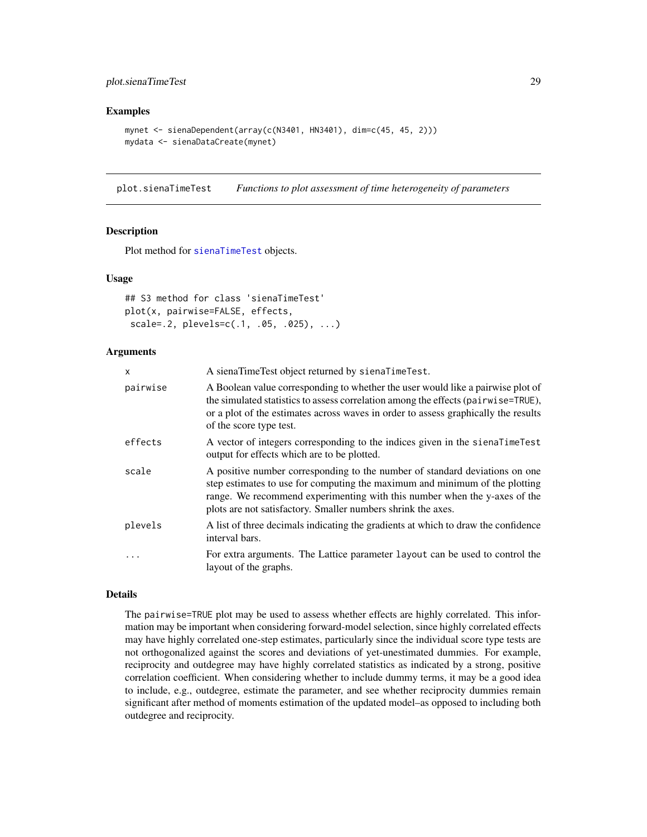# <span id="page-28-0"></span>plot.sienaTimeTest 29

#### Examples

```
mynet <- sienaDependent(array(c(N3401, HN3401), dim=c(45, 45, 2)))
mydata <- sienaDataCreate(mynet)
```
plot.sienaTimeTest *Functions to plot assessment of time heterogeneity of parameters*

# Description

Plot method for [sienaTimeTest](#page-87-1) objects.

#### Usage

```
## S3 method for class 'sienaTimeTest'
plot(x, pairwise=FALSE, effects,
scale=.2, plevels=c(.1, .05, .025), ...)
```
#### Arguments

| X        | A sienaTimeTest object returned by sienaTimeTest.                                                                                                                                                                                                                                                       |
|----------|---------------------------------------------------------------------------------------------------------------------------------------------------------------------------------------------------------------------------------------------------------------------------------------------------------|
| pairwise | A Boolean value corresponding to whether the user would like a pairwise plot of<br>the simulated statistics to assess correlation among the effects (pairwise=TRUE),<br>or a plot of the estimates across waves in order to assess graphically the results<br>of the score type test.                   |
| effects  | A vector of integers corresponding to the indices given in the signal state of A<br>output for effects which are to be plotted.                                                                                                                                                                         |
| scale    | A positive number corresponding to the number of standard deviations on one<br>step estimates to use for computing the maximum and minimum of the plotting<br>range. We recommend experimenting with this number when the y-axes of the<br>plots are not satisfactory. Smaller numbers shrink the axes. |
| plevels  | A list of three decimals indicating the gradients at which to draw the confidence<br>interval bars.                                                                                                                                                                                                     |
| .        | For extra arguments. The Lattice parameter layout can be used to control the<br>layout of the graphs.                                                                                                                                                                                                   |

# Details

The pairwise=TRUE plot may be used to assess whether effects are highly correlated. This information may be important when considering forward-model selection, since highly correlated effects may have highly correlated one-step estimates, particularly since the individual score type tests are not orthogonalized against the scores and deviations of yet-unestimated dummies. For example, reciprocity and outdegree may have highly correlated statistics as indicated by a strong, positive correlation coefficient. When considering whether to include dummy terms, it may be a good idea to include, e.g., outdegree, estimate the parameter, and see whether reciprocity dummies remain significant after method of moments estimation of the updated model–as opposed to including both outdegree and reciprocity.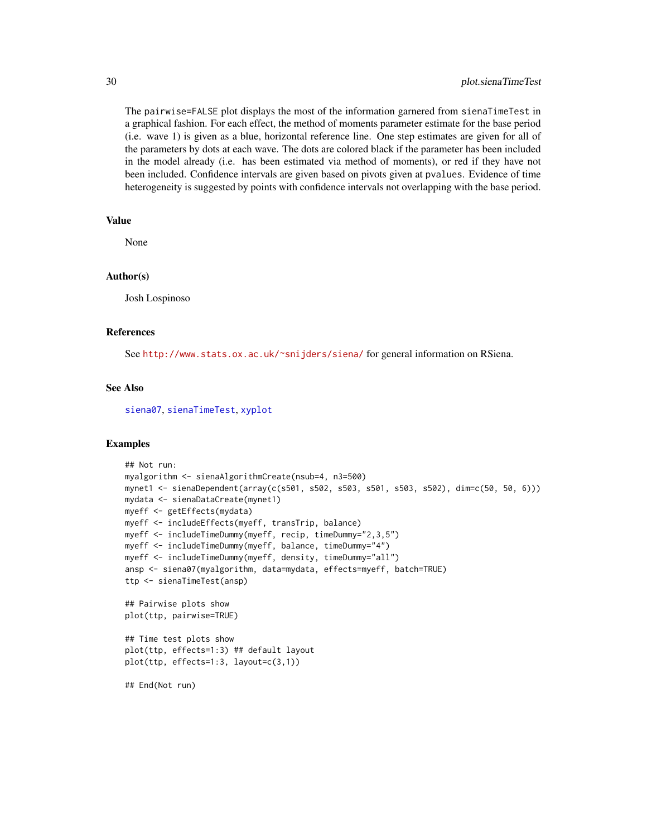The pairwise=FALSE plot displays the most of the information garnered from sienaTimeTest in a graphical fashion. For each effect, the method of moments parameter estimate for the base period (i.e. wave 1) is given as a blue, horizontal reference line. One step estimates are given for all of the parameters by dots at each wave. The dots are colored black if the parameter has been included in the model already (i.e. has been estimated via method of moments), or red if they have not been included. Confidence intervals are given based on pivots given at pvalues. Evidence of time heterogeneity is suggested by points with confidence intervals not overlapping with the base period.

# Value

None

## Author(s)

Josh Lospinoso

#### References

See <http://www.stats.ox.ac.uk/~snijders/siena/> for general information on RSiena.

# See Also

[siena07](#page-42-1), [sienaTimeTest](#page-87-1), [xyplot](#page-0-0)

#### Examples

```
## Not run:
myalgorithm <- sienaAlgorithmCreate(nsub=4, n3=500)
mynet1 <- sienaDependent(array(c(s501, s502, s503, s501, s503, s502), dim=c(50, 50, 6)))
mydata <- sienaDataCreate(mynet1)
myeff <- getEffects(mydata)
myeff <- includeEffects(myeff, transTrip, balance)
myeff <- includeTimeDummy(myeff, recip, timeDummy="2,3,5")
myeff <- includeTimeDummy(myeff, balance, timeDummy="4")
myeff <- includeTimeDummy(myeff, density, timeDummy="all")
ansp <- siena07(myalgorithm, data=mydata, effects=myeff, batch=TRUE)
ttp <- sienaTimeTest(ansp)
## Pairwise plots show
plot(ttp, pairwise=TRUE)
## Time test plots show
plot(ttp, effects=1:3) ## default layout
```

```
plot(ttp, effects=1:3, layout=c(3,1))
```
## End(Not run)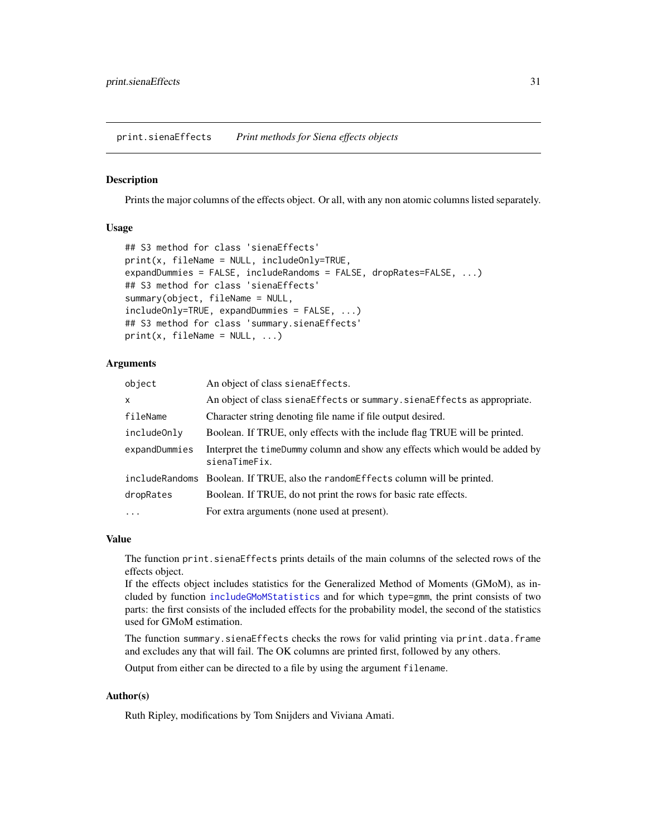<span id="page-30-2"></span><span id="page-30-0"></span>print.sienaEffects *Print methods for Siena effects objects*

# <span id="page-30-1"></span>Description

Prints the major columns of the effects object. Or all, with any non atomic columns listed separately.

# Usage

```
## S3 method for class 'sienaEffects'
print(x, fileName = NULL, includeOnly=TRUE,
expandDummies = FALSE, includeRandoms = FALSE, dropRates=FALSE, ...)
## S3 method for class 'sienaEffects'
summary(object, fileName = NULL,
includeOnly=TRUE, expandDummies = FALSE, ...)
## S3 method for class 'summary.sienaEffects'
print(x, fileName = NULL, ...)
```
# Arguments

| object        | An object of class sienaEffects.                                                             |
|---------------|----------------------------------------------------------------------------------------------|
| X             | An object of class siena Effects or summary. siena Effects as appropriate.                   |
| fileName      | Character string denoting file name if file output desired.                                  |
| includeOnly   | Boolean. If TRUE, only effects with the include flag TRUE will be printed.                   |
| expandDummies | Interpret the timeDummy column and show any effects which would be added by<br>sienaTimeFix. |
|               | include Randoms Boolean. If TRUE, also the randome ffects column will be printed.            |
| dropRates     | Boolean. If TRUE, do not print the rows for basic rate effects.                              |
| $\cdots$      | For extra arguments (none used at present).                                                  |

#### Value

The function print. sienaEffects prints details of the main columns of the selected rows of the effects object.

If the effects object includes statistics for the Generalized Method of Moments (GMoM), as included by function [includeGMoMStatistics](#page-16-1) and for which type=gmm, the print consists of two parts: the first consists of the included effects for the probability model, the second of the statistics used for GMoM estimation.

The function summary.sienaEffects checks the rows for valid printing via print.data.frame and excludes any that will fail. The OK columns are printed first, followed by any others.

Output from either can be directed to a file by using the argument filename.

# Author(s)

Ruth Ripley, modifications by Tom Snijders and Viviana Amati.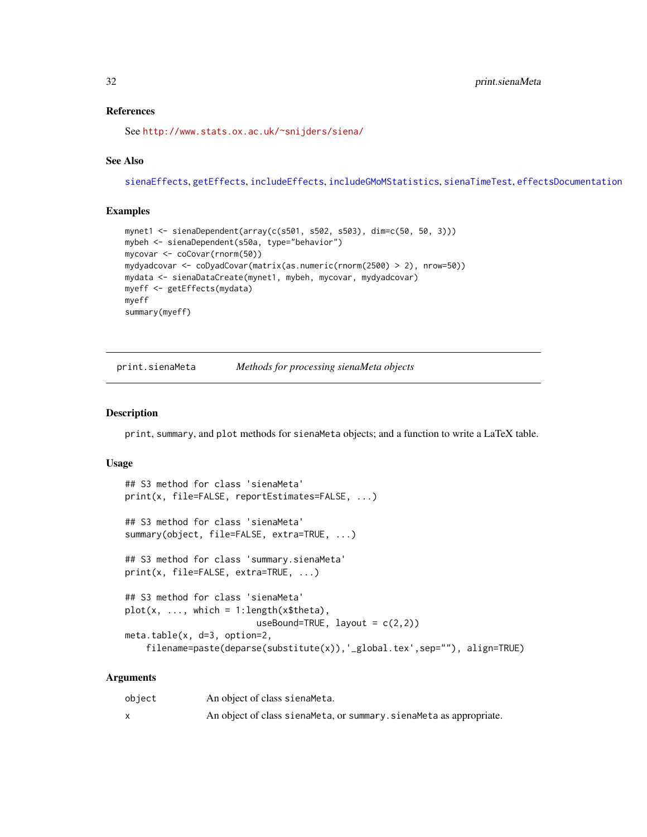# References

See <http://www.stats.ox.ac.uk/~snijders/siena/>

# See Also

[sienaEffects](#page-12-1), [getEffects](#page-12-2), [includeEffects](#page-15-1), [includeGMoMStatistics](#page-16-1), [sienaTimeTest](#page-87-1), [effectsDocumentation](#page-9-1)

#### Examples

```
mynet1 <- sienaDependent(array(c(s501, s502, s503), dim=c(50, 50, 3)))
mybeh <- sienaDependent(s50a, type="behavior")
mycovar <- coCovar(rnorm(50))
mydyadcovar <- coDyadCovar(matrix(as.numeric(rnorm(2500) > 2), nrow=50))
mydata <- sienaDataCreate(mynet1, mybeh, mycovar, mydyadcovar)
myeff <- getEffects(mydata)
myeff
summary(myeff)
```
<span id="page-31-1"></span>print.sienaMeta *Methods for processing sienaMeta objects*

# Description

print, summary, and plot methods for sienaMeta objects; and a function to write a LaTeX table.

#### Usage

```
## S3 method for class 'sienaMeta'
print(x, file=FALSE, reportEstimates=FALSE, ...)
## S3 method for class 'sienaMeta'
summary(object, file=FALSE, extra=TRUE, ...)
## S3 method for class 'summary.sienaMeta'
print(x, file=FALSE, extra=TRUE, ...)
## S3 method for class 'sienaMeta'
plot(x, ..., which = 1:length(x$theta),useBound=TRUE, layout = c(2,2))
meta.table(x, d=3, option=2,
    filename=paste(deparse(substitute(x)),'_global.tex',sep=""), align=TRUE)
```
#### Arguments

| object | An object of class sienaMeta.                                        |
|--------|----------------------------------------------------------------------|
|        | An object of class siena Meta, or summary siena Meta as appropriate. |

<span id="page-31-0"></span>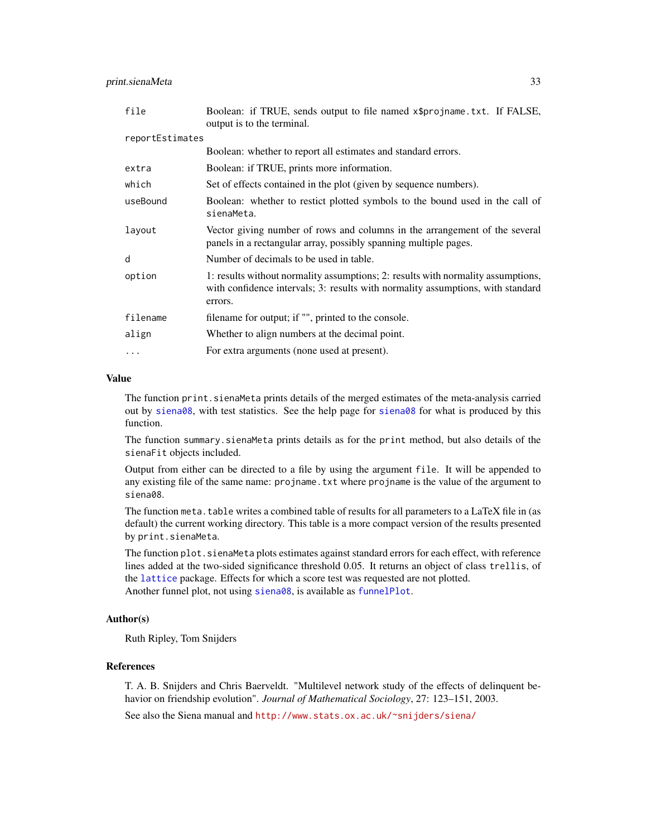| file            | Boolean: if TRUE, sends output to file named x\$projname.txt. If FALSE,<br>output is to the terminal.                                                                          |  |  |
|-----------------|--------------------------------------------------------------------------------------------------------------------------------------------------------------------------------|--|--|
| reportEstimates |                                                                                                                                                                                |  |  |
|                 | Boolean: whether to report all estimates and standard errors.                                                                                                                  |  |  |
| extra           | Boolean: if TRUE, prints more information.                                                                                                                                     |  |  |
| which           | Set of effects contained in the plot (given by sequence numbers).                                                                                                              |  |  |
| useBound        | Boolean: whether to restict plotted symbols to the bound used in the call of<br>sienaMeta.                                                                                     |  |  |
| layout          | Vector giving number of rows and columns in the arrangement of the several<br>panels in a rectangular array, possibly spanning multiple pages.                                 |  |  |
| d               | Number of decimals to be used in table.                                                                                                                                        |  |  |
| option          | 1: results without normality assumptions; 2: results with normality assumptions,<br>with confidence intervals; 3: results with normality assumptions, with standard<br>errors. |  |  |
| filename        | filename for output; if "", printed to the console.                                                                                                                            |  |  |
| align           | Whether to align numbers at the decimal point.                                                                                                                                 |  |  |
| $\ddotsc$       | For extra arguments (none used at present).                                                                                                                                    |  |  |

# Value

The function print.sienaMeta prints details of the merged estimates of the meta-analysis carried out by [siena08](#page-49-1), with test statistics. See the help page for [siena08](#page-49-1) for what is produced by this function.

The function summary.sienaMeta prints details as for the print method, but also details of the sienaFit objects included.

Output from either can be directed to a file by using the argument file. It will be appended to any existing file of the same name: projname.txt where projname is the value of the argument to siena08.

The function meta.table writes a combined table of results for all parameters to a LaTeX file in (as default) the current working directory. This table is a more compact version of the results presented by print.sienaMeta.

The function plot. sienaMeta plots estimates against standard errors for each effect, with reference lines added at the two-sided significance threshold 0.05. It returns an object of class trellis, of the [lattice](#page-0-0) package. Effects for which a score test was requested are not plotted. Another funnel plot, not using [siena08](#page-49-1), is available as [funnelPlot](#page-10-1).

#### Author(s)

Ruth Ripley, Tom Snijders

#### References

T. A. B. Snijders and Chris Baerveldt. "Multilevel network study of the effects of delinquent behavior on friendship evolution". *Journal of Mathematical Sociology*, 27: 123–151, 2003.

See also the Siena manual and <http://www.stats.ox.ac.uk/~snijders/siena/>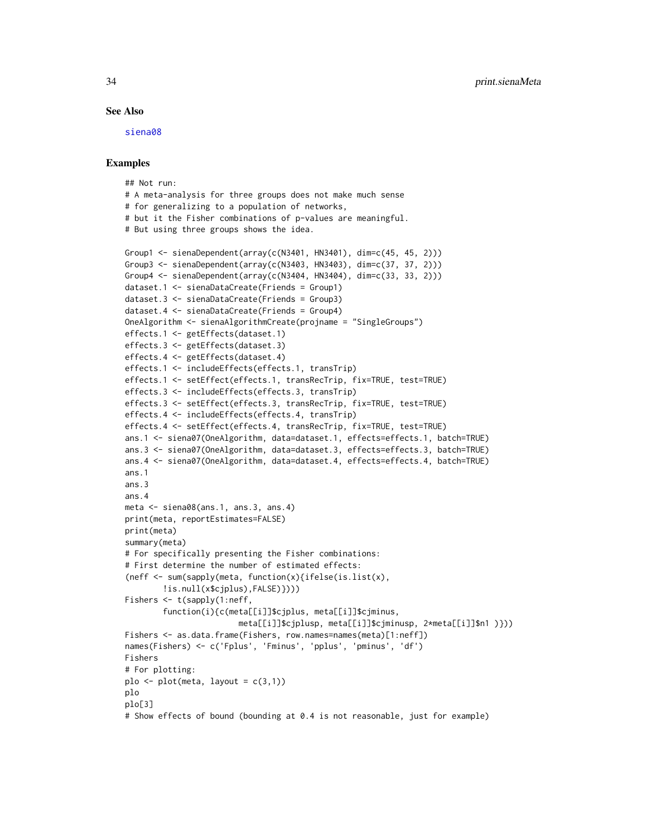#### See Also

[siena08](#page-49-1)

#### Examples

```
## Not run:
# A meta-analysis for three groups does not make much sense
# for generalizing to a population of networks,
# but it the Fisher combinations of p-values are meaningful.
# But using three groups shows the idea.
Group1 \le sienaDependent(array(c(N3401, HN3401), dim=c(45, 45, 2)))
Group3 <- sienaDependent(array(c(N3403, HN3403), dim=c(37, 37, 2)))
Group4 \le sienaDependent(array(c(N3404, HN3404), dim=c(33, 33, 2)))
dataset.1 <- sienaDataCreate(Friends = Group1)
dataset.3 <- sienaDataCreate(Friends = Group3)
dataset.4 <- sienaDataCreate(Friends = Group4)
OneAlgorithm <- sienaAlgorithmCreate(projname = "SingleGroups")
effects.1 <- getEffects(dataset.1)
effects.3 <- getEffects(dataset.3)
effects.4 <- getEffects(dataset.4)
effects.1 <- includeEffects(effects.1, transTrip)
effects.1 <- setEffect(effects.1, transRecTrip, fix=TRUE, test=TRUE)
effects.3 <- includeEffects(effects.3, transTrip)
effects.3 <- setEffect(effects.3, transRecTrip, fix=TRUE, test=TRUE)
effects.4 <- includeEffects(effects.4, transTrip)
effects.4 <- setEffect(effects.4, transRecTrip, fix=TRUE, test=TRUE)
ans.1 <- siena07(OneAlgorithm, data=dataset.1, effects=effects.1, batch=TRUE)
ans.3 <- siena07(OneAlgorithm, data=dataset.3, effects=effects.3, batch=TRUE)
ans.4 <- siena07(OneAlgorithm, data=dataset.4, effects=effects.4, batch=TRUE)
ans.1
ans.3
ans.4
meta <- siena08(ans.1, ans.3, ans.4)
print(meta, reportEstimates=FALSE)
print(meta)
summary(meta)
# For specifically presenting the Fisher combinations:
# First determine the number of estimated effects:
(neff <- sum(sapply(meta, function(x){ifelse(is.list(x),
        !is.null(x$cjplus),FALSE)})))
Fishers <- t(sapply(1:neff,
        function(i){c(meta[[i]]$cjplus, meta[[i]]$cjminus,
                        meta[[i]]$cjplusp, meta[[i]]$cjminusp, 2*meta[[i]]$n1 )}))
Fishers <- as.data.frame(Fishers, row.names=names(meta)[1:neff])
names(Fishers) <- c('Fplus', 'Fminus', 'pplus', 'pminus', 'df')
Fishers
# For plotting:
plo \leq plot(meta, layout = c(3,1))
plo
plo[3]
# Show effects of bound (bounding at 0.4 is not reasonable, just for example)
```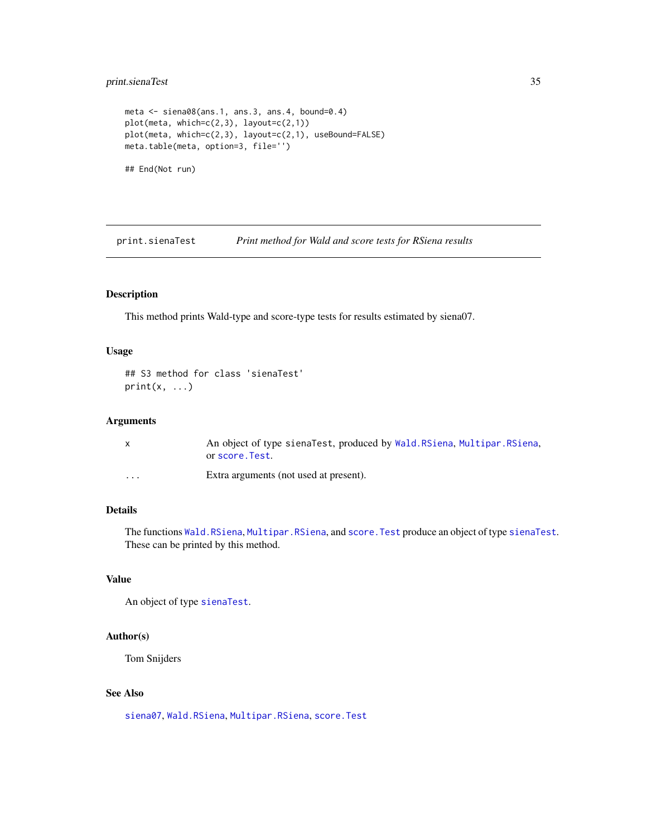# <span id="page-34-0"></span>print.sienaTest 35

```
meta <- siena08(ans.1, ans.3, ans.4, bound=0.4)
plot(meta, which=c(2,3), layout=c(2,1))
plot(meta, which=c(2,3), layout=c(2,1), useBound=FALSE)
meta.table(meta, option=3, file='')
## End(Not run)
```
print.sienaTest *Print method for Wald and score tests for RSiena results*

# Description

This method prints Wald-type and score-type tests for results estimated by siena07.

#### Usage

```
## S3 method for class 'sienaTest'
print(x, \ldots)
```
#### Arguments

|                      | An object of type sienaTest, produced by Wald. RSiena, Multipar. RSiena,<br>or score. Test. |
|----------------------|---------------------------------------------------------------------------------------------|
| $\ddot{\phantom{0}}$ | Extra arguments (not used at present).                                                      |

# Details

The functions [Wald.RSiena](#page-101-1), [Multipar.RSiena](#page-101-1), and [score.Test](#page-101-1) produce an object of type [sienaTest](#page-101-1). These can be printed by this method.

# Value

An object of type [sienaTest](#page-101-1).

#### Author(s)

Tom Snijders

# See Also

[siena07](#page-42-1), [Wald.RSiena](#page-101-1), [Multipar.RSiena](#page-101-1), [score.Test](#page-101-1)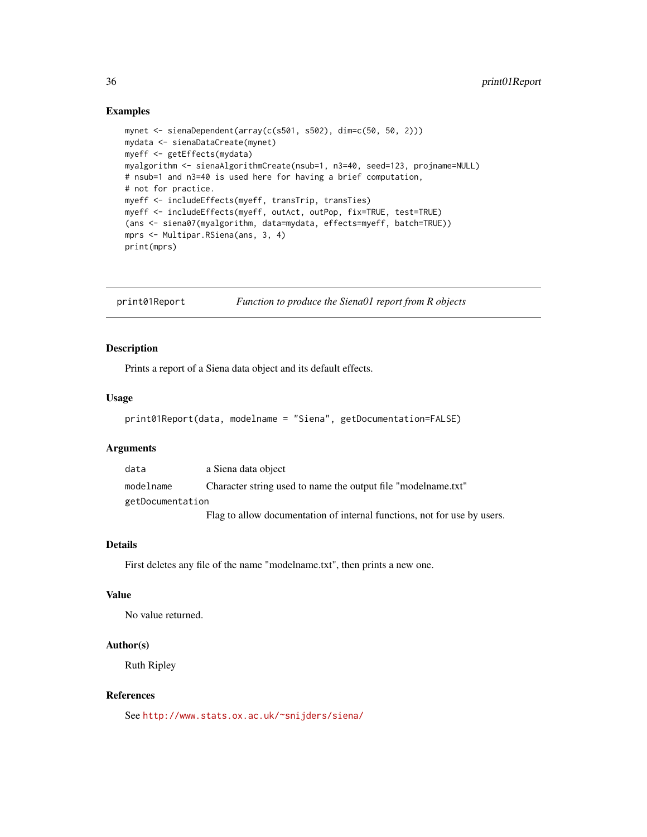# <span id="page-35-0"></span>Examples

```
mynet <- sienaDependent(array(c(s501, s502), dim=c(50, 50, 2)))
mydata <- sienaDataCreate(mynet)
myeff <- getEffects(mydata)
myalgorithm <- sienaAlgorithmCreate(nsub=1, n3=40, seed=123, projname=NULL)
# nsub=1 and n3=40 is used here for having a brief computation,
# not for practice.
myeff <- includeEffects(myeff, transTrip, transTies)
myeff <- includeEffects(myeff, outAct, outPop, fix=TRUE, test=TRUE)
(ans <- siena07(myalgorithm, data=mydata, effects=myeff, batch=TRUE))
mprs <- Multipar.RSiena(ans, 3, 4)
print(mprs)
```
print01Report *Function to produce the Siena01 report from R objects*

## Description

Prints a report of a Siena data object and its default effects.

#### Usage

```
print01Report(data, modelname = "Siena", getDocumentation=FALSE)
```
#### Arguments

data a Siena data object modelname Character string used to name the output file "modelname.txt" getDocumentation Flag to allow documentation of internal functions, not for use by users.

## Details

First deletes any file of the name "modelname.txt", then prints a new one.

#### Value

No value returned.

# Author(s)

Ruth Ripley

#### References

See <http://www.stats.ox.ac.uk/~snijders/siena/>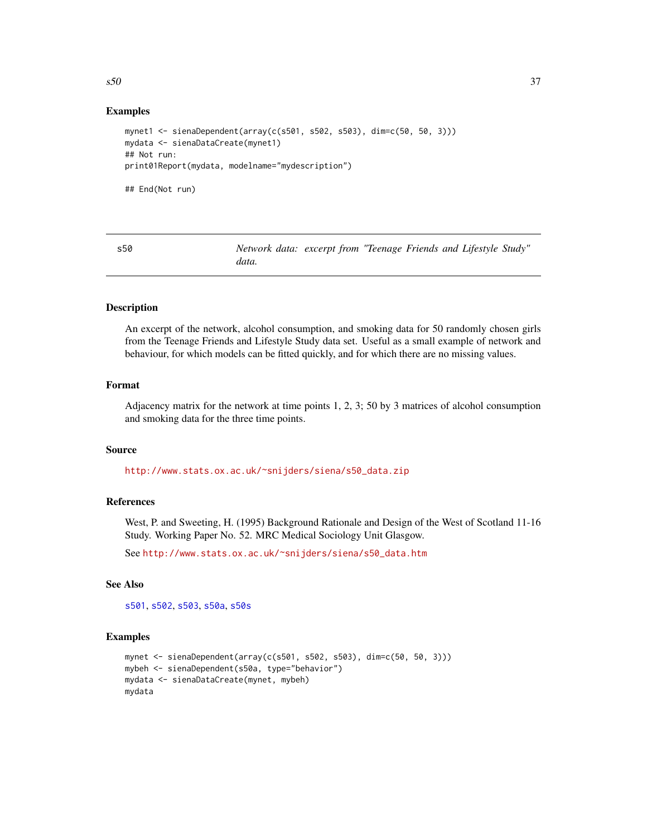# Examples

```
mynet1 <- sienaDependent(array(c(s501, s502, s503), dim=c(50, 50, 3)))
mydata <- sienaDataCreate(mynet1)
## Not run:
print01Report(mydata, modelname="mydescription")
## End(Not run)
```
<span id="page-36-0"></span>s50 *Network data: excerpt from "Teenage Friends and Lifestyle Study" data.*

# Description

An excerpt of the network, alcohol consumption, and smoking data for 50 randomly chosen girls from the Teenage Friends and Lifestyle Study data set. Useful as a small example of network and behaviour, for which models can be fitted quickly, and for which there are no missing values.

#### Format

Adjacency matrix for the network at time points 1, 2, 3; 50 by 3 matrices of alcohol consumption and smoking data for the three time points.

#### Source

[http://www.stats.ox.ac.uk/~snijders/siena/s50\\_data.zip](http://www.stats.ox.ac.uk/~snijders/siena/s50_data.zip)

## References

West, P. and Sweeting, H. (1995) Background Rationale and Design of the West of Scotland 11-16 Study. Working Paper No. 52. MRC Medical Sociology Unit Glasgow.

See [http://www.stats.ox.ac.uk/~snijders/siena/s50\\_data.htm](http://www.stats.ox.ac.uk/~snijders/siena/s50_data.htm)

## See Also

[s501](#page-37-0), [s502](#page-37-1), [s503](#page-38-0), [s50a](#page-39-0), [s50s](#page-39-1)

```
mynet <- sienaDependent(array(c(s501, s502, s503), dim=c(50, 50, 3)))
mybeh <- sienaDependent(s50a, type="behavior")
mydata <- sienaDataCreate(mynet, mybeh)
mydata
```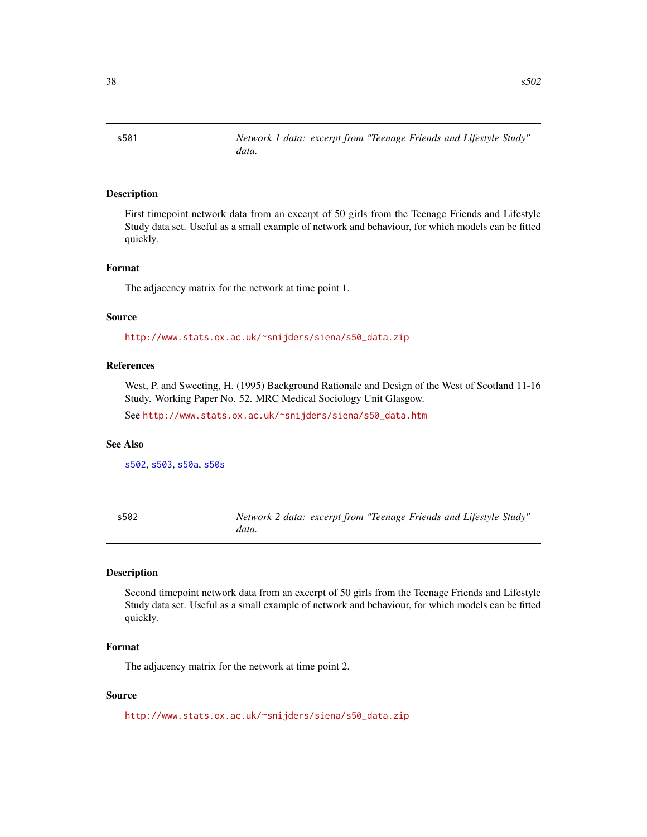<span id="page-37-0"></span>s501 *Network 1 data: excerpt from "Teenage Friends and Lifestyle Study" data.*

## Description

First timepoint network data from an excerpt of 50 girls from the Teenage Friends and Lifestyle Study data set. Useful as a small example of network and behaviour, for which models can be fitted quickly.

## Format

The adjacency matrix for the network at time point 1.

#### Source

[http://www.stats.ox.ac.uk/~snijders/siena/s50\\_data.zip](http://www.stats.ox.ac.uk/~snijders/siena/s50_data.zip)

## References

West, P. and Sweeting, H. (1995) Background Rationale and Design of the West of Scotland 11-16 Study. Working Paper No. 52. MRC Medical Sociology Unit Glasgow.

See [http://www.stats.ox.ac.uk/~snijders/siena/s50\\_data.htm](http://www.stats.ox.ac.uk/~snijders/siena/s50_data.htm)

#### See Also

[s502](#page-37-1), [s503](#page-38-0), [s50a](#page-39-0), [s50s](#page-39-1)

<span id="page-37-1"></span>s502 *Network 2 data: excerpt from "Teenage Friends and Lifestyle Study" data.*

## Description

Second timepoint network data from an excerpt of 50 girls from the Teenage Friends and Lifestyle Study data set. Useful as a small example of network and behaviour, for which models can be fitted quickly.

#### Format

The adjacency matrix for the network at time point 2.

## Source

[http://www.stats.ox.ac.uk/~snijders/siena/s50\\_data.zip](http://www.stats.ox.ac.uk/~snijders/siena/s50_data.zip)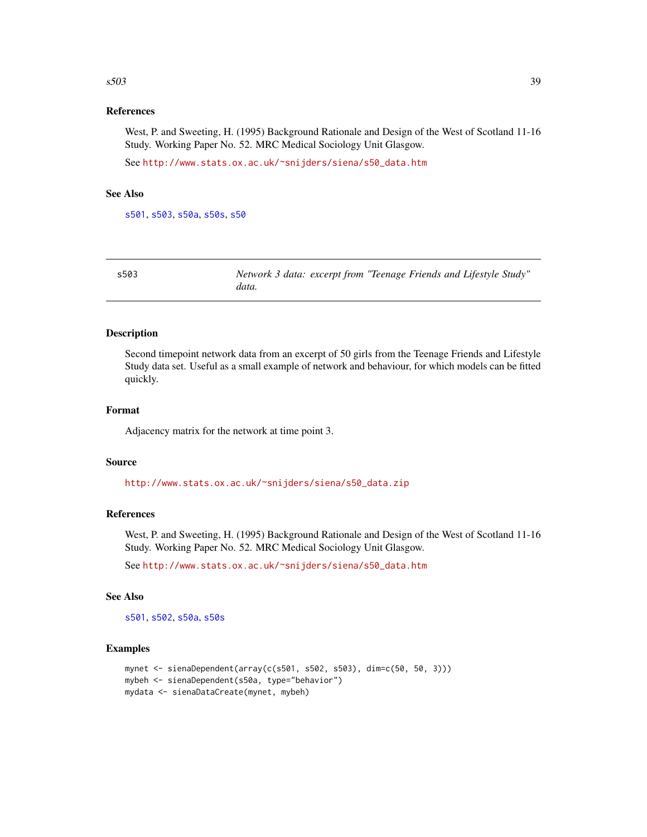#### $s503$  39

## References

West, P. and Sweeting, H. (1995) Background Rationale and Design of the West of Scotland 11-16 Study. Working Paper No. 52. MRC Medical Sociology Unit Glasgow.

See [http://www.stats.ox.ac.uk/~snijders/siena/s50\\_data.htm](http://www.stats.ox.ac.uk/~snijders/siena/s50_data.htm)

# See Also

[s501](#page-37-0), [s503](#page-38-0), [s50a](#page-39-0), [s50s](#page-39-1), [s50](#page-36-0)

<span id="page-38-0"></span>

| s503 | Network 3 data: excerpt from "Teenage Friends and Lifestyle Study" |  |  |  |
|------|--------------------------------------------------------------------|--|--|--|
|      | data.                                                              |  |  |  |

## Description

Second timepoint network data from an excerpt of 50 girls from the Teenage Friends and Lifestyle Study data set. Useful as a small example of network and behaviour, for which models can be fitted quickly.

#### Format

Adjacency matrix for the network at time point 3.

#### Source

[http://www.stats.ox.ac.uk/~snijders/siena/s50\\_data.zip](http://www.stats.ox.ac.uk/~snijders/siena/s50_data.zip)

# References

West, P. and Sweeting, H. (1995) Background Rationale and Design of the West of Scotland 11-16 Study. Working Paper No. 52. MRC Medical Sociology Unit Glasgow.

See [http://www.stats.ox.ac.uk/~snijders/siena/s50\\_data.htm](http://www.stats.ox.ac.uk/~snijders/siena/s50_data.htm)

#### See Also

[s501](#page-37-0), [s502](#page-37-1), [s50a](#page-39-0), [s50s](#page-39-1)

```
mynet <- sienaDependent(array(c(s501, s502, s503), dim=c(50, 50, 3)))
mybeh <- sienaDependent(s50a, type="behavior")
mydata <- sienaDataCreate(mynet, mybeh)
```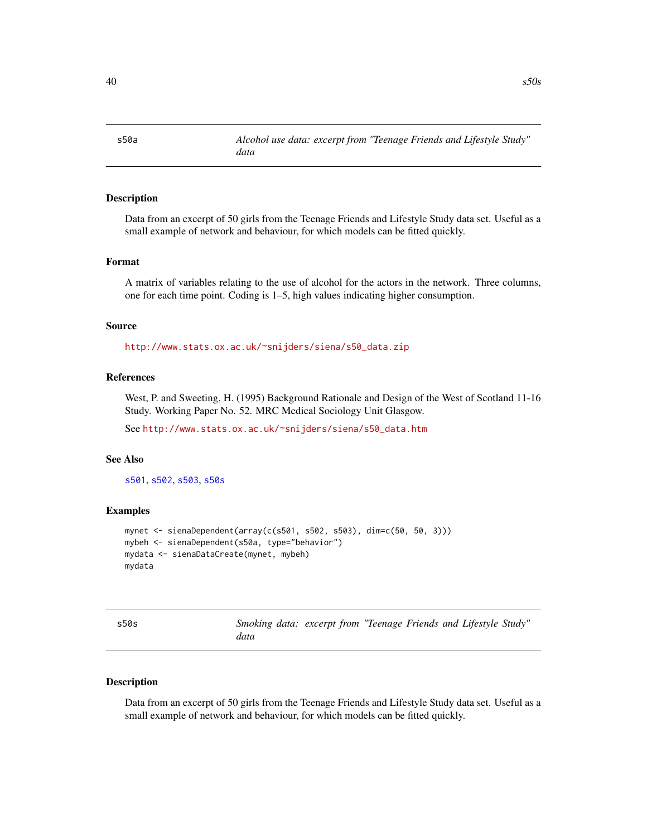<span id="page-39-0"></span>s50a *Alcohol use data: excerpt from "Teenage Friends and Lifestyle Study" data*

## Description

Data from an excerpt of 50 girls from the Teenage Friends and Lifestyle Study data set. Useful as a small example of network and behaviour, for which models can be fitted quickly.

#### Format

A matrix of variables relating to the use of alcohol for the actors in the network. Three columns, one for each time point. Coding is 1–5, high values indicating higher consumption.

## Source

[http://www.stats.ox.ac.uk/~snijders/siena/s50\\_data.zip](http://www.stats.ox.ac.uk/~snijders/siena/s50_data.zip)

# References

West, P. and Sweeting, H. (1995) Background Rationale and Design of the West of Scotland 11-16 Study. Working Paper No. 52. MRC Medical Sociology Unit Glasgow.

See [http://www.stats.ox.ac.uk/~snijders/siena/s50\\_data.htm](http://www.stats.ox.ac.uk/~snijders/siena/s50_data.htm)

#### See Also

[s501](#page-37-0), [s502](#page-37-1), [s503](#page-38-0), [s50s](#page-39-1)

# Examples

```
mynet <- sienaDependent(array(c(s501, s502, s503), dim=c(50, 50, 3)))
mybeh <- sienaDependent(s50a, type="behavior")
mydata <- sienaDataCreate(mynet, mybeh)
mydata
```
<span id="page-39-1"></span>

| s50s | Smoking data: excerpt from "Teenage Friends and Lifestyle Study" |  |  |  |
|------|------------------------------------------------------------------|--|--|--|
|      | data                                                             |  |  |  |
|      |                                                                  |  |  |  |

## Description

Data from an excerpt of 50 girls from the Teenage Friends and Lifestyle Study data set. Useful as a small example of network and behaviour, for which models can be fitted quickly.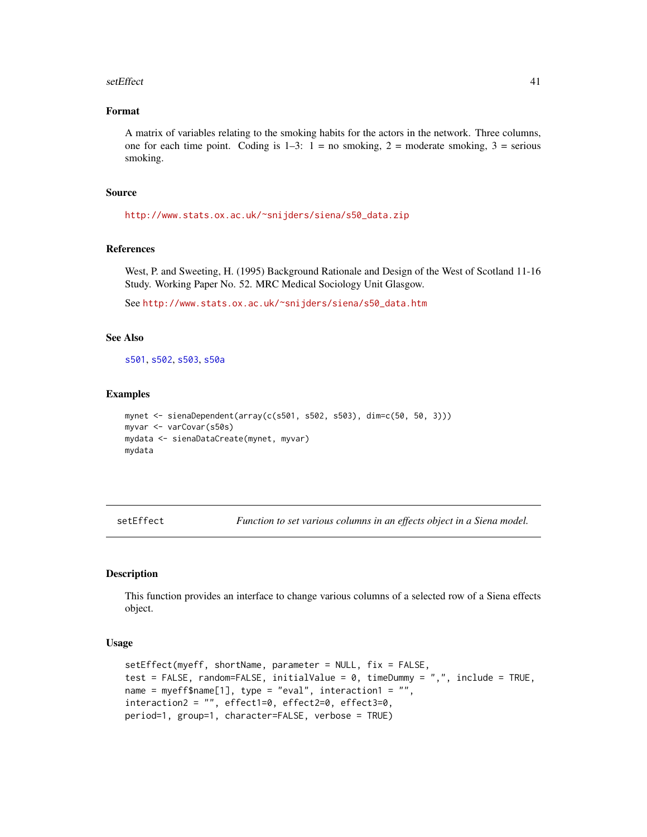#### setEffect 41

## Format

A matrix of variables relating to the smoking habits for the actors in the network. Three columns, one for each time point. Coding is  $1-3$ :  $1 =$  no smoking,  $2 =$  moderate smoking,  $3 =$  serious smoking.

## Source

[http://www.stats.ox.ac.uk/~snijders/siena/s50\\_data.zip](http://www.stats.ox.ac.uk/~snijders/siena/s50_data.zip)

## References

West, P. and Sweeting, H. (1995) Background Rationale and Design of the West of Scotland 11-16 Study. Working Paper No. 52. MRC Medical Sociology Unit Glasgow.

See [http://www.stats.ox.ac.uk/~snijders/siena/s50\\_data.htm](http://www.stats.ox.ac.uk/~snijders/siena/s50_data.htm)

## See Also

[s501](#page-37-0), [s502](#page-37-1), [s503](#page-38-0), [s50a](#page-39-0)

#### Examples

```
mynet <- sienaDependent(array(c(s501, s502, s503), dim=c(50, 50, 3)))
myvar <- varCovar(s50s)
mydata <- sienaDataCreate(mynet, myvar)
mydata
```
<span id="page-40-0"></span>setEffect *Function to set various columns in an effects object in a Siena model.*

## Description

This function provides an interface to change various columns of a selected row of a Siena effects object.

#### Usage

```
setEffect(myeff, shortName, parameter = NULL, fix = FALSE,
test = FALSE, random=FALSE, initialValue = 0, timeDummy = ",", include = TRUE,
name = myeff$name[1], type = "eval", interaction1 = "",
interactions2 = "", effect1=0, effect2=0, effect3=0,period=1, group=1, character=FALSE, verbose = TRUE)
```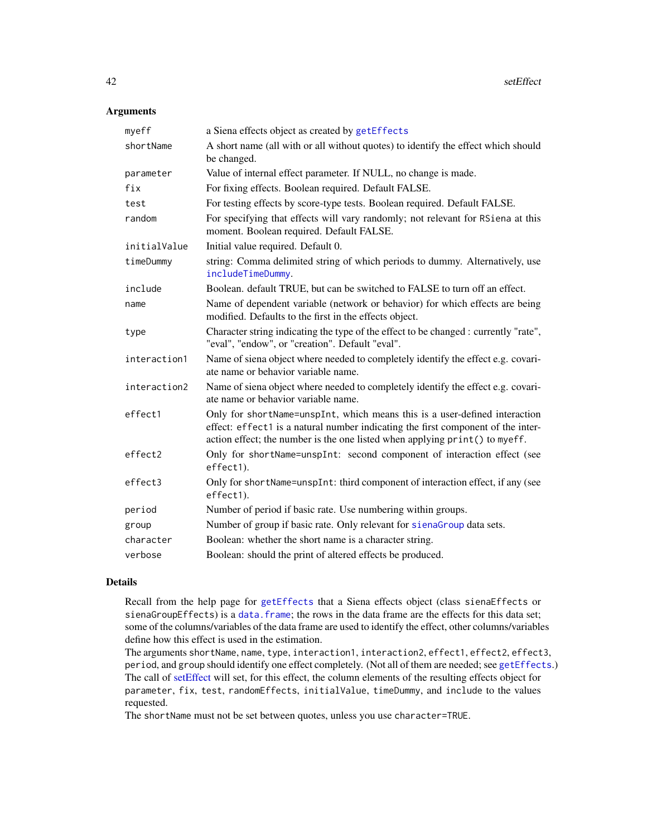# Arguments

| myeff        | a Siena effects object as created by getEffects                                                                                                                                                                                                |
|--------------|------------------------------------------------------------------------------------------------------------------------------------------------------------------------------------------------------------------------------------------------|
| shortName    | A short name (all with or all without quotes) to identify the effect which should<br>be changed.                                                                                                                                               |
| parameter    | Value of internal effect parameter. If NULL, no change is made.                                                                                                                                                                                |
| fix          | For fixing effects. Boolean required. Default FALSE.                                                                                                                                                                                           |
| test         | For testing effects by score-type tests. Boolean required. Default FALSE.                                                                                                                                                                      |
| random       | For specifying that effects will vary randomly; not relevant for RSiena at this<br>moment. Boolean required. Default FALSE.                                                                                                                    |
| initialValue | Initial value required. Default 0.                                                                                                                                                                                                             |
| timeDummy    | string: Comma delimited string of which periods to dummy. Alternatively, use<br>includeTimeDummy.                                                                                                                                              |
| include      | Boolean. default TRUE, but can be switched to FALSE to turn off an effect.                                                                                                                                                                     |
| name         | Name of dependent variable (network or behavior) for which effects are being<br>modified. Defaults to the first in the effects object.                                                                                                         |
| type         | Character string indicating the type of the effect to be changed : currently "rate",<br>"eval", "endow", or "creation". Default "eval".                                                                                                        |
| interaction1 | Name of siena object where needed to completely identify the effect e.g. covari-<br>ate name or behavior variable name.                                                                                                                        |
| interaction2 | Name of siena object where needed to completely identify the effect e.g. covari-<br>ate name or behavior variable name.                                                                                                                        |
| effect1      | Only for shortName=unspInt, which means this is a user-defined interaction<br>effect: effect1 is a natural number indicating the first component of the inter-<br>action effect; the number is the one listed when applying print () to myeff. |
| effect2      | Only for shortName=unspInt: second component of interaction effect (see<br>effect1).                                                                                                                                                           |
| effect3      | Only for shortName=unspInt: third component of interaction effect, if any (see<br>effect1).                                                                                                                                                    |
| period       | Number of period if basic rate. Use numbering within groups.                                                                                                                                                                                   |
| group        | Number of group if basic rate. Only relevant for sienaGroup data sets.                                                                                                                                                                         |
| character    | Boolean: whether the short name is a character string.                                                                                                                                                                                         |
| verbose      | Boolean: should the print of altered effects be produced.                                                                                                                                                                                      |

## Details

Recall from the help page for [getEffects](#page-12-0) that a Siena effects object (class sienaEffects or sienaGroupEffects) is a [data.frame](#page-0-0); the rows in the data frame are the effects for this data set; some of the columns/variables of the data frame are used to identify the effect, other columns/variables define how this effect is used in the estimation.

The arguments shortName, name, type, interaction1, interaction2, effect1, effect2, effect3, period, and group should identify one effect completely. (Not all of them are needed; see [getEffects](#page-12-0).) The call of [setEffect](#page-40-0) will set, for this effect, the column elements of the resulting effects object for parameter, fix, test, randomEffects, initialValue, timeDummy, and include to the values requested.

The shortName must not be set between quotes, unless you use character=TRUE.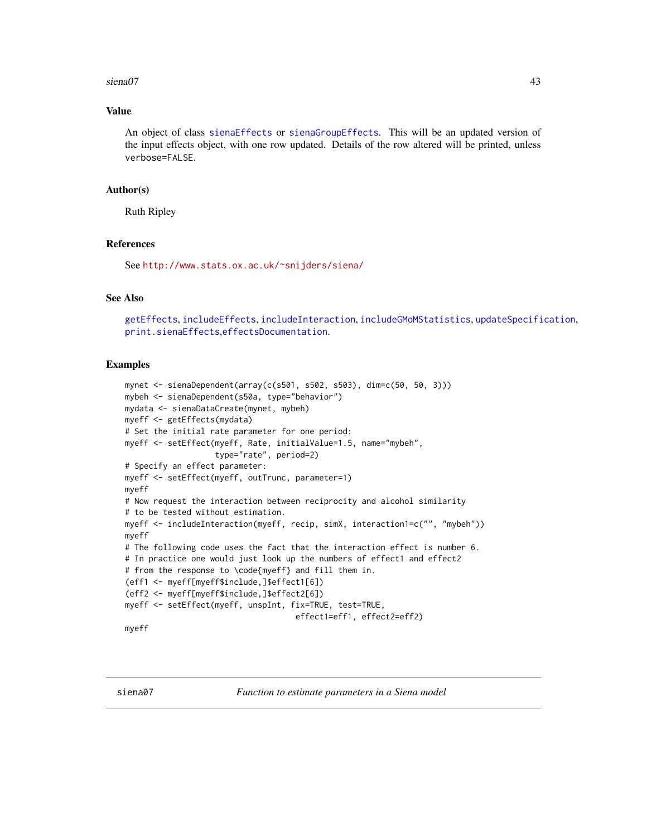#### siena07 auch and the set of the set of the set of the set of the set of the set of the set of the set of the set of the set of the set of the set of the set of the set of the set of the set of the set of the set of the set

# Value

An object of class [sienaEffects](#page-12-1) or [sienaGroupEffects](#page-12-1). This will be an updated version of the input effects object, with one row updated. Details of the row altered will be printed, unless verbose=FALSE.

## Author(s)

Ruth Ripley

# References

See <http://www.stats.ox.ac.uk/~snijders/siena/>

# See Also

[getEffects](#page-12-0), [includeEffects](#page-15-0), [includeInteraction](#page-18-0), [includeGMoMStatistics](#page-16-0), [updateSpecification](#page-97-0), [print.sienaEffects](#page-30-0),[effectsDocumentation](#page-9-0).

```
mynet <- sienaDependent(array(c(s501, s502, s503), dim=c(50, 50, 3)))
mybeh <- sienaDependent(s50a, type="behavior")
mydata <- sienaDataCreate(mynet, mybeh)
myeff <- getEffects(mydata)
# Set the initial rate parameter for one period:
myeff <- setEffect(myeff, Rate, initialValue=1.5, name="mybeh",
                   type="rate", period=2)
# Specify an effect parameter:
myeff <- setEffect(myeff, outTrunc, parameter=1)
myeff
# Now request the interaction between reciprocity and alcohol similarity
# to be tested without estimation.
myeff <- includeInteraction(myeff, recip, simX, interaction1=c("", "mybeh"))
myeff
# The following code uses the fact that the interaction effect is number 6.
# In practice one would just look up the numbers of effect1 and effect2
# from the response to \code{myeff} and fill them in.
(eff1 <- myeff[myeff$include,]$effect1[6])
(eff2 <- myeff[myeff$include,]$effect2[6])
myeff <- setEffect(myeff, unspInt, fix=TRUE, test=TRUE,
                                    effect1=eff1, effect2=eff2)
myeff
```
<span id="page-42-0"></span>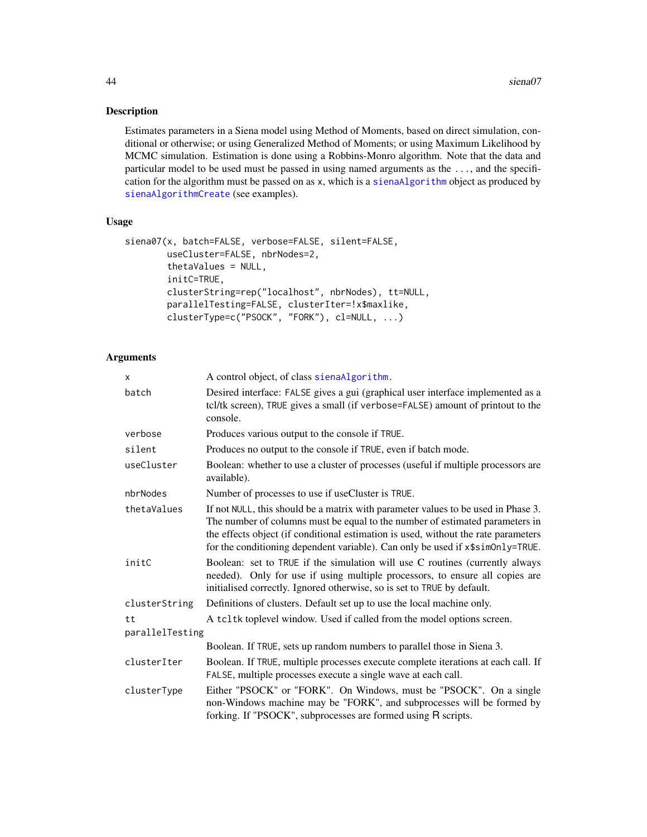# Description

Estimates parameters in a Siena model using Method of Moments, based on direct simulation, conditional or otherwise; or using Generalized Method of Moments; or using Maximum Likelihood by MCMC simulation. Estimation is done using a Robbins-Monro algorithm. Note that the data and particular model to be used must be passed in using named arguments as the ..., and the specification for the algorithm must be passed on as x, which is a [sienaAlgorithm](#page-52-0) object as produced by [sienaAlgorithmCreate](#page-52-1) (see examples).

# Usage

```
siena07(x, batch=FALSE, verbose=FALSE, silent=FALSE,
       useCluster=FALSE, nbrNodes=2,
       thetaValues = NULL,
       initC=TRUE,
       clusterString=rep("localhost", nbrNodes), tt=NULL,
       parallelTesting=FALSE, clusterIter=!x$maxlike,
       clusterType=c("PSOCK", "FORK"), cl=NULL, ...)
```
## Arguments

| X               | A control object, of class sienaAlgorithm.                                                                                                                                                                                                                                                                                                |
|-----------------|-------------------------------------------------------------------------------------------------------------------------------------------------------------------------------------------------------------------------------------------------------------------------------------------------------------------------------------------|
| batch           | Desired interface: FALSE gives a gui (graphical user interface implemented as a<br>tcl/tk screen), TRUE gives a small (if verbose=FALSE) amount of printout to the<br>console.                                                                                                                                                            |
| verbose         | Produces various output to the console if TRUE.                                                                                                                                                                                                                                                                                           |
| silent          | Produces no output to the console if TRUE, even if batch mode.                                                                                                                                                                                                                                                                            |
| useCluster      | Boolean: whether to use a cluster of processes (useful if multiple processors are<br>available).                                                                                                                                                                                                                                          |
| nbrNodes        | Number of processes to use if useCluster is TRUE.                                                                                                                                                                                                                                                                                         |
| thetaValues     | If not NULL, this should be a matrix with parameter values to be used in Phase 3.<br>The number of columns must be equal to the number of estimated parameters in<br>the effects object (if conditional estimation is used, without the rate parameters<br>for the conditioning dependent variable). Can only be used if x\$sim0nly=TRUE. |
| initC           | Boolean: set to TRUE if the simulation will use C routines (currently always<br>needed). Only for use if using multiple processors, to ensure all copies are<br>initialised correctly. Ignored otherwise, so is set to TRUE by default.                                                                                                   |
| clusterString   | Definitions of clusters. Default set up to use the local machine only.                                                                                                                                                                                                                                                                    |
| tt              | A tcltk toplevel window. Used if called from the model options screen.                                                                                                                                                                                                                                                                    |
| parallelTesting | Boolean. If TRUE, sets up random numbers to parallel those in Siena 3.                                                                                                                                                                                                                                                                    |
|                 |                                                                                                                                                                                                                                                                                                                                           |
| clusterIter     | Boolean. If TRUE, multiple processes execute complete iterations at each call. If<br>FALSE, multiple processes execute a single wave at each call.                                                                                                                                                                                        |
| clusterType     | Either "PSOCK" or "FORK". On Windows, must be "PSOCK". On a single<br>non-Windows machine may be "FORK", and subprocesses will be formed by<br>forking. If "PSOCK", subprocesses are formed using R scripts.                                                                                                                              |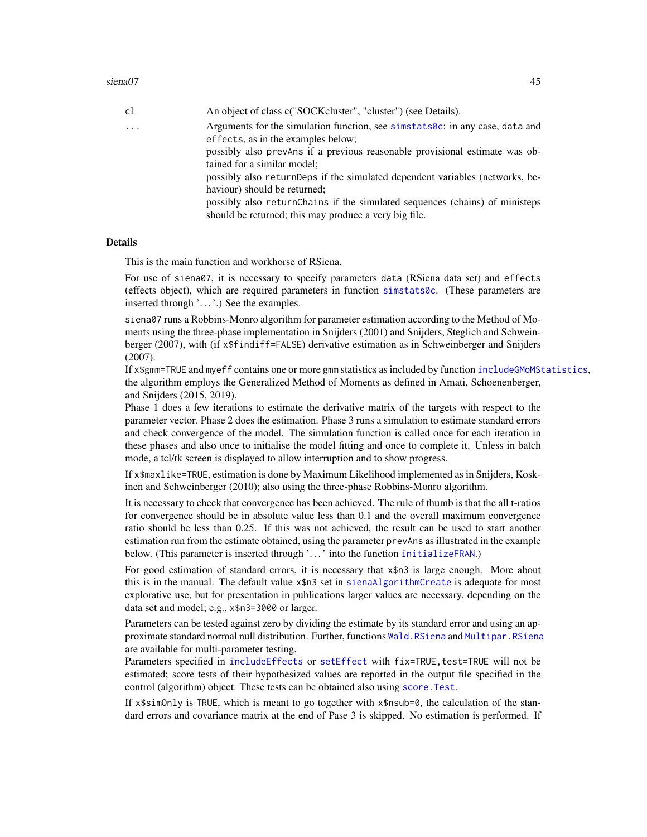## $siena07$  and  $45$

| cl       | An object of class c("SOCKcluster", "cluster") (see Details).                                                                         |
|----------|---------------------------------------------------------------------------------------------------------------------------------------|
| $\cdots$ | Arguments for the simulation function, see simstats0c: in any case, data and<br>effects, as in the examples below;                    |
|          | possibly also prevans if a previous reasonable provisional estimate was ob-<br>tained for a similar model;                            |
|          | possibly also returnDeps if the simulated dependent variables (networks, be-<br>haviour) should be returned;                          |
|          | possibly also return Chains if the simulated sequences (chains) of ministeps<br>should be returned; this may produce a very big file. |
|          |                                                                                                                                       |

## Details

This is the main function and workhorse of RSiena.

For use of siena07, it is necessary to specify parameters data (RSiena data set) and effects (effects object), which are required parameters in function [simstats0c](#page-91-0). (These parameters are inserted through '. . . '.) See the examples.

siena07 runs a Robbins-Monro algorithm for parameter estimation according to the Method of Moments using the three-phase implementation in Snijders (2001) and Snijders, Steglich and Schweinberger (2007), with (if x\$findiff=FALSE) derivative estimation as in Schweinberger and Snijders (2007).

If x\$gmm=TRUE and myeff contains one or more gmm statistics as included by function [includeGMoMStatistics](#page-16-0), the algorithm employs the Generalized Method of Moments as defined in Amati, Schoenenberger, and Snijders (2015, 2019).

Phase 1 does a few iterations to estimate the derivative matrix of the targets with respect to the parameter vector. Phase 2 does the estimation. Phase 3 runs a simulation to estimate standard errors and check convergence of the model. The simulation function is called once for each iteration in these phases and also once to initialise the model fitting and once to complete it. Unless in batch mode, a tcl/tk screen is displayed to allow interruption and to show progress.

If x\$maxlike=TRUE, estimation is done by Maximum Likelihood implemented as in Snijders, Koskinen and Schweinberger (2010); also using the three-phase Robbins-Monro algorithm.

It is necessary to check that convergence has been achieved. The rule of thumb is that the all t-ratios for convergence should be in absolute value less than 0.1 and the overall maximum convergence ratio should be less than 0.25. If this was not achieved, the result can be used to start another estimation run from the estimate obtained, using the parameter prevAns as illustrated in the example below. (This parameter is inserted through '...' into the function [initializeFRAN](#page-91-1).)

For good estimation of standard errors, it is necessary that x\$n3 is large enough. More about this is in the manual. The default value x\$n3 set in [sienaAlgorithmCreate](#page-52-1) is adequate for most explorative use, but for presentation in publications larger values are necessary, depending on the data set and model; e.g., x\$n3=3000 or larger.

Parameters can be tested against zero by dividing the estimate by its standard error and using an approximate standard normal null distribution. Further, functions [Wald.RSiena](#page-101-0) and [Multipar.RSiena](#page-101-0) are available for multi-parameter testing.

Parameters specified in [includeEffects](#page-15-0) or [setEffect](#page-40-0) with fix=TRUE, test=TRUE will not be estimated; score tests of their hypothesized values are reported in the output file specified in the control (algorithm) object. These tests can be obtained also using [score.Test](#page-101-0).

If x\$simOnly is TRUE, which is meant to go together with x\$nsub=0, the calculation of the standard errors and covariance matrix at the end of Pase 3 is skipped. No estimation is performed. If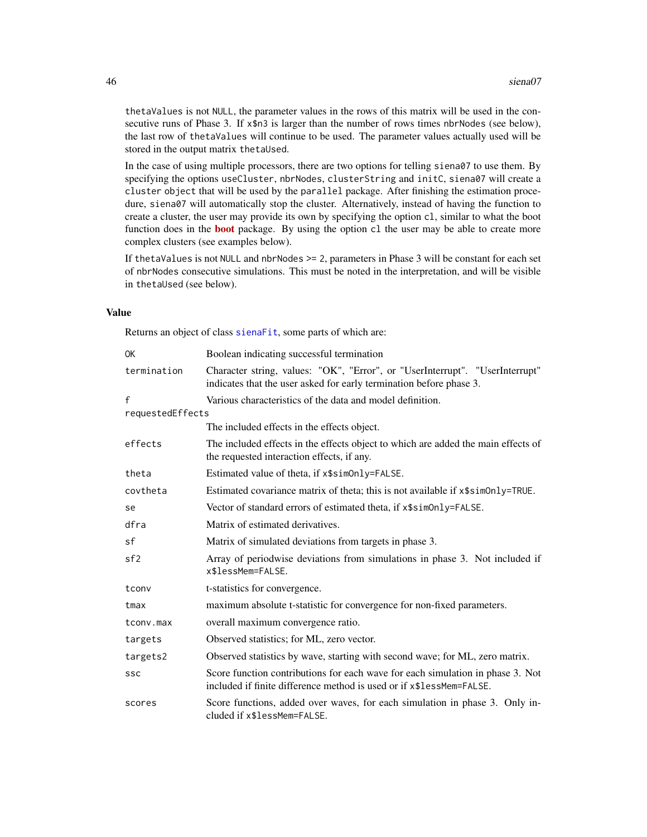thetaValues is not NULL, the parameter values in the rows of this matrix will be used in the consecutive runs of Phase 3. If x\$n3 is larger than the number of rows times nbrNodes (see below), the last row of thetaValues will continue to be used. The parameter values actually used will be stored in the output matrix thetaUsed.

In the case of using multiple processors, there are two options for telling siena07 to use them. By specifying the options useCluster, nbrNodes, clusterString and initC, siena07 will create a cluster object that will be used by the parallel package. After finishing the estimation procedure, siena07 will automatically stop the cluster. Alternatively, instead of having the function to create a cluster, the user may provide its own by specifying the option cl, similar to what the boot function does in the **[boot](https://CRAN.R-project.org/package=boot)** package. By using the option c1 the user may be able to create more complex clusters (see examples below).

If thetaValues is not NULL and nbrNodes  $\geq$  2, parameters in Phase 3 will be constant for each set of nbrNodes consecutive simulations. This must be noted in the interpretation, and will be visible in thetaUsed (see below).

## Value

Returns an object of class [sienaFit](#page-64-0), some parts of which are:

| 0K               | Boolean indicating successful termination                                                                                                              |
|------------------|--------------------------------------------------------------------------------------------------------------------------------------------------------|
| termination      | Character string, values: "OK", "Error", or "UserInterrupt". "UserInterrupt"<br>indicates that the user asked for early termination before phase 3.    |
| f                | Various characteristics of the data and model definition.                                                                                              |
| requestedEffects |                                                                                                                                                        |
|                  | The included effects in the effects object.                                                                                                            |
| effects          | The included effects in the effects object to which are added the main effects of<br>the requested interaction effects, if any.                        |
| theta            | Estimated value of theta, if x\$sim0nly=FALSE.                                                                                                         |
| covtheta         | Estimated covariance matrix of theta; this is not available if x\$sim0nly=TRUE.                                                                        |
| se               | Vector of standard errors of estimated theta, if x\$sim0nly=FALSE.                                                                                     |
| dfra             | Matrix of estimated derivatives.                                                                                                                       |
| sf               | Matrix of simulated deviations from targets in phase 3.                                                                                                |
| sf2              | Array of periodwise deviations from simulations in phase 3. Not included if<br>x\$lessMem=FALSE.                                                       |
| tconv            | t-statistics for convergence.                                                                                                                          |
| tmax             | maximum absolute t-statistic for convergence for non-fixed parameters.                                                                                 |
| tconv.max        | overall maximum convergence ratio.                                                                                                                     |
| targets          | Observed statistics; for ML, zero vector.                                                                                                              |
| targets2         | Observed statistics by wave, starting with second wave; for ML, zero matrix.                                                                           |
| SSC              | Score function contributions for each wave for each simulation in phase 3. Not<br>included if finite difference method is used or if x\$lessMem=FALSE. |
| scores           | Score functions, added over waves, for each simulation in phase 3. Only in-<br>cluded if x\$lessMem=FALSE.                                             |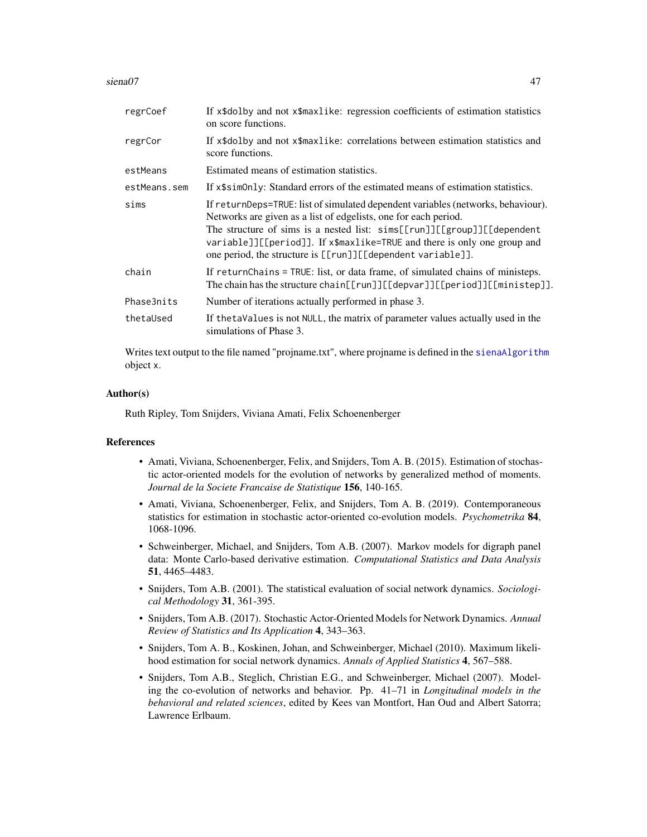#### siena07 auch and the set of the set of the set of the set of the set of the set of the set of the set of the set of the set of the set of the set of the set of the set of the set of the set of the set of the set of the set

| regrCoef     | If x\$dolby and not x\$maxlike: regression coefficients of estimation statistics<br>on score functions.                                                                                                                                                                                                                                                                   |
|--------------|---------------------------------------------------------------------------------------------------------------------------------------------------------------------------------------------------------------------------------------------------------------------------------------------------------------------------------------------------------------------------|
| regrCor      | If x\$dolby and not x\$maxlike: correlations between estimation statistics and<br>score functions.                                                                                                                                                                                                                                                                        |
| estMeans     | Estimated means of estimation statistics.                                                                                                                                                                                                                                                                                                                                 |
| estMeans.sem | If x\$sim0nly: Standard errors of the estimated means of estimation statistics.                                                                                                                                                                                                                                                                                           |
| sims         | If returnDeps=TRUE: list of simulated dependent variables (networks, behaviour).<br>Networks are given as a list of edgelists, one for each period.<br>The structure of sims is a nested list: sims[[run]][[group]][[dependent<br>variable]][[period]]. If x\$maxlike=TRUE and there is only one group and<br>one period, the structure is [[run]][[dependent variable]]. |
| chain        | If return Chains = TRUE: list, or data frame, of simulated chains of ministeps.<br>The chain has the structure chain[[run]][[depvar]][[period]][[ministep]].                                                                                                                                                                                                              |
| Phase3nits   | Number of iterations actually performed in phase 3.                                                                                                                                                                                                                                                                                                                       |
| thetaUsed    | If the taValues is not NULL, the matrix of parameter values actually used in the<br>simulations of Phase 3.                                                                                                                                                                                                                                                               |

Writes text output to the file named "projname.txt", where projname is defined in the [sienaAlgorithm](#page-52-0) object x.

## Author(s)

Ruth Ripley, Tom Snijders, Viviana Amati, Felix Schoenenberger

## References

- Amati, Viviana, Schoenenberger, Felix, and Snijders, Tom A. B. (2015). Estimation of stochastic actor-oriented models for the evolution of networks by generalized method of moments. *Journal de la Societe Francaise de Statistique* 156, 140-165.
- Amati, Viviana, Schoenenberger, Felix, and Snijders, Tom A. B. (2019). Contemporaneous statistics for estimation in stochastic actor-oriented co-evolution models. *Psychometrika* 84, 1068-1096.
- Schweinberger, Michael, and Snijders, Tom A.B. (2007). Markov models for digraph panel data: Monte Carlo-based derivative estimation. *Computational Statistics and Data Analysis* 51, 4465–4483.
- Snijders, Tom A.B. (2001). The statistical evaluation of social network dynamics. *Sociological Methodology* 31, 361-395.
- Snijders, Tom A.B. (2017). Stochastic Actor-Oriented Models for Network Dynamics. *Annual Review of Statistics and Its Application* 4, 343–363.
- Snijders, Tom A. B., Koskinen, Johan, and Schweinberger, Michael (2010). Maximum likelihood estimation for social network dynamics. *Annals of Applied Statistics* 4, 567–588.
- Snijders, Tom A.B., Steglich, Christian E.G., and Schweinberger, Michael (2007). Modeling the co-evolution of networks and behavior. Pp. 41–71 in *Longitudinal models in the behavioral and related sciences*, edited by Kees van Montfort, Han Oud and Albert Satorra; Lawrence Erlbaum.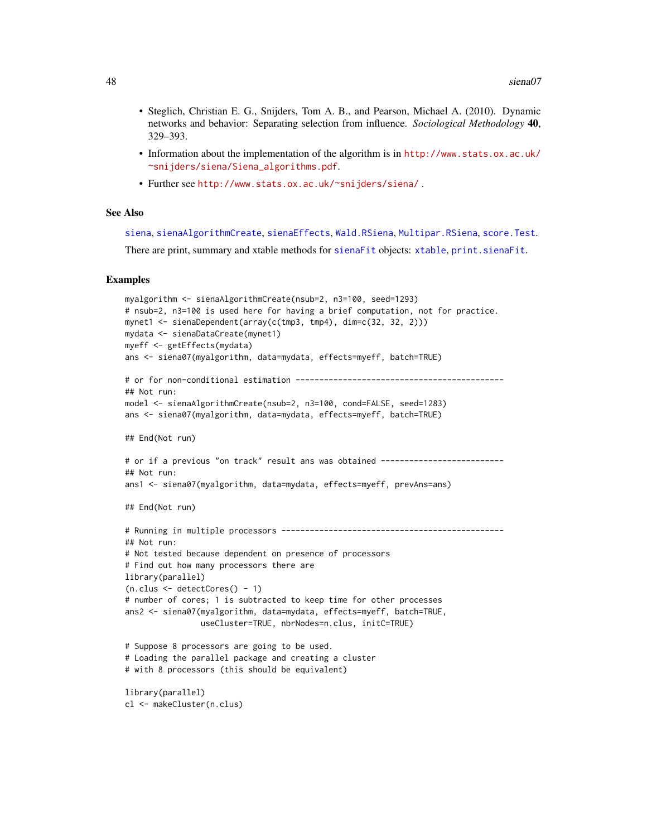- Steglich, Christian E. G., Snijders, Tom A. B., and Pearson, Michael A. (2010). Dynamic networks and behavior: Separating selection from influence. *Sociological Methodology* 40, 329–393.
- Information about the implementation of the algorithm is in [http://www.stats.ox.ac.uk/](http://www.stats.ox.ac.uk/~snijders/siena/Siena_algorithms.pdf) [~snijders/siena/Siena\\_algorithms.pdf](http://www.stats.ox.ac.uk/~snijders/siena/Siena_algorithms.pdf).
- Further see <http://www.stats.ox.ac.uk/~snijders/siena/> .

## See Also

[siena](#page-60-0), [sienaAlgorithmCreate](#page-52-1), [sienaEffects](#page-12-1), [Wald.RSiena](#page-101-0), [Multipar.RSiena](#page-101-0), [score.Test](#page-101-0).

There are print, summary and xtable methods for [sienaFit](#page-64-0) objects: [xtable](#page-103-0), [print.sienaFit](#page-64-0).

```
myalgorithm <- sienaAlgorithmCreate(nsub=2, n3=100, seed=1293)
# nsub=2, n3=100 is used here for having a brief computation, not for practice.
mynet1 <- sienaDependent(array(c(tmp3, tmp4), dim=c(32, 32, 2)))
mydata <- sienaDataCreate(mynet1)
myeff <- getEffects(mydata)
ans <- siena07(myalgorithm, data=mydata, effects=myeff, batch=TRUE)
# or for non-conditional estimation --------------------------------------------
## Not run:
model <- sienaAlgorithmCreate(nsub=2, n3=100, cond=FALSE, seed=1283)
ans <- siena07(myalgorithm, data=mydata, effects=myeff, batch=TRUE)
## End(Not run)
# or if a previous "on track" result ans was obtained --------------------------
## Not run:
ans1 <- siena07(myalgorithm, data=mydata, effects=myeff, prevAns=ans)
## End(Not run)
# Running in multiple processors -----------------------------------------------
## Not run:
# Not tested because dependent on presence of processors
# Find out how many processors there are
library(parallel)
(n.class < -detectCores() - 1)# number of cores; 1 is subtracted to keep time for other processes
ans2 <- siena07(myalgorithm, data=mydata, effects=myeff, batch=TRUE,
                useCluster=TRUE, nbrNodes=n.clus, initC=TRUE)
# Suppose 8 processors are going to be used.
# Loading the parallel package and creating a cluster
# with 8 processors (this should be equivalent)
library(parallel)
cl <- makeCluster(n.clus)
```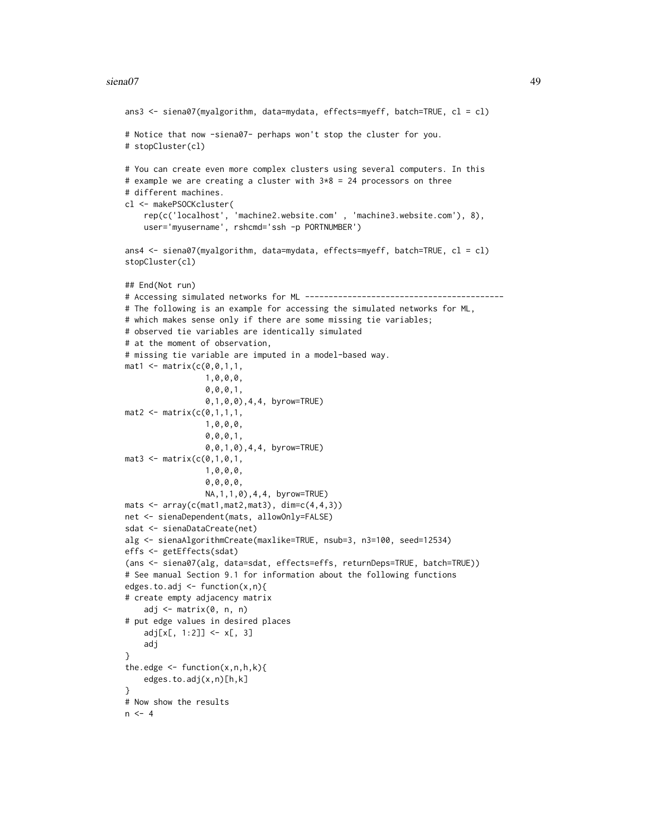#### siena07 **49**

```
ans3 <- siena07(myalgorithm, data=mydata, effects=myeff, batch=TRUE, cl = cl)
# Notice that now -siena07- perhaps won't stop the cluster for you.
# stopCluster(cl)
# You can create even more complex clusters using several computers. In this
# example we are creating a cluster with 3*8 = 24 processors on three
# different machines.
cl <- makePSOCKcluster(
    rep(c('localhost', 'machine2.website.com' , 'machine3.website.com'), 8),
    user='myusername', rshcmd='ssh -p PORTNUMBER')
ans4 <- siena07(myalgorithm, data=mydata, effects=myeff, batch=TRUE, cl = cl)
stopCluster(cl)
## End(Not run)
# Accessing simulated networks for ML ------------------------------------------
# The following is an example for accessing the simulated networks for ML,
# which makes sense only if there are some missing tie variables;
# observed tie variables are identically simulated
# at the moment of observation,
# missing tie variable are imputed in a model-based way.
mat1 <- matrix(c(0, 0, 1, 1,1,0,0,0,
                 0,0,0,1,
                 0,1,0,0),4,4, byrow=TRUE)
mat2 <- matrix(c(0,1,1,1,1,1,0,0,0,
                 0,0,0,1,
                 0,0,1,0),4,4, byrow=TRUE)
mat3 < - matrix(c(0,1,0,1,1,0,0,0,
                 0,0,0,0,
                 NA,1,1,0),4,4, byrow=TRUE)
mats \leq array(c(mat1, mat2, mat3), dim=c(4, 4, 3))
net <- sienaDependent(mats, allowOnly=FALSE)
sdat <- sienaDataCreate(net)
alg <- sienaAlgorithmCreate(maxlike=TRUE, nsub=3, n3=100, seed=12534)
effs <- getEffects(sdat)
(ans <- siena07(alg, data=sdat, effects=effs, returnDeps=TRUE, batch=TRUE))
# See manual Section 9.1 for information about the following functions
edges.to.adj <- function(x,n){
# create empty adjacency matrix
    adj <- matrix(0, n, n)
# put edge values in desired places
    adj[x[, 1:2]] <- x[, 3]
    adj
}
the.edge \leq function(x,n,h,k){
    edges.to.adj(x,n)[h,k]
}
# Now show the results
n < -4
```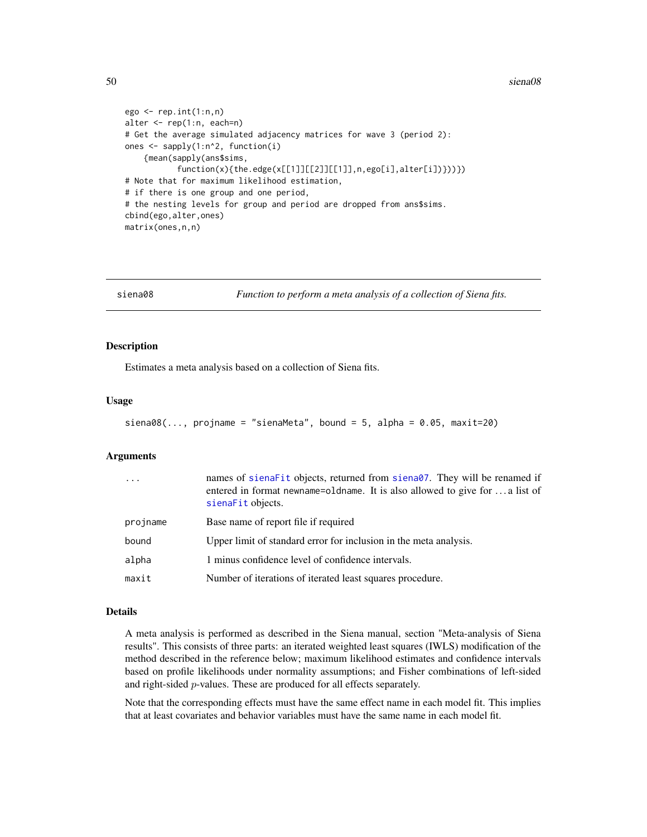#### 50 siena08

```
ego \leq rep.int(1:n,n)alter <- rep(1:n, each=n)
# Get the average simulated adjacency matrices for wave 3 (period 2):
ones <- sapply(1:n^2, function(i)
    {mean(sapply(ans$sims,
           function(x){the.edge(x[[1]][[2]][[1]],n,ego[i],alter[i])}))})
# Note that for maximum likelihood estimation,
# if there is one group and one period,
# the nesting levels for group and period are dropped from ans$sims.
cbind(ego,alter,ones)
matrix(ones,n,n)
```
siena08 *Function to perform a meta analysis of a collection of Siena fits.*

## <span id="page-49-0"></span>Description

Estimates a meta analysis based on a collection of Siena fits.

#### Usage

```
siena08(..., projname = "sienaMeta", bound = 5, alpha = 0.05, maxit=20)
```
## Arguments

| $\cdots$ | names of sienafit objects, returned from siena07. They will be renamed if<br>entered in format newname=oldname. It is also allowed to give for  a list of<br>sienaFit objects. |
|----------|--------------------------------------------------------------------------------------------------------------------------------------------------------------------------------|
| projname | Base name of report file if required                                                                                                                                           |
| bound    | Upper limit of standard error for inclusion in the meta analysis.                                                                                                              |
| alpha    | 1 minus confidence level of confidence intervals.                                                                                                                              |
| maxit    | Number of iterations of iterated least squares procedure.                                                                                                                      |

# Details

A meta analysis is performed as described in the Siena manual, section "Meta-analysis of Siena results". This consists of three parts: an iterated weighted least squares (IWLS) modification of the method described in the reference below; maximum likelihood estimates and confidence intervals based on profile likelihoods under normality assumptions; and Fisher combinations of left-sided and right-sided p-values. These are produced for all effects separately.

Note that the corresponding effects must have the same effect name in each model fit. This implies that at least covariates and behavior variables must have the same name in each model fit.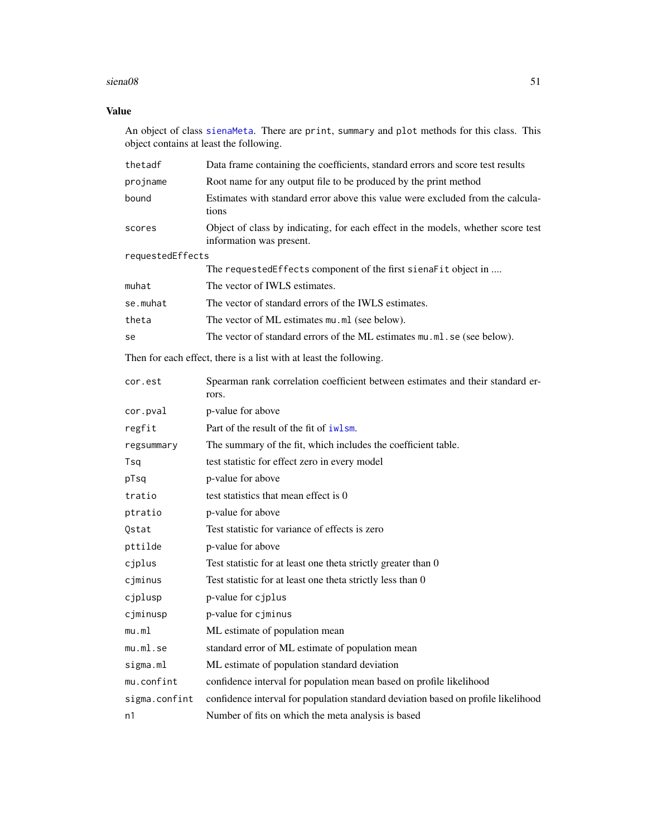#### $siena08$  51

# Value

An object of class [sienaMeta](#page-49-0). There are print, summary and plot methods for this class. This object contains at least the following.

| thetadf          | Data frame containing the coefficients, standard errors and score test results                               |
|------------------|--------------------------------------------------------------------------------------------------------------|
| projname         | Root name for any output file to be produced by the print method                                             |
| bound            | Estimates with standard error above this value were excluded from the calcula-<br>tions                      |
| scores           | Object of class by indicating, for each effect in the models, whether score test<br>information was present. |
| requestedEffects |                                                                                                              |
|                  | The requestedEffects component of the first sienaFit object in                                               |
| muhat            | The vector of IWLS estimates.                                                                                |
| se.muhat         | The vector of standard errors of the IWLS estimates.                                                         |
| theta            | The vector of ML estimates mu.ml (see below).                                                                |
| se               | The vector of standard errors of the ML estimates mu.ml.se (see below).                                      |
|                  | Then for each effect, there is a list with at least the following.                                           |
| cor.est          | Spearman rank correlation coefficient between estimates and their standard er-<br>rors.                      |
| cor.pval         | p-value for above                                                                                            |
| regfit           | Part of the result of the fit of iwlsm.                                                                      |
| regsummary       | The summary of the fit, which includes the coefficient table.                                                |
| Tsq              | test statistic for effect zero in every model                                                                |
| pTsq             | p-value for above                                                                                            |
| tratio           | test statistics that mean effect is 0                                                                        |
| ptratio          | p-value for above                                                                                            |
| Qstat            | Test statistic for variance of effects is zero                                                               |
| pttilde          | p-value for above                                                                                            |
| cjplus           | Test statistic for at least one theta strictly greater than 0                                                |
| cjminus          | Test statistic for at least one theta strictly less than 0                                                   |
| cjplusp          | p-value for cjplus                                                                                           |
| cjminusp         | p-value for cjminus                                                                                          |
| mu.ml            | ML estimate of population mean                                                                               |
| mu.ml.se         | standard error of ML estimate of population mean                                                             |
| sigma.ml         | ML estimate of population standard deviation                                                                 |
| mu.confint       | confidence interval for population mean based on profile likelihood                                          |
| sigma.confint    | confidence interval for population standard deviation based on profile likelihood                            |
| n1               | Number of fits on which the meta analysis is based                                                           |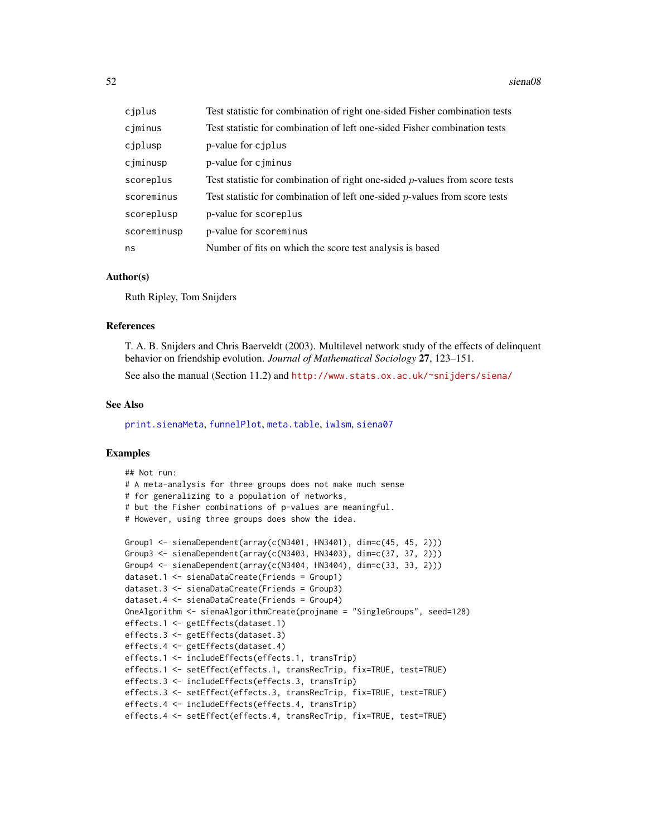#### 52 siena08

| cjplus      | Test statistic for combination of right one-sided Fisher combination tests     |
|-------------|--------------------------------------------------------------------------------|
| cjminus     | Test statistic for combination of left one-sided Fisher combination tests      |
| cjplusp     | p-value for cjplus                                                             |
| cjminusp    | p-value for cjminus                                                            |
| scoreplus   | Test statistic for combination of right one-sided $p$ -values from score tests |
| scoreminus  | Test statistic for combination of left one-sided $p$ -values from score tests  |
| scoreplusp  | p-value for scoreplus                                                          |
| scoreminusp | p-value for scoreminus                                                         |
| ns          | Number of fits on which the score test analysis is based                       |

## Author(s)

Ruth Ripley, Tom Snijders

## References

T. A. B. Snijders and Chris Baerveldt (2003). Multilevel network study of the effects of delinquent behavior on friendship evolution. *Journal of Mathematical Sociology* 27, 123–151.

See also the manual (Section 11.2) and <http://www.stats.ox.ac.uk/~snijders/siena/>

#### See Also

[print.sienaMeta](#page-31-0), [funnelPlot](#page-10-0), [meta.table](#page-31-1), [iwlsm](#page-22-0), [siena07](#page-42-0)

```
## Not run:
# A meta-analysis for three groups does not make much sense
# for generalizing to a population of networks,
# but the Fisher combinations of p-values are meaningful.
# However, using three groups does show the idea.
Group1 <- sienaDependent(array(c(N3401, HN3401), dim=c(45, 45, 2)))
Group3 <- sienaDependent(array(c(N3403, HN3403), dim=c(37, 37, 2)))
Group4 <- sienaDependent(array(c(N3404, HN3404), dim=c(33, 33, 2)))
dataset.1 <- sienaDataCreate(Friends = Group1)
dataset.3 <- sienaDataCreate(Friends = Group3)
dataset.4 <- sienaDataCreate(Friends = Group4)
OneAlgorithm <- sienaAlgorithmCreate(projname = "SingleGroups", seed=128)
effects.1 <- getEffects(dataset.1)
effects.3 <- getEffects(dataset.3)
effects.4 <- getEffects(dataset.4)
effects.1 <- includeEffects(effects.1, transTrip)
effects.1 <- setEffect(effects.1, transRecTrip, fix=TRUE, test=TRUE)
effects.3 <- includeEffects(effects.3, transTrip)
effects.3 <- setEffect(effects.3, transRecTrip, fix=TRUE, test=TRUE)
effects.4 <- includeEffects(effects.4, transTrip)
effects.4 <- setEffect(effects.4, transRecTrip, fix=TRUE, test=TRUE)
```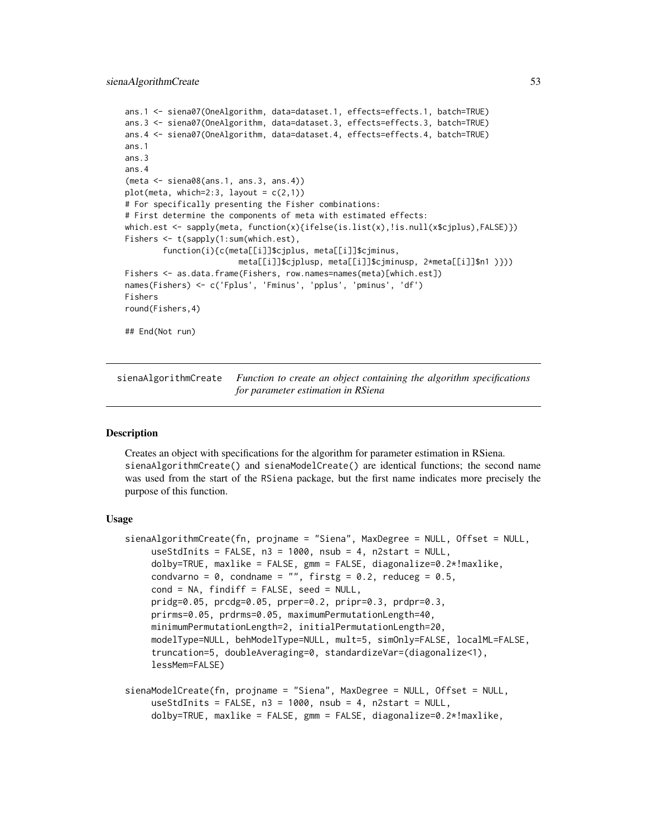```
ans.1 <- siena07(OneAlgorithm, data=dataset.1, effects=effects.1, batch=TRUE)
ans.3 <- siena07(OneAlgorithm, data=dataset.3, effects=effects.3, batch=TRUE)
ans.4 <- siena07(OneAlgorithm, data=dataset.4, effects=effects.4, batch=TRUE)
ans.1
ans.3
ans.4
(meta <- siena08(ans.1, ans.3, ans.4))
plot(meta, which=2:3, layout = c(2,1))# For specifically presenting the Fisher combinations:
# First determine the components of meta with estimated effects:
which.est <- sapply(meta, function(x){ifelse(is.list(x),!is.null(x$cjplus),FALSE)})
Fishers <- t(sapply(1:sum(which.est),
        function(i){c(meta[[i]]$cjplus, meta[[i]]$cjminus,
                        meta[[i]]$cjplusp, meta[[i]]$cjminusp, 2*meta[[i]]$n1 )}))
Fishers <- as.data.frame(Fishers, row.names=names(meta)[which.est])
names(Fishers) <- c('Fplus', 'Fminus', 'pplus', 'pminus', 'df')
Fishers
round(Fishers,4)
## End(Not run)
```
<span id="page-52-1"></span>sienaAlgorithmCreate *Function to create an object containing the algorithm specifications for parameter estimation in RSiena*

## <span id="page-52-0"></span>**Description**

Creates an object with specifications for the algorithm for parameter estimation in RSiena. sienaAlgorithmCreate() and sienaModelCreate() are identical functions; the second name was used from the start of the RSiena package, but the first name indicates more precisely the purpose of this function.

## Usage

```
sienaAlgorithmCreate(fn, projname = "Siena", MaxDegree = NULL, Offset = NULL,
    useStdInits = FALSE, n3 = 1000, nsub = 4, n2start = NULL,
    dolby=TRUE, maxlike = FALSE, gmm = FALSE, diagonalize=0.2*!maxlike,
    condvarno = 0, condname = "", firstg = 0.2, reduceg = 0.5,
    cond = NA, findiff = FALSE, seed = NULL,
    pridg=0.05, prcdg=0.05, prper=0.2, pripr=0.3, prdpr=0.3,
    prirms=0.05, prdrms=0.05, maximumPermutationLength=40,
    minimumPermutationLength=2, initialPermutationLength=20,
    modelType=NULL, behModelType=NULL, mult=5, simOnly=FALSE, localML=FALSE,
     truncation=5, doubleAveraging=0, standardizeVar=(diagonalize<1),
    lessMem=FALSE)
```

```
sienaModelCreate(fn, projname = "Siena", MaxDegree = NULL, Offset = NULL,
    useStdInits = FALSE, n3 = 1000, nsub = 4, n2start = NULL,
    dolby=TRUE, maxlike = FALSE, gmm = FALSE, diagonalize=0.2*!maxlike,
```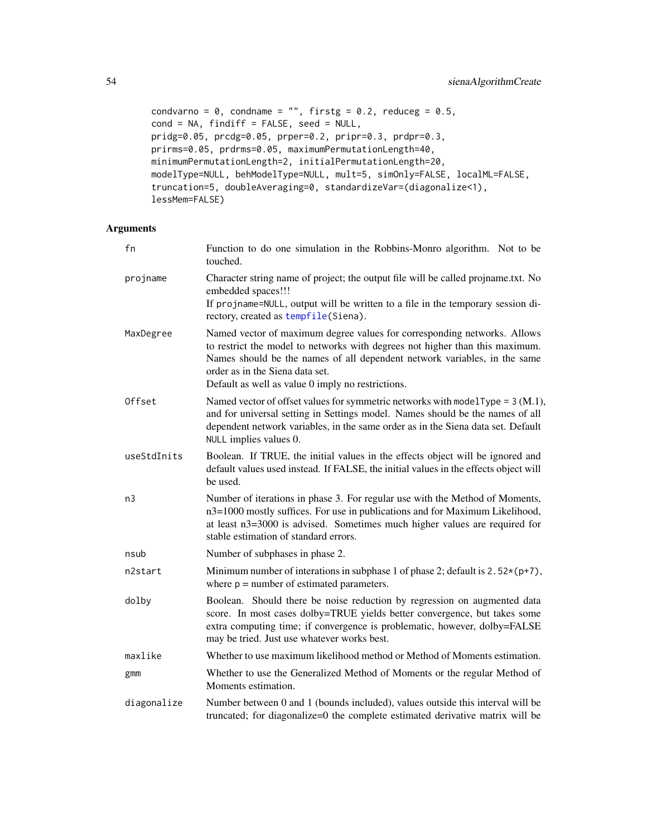```
condvarno = 0, condname = "", firstg = 0.2, reduceg = 0.5,
cond = NA, findiff = FALSE, seed = NULL,
pridg=0.05, prcdg=0.05, prper=0.2, pripr=0.3, prdpr=0.3,
prirms=0.05, prdrms=0.05, maximumPermutationLength=40,
minimumPermutationLength=2, initialPermutationLength=20,
modelType=NULL, behModelType=NULL, mult=5, simOnly=FALSE, localML=FALSE,
truncation=5, doubleAveraging=0, standardizeVar=(diagonalize<1),
lessMem=FALSE)
```
# Arguments

| fn          | Function to do one simulation in the Robbins-Monro algorithm. Not to be<br>touched.                                                                                                                                                                                                                                           |
|-------------|-------------------------------------------------------------------------------------------------------------------------------------------------------------------------------------------------------------------------------------------------------------------------------------------------------------------------------|
| projname    | Character string name of project; the output file will be called projname.txt. No<br>embedded spaces!!!<br>If projname=NULL, output will be written to a file in the temporary session di-<br>rectory, created as tempfile(Siena).                                                                                            |
| MaxDegree   | Named vector of maximum degree values for corresponding networks. Allows<br>to restrict the model to networks with degrees not higher than this maximum.<br>Names should be the names of all dependent network variables, in the same<br>order as in the Siena data set.<br>Default as well as value 0 imply no restrictions. |
| Offset      | Named vector of offset values for symmetric networks with modelType = $3$ (M.1),<br>and for universal setting in Settings model. Names should be the names of all<br>dependent network variables, in the same order as in the Siena data set. Default<br>NULL implies values 0.                                               |
| useStdInits | Boolean. If TRUE, the initial values in the effects object will be ignored and<br>default values used instead. If FALSE, the initial values in the effects object will<br>be used.                                                                                                                                            |
| n3          | Number of iterations in phase 3. For regular use with the Method of Moments,<br>n3=1000 mostly suffices. For use in publications and for Maximum Likelihood,<br>at least n3=3000 is advised. Sometimes much higher values are required for<br>stable estimation of standard errors.                                           |
| nsub        | Number of subphases in phase 2.                                                                                                                                                                                                                                                                                               |
| n2start     | Minimum number of interations in subphase 1 of phase 2; default is $2.52*(p+7)$ ,<br>where $p =$ number of estimated parameters.                                                                                                                                                                                              |
| dolby       | Boolean. Should there be noise reduction by regression on augmented data<br>score. In most cases dolby=TRUE yields better convergence, but takes some<br>extra computing time; if convergence is problematic, however, dolby=FALSE<br>may be tried. Just use whatever works best.                                             |
| maxlike     | Whether to use maximum likelihood method or Method of Moments estimation.                                                                                                                                                                                                                                                     |
| gmm         | Whether to use the Generalized Method of Moments or the regular Method of<br>Moments estimation.                                                                                                                                                                                                                              |
| diagonalize | Number between 0 and 1 (bounds included), values outside this interval will be<br>truncated; for diagonalize=0 the complete estimated derivative matrix will be                                                                                                                                                               |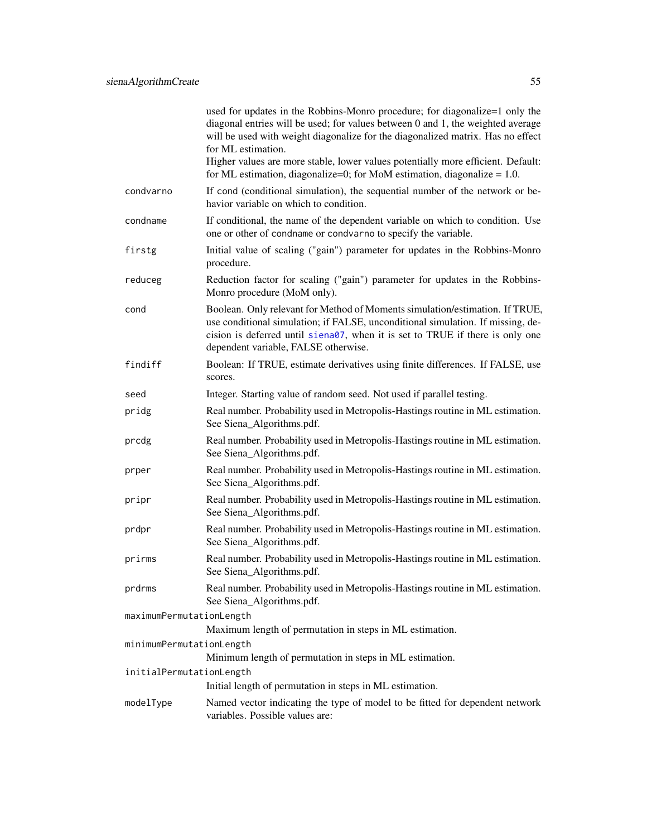|                          | used for updates in the Robbins-Monro procedure; for diagonalize=1 only the<br>diagonal entries will be used; for values between 0 and 1, the weighted average<br>will be used with weight diagonalize for the diagonalized matrix. Has no effect<br>for ML estimation.                  |
|--------------------------|------------------------------------------------------------------------------------------------------------------------------------------------------------------------------------------------------------------------------------------------------------------------------------------|
|                          | Higher values are more stable, lower values potentially more efficient. Default:<br>for ML estimation, diagonalize=0; for MoM estimation, diagonalize $= 1.0$ .                                                                                                                          |
| condvarno                | If cond (conditional simulation), the sequential number of the network or be-<br>havior variable on which to condition.                                                                                                                                                                  |
| condname                 | If conditional, the name of the dependent variable on which to condition. Use<br>one or other of condname or condvarno to specify the variable.                                                                                                                                          |
| firstg                   | Initial value of scaling ("gain") parameter for updates in the Robbins-Monro<br>procedure.                                                                                                                                                                                               |
| reduceg                  | Reduction factor for scaling ("gain") parameter for updates in the Robbins-<br>Monro procedure (MoM only).                                                                                                                                                                               |
| cond                     | Boolean. Only relevant for Method of Moments simulation/estimation. If TRUE,<br>use conditional simulation; if FALSE, unconditional simulation. If missing, de-<br>cision is deferred until siena07, when it is set to TRUE if there is only one<br>dependent variable, FALSE otherwise. |
| findiff                  | Boolean: If TRUE, estimate derivatives using finite differences. If FALSE, use<br>scores.                                                                                                                                                                                                |
| seed                     | Integer. Starting value of random seed. Not used if parallel testing.                                                                                                                                                                                                                    |
| pridg                    | Real number. Probability used in Metropolis-Hastings routine in ML estimation.<br>See Siena_Algorithms.pdf.                                                                                                                                                                              |
| prcdg                    | Real number. Probability used in Metropolis-Hastings routine in ML estimation.<br>See Siena_Algorithms.pdf.                                                                                                                                                                              |
| prper                    | Real number. Probability used in Metropolis-Hastings routine in ML estimation.<br>See Siena_Algorithms.pdf.                                                                                                                                                                              |
| pripr                    | Real number. Probability used in Metropolis-Hastings routine in ML estimation.<br>See Siena_Algorithms.pdf.                                                                                                                                                                              |
| prdpr                    | Real number. Probability used in Metropolis-Hastings routine in ML estimation.<br>See Siena_Algorithms.pdf.                                                                                                                                                                              |
| prirms                   | Real number. Probability used in Metropolis-Hastings routine in ML estimation.<br>See Siena_Algorithms.pdf.                                                                                                                                                                              |
| prdrms                   | Real number. Probability used in Metropolis-Hastings routine in ML estimation.<br>See Siena_Algorithms.pdf.                                                                                                                                                                              |
| maximumPermutationLength |                                                                                                                                                                                                                                                                                          |
|                          | Maximum length of permutation in steps in ML estimation.                                                                                                                                                                                                                                 |
| minimumPermutationLength |                                                                                                                                                                                                                                                                                          |
| initialPermutationLength | Minimum length of permutation in steps in ML estimation.                                                                                                                                                                                                                                 |
|                          | Initial length of permutation in steps in ML estimation.                                                                                                                                                                                                                                 |
| modelType                | Named vector indicating the type of model to be fitted for dependent network<br>variables. Possible values are:                                                                                                                                                                          |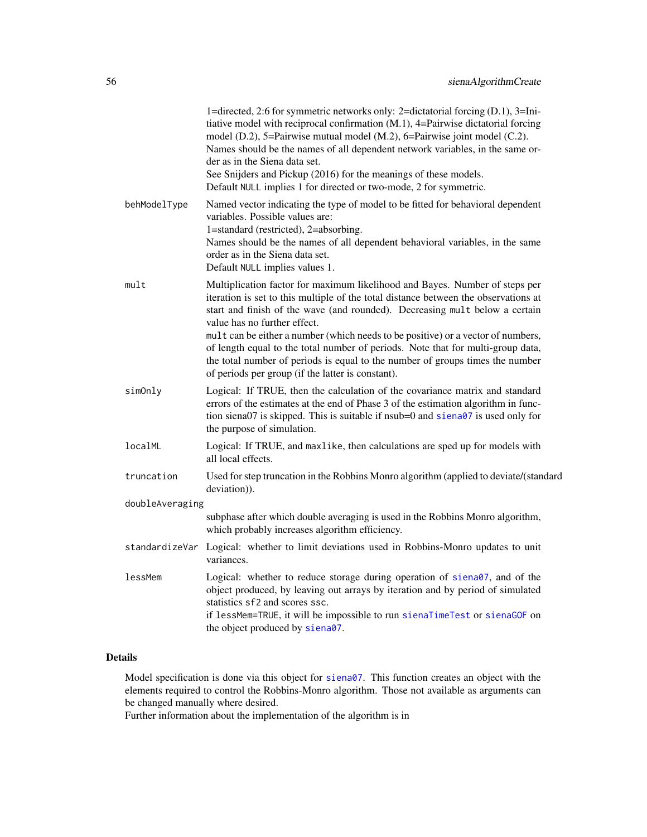|                 | 1=directed, 2:6 for symmetric networks only: 2=dictatorial forcing (D.1), 3=Ini-<br>tiative model with reciprocal confirmation (M.1), 4=Pairwise dictatorial forcing<br>model (D.2), 5=Pairwise mutual model (M.2), 6=Pairwise joint model (C.2).<br>Names should be the names of all dependent network variables, in the same or-                                                                                                                                                                                                        |
|-----------------|-------------------------------------------------------------------------------------------------------------------------------------------------------------------------------------------------------------------------------------------------------------------------------------------------------------------------------------------------------------------------------------------------------------------------------------------------------------------------------------------------------------------------------------------|
|                 | der as in the Siena data set.<br>See Snijders and Pickup (2016) for the meanings of these models.<br>Default NULL implies 1 for directed or two-mode, 2 for symmetric.                                                                                                                                                                                                                                                                                                                                                                    |
| behModelType    | Named vector indicating the type of model to be fitted for behavioral dependent<br>variables. Possible values are:<br>1=standard (restricted), 2=absorbing.<br>Names should be the names of all dependent behavioral variables, in the same<br>order as in the Siena data set.<br>Default NULL implies values 1.                                                                                                                                                                                                                          |
| mult            | Multiplication factor for maximum likelihood and Bayes. Number of steps per<br>iteration is set to this multiple of the total distance between the observations at<br>start and finish of the wave (and rounded). Decreasing mult below a certain<br>value has no further effect.<br>mult can be either a number (which needs to be positive) or a vector of numbers,<br>of length equal to the total number of periods. Note that for multi-group data,<br>the total number of periods is equal to the number of groups times the number |
|                 | of periods per group (if the latter is constant).                                                                                                                                                                                                                                                                                                                                                                                                                                                                                         |
| simOnly         | Logical: If TRUE, then the calculation of the covariance matrix and standard<br>errors of the estimates at the end of Phase 3 of the estimation algorithm in func-<br>tion siena07 is skipped. This is suitable if nsub=0 and siena07 is used only for<br>the purpose of simulation.                                                                                                                                                                                                                                                      |
| localML         | Logical: If TRUE, and maxlike, then calculations are sped up for models with<br>all local effects.                                                                                                                                                                                                                                                                                                                                                                                                                                        |
| truncation      | Used for step truncation in the Robbins Monro algorithm (applied to deviate/(standard<br>deviation)).                                                                                                                                                                                                                                                                                                                                                                                                                                     |
| doubleAveraging |                                                                                                                                                                                                                                                                                                                                                                                                                                                                                                                                           |
|                 | subphase after which double averaging is used in the Robbins Monro algorithm,<br>which probably increases algorithm efficiency.                                                                                                                                                                                                                                                                                                                                                                                                           |
| standardizeVar  | Logical: whether to limit deviations used in Robbins-Monro updates to unit<br>variances.                                                                                                                                                                                                                                                                                                                                                                                                                                                  |
| lessMem         | Logical: whether to reduce storage during operation of siena07, and of the<br>object produced, by leaving out arrays by iteration and by period of simulated<br>statistics sf2 and scores ssc.<br>if lessMem=TRUE, it will be impossible to run sienaTimeTest or sienaGOF on<br>the object produced by siena07.                                                                                                                                                                                                                           |

# Details

Model specification is done via this object for [siena07](#page-42-0). This function creates an object with the elements required to control the Robbins-Monro algorithm. Those not available as arguments can be changed manually where desired.

Further information about the implementation of the algorithm is in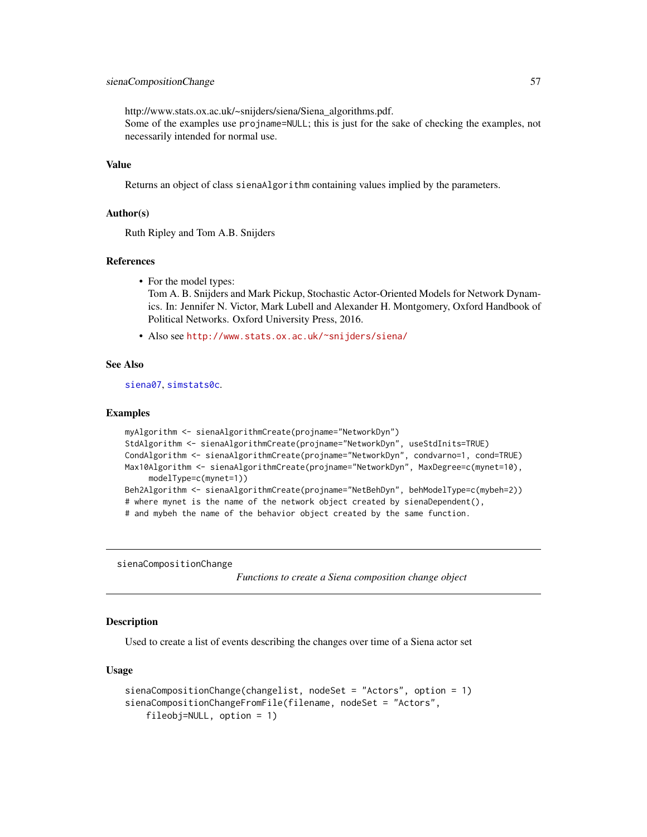## sienaCompositionChange 57

http://www.stats.ox.ac.uk/~snijders/siena/Siena\_algorithms.pdf.

Some of the examples use projname=NULL; this is just for the sake of checking the examples, not necessarily intended for normal use.

## Value

Returns an object of class sienaAlgorithm containing values implied by the parameters.

## Author(s)

Ruth Ripley and Tom A.B. Snijders

## References

• For the model types:

Tom A. B. Snijders and Mark Pickup, Stochastic Actor-Oriented Models for Network Dynamics. In: Jennifer N. Victor, Mark Lubell and Alexander H. Montgomery, Oxford Handbook of Political Networks. Oxford University Press, 2016.

• Also see <http://www.stats.ox.ac.uk/~snijders/siena/>

## See Also

[siena07](#page-42-0), [simstats0c](#page-91-0).

#### Examples

```
myAlgorithm <- sienaAlgorithmCreate(projname="NetworkDyn")
StdAlgorithm <- sienaAlgorithmCreate(projname="NetworkDyn", useStdInits=TRUE)
CondAlgorithm <- sienaAlgorithmCreate(projname="NetworkDyn", condvarno=1, cond=TRUE)
Max10Algorithm <- sienaAlgorithmCreate(projname="NetworkDyn", MaxDegree=c(mynet=10),
     modelType=c(mynet=1))
Beh2Algorithm <- sienaAlgorithmCreate(projname="NetBehDyn", behModelType=c(mybeh=2))
# where mynet is the name of the network object created by sienaDependent(),
# and mybeh the name of the behavior object created by the same function.
```
<span id="page-56-0"></span>sienaCompositionChange

*Functions to create a Siena composition change object*

## **Description**

Used to create a list of events describing the changes over time of a Siena actor set

## Usage

```
sienaCompositionChange(changelist, nodeSet = "Actors", option = 1)
sienaCompositionChangeFromFile(filename, nodeSet = "Actors",
   fileobj=NULL, option = 1)
```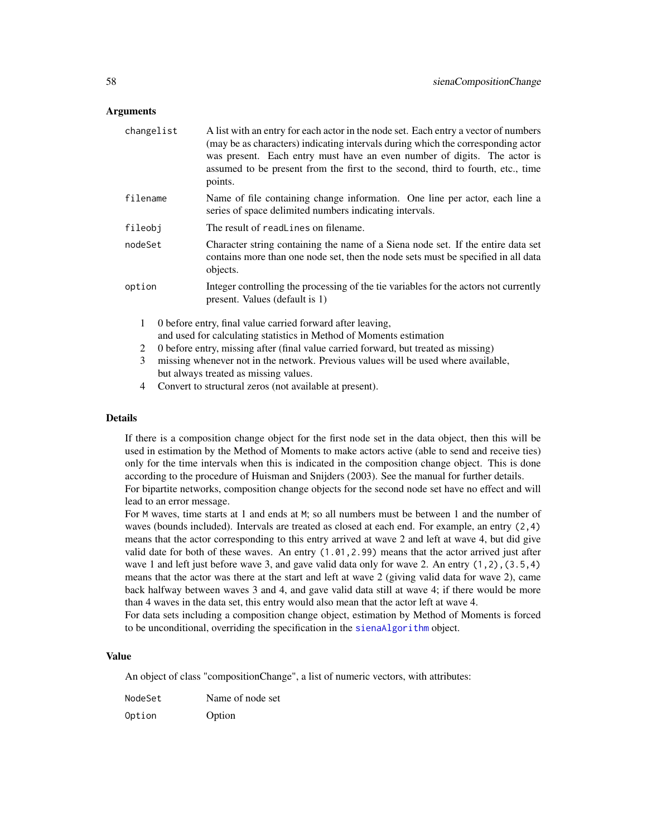## Arguments

| changelist   | A list with an entry for each actor in the node set. Each entry a vector of numbers<br>(may be as characters) indicating intervals during which the corresponding actor<br>was present. Each entry must have an even number of digits. The actor is<br>assumed to be present from the first to the second, third to fourth, etc., time<br>points. |
|--------------|---------------------------------------------------------------------------------------------------------------------------------------------------------------------------------------------------------------------------------------------------------------------------------------------------------------------------------------------------|
| filename     | Name of file containing change information. One line per actor, each line a<br>series of space delimited numbers indicating intervals.                                                                                                                                                                                                            |
| fileobj      | The result of readLines on filename.                                                                                                                                                                                                                                                                                                              |
| nodeSet      | Character string containing the name of a Siena node set. If the entire data set<br>contains more than one node set, then the node sets must be specified in all data<br>objects.                                                                                                                                                                 |
| option       | Integer controlling the processing of the tie variables for the actors not currently<br>present. Values (default is 1)                                                                                                                                                                                                                            |
| $\mathbf{1}$ | 0 before entry, final value carried forward after leaving,<br>and used for calculating statistics in Method of Moments estimation                                                                                                                                                                                                                 |
| 2            | 0 before entry, missing after (final value carried forward, but treated as missing)                                                                                                                                                                                                                                                               |
| 3            | missing whenever not in the network. Previous values will be used where available,                                                                                                                                                                                                                                                                |

- but always treated as missing values.
- 4 Convert to structural zeros (not available at present).

## Details

If there is a composition change object for the first node set in the data object, then this will be used in estimation by the Method of Moments to make actors active (able to send and receive ties) only for the time intervals when this is indicated in the composition change object. This is done according to the procedure of Huisman and Snijders (2003). See the manual for further details. For bipartite networks, composition change objects for the second node set have no effect and will

lead to an error message. For M waves, time starts at 1 and ends at M; so all numbers must be between 1 and the number of waves (bounds included). Intervals are treated as closed at each end. For example, an entry (2,4)

means that the actor corresponding to this entry arrived at wave 2 and left at wave 4, but did give valid date for both of these waves. An entry (1.01,2.99) means that the actor arrived just after wave 1 and left just before wave 3, and gave valid data only for wave 2. An entry  $(1,2)$ ,  $(3.5,4)$ means that the actor was there at the start and left at wave 2 (giving valid data for wave 2), came back halfway between waves 3 and 4, and gave valid data still at wave 4; if there would be more than 4 waves in the data set, this entry would also mean that the actor left at wave 4.

For data sets including a composition change object, estimation by Method of Moments is forced to be unconditional, overriding the specification in the [sienaAlgorithm](#page-52-0) object.

## Value

An object of class "compositionChange", a list of numeric vectors, with attributes:

NodeSet Name of node set Option Option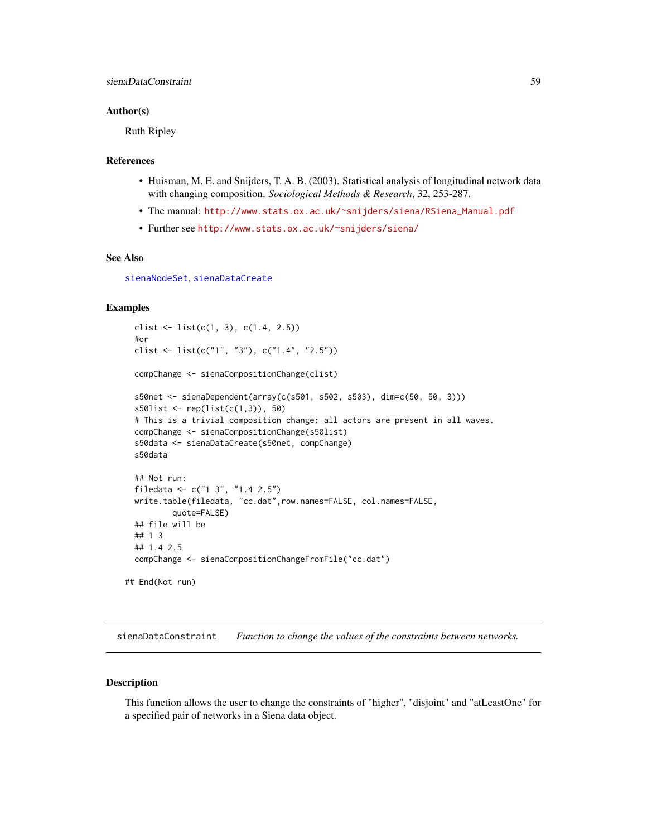## Author(s)

Ruth Ripley

#### References

- Huisman, M. E. and Snijders, T. A. B. (2003). Statistical analysis of longitudinal network data with changing composition. *Sociological Methods & Research*, 32, 253-287.
- The manual: [http://www.stats.ox.ac.uk/~snijders/siena/RSiena\\_Manual.pdf](http://www.stats.ox.ac.uk/~snijders/siena/RSiena_Manual.pdf)
- Further see <http://www.stats.ox.ac.uk/~snijders/siena/>

# See Also

[sienaNodeSet](#page-82-0), [sienaDataCreate](#page-60-1)

## Examples

```
clist \leftarrow list(c(1, 3), c(1.4, 2.5))
 #or
 clist <- list(c("1", "3"), c("1.4", "2.5"))
 compChange <- sienaCompositionChange(clist)
 s50net <- sienaDependent(array(c(s501, s502, s503), dim=c(50, 50, 3)))
 s50list <- rep(list(c(1,3)), 50)
 # This is a trivial composition change: all actors are present in all waves.
 compChange <- sienaCompositionChange(s50list)
 s50data <- sienaDataCreate(s50net, compChange)
 s50data
 ## Not run:
 filedata <- c("1 3", "1.4 2.5")
 write.table(filedata, "cc.dat",row.names=FALSE, col.names=FALSE,
         quote=FALSE)
 ## file will be
 ## 1 3
 ## 1.4 2.5
 compChange <- sienaCompositionChangeFromFile("cc.dat")
## End(Not run)
```
<span id="page-58-0"></span>sienaDataConstraint *Function to change the values of the constraints between networks.*

#### Description

This function allows the user to change the constraints of "higher", "disjoint" and "atLeastOne" for a specified pair of networks in a Siena data object.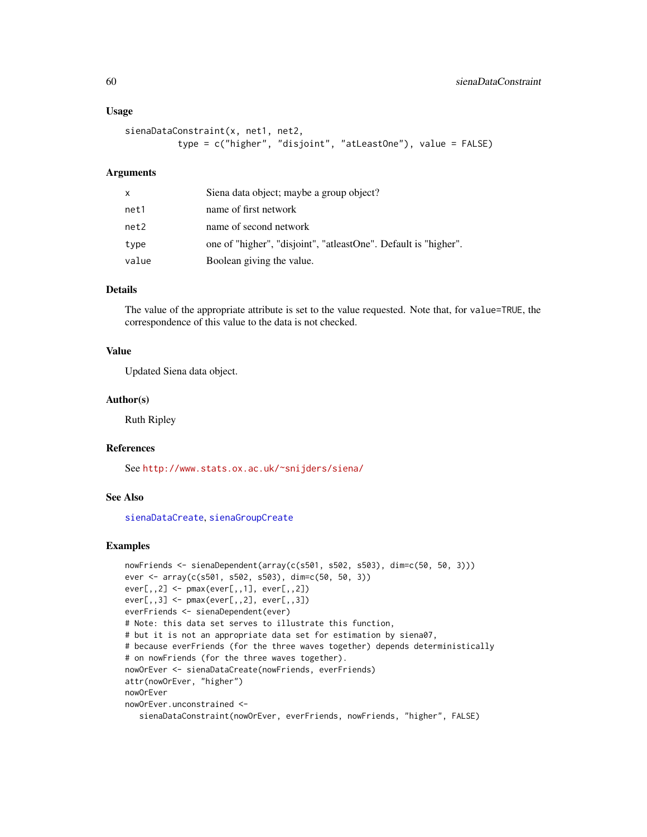#### Usage

```
sienaDataConstraint(x, net1, net2,
          type = c("higher", "disjoint", "atLeastOne"), value = FALSE)
```
## **Arguments**

| x     | Siena data object; maybe a group object?                        |
|-------|-----------------------------------------------------------------|
| net1  | name of first network                                           |
| net2  | name of second network                                          |
| type  | one of "higher", "disjoint", "atleastOne". Default is "higher". |
| value | Boolean giving the value.                                       |

## Details

The value of the appropriate attribute is set to the value requested. Note that, for value=TRUE, the correspondence of this value to the data is not checked.

## Value

Updated Siena data object.

# Author(s)

Ruth Ripley

## References

See <http://www.stats.ox.ac.uk/~snijders/siena/>

# See Also

[sienaDataCreate](#page-60-1), [sienaGroupCreate](#page-79-1)

```
nowFriends <- sienaDependent(array(c(s501, s502, s503), dim=c(50, 50, 3)))
ever <- array(c(s501, s502, s503), dim=c(50, 50, 3))
ever[,,2] <- pmax(ever[,,1], ever[,,2])
ever[,,3] <- pmax(ever[,,2], ever[,,3])
everFriends <- sienaDependent(ever)
# Note: this data set serves to illustrate this function,
# but it is not an appropriate data set for estimation by siena07,
# because everFriends (for the three waves together) depends deterministically
# on nowFriends (for the three waves together).
nowOrEver <- sienaDataCreate(nowFriends, everFriends)
attr(nowOrEver, "higher")
nowOrEver
nowOrEver.unconstrained <-
   sienaDataConstraint(nowOrEver, everFriends, nowFriends, "higher", FALSE)
```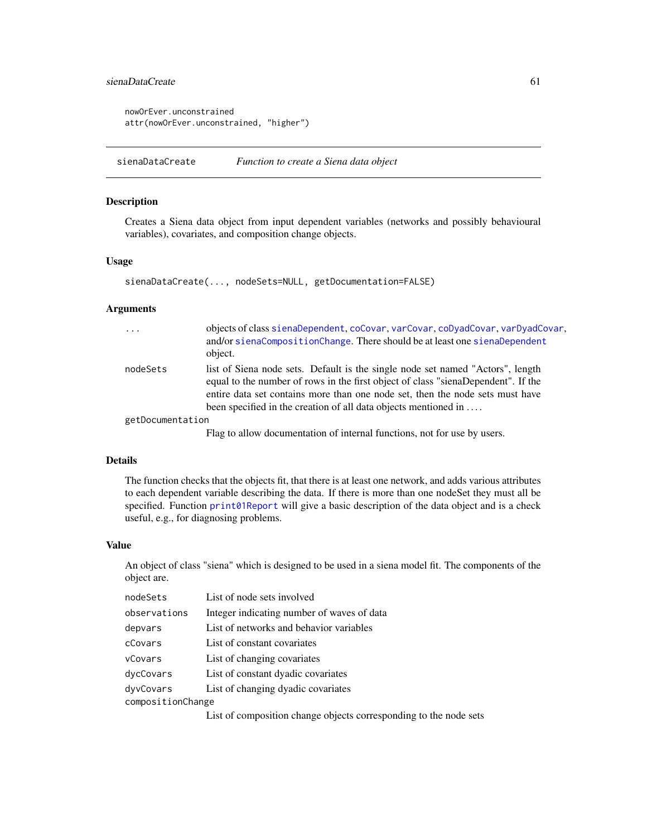# sienaDataCreate 61 between 1988 to the set of the set of the set of the set of the set of the set of the set of the set of the set of the set of the set of the set of the set of the set of the set of the set of the set of

```
nowOrEver.unconstrained
attr(nowOrEver.unconstrained, "higher")
```
<span id="page-60-1"></span>sienaDataCreate *Function to create a Siena data object*

## <span id="page-60-0"></span>Description

Creates a Siena data object from input dependent variables (networks and possibly behavioural variables), covariates, and composition change objects.

#### Usage

```
sienaDataCreate(..., nodeSets=NULL, getDocumentation=FALSE)
```
## Arguments

| $\cdots$         | objects of class sienaDependent, coCovar, varCovar, coDyadCovar, varDyadCovar,<br>and/or sienaCompositionChange. There should be at least one sienaDependent<br>object.                                                                                                                                                 |
|------------------|-------------------------------------------------------------------------------------------------------------------------------------------------------------------------------------------------------------------------------------------------------------------------------------------------------------------------|
| nodeSets         | list of Siena node sets. Default is the single node set named "Actors", length<br>equal to the number of rows in the first object of class "sienaDependent". If the<br>entire data set contains more than one node set, then the node sets must have<br>been specified in the creation of all data objects mentioned in |
| getDocumentation |                                                                                                                                                                                                                                                                                                                         |
|                  | Flag to allow documentation of internal functions, not for use by users.                                                                                                                                                                                                                                                |

## Details

The function checks that the objects fit, that there is at least one network, and adds various attributes to each dependent variable describing the data. If there is more than one nodeSet they must all be specified. Function [print01Report](#page-35-0) will give a basic description of the data object and is a check useful, e.g., for diagnosing problems.

## Value

An object of class "siena" which is designed to be used in a siena model fit. The components of the object are.

| nodeSets          | List of node sets involved                 |  |
|-------------------|--------------------------------------------|--|
| observations      | Integer indicating number of waves of data |  |
| depvars           | List of networks and behavior variables    |  |
| cCovars           | List of constant covariates                |  |
| vCovars           | List of changing covariates                |  |
| dycCovars         | List of constant dyadic covariates         |  |
| dyvCovars         | List of changing dyadic covariates         |  |
| compositionChange |                                            |  |

List of composition change objects corresponding to the node sets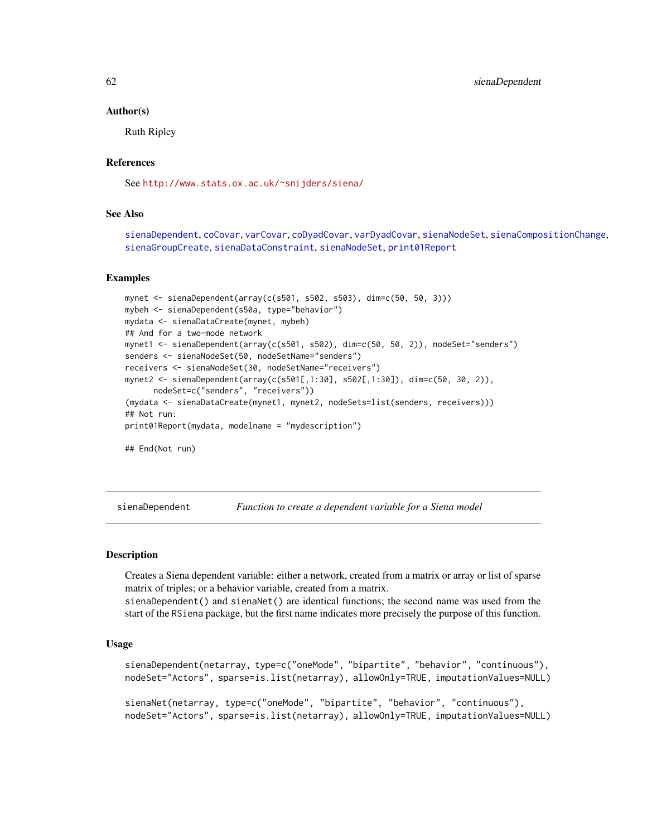# 62 sienaDependent

#### Author(s)

Ruth Ripley

# References

See <http://www.stats.ox.ac.uk/~snijders/siena/>

## See Also

[sienaDependent](#page-61-0), [coCovar](#page-6-0), [varCovar](#page-99-0), [coDyadCovar](#page-7-0), [varDyadCovar](#page-100-0), [sienaNodeSet](#page-82-0), [sienaCompositionChange](#page-56-0), [sienaGroupCreate](#page-79-1), [sienaDataConstraint](#page-58-0), [sienaNodeSet](#page-82-0), [print01Report](#page-35-0)

## Examples

```
mynet <- sienaDependent(array(c(s501, s502, s503), dim=c(50, 50, 3)))
mybeh <- sienaDependent(s50a, type="behavior")
mydata <- sienaDataCreate(mynet, mybeh)
## And for a two-mode network
mynet1 <- sienaDependent(array(c(s501, s502), dim=c(50, 50, 2)), nodeSet="senders")
senders <- sienaNodeSet(50, nodeSetName="senders")
receivers <- sienaNodeSet(30, nodeSetName="receivers")
mynet2 <- sienaDependent(array(c(s501[,1:30], s502[,1:30]), dim=c(50, 30, 2)),
     nodeSet=c("senders", "receivers"))
(mydata <- sienaDataCreate(mynet1, mynet2, nodeSets=list(senders, receivers)))
## Not run:
print01Report(mydata, modelname = "mydescription")
## End(Not run)
```
<span id="page-61-0"></span>sienaDependent *Function to create a dependent variable for a Siena model*

#### Description

Creates a Siena dependent variable: either a network, created from a matrix or array or list of sparse matrix of triples; or a behavior variable, created from a matrix.

sienaDependent() and sienaNet() are identical functions; the second name was used from the start of the RSiena package, but the first name indicates more precisely the purpose of this function.

#### Usage

```
sienaDependent(netarray, type=c("oneMode", "bipartite", "behavior", "continuous"),
nodeSet="Actors", sparse=is.list(netarray), allowOnly=TRUE, imputationValues=NULL)
```

```
sienaNet(netarray, type=c("oneMode", "bipartite", "behavior", "continuous"),
nodeSet="Actors", sparse=is.list(netarray), allowOnly=TRUE, imputationValues=NULL)
```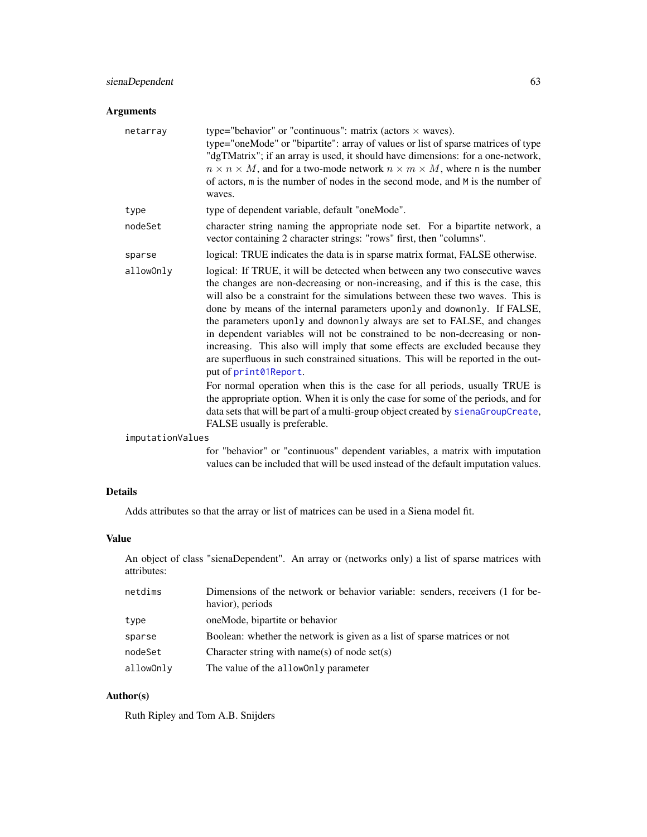# sienaDependent 63

# Arguments

| netarray         | type="behavior" or "continuous": matrix (actors $\times$ waves).<br>type="oneMode" or "bipartite": array of values or list of sparse matrices of type<br>"dgTMatrix"; if an array is used, it should have dimensions: for a one-network,<br>$n \times n \times M$ , and for a two-mode network $n \times m \times M$ , where n is the number<br>of actors, m is the number of nodes in the second mode, and M is the number of<br>waves.                                                                                                                                                                                                                                             |
|------------------|--------------------------------------------------------------------------------------------------------------------------------------------------------------------------------------------------------------------------------------------------------------------------------------------------------------------------------------------------------------------------------------------------------------------------------------------------------------------------------------------------------------------------------------------------------------------------------------------------------------------------------------------------------------------------------------|
| type             | type of dependent variable, default "oneMode".                                                                                                                                                                                                                                                                                                                                                                                                                                                                                                                                                                                                                                       |
| nodeSet          | character string naming the appropriate node set. For a bipartite network, a<br>vector containing 2 character strings: "rows" first, then "columns".                                                                                                                                                                                                                                                                                                                                                                                                                                                                                                                                 |
| sparse           | logical: TRUE indicates the data is in sparse matrix format, FALSE otherwise.                                                                                                                                                                                                                                                                                                                                                                                                                                                                                                                                                                                                        |
| allowOnly        | logical: If TRUE, it will be detected when between any two consecutive waves<br>the changes are non-decreasing or non-increasing, and if this is the case, this<br>will also be a constraint for the simulations between these two waves. This is<br>done by means of the internal parameters uponly and downonly. If FALSE,<br>the parameters uponly and downonly always are set to FALSE, and changes<br>in dependent variables will not be constrained to be non-decreasing or non-<br>increasing. This also will imply that some effects are excluded because they<br>are superfluous in such constrained situations. This will be reported in the out-<br>put of print01Report. |
|                  | For normal operation when this is the case for all periods, usually TRUE is<br>the appropriate option. When it is only the case for some of the periods, and for<br>data sets that will be part of a multi-group object created by sienaGroupCreate,<br>FALSE usually is preferable.                                                                                                                                                                                                                                                                                                                                                                                                 |
| imputationValues |                                                                                                                                                                                                                                                                                                                                                                                                                                                                                                                                                                                                                                                                                      |
|                  | for "behavior" or "continuous" dependent variables, a matrix with imputation                                                                                                                                                                                                                                                                                                                                                                                                                                                                                                                                                                                                         |

for "behavior" or "continuous" dependent variables, a matrix with imputation values can be included that will be used instead of the default imputation values.

# Details

Adds attributes so that the array or list of matrices can be used in a Siena model fit.

# Value

An object of class "sienaDependent". An array or (networks only) a list of sparse matrices with attributes:

| netdims   | Dimensions of the network or behavior variable: senders, receivers (1 for be- |
|-----------|-------------------------------------------------------------------------------|
|           | havior), periods                                                              |
| type      | oneMode, bipartite or behavior                                                |
| sparse    | Boolean: whether the network is given as a list of sparse matrices or not     |
| nodeSet   | Character string with name(s) of node set(s)                                  |
| allowOnly | The value of the alloworly parameter                                          |

# Author(s)

Ruth Ripley and Tom A.B. Snijders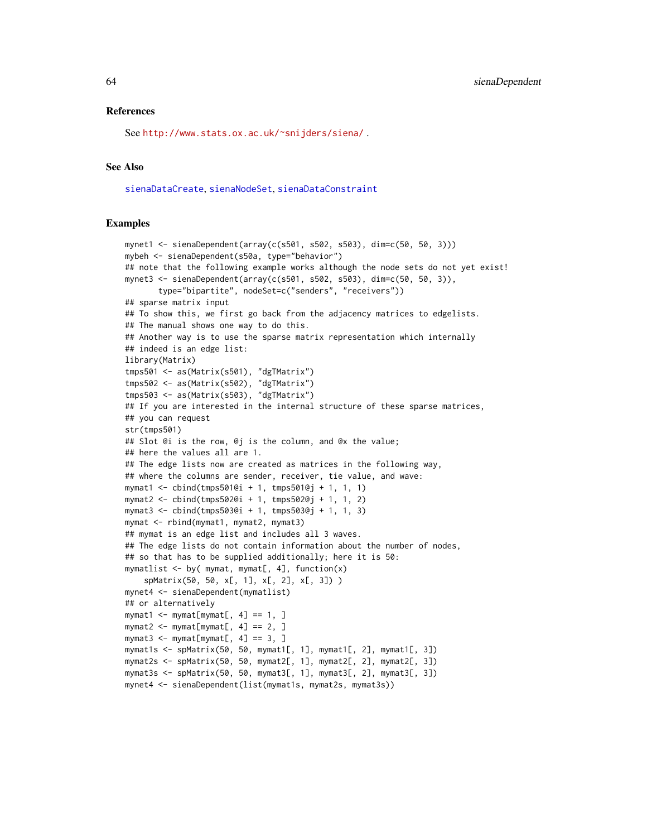## References

See <http://www.stats.ox.ac.uk/~snijders/siena/> .

## See Also

[sienaDataCreate](#page-60-1), [sienaNodeSet](#page-82-0), [sienaDataConstraint](#page-58-0)

```
mynet1 <- sienaDependent(array(c(s501, s502, s503), dim=c(50, 50, 3)))
mybeh <- sienaDependent(s50a, type="behavior")
## note that the following example works although the node sets do not yet exist!
mynet3 <- sienaDependent(array(c(s501, s502, s503), dim=c(50, 50, 3)),
       type="bipartite", nodeSet=c("senders", "receivers"))
## sparse matrix input
## To show this, we first go back from the adjacency matrices to edgelists.
## The manual shows one way to do this.
## Another way is to use the sparse matrix representation which internally
## indeed is an edge list:
library(Matrix)
tmps501 <- as(Matrix(s501), "dgTMatrix")
tmps502 <- as(Matrix(s502), "dgTMatrix")
tmps503 <- as(Matrix(s503), "dgTMatrix")
## If you are interested in the internal structure of these sparse matrices,
## you can request
str(tmps501)
## Slot @i is the row, @j is the column, and @x the value;
## here the values all are 1.
## The edge lists now are created as matrices in the following way,
## where the columns are sender, receiver, tie value, and wave:
mymat1 <- cbind(tmps501@i + 1, tmps501@j + 1, 1, 1)
mymat2 <- cbind(tmps502@i + 1, tmps502@j + 1, 1, 2)
mymat3 <- cbind(tmps503@i + 1, tmps503@j + 1, 1, 3)
mymat <- rbind(mymat1, mymat2, mymat3)
## mymat is an edge list and includes all 3 waves.
## The edge lists do not contain information about the number of nodes,
## so that has to be supplied additionally; here it is 50:
mymatlist \leq by( mymat, mymat[, 4], function(x)
    spMatrix(50, 50, x[, 1], x[, 2], x[, 3]) )
mynet4 <- sienaDependent(mymatlist)
## or alternatively
mymat1 <- mymat[mymat[, 4] == 1, ]
mymat2 <- mymat[mymat[, 4] == 2, ]
mymat3 <- mymat[mymat[, 4] == 3, ]
mymat1s <- spMatrix(50, 50, mymat1[, 1], mymat1[, 2], mymat1[, 3])
mymat2s <- spMatrix(50, 50, mymat2[, 1], mymat2[, 2], mymat2[, 3])
mymat3s <- spMatrix(50, 50, mymat3[, 1], mymat3[, 2], mymat3[, 3])
mynet4 <- sienaDependent(list(mymat1s, mymat2s, mymat3s))
```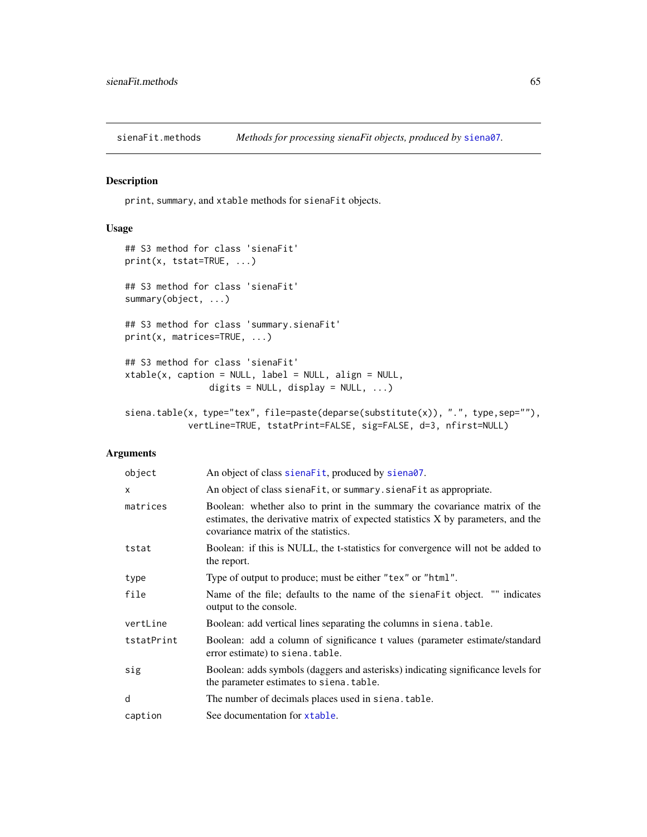# <span id="page-64-0"></span>Description

print, summary, and xtable methods for sienaFit objects.

## Usage

```
## S3 method for class 'sienaFit'
print(x, tstat=TRUE, ...)
## S3 method for class 'sienaFit'
summary(object, ...)
## S3 method for class 'summary.sienaFit'
print(x, matrices=TRUE, ...)
## S3 method for class 'sienaFit'
xtable(x, caption = NULL, label = NULL, align = NULL,digits = NULL, display = NULL, ...)
siena.table(x, type="tex", file=paste(deparse(substitute(x)), ".", type,sep=""),
            vertLine=TRUE, tstatPrint=FALSE, sig=FALSE, d=3, nfirst=NULL)
```
# Arguments

| object       | An object of class sienaFit, produced by siena07.                                                                                                                                                      |
|--------------|--------------------------------------------------------------------------------------------------------------------------------------------------------------------------------------------------------|
| $\mathsf{x}$ | An object of class siena Fit, or summary siena Fit as appropriate.                                                                                                                                     |
| matrices     | Boolean: whether also to print in the summary the covariance matrix of the<br>estimates, the derivative matrix of expected statistics X by parameters, and the<br>covariance matrix of the statistics. |
| tstat        | Boolean: if this is NULL, the t-statistics for convergence will not be added to<br>the report.                                                                                                         |
| type         | Type of output to produce; must be either "tex" or "html".                                                                                                                                             |
| file         | Name of the file; defaults to the name of the siena Fit object. "" indicates<br>output to the console.                                                                                                 |
| vertLine     | Boolean: add vertical lines separating the columns in siena. table.                                                                                                                                    |
| tstatPrint   | Boolean: add a column of significance t values (parameter estimate/standard<br>error estimate) to siena. table.                                                                                        |
| sig          | Boolean: adds symbols (daggers and asterisks) indicating significance levels for<br>the parameter estimates to siena. table.                                                                           |
| d            | The number of decimals places used in siena. table.                                                                                                                                                    |
| caption      | See documentation for xtable.                                                                                                                                                                          |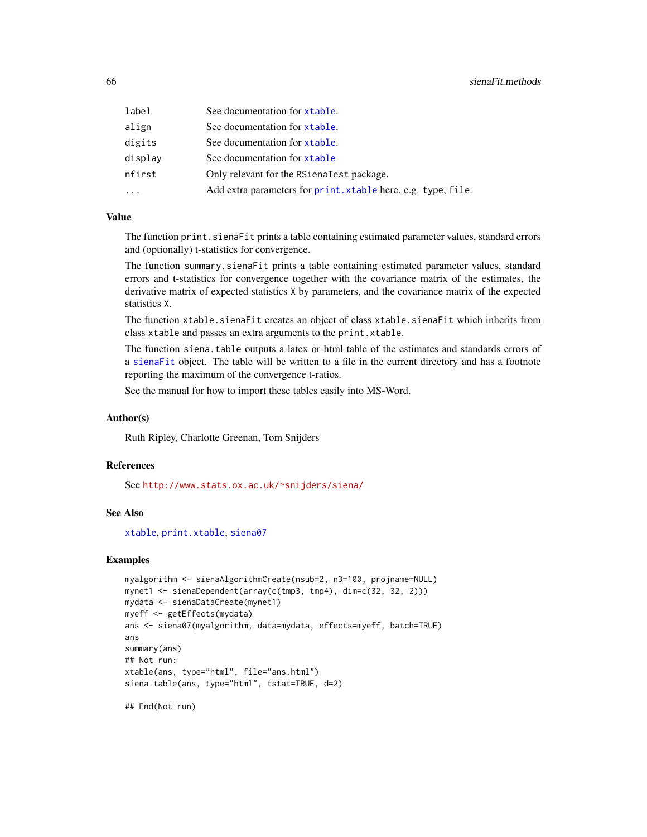| label   | See documentation for <i>xtable</i> .                         |
|---------|---------------------------------------------------------------|
| align   | See documentation for xtable.                                 |
| digits  | See documentation for xtable.                                 |
| display | See documentation for xtable                                  |
| nfirst  | Only relevant for the RSienaTest package.                     |
| .       | Add extra parameters for print. xtable here. e.g. type, file. |
|         |                                                               |

#### Value

The function print. sienaFit prints a table containing estimated parameter values, standard errors and (optionally) t-statistics for convergence.

The function summary.sienaFit prints a table containing estimated parameter values, standard errors and t-statistics for convergence together with the covariance matrix of the estimates, the derivative matrix of expected statistics X by parameters, and the covariance matrix of the expected statistics X.

The function xtable.sienaFit creates an object of class xtable.sienaFit which inherits from class xtable and passes an extra arguments to the print.xtable.

The function siena.table outputs a latex or html table of the estimates and standards errors of a [sienaFit](#page-64-0) object. The table will be written to a file in the current directory and has a footnote reporting the maximum of the convergence t-ratios.

See the manual for how to import these tables easily into MS-Word.

## Author(s)

Ruth Ripley, Charlotte Greenan, Tom Snijders

#### References

See <http://www.stats.ox.ac.uk/~snijders/siena/>

## See Also

[xtable](#page-103-0), [print.xtable](#page-0-0), [siena07](#page-42-0)

#### Examples

```
myalgorithm <- sienaAlgorithmCreate(nsub=2, n3=100, projname=NULL)
mynet1 <- sienaDependent(array(c(tmp3, tmp4), dim=c(32, 32, 2)))
mydata <- sienaDataCreate(mynet1)
myeff <- getEffects(mydata)
ans <- siena07(myalgorithm, data=mydata, effects=myeff, batch=TRUE)
ans
summary(ans)
## Not run:
xtable(ans, type="html", file="ans.html")
siena.table(ans, type="html", tstat=TRUE, d=2)
```
## End(Not run)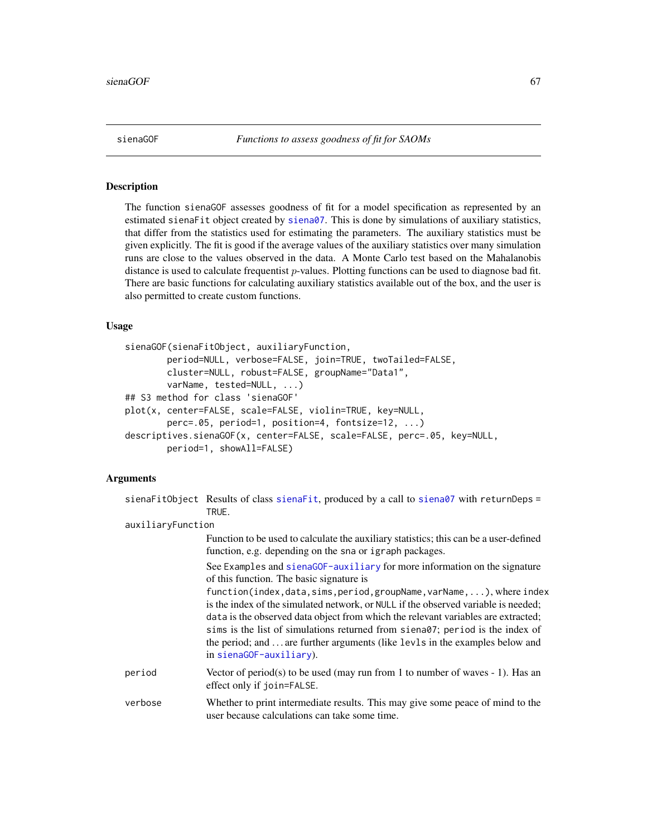<span id="page-66-0"></span>

## **Description**

The function sienaGOF assesses goodness of fit for a model specification as represented by an estimated sienaFit object created by [siena07](#page-42-0). This is done by simulations of auxiliary statistics, that differ from the statistics used for estimating the parameters. The auxiliary statistics must be given explicitly. The fit is good if the average values of the auxiliary statistics over many simulation runs are close to the values observed in the data. A Monte Carlo test based on the Mahalanobis distance is used to calculate frequentist  $p$ -values. Plotting functions can be used to diagnose bad fit. There are basic functions for calculating auxiliary statistics available out of the box, and the user is also permitted to create custom functions.

## Usage

```
sienaGOF(sienaFitObject, auxiliaryFunction,
       period=NULL, verbose=FALSE, join=TRUE, twoTailed=FALSE,
       cluster=NULL, robust=FALSE, groupName="Data1",
       varName, tested=NULL, ...)
## S3 method for class 'sienaGOF'
plot(x, center=FALSE, scale=FALSE, violin=TRUE, key=NULL,
        perc=.05, period=1, position=4, fontsize=12, ...)
descriptives.sienaGOF(x, center=FALSE, scale=FALSE, perc=.05, key=NULL,
       period=1, showAll=FALSE)
```
## Arguments

|                   | sienaFitObject Results of class sienaFit, produced by a call to siena07 with returnDeps =<br>TRUE.                                                                                                                                                                                                                                                                                                                                                                                                                                                               |
|-------------------|------------------------------------------------------------------------------------------------------------------------------------------------------------------------------------------------------------------------------------------------------------------------------------------------------------------------------------------------------------------------------------------------------------------------------------------------------------------------------------------------------------------------------------------------------------------|
| auxiliaryFunction |                                                                                                                                                                                                                                                                                                                                                                                                                                                                                                                                                                  |
|                   | Function to be used to calculate the auxiliary statistics; this can be a user-defined<br>function, e.g. depending on the sna or igraph packages.                                                                                                                                                                                                                                                                                                                                                                                                                 |
|                   | See Examples and sienaGOF-auxiliary for more information on the signature<br>of this function. The basic signature is<br>function(index,data,sims,period,groupName,varName,), where index<br>is the index of the simulated network, or NULL if the observed variable is needed;<br>data is the observed data object from which the relevant variables are extracted;<br>sims is the list of simulations returned from siena07; period is the index of<br>the period; and  are further arguments (like levls in the examples below and<br>in sienaGOF-auxiliary). |
| period            | Vector of period(s) to be used (may run from 1 to number of waves $-1$ ). Has an<br>effect only if join=FALSE.                                                                                                                                                                                                                                                                                                                                                                                                                                                   |
| verbose           | Whether to print intermediate results. This may give some peace of mind to the<br>user because calculations can take some time.                                                                                                                                                                                                                                                                                                                                                                                                                                  |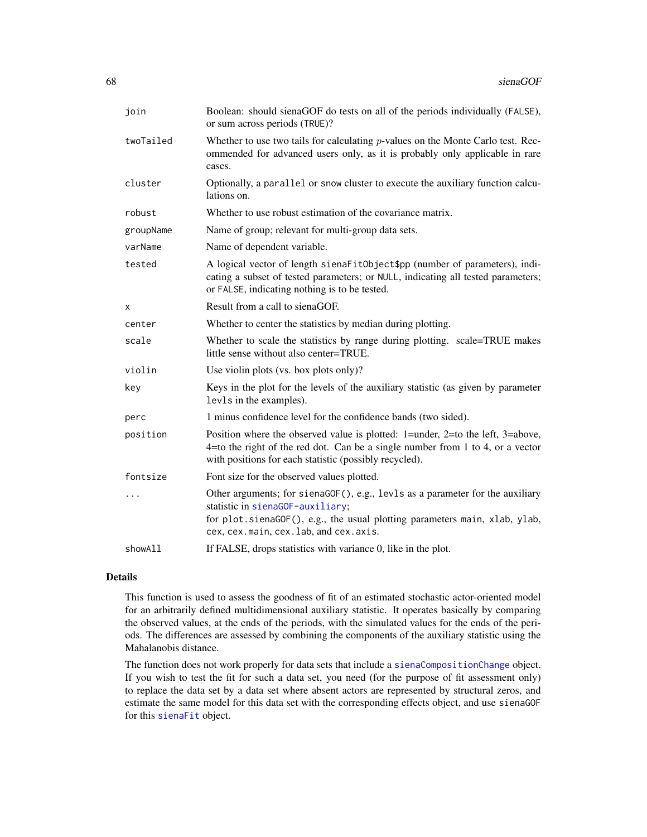| join      | Boolean: should sienaGOF do tests on all of the periods individually (FALSE),<br>or sum across periods (TRUE)?                                                                                                                           |
|-----------|------------------------------------------------------------------------------------------------------------------------------------------------------------------------------------------------------------------------------------------|
| twoTailed | Whether to use two tails for calculating $p$ -values on the Monte Carlo test. Rec-<br>ommended for advanced users only, as it is probably only applicable in rare<br>cases.                                                              |
| cluster   | Optionally, a parallel or snow cluster to execute the auxiliary function calcu-<br>lations on.                                                                                                                                           |
| robust    | Whether to use robust estimation of the covariance matrix.                                                                                                                                                                               |
| groupName | Name of group; relevant for multi-group data sets.                                                                                                                                                                                       |
| varName   | Name of dependent variable.                                                                                                                                                                                                              |
| tested    | A logical vector of length sienaFitObject\$pp (number of parameters), indi-<br>cating a subset of tested parameters; or NULL, indicating all tested parameters;<br>or FALSE, indicating nothing is to be tested.                         |
| X         | Result from a call to sienaGOF.                                                                                                                                                                                                          |
| center    | Whether to center the statistics by median during plotting.                                                                                                                                                                              |
| scale     | Whether to scale the statistics by range during plotting. scale=TRUE makes<br>little sense without also center=TRUE.                                                                                                                     |
| violin    | Use violin plots (vs. box plots only)?                                                                                                                                                                                                   |
| key       | Keys in the plot for the levels of the auxiliary statistic (as given by parameter<br>lev1s in the examples).                                                                                                                             |
| perc      | 1 minus confidence level for the confidence bands (two sided).                                                                                                                                                                           |
| position  | Position where the observed value is plotted: 1=under, 2=to the left, 3=above,<br>4=to the right of the red dot. Can be a single number from 1 to 4, or a vector<br>with positions for each statistic (possibly recycled).               |
| fontsize  | Font size for the observed values plotted.                                                                                                                                                                                               |
| .         | Other arguments; for sienaGOF(), e.g., levls as a parameter for the auxiliary<br>statistic in sienaGOF-auxiliary;<br>for plot.sienaGOF(), e.g., the usual plotting parameters main, xlab, ylab,<br>cex, cex.main, cex.lab, and cex.axis. |
| showAll   | If FALSE, drops statistics with variance 0, like in the plot.                                                                                                                                                                            |

## Details

This function is used to assess the goodness of fit of an estimated stochastic actor-oriented model for an arbitrarily defined multidimensional auxiliary statistic. It operates basically by comparing the observed values, at the ends of the periods, with the simulated values for the ends of the periods. The differences are assessed by combining the components of the auxiliary statistic using the Mahalanobis distance.

The function does not work properly for data sets that include a [sienaCompositionChange](#page-56-0) object. If you wish to test the fit for such a data set, you need (for the purpose of fit assessment only) to replace the data set by a data set where absent actors are represented by structural zeros, and estimate the same model for this data set with the corresponding effects object, and use sienaGOF for this [sienaFit](#page-64-0) object.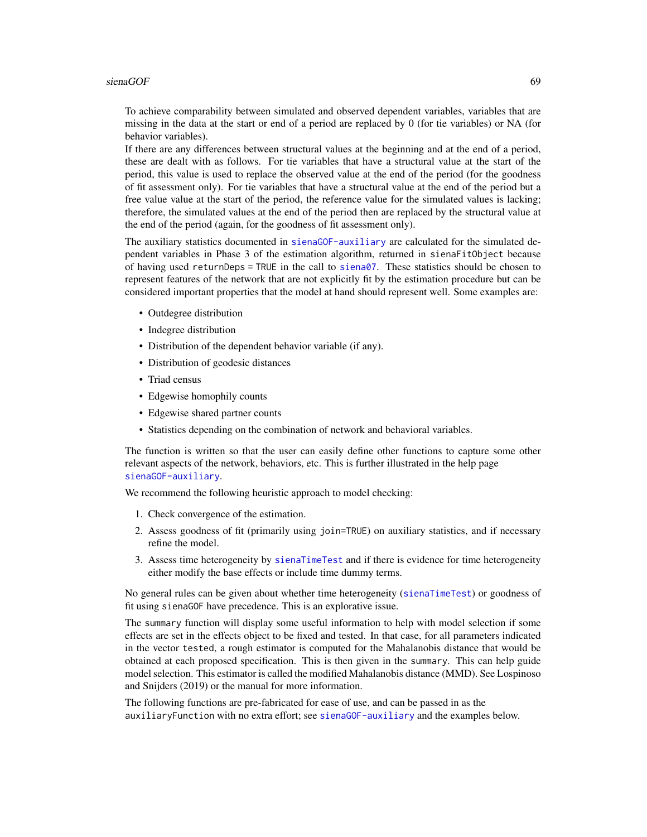## $sienaGOF$  69

To achieve comparability between simulated and observed dependent variables, variables that are missing in the data at the start or end of a period are replaced by 0 (for tie variables) or NA (for behavior variables).

If there are any differences between structural values at the beginning and at the end of a period, these are dealt with as follows. For tie variables that have a structural value at the start of the period, this value is used to replace the observed value at the end of the period (for the goodness of fit assessment only). For tie variables that have a structural value at the end of the period but a free value value at the start of the period, the reference value for the simulated values is lacking; therefore, the simulated values at the end of the period then are replaced by the structural value at the end of the period (again, for the goodness of fit assessment only).

The auxiliary statistics documented in [sienaGOF-auxiliary](#page-71-0) are calculated for the simulated dependent variables in Phase 3 of the estimation algorithm, returned in sienaFitObject because of having used returnDeps = TRUE in the call to [siena07](#page-42-0). These statistics should be chosen to represent features of the network that are not explicitly fit by the estimation procedure but can be considered important properties that the model at hand should represent well. Some examples are:

- Outdegree distribution
- Indegree distribution
- Distribution of the dependent behavior variable (if any).
- Distribution of geodesic distances
- Triad census
- Edgewise homophily counts
- Edgewise shared partner counts
- Statistics depending on the combination of network and behavioral variables.

The function is written so that the user can easily define other functions to capture some other relevant aspects of the network, behaviors, etc. This is further illustrated in the help page [sienaGOF-auxiliary](#page-71-0).

We recommend the following heuristic approach to model checking:

- 1. Check convergence of the estimation.
- 2. Assess goodness of fit (primarily using join=TRUE) on auxiliary statistics, and if necessary refine the model.
- 3. Assess time heterogeneity by [sienaTimeTest](#page-87-0) and if there is evidence for time heterogeneity either modify the base effects or include time dummy terms.

No general rules can be given about whether time heterogeneity ([sienaTimeTest](#page-87-0)) or goodness of fit using sienaGOF have precedence. This is an explorative issue.

The summary function will display some useful information to help with model selection if some effects are set in the effects object to be fixed and tested. In that case, for all parameters indicated in the vector tested, a rough estimator is computed for the Mahalanobis distance that would be obtained at each proposed specification. This is then given in the summary. This can help guide model selection. This estimator is called the modified Mahalanobis distance (MMD). See Lospinoso and Snijders (2019) or the manual for more information.

The following functions are pre-fabricated for ease of use, and can be passed in as the auxiliaryFunction with no extra effort; see [sienaGOF-auxiliary](#page-71-0) and the examples below.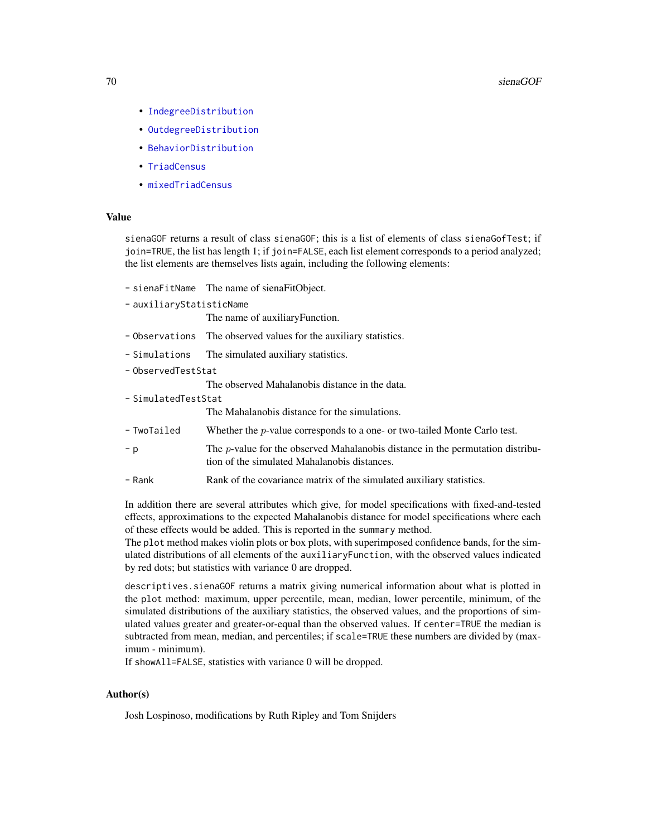- [IndegreeDistribution](#page-71-1)
- [OutdegreeDistribution](#page-71-1)
- [BehaviorDistribution](#page-71-1)
- [TriadCensus](#page-71-1)
- [mixedTriadCensus](#page-71-1)

## Value

sienaGOF returns a result of class sienaGOF; this is a list of elements of class sienaGofTest; if join=TRUE, the list has length 1; if join=FALSE, each list element corresponds to a period analyzed; the list elements are themselves lists again, including the following elements:

- sienaFitName The name of sienaFitObject.
- auxiliaryStatisticName

The name of auxiliaryFunction.

- Observations The observed values for the auxiliary statistics.
- Simulations The simulated auxiliary statistics.
- ObservedTestStat

The observed Mahalanobis distance in the data.

- SimulatedTestStat

The Mahalanobis distance for the simulations.

- TwoTailed Whether the p-value corresponds to a one- or two-tailed Monte Carlo test.
- p The p-value for the observed Mahalanobis distance in the permutation distribution of the simulated Mahalanobis distances.
- Rank Rank of the covariance matrix of the simulated auxiliary statistics.

In addition there are several attributes which give, for model specifications with fixed-and-tested effects, approximations to the expected Mahalanobis distance for model specifications where each of these effects would be added. This is reported in the summary method.

The plot method makes violin plots or box plots, with superimposed confidence bands, for the simulated distributions of all elements of the auxiliaryFunction, with the observed values indicated by red dots; but statistics with variance 0 are dropped.

descriptives.sienaGOF returns a matrix giving numerical information about what is plotted in the plot method: maximum, upper percentile, mean, median, lower percentile, minimum, of the simulated distributions of the auxiliary statistics, the observed values, and the proportions of simulated values greater and greater-or-equal than the observed values. If center=TRUE the median is subtracted from mean, median, and percentiles; if scale=TRUE these numbers are divided by (maximum - minimum).

If showAll=FALSE, statistics with variance 0 will be dropped.

#### Author(s)

Josh Lospinoso, modifications by Ruth Ripley and Tom Snijders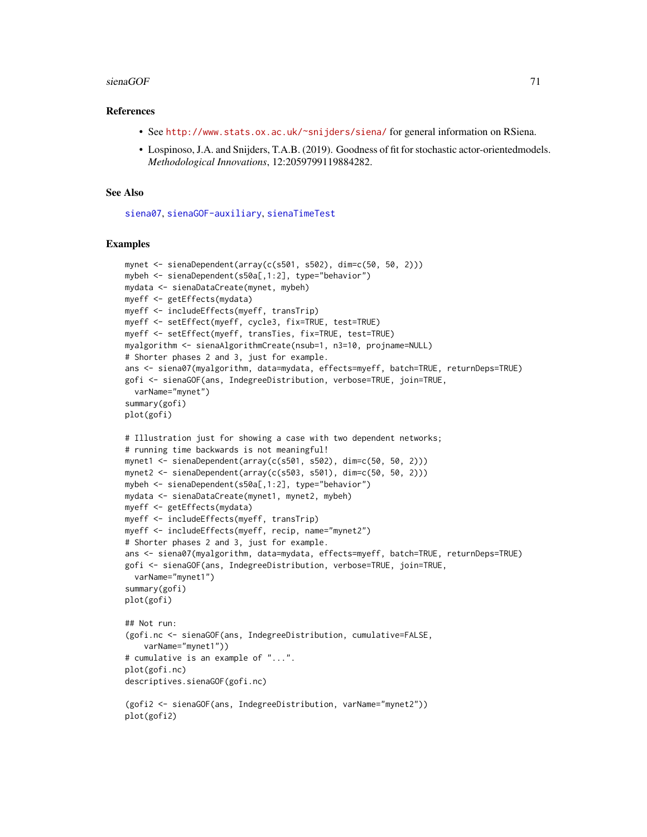#### $sienaGOF$  71

#### References

- See <http://www.stats.ox.ac.uk/~snijders/siena/> for general information on RSiena.
- Lospinoso, J.A. and Snijders, T.A.B. (2019). Goodness of fit for stochastic actor-orientedmodels. *Methodological Innovations*, 12:2059799119884282.

## See Also

[siena07](#page-42-0), [sienaGOF-auxiliary](#page-71-0), [sienaTimeTest](#page-87-0)

```
mynet <- sienaDependent(array(c(s501, s502), dim=c(50, 50, 2)))
mybeh <- sienaDependent(s50a[,1:2], type="behavior")
mydata <- sienaDataCreate(mynet, mybeh)
myeff <- getEffects(mydata)
myeff <- includeEffects(myeff, transTrip)
myeff <- setEffect(myeff, cycle3, fix=TRUE, test=TRUE)
myeff <- setEffect(myeff, transTies, fix=TRUE, test=TRUE)
myalgorithm <- sienaAlgorithmCreate(nsub=1, n3=10, projname=NULL)
# Shorter phases 2 and 3, just for example.
ans <- siena07(myalgorithm, data=mydata, effects=myeff, batch=TRUE, returnDeps=TRUE)
gofi <- sienaGOF(ans, IndegreeDistribution, verbose=TRUE, join=TRUE,
 varName="mynet")
summary(gofi)
plot(gofi)
# Illustration just for showing a case with two dependent networks;
# running time backwards is not meaningful!
mynet1 <- sienaDependent(array(c(s501, s502), dim=c(50, 50, 2)))
mynet2 <- sienaDependent(array(c(s503, s501), dim=c(50, 50, 2)))
mybeh <- sienaDependent(s50a[,1:2], type="behavior")
mydata <- sienaDataCreate(mynet1, mynet2, mybeh)
myeff <- getEffects(mydata)
myeff <- includeEffects(myeff, transTrip)
myeff <- includeEffects(myeff, recip, name="mynet2")
# Shorter phases 2 and 3, just for example.
ans <- siena07(myalgorithm, data=mydata, effects=myeff, batch=TRUE, returnDeps=TRUE)
gofi <- sienaGOF(ans, IndegreeDistribution, verbose=TRUE, join=TRUE,
 varName="mynet1")
summary(gofi)
plot(gofi)
## Not run:
(gofi.nc <- sienaGOF(ans, IndegreeDistribution, cumulative=FALSE,
    varName="mynet1"))
# cumulative is an example of "...".
plot(gofi.nc)
descriptives.sienaGOF(gofi.nc)
(gofi2 <- sienaGOF(ans, IndegreeDistribution, varName="mynet2"))
plot(gofi2)
```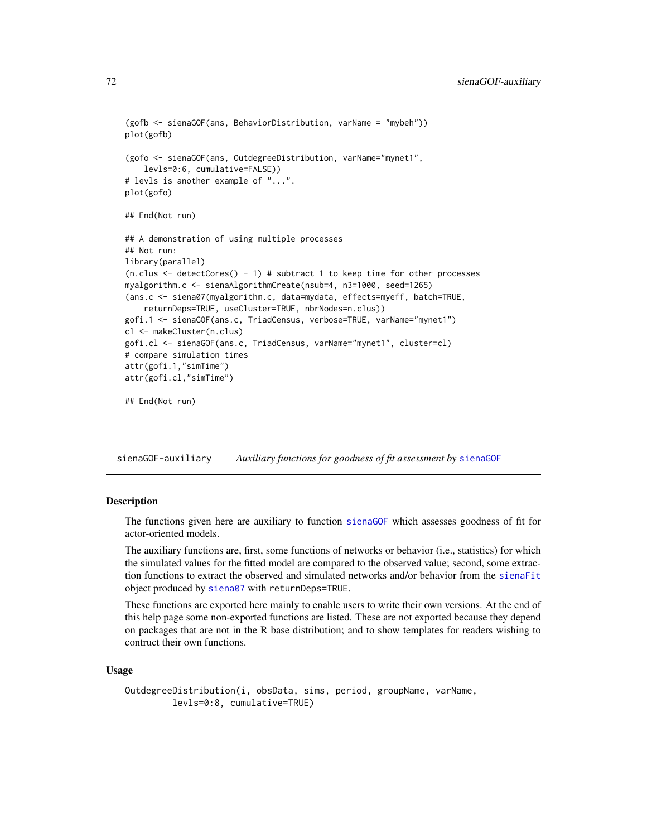```
(gofb <- sienaGOF(ans, BehaviorDistribution, varName = "mybeh"))
plot(gofb)
(gofo <- sienaGOF(ans, OutdegreeDistribution, varName="mynet1",
    levls=0:6, cumulative=FALSE))
# levls is another example of "...".
plot(gofo)
## End(Not run)
## A demonstration of using multiple processes
## Not run:
library(parallel)
(n.clus \leq detectCores() - 1) # subtract 1 to keep time for other processes
myalgorithm.c <- sienaAlgorithmCreate(nsub=4, n3=1000, seed=1265)
(ans.c <- siena07(myalgorithm.c, data=mydata, effects=myeff, batch=TRUE,
    returnDeps=TRUE, useCluster=TRUE, nbrNodes=n.clus))
gofi.1 <- sienaGOF(ans.c, TriadCensus, verbose=TRUE, varName="mynet1")
cl <- makeCluster(n.clus)
gofi.cl <- sienaGOF(ans.c, TriadCensus, varName="mynet1", cluster=cl)
# compare simulation times
attr(gofi.1,"simTime")
attr(gofi.cl,"simTime")
## End(Not run)
```
<span id="page-71-0"></span>sienaGOF-auxiliary *Auxiliary functions for goodness of fit assessment by* [sienaGOF](#page-66-0)

## <span id="page-71-1"></span>**Description**

The functions given here are auxiliary to function [sienaGOF](#page-66-0) which assesses goodness of fit for actor-oriented models.

The auxiliary functions are, first, some functions of networks or behavior (i.e., statistics) for which the simulated values for the fitted model are compared to the observed value; second, some extraction functions to extract the observed and simulated networks and/or behavior from the [sienaFit](#page-64-0) object produced by [siena07](#page-42-0) with returnDeps=TRUE.

These functions are exported here mainly to enable users to write their own versions. At the end of this help page some non-exported functions are listed. These are not exported because they depend on packages that are not in the R base distribution; and to show templates for readers wishing to contruct their own functions.

#### Usage

```
OutdegreeDistribution(i, obsData, sims, period, groupName, varName,
         levls=0:8, cumulative=TRUE)
```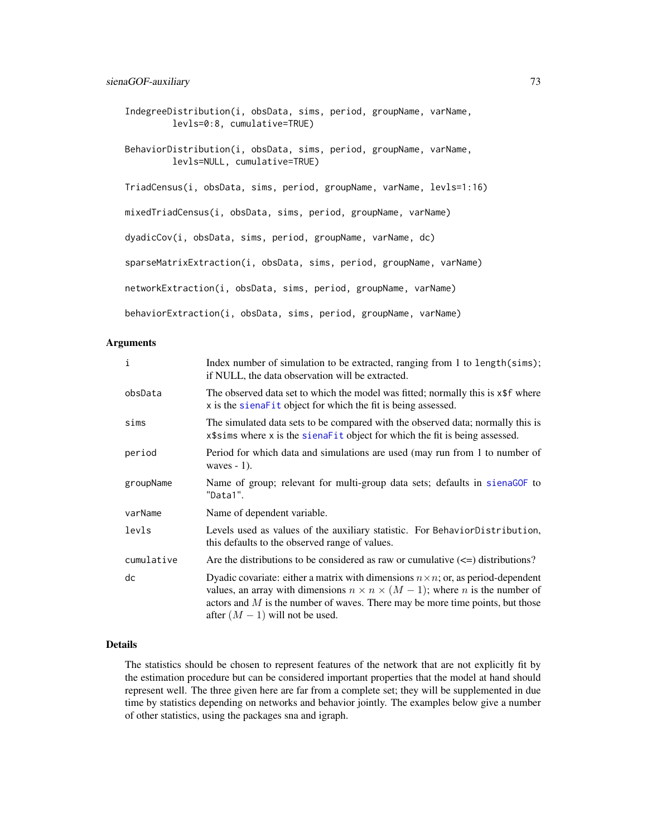```
IndegreeDistribution(i, obsData, sims, period, groupName, varName,
        levls=0:8, cumulative=TRUE)
BehaviorDistribution(i, obsData, sims, period, groupName, varName,
         levls=NULL, cumulative=TRUE)
TriadCensus(i, obsData, sims, period, groupName, varName, levls=1:16)
mixedTriadCensus(i, obsData, sims, period, groupName, varName)
dyadicCov(i, obsData, sims, period, groupName, varName, dc)
sparseMatrixExtraction(i, obsData, sims, period, groupName, varName)
networkExtraction(i, obsData, sims, period, groupName, varName)
behaviorExtraction(i, obsData, sims, period, groupName, varName)
```
#### Arguments

| $\mathbf{i}$ | Index number of simulation to be extracted, ranging from 1 to length $(sims)$ ;<br>if NULL, the data observation will be extracted.                                                                                                                                                                                |
|--------------|--------------------------------------------------------------------------------------------------------------------------------------------------------------------------------------------------------------------------------------------------------------------------------------------------------------------|
| obsData      | The observed data set to which the model was fitted; normally this is x\$f where<br>x is the sienalest object for which the fit is being assessed.                                                                                                                                                                 |
| sims         | The simulated data sets to be compared with the observed data; normally this is<br>x\$sims where x is the sienaFit object for which the fit is being assessed.                                                                                                                                                     |
| period       | Period for which data and simulations are used (may run from 1 to number of<br>waves $-1$ ).                                                                                                                                                                                                                       |
| groupName    | Name of group; relevant for multi-group data sets; defaults in sienaGOF to<br>"Data1".                                                                                                                                                                                                                             |
| varName      | Name of dependent variable.                                                                                                                                                                                                                                                                                        |
| levls        | Levels used as values of the auxiliary statistic. For BehaviorDistribution,<br>this defaults to the observed range of values.                                                                                                                                                                                      |
| cumulative   | Are the distributions to be considered as raw or cumulative $(\leq)$ distributions?                                                                                                                                                                                                                                |
| dc           | Dyadic covariate: either a matrix with dimensions $n \times n$ ; or, as period-dependent<br>values, an array with dimensions $n \times n \times (M - 1)$ ; where <i>n</i> is the number of<br>actors and $M$ is the number of waves. There may be more time points, but those<br>after $(M - 1)$ will not be used. |

# Details

The statistics should be chosen to represent features of the network that are not explicitly fit by the estimation procedure but can be considered important properties that the model at hand should represent well. The three given here are far from a complete set; they will be supplemented in due time by statistics depending on networks and behavior jointly. The examples below give a number of other statistics, using the packages sna and igraph.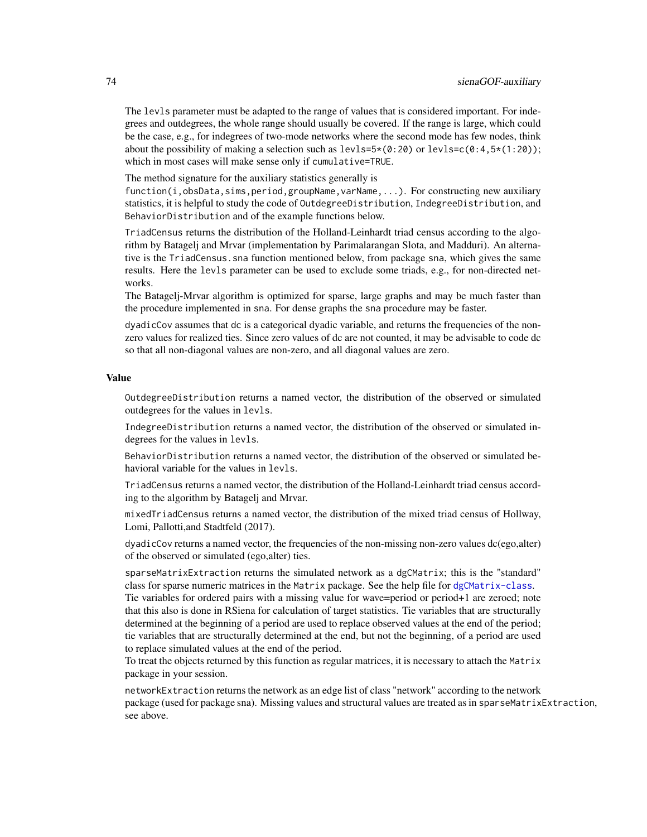The levls parameter must be adapted to the range of values that is considered important. For indegrees and outdegrees, the whole range should usually be covered. If the range is large, which could be the case, e.g., for indegrees of two-mode networks where the second mode has few nodes, think about the possibility of making a selection such as  $levls=5*(0:20)$  or  $levls=c(0:4,5*(1:20))$ ; which in most cases will make sense only if cumulative=TRUE.

The method signature for the auxiliary statistics generally is

 $function(i,obsData, sims, period, groupName, varName, ...).$  For constructing new auxiliary statistics, it is helpful to study the code of OutdegreeDistribution, IndegreeDistribution, and BehaviorDistribution and of the example functions below.

TriadCensus returns the distribution of the Holland-Leinhardt triad census according to the algorithm by Batagelj and Mrvar (implementation by Parimalarangan Slota, and Madduri). An alternative is the TriadCensus.sna function mentioned below, from package sna, which gives the same results. Here the levls parameter can be used to exclude some triads, e.g., for non-directed networks.

The Batagelj-Mrvar algorithm is optimized for sparse, large graphs and may be much faster than the procedure implemented in sna. For dense graphs the sna procedure may be faster.

dyadicCov assumes that dc is a categorical dyadic variable, and returns the frequencies of the nonzero values for realized ties. Since zero values of dc are not counted, it may be advisable to code dc so that all non-diagonal values are non-zero, and all diagonal values are zero.

# Value

OutdegreeDistribution returns a named vector, the distribution of the observed or simulated outdegrees for the values in levls.

IndegreeDistribution returns a named vector, the distribution of the observed or simulated indegrees for the values in levls.

BehaviorDistribution returns a named vector, the distribution of the observed or simulated behavioral variable for the values in levls.

TriadCensus returns a named vector, the distribution of the Holland-Leinhardt triad census according to the algorithm by Batagelj and Mrvar.

mixedTriadCensus returns a named vector, the distribution of the mixed triad census of Hollway, Lomi, Pallotti,and Stadtfeld (2017).

dyadicCov returns a named vector, the frequencies of the non-missing non-zero values dc(ego,alter) of the observed or simulated (ego,alter) ties.

sparseMatrixExtraction returns the simulated network as a dgCMatrix; this is the "standard" class for sparse numeric matrices in the Matrix package. See the help file for [dgCMatrix-class](#page-0-0). Tie variables for ordered pairs with a missing value for wave=period or period+1 are zeroed; note that this also is done in RSiena for calculation of target statistics. Tie variables that are structurally

determined at the beginning of a period are used to replace observed values at the end of the period; tie variables that are structurally determined at the end, but not the beginning, of a period are used to replace simulated values at the end of the period.

To treat the objects returned by this function as regular matrices, it is necessary to attach the Matrix package in your session.

networkExtraction returns the network as an edge list of class "network" according to the network package (used for package sna). Missing values and structural values are treated as in sparseMatrixExtraction, see above.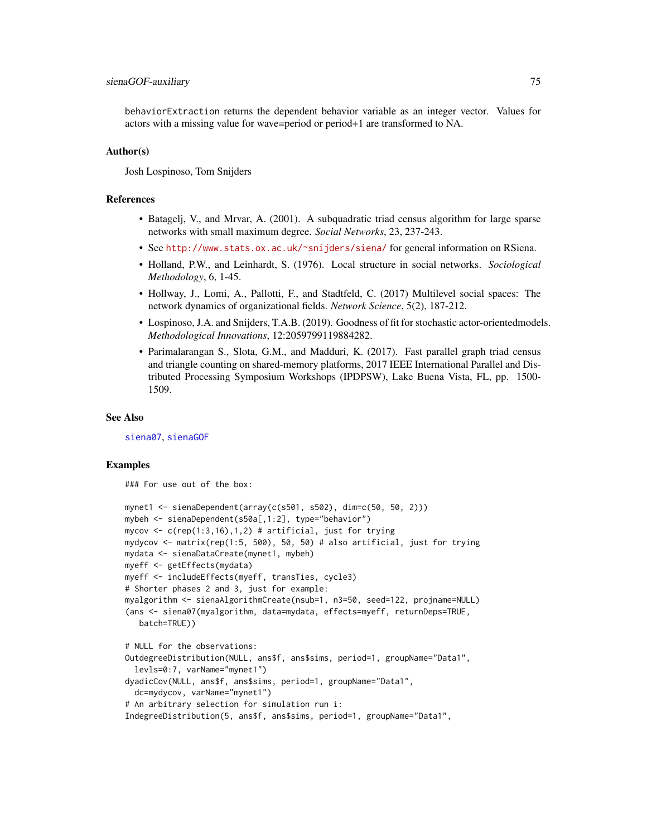# <span id="page-74-0"></span>sienaGOF-auxiliary 75

behaviorExtraction returns the dependent behavior variable as an integer vector. Values for actors with a missing value for wave=period or period+1 are transformed to NA.

# Author(s)

Josh Lospinoso, Tom Snijders

# References

- Batagelj, V., and Mrvar, A. (2001). A subquadratic triad census algorithm for large sparse networks with small maximum degree. *Social Networks*, 23, 237-243.
- See <http://www.stats.ox.ac.uk/~snijders/siena/> for general information on RSiena.
- Holland, P.W., and Leinhardt, S. (1976). Local structure in social networks. *Sociological Methodology*, 6, 1-45.
- Hollway, J., Lomi, A., Pallotti, F., and Stadtfeld, C. (2017) Multilevel social spaces: The network dynamics of organizational fields. *Network Science*, 5(2), 187-212.
- Lospinoso, J.A. and Snijders, T.A.B. (2019). Goodness of fit for stochastic actor-orientedmodels. *Methodological Innovations*, 12:2059799119884282.
- Parimalarangan S., Slota, G.M., and Madduri, K. (2017). Fast parallel graph triad census and triangle counting on shared-memory platforms, 2017 IEEE International Parallel and Distributed Processing Symposium Workshops (IPDPSW), Lake Buena Vista, FL, pp. 1500- 1509.

# See Also

[siena07](#page-42-0), [sienaGOF](#page-66-0)

# Examples

### For use out of the box:

```
mynet1 <- sienaDependent(array(c(s501, s502), dim=c(50, 50, 2)))
mybeh <- sienaDependent(s50a[,1:2], type="behavior")
mycov \leq c(rep(1:3,16),1,2) # artificial, just for trying
mydycov <- matrix(rep(1:5, 500), 50, 50) # also artificial, just for trying
mydata <- sienaDataCreate(mynet1, mybeh)
myeff <- getEffects(mydata)
myeff <- includeEffects(myeff, transTies, cycle3)
# Shorter phases 2 and 3, just for example:
myalgorithm <- sienaAlgorithmCreate(nsub=1, n3=50, seed=122, projname=NULL)
(ans <- siena07(myalgorithm, data=mydata, effects=myeff, returnDeps=TRUE,
  batch=TRUE))
# NULL for the observations:
OutdegreeDistribution(NULL, ans$f, ans$sims, period=1, groupName="Data1",
 levls=0:7, varName="mynet1")
dyadicCov(NULL, ans$f, ans$sims, period=1, groupName="Data1",
 dc=mydycov, varName="mynet1")
# An arbitrary selection for simulation run i:
IndegreeDistribution(5, ans$f, ans$sims, period=1, groupName="Data1",
```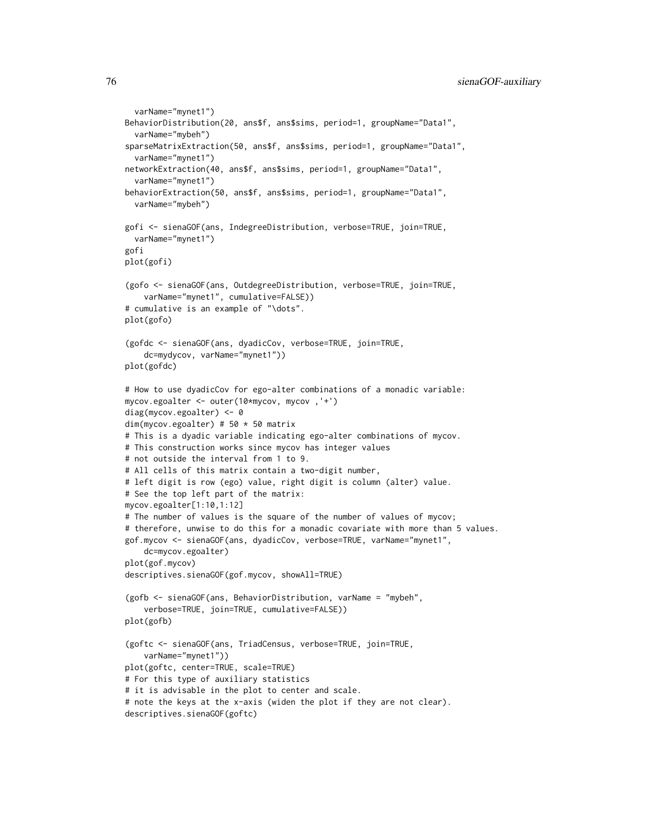```
varName="mynet1")
BehaviorDistribution(20, ans$f, ans$sims, period=1, groupName="Data1",
 varName="mybeh")
sparseMatrixExtraction(50, ans$f, ans$sims, period=1, groupName="Data1",
 varName="mynet1")
networkExtraction(40, ans$f, ans$sims, period=1, groupName="Data1",
 varName="mynet1")
behaviorExtraction(50, ans$f, ans$sims, period=1, groupName="Data1",
 varName="mybeh")
gofi <- sienaGOF(ans, IndegreeDistribution, verbose=TRUE, join=TRUE,
 varName="mynet1")
gofi
plot(gofi)
(gofo <- sienaGOF(ans, OutdegreeDistribution, verbose=TRUE, join=TRUE,
    varName="mynet1", cumulative=FALSE))
# cumulative is an example of "\dots".
plot(gofo)
(gofdc <- sienaGOF(ans, dyadicCov, verbose=TRUE, join=TRUE,
    dc=mydycov, varName="mynet1"))
plot(gofdc)
# How to use dyadicCov for ego-alter combinations of a monadic variable:
mycov.egoalter <- outer(10*mycov, mycov ,'+')
diag(mycov.egoalter) <- 0
dim(mycov.egoalter) # 50 * 50 matrix
# This is a dyadic variable indicating ego-alter combinations of mycov.
# This construction works since mycov has integer values
# not outside the interval from 1 to 9.
# All cells of this matrix contain a two-digit number,
# left digit is row (ego) value, right digit is column (alter) value.
# See the top left part of the matrix:
mycov.egoalter[1:10,1:12]
# The number of values is the square of the number of values of mycov;
# therefore, unwise to do this for a monadic covariate with more than 5 values.
gof.mycov <- sienaGOF(ans, dyadicCov, verbose=TRUE, varName="mynet1",
    dc=mycov.egoalter)
plot(gof.mycov)
descriptives.sienaGOF(gof.mycov, showAll=TRUE)
(gofb <- sienaGOF(ans, BehaviorDistribution, varName = "mybeh",
    verbose=TRUE, join=TRUE, cumulative=FALSE))
plot(gofb)
(goftc <- sienaGOF(ans, TriadCensus, verbose=TRUE, join=TRUE,
   varName="mynet1"))
plot(goftc, center=TRUE, scale=TRUE)
# For this type of auxiliary statistics
# it is advisable in the plot to center and scale.
# note the keys at the x-axis (widen the plot if they are not clear).
descriptives.sienaGOF(goftc)
```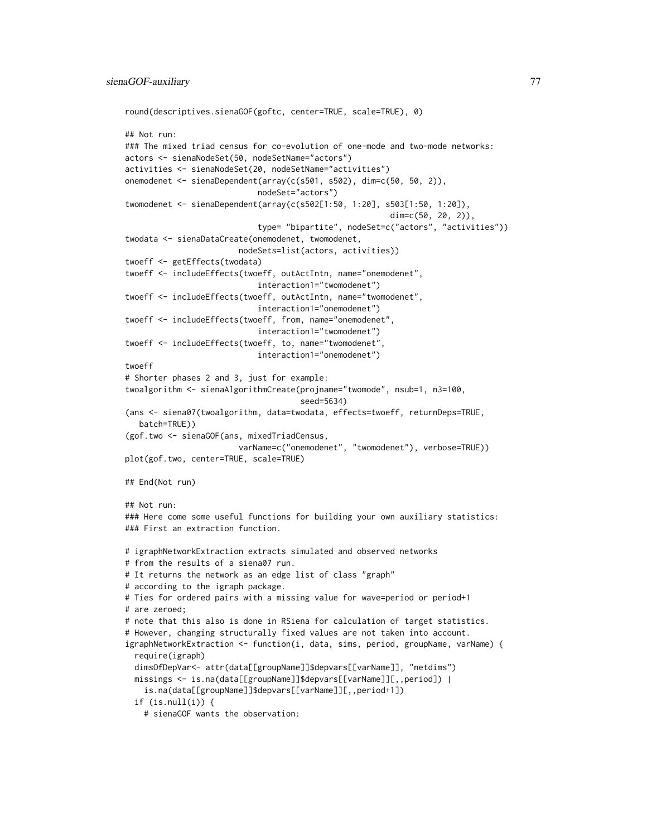```
round(descriptives.sienaGOF(goftc, center=TRUE, scale=TRUE), 0)
## Not run:
### The mixed triad census for co-evolution of one-mode and two-mode networks:
actors <- sienaNodeSet(50, nodeSetName="actors")
activities <- sienaNodeSet(20, nodeSetName="activities")
onemodenet <- sienaDependent(array(c(s501, s502), dim=c(50, 50, 2)),
                            nodeSet="actors")
twomodenet <- sienaDependent(array(c(s502[1:50, 1:20], s503[1:50, 1:20]),
                                                        dim=c(50, 20, 2)),
                            type= "bipartite", nodeSet=c("actors", "activities"))
twodata <- sienaDataCreate(onemodenet, twomodenet,
                        nodeSets=list(actors, activities))
twoeff <- getEffects(twodata)
twoeff <- includeEffects(twoeff, outActIntn, name="onemodenet",
                            interaction1="twomodenet")
twoeff <- includeEffects(twoeff, outActIntn, name="twomodenet",
                            interaction1="onemodenet")
twoeff <- includeEffects(twoeff, from, name="onemodenet",
                            interaction1="twomodenet")
twoeff <- includeEffects(twoeff, to, name="twomodenet",
                            interaction1="onemodenet")
twoeff
# Shorter phases 2 and 3, just for example:
twoalgorithm <- sienaAlgorithmCreate(projname="twomode", nsub=1, n3=100,
                                     seed=5634)
(ans <- siena07(twoalgorithm, data=twodata, effects=twoeff, returnDeps=TRUE,
  batch=TRUE))
(gof.two <- sienaGOF(ans, mixedTriadCensus,
                        varName=c("onemodenet", "twomodenet"), verbose=TRUE))
plot(gof.two, center=TRUE, scale=TRUE)
## End(Not run)
## Not run:
### Here come some useful functions for building your own auxiliary statistics:
### First an extraction function.
# igraphNetworkExtraction extracts simulated and observed networks
# from the results of a siena07 run.
# It returns the network as an edge list of class "graph"
# according to the igraph package.
# Ties for ordered pairs with a missing value for wave=period or period+1
# are zeroed;
# note that this also is done in RSiena for calculation of target statistics.
# However, changing structurally fixed values are not taken into account.
igraphNetworkExtraction <- function(i, data, sims, period, groupName, varName) {
 require(igraph)
 dimsOfDepVar<- attr(data[[groupName]]$depvars[[varName]], "netdims")
 missings <- is.na(data[[groupName]]$depvars[[varName]][,,period]) |
    is.na(data[[groupName]]$depvars[[varName]][,,period+1])
 if (is.null(i)) {
    # sienaGOF wants the observation:
```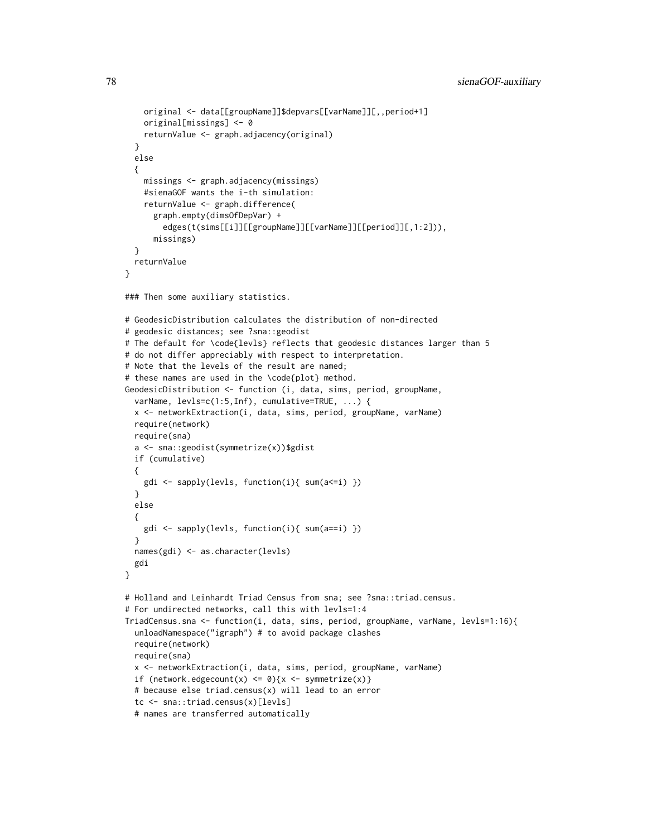```
original <- data[[groupName]]$depvars[[varName]][,,period+1]
   original[missings] <- 0
   returnValue <- graph.adjacency(original)
 }
 else
 {
   missings <- graph.adjacency(missings)
   #sienaGOF wants the i-th simulation:
   returnValue <- graph.difference(
     graph.empty(dimsOfDepVar) +
        edges(t(sims[[i]][[groupName]][[varName]][[period]][,1:2])),
     missings)
 }
 returnValue
}
### Then some auxiliary statistics.
# GeodesicDistribution calculates the distribution of non-directed
# geodesic distances; see ?sna::geodist
# The default for \code{levls} reflects that geodesic distances larger than 5
# do not differ appreciably with respect to interpretation.
# Note that the levels of the result are named;
# these names are used in the \code{plot} method.
GeodesicDistribution <- function (i, data, sims, period, groupName,
 varName, levls=c(1:5,Inf), cumulative=TRUE, ...) {
 x <- networkExtraction(i, data, sims, period, groupName, varName)
 require(network)
 require(sna)
 a <- sna::geodist(symmetrize(x))$gdist
 if (cumulative)
 {
   gdi <- sapply(levls, function(i){ sum(a<=i) })
 }
 else
 {
   gdi <- sapply(levls, function(i){ sum(a==i) })
 }
 names(gdi) <- as.character(levls)
 gdi
}
# Holland and Leinhardt Triad Census from sna; see ?sna::triad.census.
# For undirected networks, call this with levls=1:4
TriadCensus.sna <- function(i, data, sims, period, groupName, varName, levls=1:16){
 unloadNamespace("igraph") # to avoid package clashes
 require(network)
 require(sna)
 x <- networkExtraction(i, data, sims, period, groupName, varName)
 if (network.edgecount(x) <= 0){x <- symmetrize(x)}
 # because else triad.census(x) will lead to an error
  tc <- sna::triad.census(x)[levls]
 # names are transferred automatically
```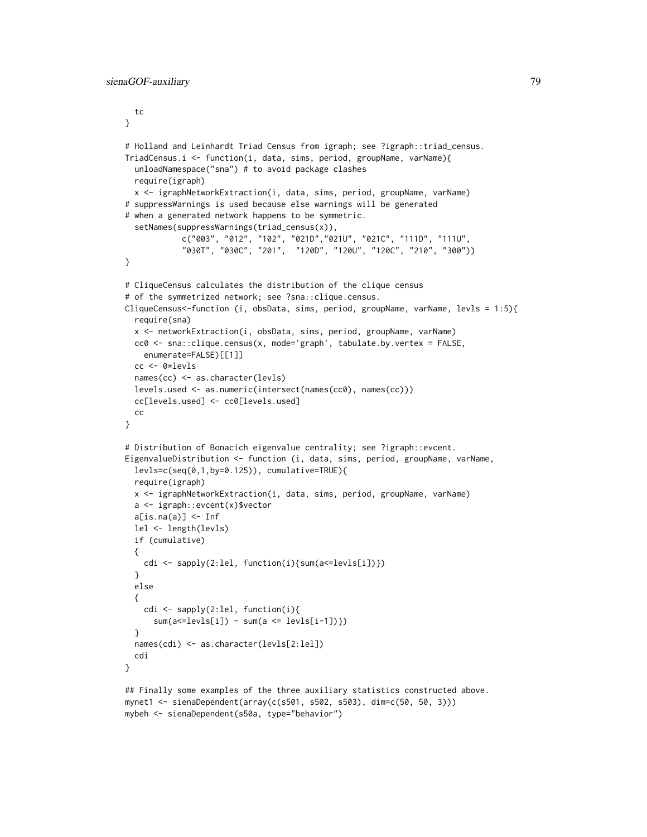```
tc
}
# Holland and Leinhardt Triad Census from igraph; see ?igraph::triad_census.
TriadCensus.i <- function(i, data, sims, period, groupName, varName){
  unloadNamespace("sna") # to avoid package clashes
  require(igraph)
  x <- igraphNetworkExtraction(i, data, sims, period, groupName, varName)
# suppressWarnings is used because else warnings will be generated
# when a generated network happens to be symmetric.
  setNames(suppressWarnings(triad_census(x)),
            c("003", "012", "102", "021D","021U", "021C", "111D", "111U",
            "030T", "030C", "201", "120D", "120U", "120C", "210", "300"))
}
# CliqueCensus calculates the distribution of the clique census
# of the symmetrized network; see ?sna::clique.census.
CliqueCensus<-function (i, obsData, sims, period, groupName, varName, levls = 1:5){
  require(sna)
  x <- networkExtraction(i, obsData, sims, period, groupName, varName)
  cc0 <- sna::clique.census(x, mode='graph', tabulate.by.vertex = FALSE,
    enumerate=FALSE)[[1]]
  cc <- 0*levls
  names(cc) <- as.character(levls)
  levels.used <- as.numeric(intersect(names(cc0), names(cc)))
  cc[levels.used] <- cc0[levels.used]
  cc
}
# Distribution of Bonacich eigenvalue centrality; see ?igraph::evcent.
EigenvalueDistribution <- function (i, data, sims, period, groupName, varName,
  levls=c(seq(0,1,by=0.125)), cumulative=TRUE){
  require(igraph)
  x <- igraphNetworkExtraction(i, data, sims, period, groupName, varName)
  a <- igraph::evcent(x)$vector
  a[is, na(a)] \leftarrow Inflel <- length(levls)
  if (cumulative)
  {
    cdi <- sapply(2:lel, function(i){sum(a<=levls[i])})
  }
  else
  {
    cdi <- sapply(2:lel, function(i){
      sum(a \leq levels[i]) - sum(a \leq levels[i-1])}
  names(cdi) <- as.character(levls[2:lel])
  cdi
}
```
## Finally some examples of the three auxiliary statistics constructed above. mynet1 <- sienaDependent(array(c(s501, s502, s503), dim=c(50, 50, 3))) mybeh <- sienaDependent(s50a, type="behavior")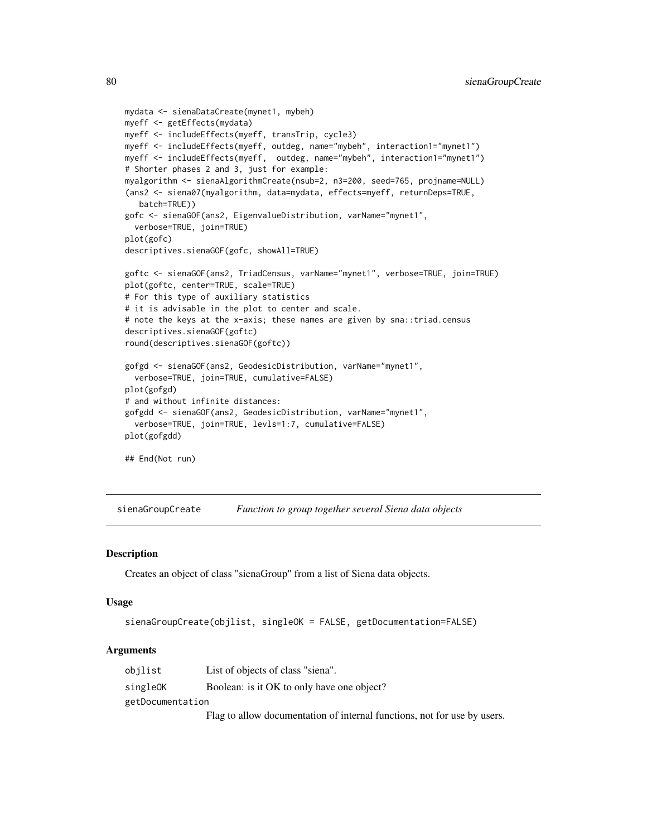```
mydata <- sienaDataCreate(mynet1, mybeh)
myeff <- getEffects(mydata)
myeff <- includeEffects(myeff, transTrip, cycle3)
myeff <- includeEffects(myeff, outdeg, name="mybeh", interaction1="mynet1")
myeff <- includeEffects(myeff, outdeg, name="mybeh", interaction1="mynet1")
# Shorter phases 2 and 3, just for example:
myalgorithm <- sienaAlgorithmCreate(nsub=2, n3=200, seed=765, projname=NULL)
(ans2 <- siena07(myalgorithm, data=mydata, effects=myeff, returnDeps=TRUE,
   batch=TRUE))
gofc <- sienaGOF(ans2, EigenvalueDistribution, varName="mynet1",
  verbose=TRUE, join=TRUE)
plot(gofc)
descriptives.sienaGOF(gofc, showAll=TRUE)
goftc <- sienaGOF(ans2, TriadCensus, varName="mynet1", verbose=TRUE, join=TRUE)
plot(goftc, center=TRUE, scale=TRUE)
# For this type of auxiliary statistics
# it is advisable in the plot to center and scale.
# note the keys at the x-axis; these names are given by sna::triad.census
descriptives.sienaGOF(goftc)
round(descriptives.sienaGOF(goftc))
gofgd <- sienaGOF(ans2, GeodesicDistribution, varName="mynet1",
  verbose=TRUE, join=TRUE, cumulative=FALSE)
plot(gofgd)
# and without infinite distances:
gofgdd <- sienaGOF(ans2, GeodesicDistribution, varName="mynet1",
  verbose=TRUE, join=TRUE, levls=1:7, cumulative=FALSE)
plot(gofgdd)
## End(Not run)
```
sienaGroupCreate *Function to group together several Siena data objects*

#### **Description**

Creates an object of class "sienaGroup" from a list of Siena data objects.

#### Usage

```
sienaGroupCreate(objlist, singleOK = FALSE, getDocumentation=FALSE)
```

| obilist          | List of objects of class "siena".                                        |
|------------------|--------------------------------------------------------------------------|
| singleOK         | Boolean: is it OK to only have one object?                               |
| getDocumentation |                                                                          |
|                  | Flag to allow documentation of internal functions, not for use by users. |

<span id="page-79-0"></span>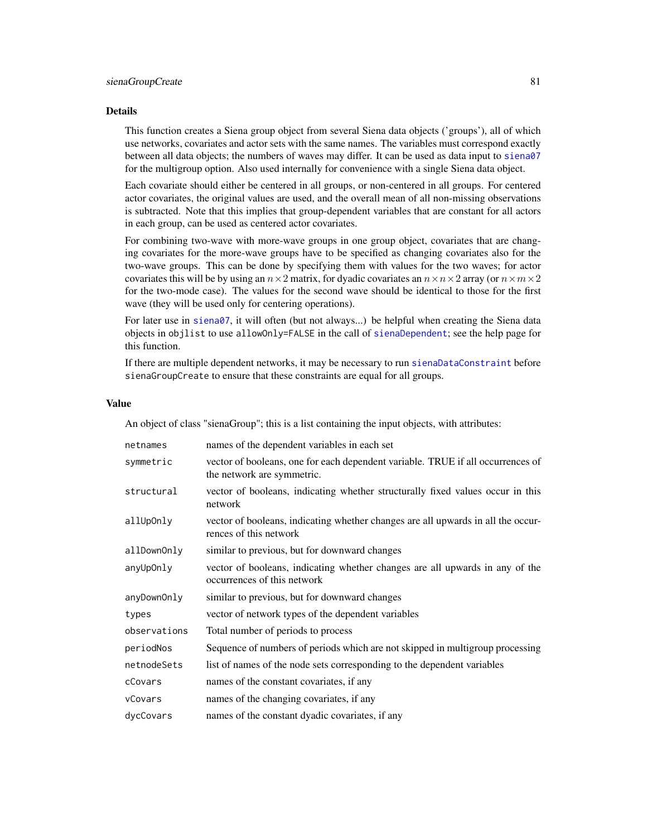#### <span id="page-80-0"></span>Details

This function creates a Siena group object from several Siena data objects ('groups'), all of which use networks, covariates and actor sets with the same names. The variables must correspond exactly between all data objects; the numbers of waves may differ. It can be used as data input to [siena07](#page-42-0) for the multigroup option. Also used internally for convenience with a single Siena data object.

Each covariate should either be centered in all groups, or non-centered in all groups. For centered actor covariates, the original values are used, and the overall mean of all non-missing observations is subtracted. Note that this implies that group-dependent variables that are constant for all actors in each group, can be used as centered actor covariates.

For combining two-wave with more-wave groups in one group object, covariates that are changing covariates for the more-wave groups have to be specified as changing covariates also for the two-wave groups. This can be done by specifying them with values for the two waves; for actor covariates this will be by using an  $n \times 2$  matrix, for dyadic covariates an  $n \times n \times 2$  array (or  $n \times m \times 2$ ) for the two-mode case). The values for the second wave should be identical to those for the first wave (they will be used only for centering operations).

For later use in [siena07](#page-42-0), it will often (but not always...) be helpful when creating the Siena data objects in objlist to use allowOnly=FALSE in the call of [sienaDependent](#page-61-0); see the help page for this function.

If there are multiple dependent networks, it may be necessary to run [sienaDataConstraint](#page-58-0) before sienaGroupCreate to ensure that these constraints are equal for all groups.

#### Value

An object of class "sienaGroup"; this is a list containing the input objects, with attributes:

| netnames     | names of the dependent variables in each set                                                                  |
|--------------|---------------------------------------------------------------------------------------------------------------|
| symmetric    | vector of booleans, one for each dependent variable. TRUE if all occurrences of<br>the network are symmetric. |
| structural   | vector of booleans, indicating whether structurally fixed values occur in this<br>network                     |
| allUpOnly    | vector of booleans, indicating whether changes are all upwards in all the occur-<br>rences of this network    |
| allDownOnly  | similar to previous, but for downward changes                                                                 |
| anyUpOnly    | vector of booleans, indicating whether changes are all upwards in any of the<br>occurrences of this network   |
| anyDownOnly  | similar to previous, but for downward changes                                                                 |
| types        | vector of network types of the dependent variables                                                            |
| observations | Total number of periods to process                                                                            |
| periodNos    | Sequence of numbers of periods which are not skipped in multigroup processing                                 |
| netnodeSets  | list of names of the node sets corresponding to the dependent variables                                       |
| cCovars      | names of the constant covariates, if any                                                                      |
| vCovars      | names of the changing covariates, if any                                                                      |
| dycCovars    | names of the constant dyadic covariates, if any                                                               |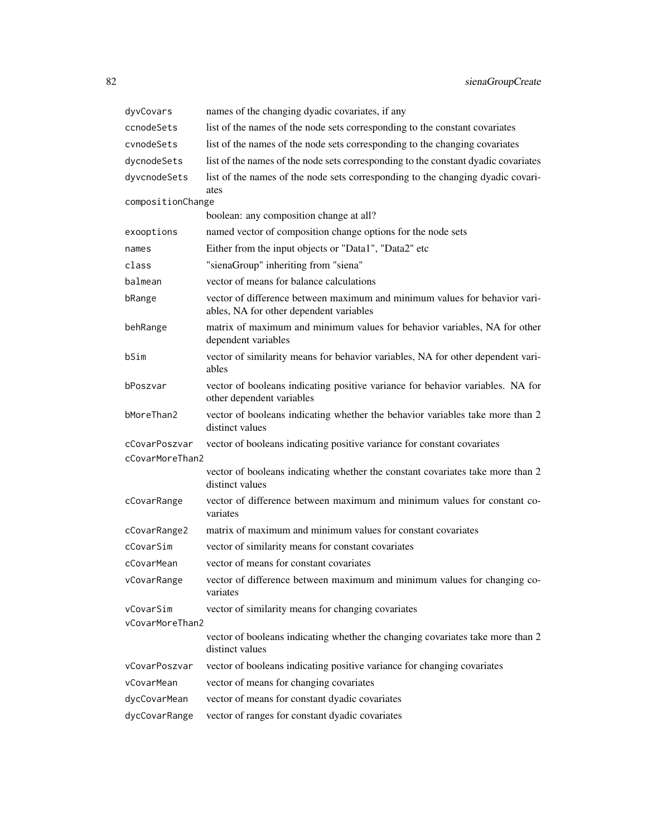| dyvCovars         | names of the changing dyadic covariates, if any                                                                       |
|-------------------|-----------------------------------------------------------------------------------------------------------------------|
| ccnodeSets        | list of the names of the node sets corresponding to the constant covariates                                           |
| cynodeSets        | list of the names of the node sets corresponding to the changing covariates                                           |
| dycnodeSets       | list of the names of the node sets corresponding to the constant dyadic covariates                                    |
| dyvcnodeSets      | list of the names of the node sets corresponding to the changing dyadic covari-<br>ates                               |
| compositionChange |                                                                                                                       |
|                   | boolean: any composition change at all?                                                                               |
| exooptions        | named vector of composition change options for the node sets                                                          |
| names             | Either from the input objects or "Data1", "Data2" etc                                                                 |
| class             | "sienaGroup" inheriting from "siena"                                                                                  |
| balmean           | vector of means for balance calculations                                                                              |
| bRange            | vector of difference between maximum and minimum values for behavior vari-<br>ables, NA for other dependent variables |
| behRange          | matrix of maximum and minimum values for behavior variables, NA for other<br>dependent variables                      |
| bSim              | vector of similarity means for behavior variables, NA for other dependent vari-<br>ables                              |
| bPoszvar          | vector of booleans indicating positive variance for behavior variables. NA for<br>other dependent variables           |
| bMoreThan2        | vector of booleans indicating whether the behavior variables take more than 2<br>distinct values                      |
| cCovarPoszvar     | vector of booleans indicating positive variance for constant covariates                                               |
| cCovarMoreThan2   |                                                                                                                       |
|                   | vector of booleans indicating whether the constant covariates take more than 2<br>distinct values                     |
| cCovarRange       | vector of difference between maximum and minimum values for constant co-<br>variates                                  |
| cCovarRange2      | matrix of maximum and minimum values for constant covariates                                                          |
| cCovarSim         | vector of similarity means for constant covariates                                                                    |
| cCovarMean        | vector of means for constant covariates                                                                               |
| vCovarRange       | vector of difference between maximum and minimum values for changing co-<br>variates                                  |
| vCovarSim         | vector of similarity means for changing covariates                                                                    |
| vCovarMoreThan2   |                                                                                                                       |
|                   | vector of booleans indicating whether the changing covariates take more than 2<br>distinct values                     |
| vCovarPoszvar     | vector of booleans indicating positive variance for changing covariates                                               |
| vCovarMean        | vector of means for changing covariates                                                                               |
| dycCovarMean      | vector of means for constant dyadic covariates                                                                        |
| dycCovarRange     | vector of ranges for constant dyadic covariates                                                                       |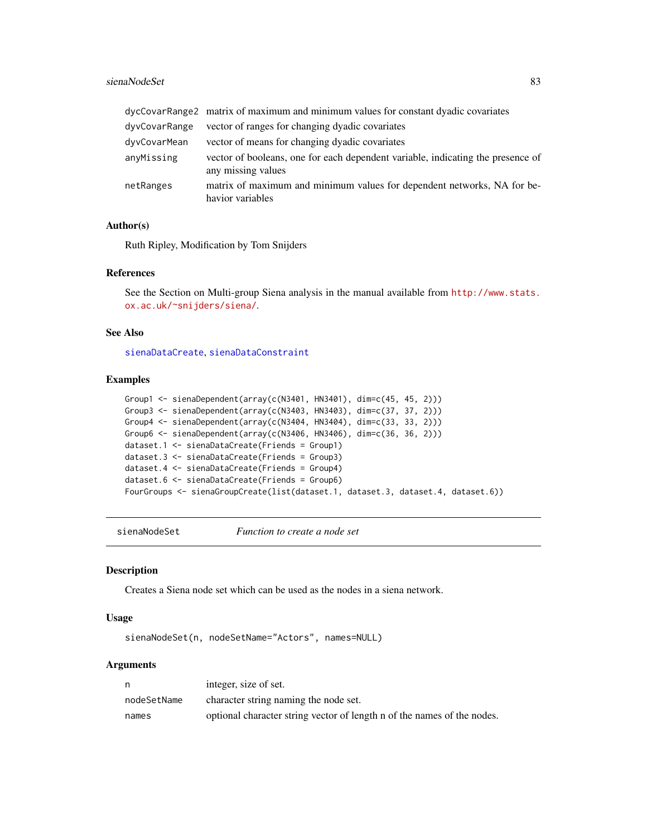# <span id="page-82-1"></span>sienaNodeSet 83

|               | dycCovarRange2 matrix of maximum and minimum values for constant dyadic covariates                    |
|---------------|-------------------------------------------------------------------------------------------------------|
| dyvCovarRange | vector of ranges for changing dyadic covariates                                                       |
| dyvCovarMean  | vector of means for changing dyadic covariates                                                        |
| anyMissing    | vector of booleans, one for each dependent variable, indicating the presence of<br>any missing values |
| netRanges     | matrix of maximum and minimum values for dependent networks, NA for be-<br>havior variables           |

# Author(s)

Ruth Ripley, Modification by Tom Snijders

# References

See the Section on Multi-group Siena analysis in the manual available from [http://www.stats.](http://www.stats.ox.ac.uk/~snijders/siena/) [ox.ac.uk/~snijders/siena/](http://www.stats.ox.ac.uk/~snijders/siena/).

# See Also

[sienaDataCreate](#page-60-0), [sienaDataConstraint](#page-58-0)

#### Examples

```
Group1 \le sienaDependent(array(c(N3401, HN3401), dim=c(45, 45, 2)))
Group3 <- sienaDependent(array(c(N3403, HN3403), dim=c(37, 37, 2)))
Group4 <- sienaDependent(array(c(N3404, HN3404), dim=c(33, 33, 2)))
Group6 <- sienaDependent(array(c(N3406, HN3406), dim=c(36, 36, 2)))
dataset.1 <- sienaDataCreate(Friends = Group1)
dataset.3 <- sienaDataCreate(Friends = Group3)
dataset.4 <- sienaDataCreate(Friends = Group4)
dataset.6 <- sienaDataCreate(Friends = Group6)
FourGroups <- sienaGroupCreate(list(dataset.1, dataset.3, dataset.4, dataset.6))
```
<span id="page-82-0"></span>sienaNodeSet *Function to create a node set*

# Description

Creates a Siena node set which can be used as the nodes in a siena network.

#### Usage

sienaNodeSet(n, nodeSetName="Actors", names=NULL)

| n           | integer, size of set.                                                   |
|-------------|-------------------------------------------------------------------------|
| nodeSetName | character string naming the node set.                                   |
| names       | optional character string vector of length n of the names of the nodes. |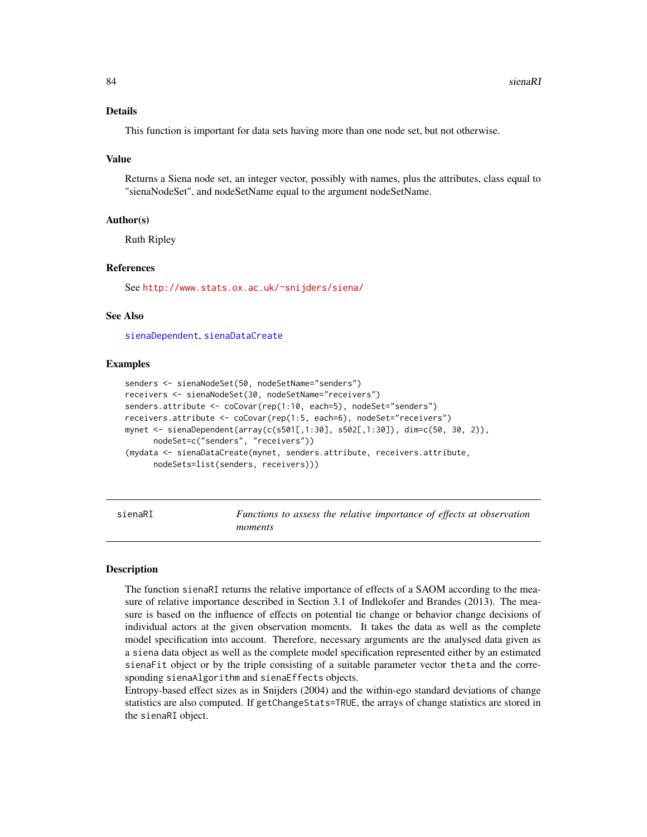## <span id="page-83-0"></span>Details

This function is important for data sets having more than one node set, but not otherwise.

#### Value

Returns a Siena node set, an integer vector, possibly with names, plus the attributes, class equal to "sienaNodeSet", and nodeSetName equal to the argument nodeSetName.

# Author(s)

Ruth Ripley

# References

See <http://www.stats.ox.ac.uk/~snijders/siena/>

#### See Also

[sienaDependent](#page-61-0), [sienaDataCreate](#page-60-0)

# Examples

```
senders <- sienaNodeSet(50, nodeSetName="senders")
receivers <- sienaNodeSet(30, nodeSetName="receivers")
senders.attribute <- coCovar(rep(1:10, each=5), nodeSet="senders")
receivers.attribute <- coCovar(rep(1:5, each=6), nodeSet="receivers")
mynet <- sienaDependent(array(c(s501[,1:30], s502[,1:30]), dim=c(50, 30, 2)),
      nodeSet=c("senders", "receivers"))
(mydata <- sienaDataCreate(mynet, senders.attribute, receivers.attribute,
     nodeSets=list(senders, receivers)))
```
sienaRI *Functions to assess the relative importance of effects at observation moments*

# Description

The function sienaRI returns the relative importance of effects of a SAOM according to the measure of relative importance described in Section 3.1 of Indlekofer and Brandes (2013). The measure is based on the influence of effects on potential tie change or behavior change decisions of individual actors at the given observation moments. It takes the data as well as the complete model specification into account. Therefore, necessary arguments are the analysed data given as a siena data object as well as the complete model specification represented either by an estimated sienaFit object or by the triple consisting of a suitable parameter vector theta and the corresponding sienaAlgorithm and sienaEffects objects.

Entropy-based effect sizes as in Snijders (2004) and the within-ego standard deviations of change statistics are also computed. If getChangeStats=TRUE, the arrays of change statistics are stored in the sienaRI object.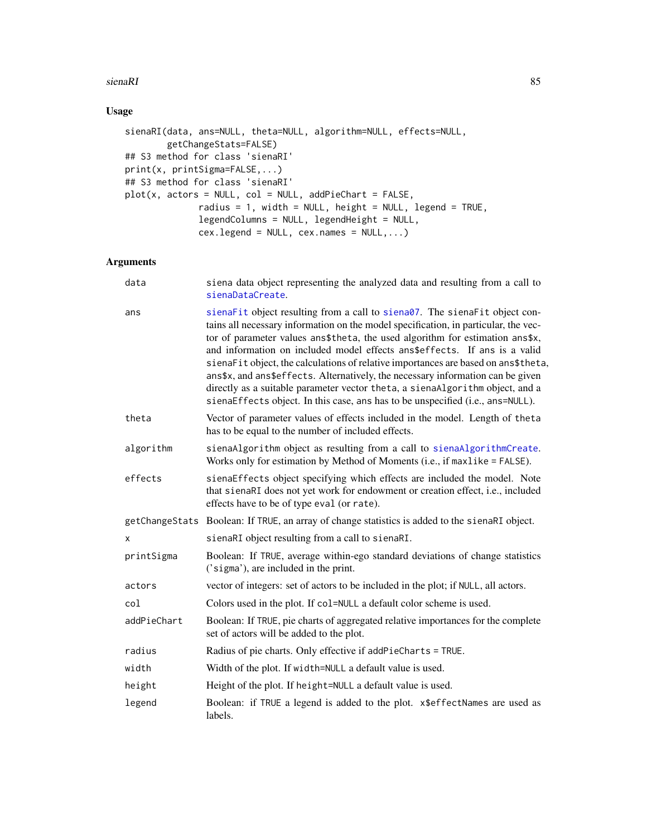# <span id="page-84-0"></span>sienaRI 85

# Usage

```
sienaRI(data, ans=NULL, theta=NULL, algorithm=NULL, effects=NULL,
        getChangeStats=FALSE)
## S3 method for class 'sienaRI'
print(x, printSigma=FALSE,...)
## S3 method for class 'sienaRI'
plot(x, actors = NULL, col = NULL, addPieChart = FALSE,
              radius = 1, width = NULL, height = NULL, legend = TRUE,
              legendColumns = NULL, legendHeight = NULL,
              cex.legend = NULL, cex.names = NULL, ...
```

| data        | siena data object representing the analyzed data and resulting from a call to<br>sienaDataCreate.                                                                                                                                                                                                                                                                                                                                                                                                                                                                                                                                                                           |
|-------------|-----------------------------------------------------------------------------------------------------------------------------------------------------------------------------------------------------------------------------------------------------------------------------------------------------------------------------------------------------------------------------------------------------------------------------------------------------------------------------------------------------------------------------------------------------------------------------------------------------------------------------------------------------------------------------|
| ans         | sienaFit object resulting from a call to siena07. The sienaFit object con-<br>tains all necessary information on the model specification, in particular, the vec-<br>tor of parameter values ans\$theta, the used algorithm for estimation ans\$x,<br>and information on included model effects ans\$effects. If ans is a valid<br>sienaFit object, the calculations of relative importances are based on ans\$theta,<br>ans\$x, and ans\$effects. Alternatively, the necessary information can be given<br>directly as a suitable parameter vector theta, a sienaAlgorithm object, and a<br>sienaEffects object. In this case, ans has to be unspecified (i.e., ans=NULL). |
| theta       | Vector of parameter values of effects included in the model. Length of theta<br>has to be equal to the number of included effects.                                                                                                                                                                                                                                                                                                                                                                                                                                                                                                                                          |
| algorithm   | sienaAlgorithm object as resulting from a call to sienaAlgorithmCreate.<br>Works only for estimation by Method of Moments (i.e., if maxlike = FALSE).                                                                                                                                                                                                                                                                                                                                                                                                                                                                                                                       |
| effects     | sienaEffects object specifying which effects are included the model. Note<br>that sienaRI does not yet work for endowment or creation effect, i.e., included<br>effects have to be of type eval (or rate).                                                                                                                                                                                                                                                                                                                                                                                                                                                                  |
|             | getChangeStats Boolean: If TRUE, an array of change statistics is added to the sienaRI object.                                                                                                                                                                                                                                                                                                                                                                                                                                                                                                                                                                              |
| x           | sienaRI object resulting from a call to sienaRI.                                                                                                                                                                                                                                                                                                                                                                                                                                                                                                                                                                                                                            |
| printSigma  | Boolean: If TRUE, average within-ego standard deviations of change statistics<br>('sigma'), are included in the print.                                                                                                                                                                                                                                                                                                                                                                                                                                                                                                                                                      |
| actors      | vector of integers: set of actors to be included in the plot; if NULL, all actors.                                                                                                                                                                                                                                                                                                                                                                                                                                                                                                                                                                                          |
| col         | Colors used in the plot. If col=NULL a default color scheme is used.                                                                                                                                                                                                                                                                                                                                                                                                                                                                                                                                                                                                        |
| addPieChart | Boolean: If TRUE, pie charts of aggregated relative importances for the complete<br>set of actors will be added to the plot.                                                                                                                                                                                                                                                                                                                                                                                                                                                                                                                                                |
| radius      | Radius of pie charts. Only effective if addPieCharts = TRUE.                                                                                                                                                                                                                                                                                                                                                                                                                                                                                                                                                                                                                |
| width       | Width of the plot. If width=NULL a default value is used.                                                                                                                                                                                                                                                                                                                                                                                                                                                                                                                                                                                                                   |
| height      | Height of the plot. If height=NULL a default value is used.                                                                                                                                                                                                                                                                                                                                                                                                                                                                                                                                                                                                                 |
| legend      | Boolean: if TRUE a legend is added to the plot. x\$effectNames are used as<br>labels.                                                                                                                                                                                                                                                                                                                                                                                                                                                                                                                                                                                       |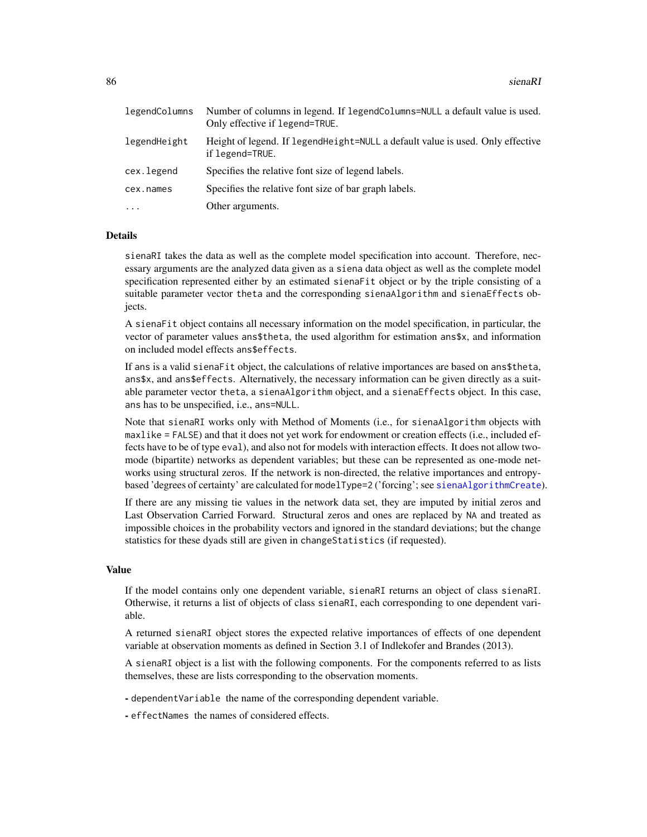<span id="page-85-0"></span>

| legendColumns | Number of columns in legend. If legendColumns=NULL a default value is used.<br>Only effective if legend=TRUE. |
|---------------|---------------------------------------------------------------------------------------------------------------|
| legendHeight  | Height of legend. If legend Height=NULL a default value is used. Only effective<br>if legend=TRUE.            |
| cex.legend    | Specifies the relative font size of legend labels.                                                            |
| cex.names     | Specifies the relative font size of bar graph labels.                                                         |
| $\cdots$      | Other arguments.                                                                                              |

# Details

sienaRI takes the data as well as the complete model specification into account. Therefore, necessary arguments are the analyzed data given as a siena data object as well as the complete model specification represented either by an estimated sienaFit object or by the triple consisting of a suitable parameter vector theta and the corresponding sienaAlgorithm and sienaEffects objects.

A sienaFit object contains all necessary information on the model specification, in particular, the vector of parameter values ans\$theta, the used algorithm for estimation ans\$x, and information on included model effects ans\$effects.

If ans is a valid sienaFit object, the calculations of relative importances are based on ans\$theta, ans\$x, and ans\$effects. Alternatively, the necessary information can be given directly as a suitable parameter vector theta, a sienaAlgorithm object, and a sienaEffects object. In this case, ans has to be unspecified, i.e., ans=NULL.

Note that sienaRI works only with Method of Moments (i.e., for sienaAlgorithm objects with maxlike = FALSE) and that it does not yet work for endowment or creation effects (i.e., included effects have to be of type eval), and also not for models with interaction effects. It does not allow twomode (bipartite) networks as dependent variables; but these can be represented as one-mode networks using structural zeros. If the network is non-directed, the relative importances and entropybased 'degrees of certainty' are calculated for modelType=2 ('forcing'; see [sienaAlgorithmCreate](#page-52-0)).

If there are any missing tie values in the network data set, they are imputed by initial zeros and Last Observation Carried Forward. Structural zeros and ones are replaced by NA and treated as impossible choices in the probability vectors and ignored in the standard deviations; but the change statistics for these dyads still are given in changeStatistics (if requested).

# Value

If the model contains only one dependent variable, sienaRI returns an object of class sienaRI. Otherwise, it returns a list of objects of class sienaRI, each corresponding to one dependent variable.

A returned sienaRI object stores the expected relative importances of effects of one dependent variable at observation moments as defined in Section 3.1 of Indlekofer and Brandes (2013).

A sienaRI object is a list with the following components. For the components referred to as lists themselves, these are lists corresponding to the observation moments.

- dependentVariable the name of the corresponding dependent variable.

- effectNames the names of considered effects.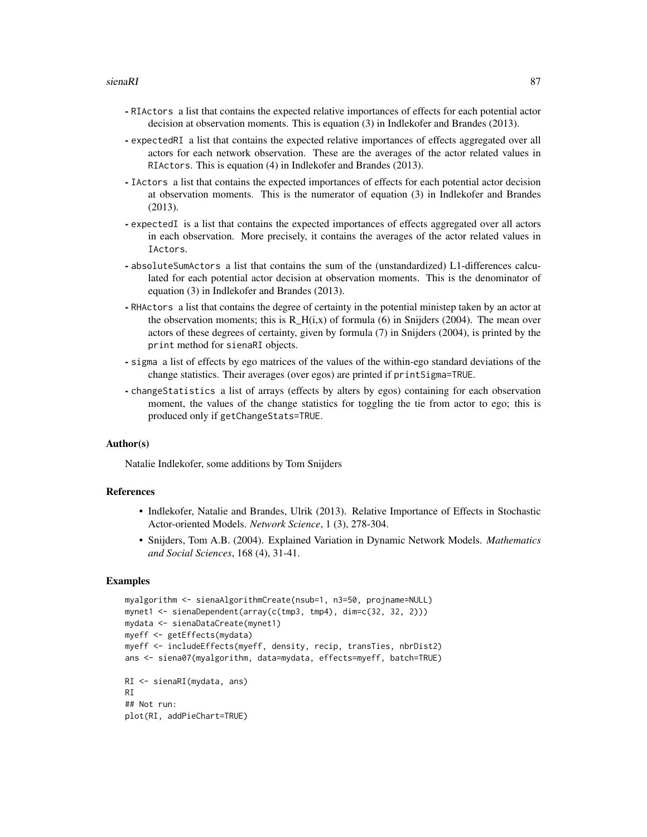#### sienaRI 87

- RIActors a list that contains the expected relative importances of effects for each potential actor decision at observation moments. This is equation (3) in Indlekofer and Brandes (2013).
- expectedRI a list that contains the expected relative importances of effects aggregated over all actors for each network observation. These are the averages of the actor related values in RIActors. This is equation (4) in Indlekofer and Brandes (2013).
- IActors a list that contains the expected importances of effects for each potential actor decision at observation moments. This is the numerator of equation (3) in Indlekofer and Brandes (2013).
- expectedI is a list that contains the expected importances of effects aggregated over all actors in each observation. More precisely, it contains the averages of the actor related values in IActors.
- absoluteSumActors a list that contains the sum of the (unstandardized) L1-differences calculated for each potential actor decision at observation moments. This is the denominator of equation (3) in Indlekofer and Brandes (2013).
- RHActors a list that contains the degree of certainty in the potential ministep taken by an actor at the observation moments; this is  $R_H(i,x)$  of formula (6) in Snijders (2004). The mean over actors of these degrees of certainty, given by formula (7) in Snijders (2004), is printed by the print method for sienaRI objects.
- sigma a list of effects by ego matrices of the values of the within-ego standard deviations of the change statistics. Their averages (over egos) are printed if printSigma=TRUE.
- changeStatistics a list of arrays (effects by alters by egos) containing for each observation moment, the values of the change statistics for toggling the tie from actor to ego; this is produced only if getChangeStats=TRUE.

# Author(s)

Natalie Indlekofer, some additions by Tom Snijders

# References

- Indlekofer, Natalie and Brandes, Ulrik (2013). Relative Importance of Effects in Stochastic Actor-oriented Models. *Network Science*, 1 (3), 278-304.
- Snijders, Tom A.B. (2004). Explained Variation in Dynamic Network Models. *Mathematics and Social Sciences*, 168 (4), 31-41.

# Examples

```
myalgorithm <- sienaAlgorithmCreate(nsub=1, n3=50, projname=NULL)
mynet1 <- sienaDependent(array(c(tmp3, tmp4), dim=c(32, 32, 2)))
mydata <- sienaDataCreate(mynet1)
myeff <- getEffects(mydata)
myeff <- includeEffects(myeff, density, recip, transTies, nbrDist2)
ans <- siena07(myalgorithm, data=mydata, effects=myeff, batch=TRUE)
RI <- sienaRI(mydata, ans)
RI
## Not run:
plot(RI, addPieChart=TRUE)
```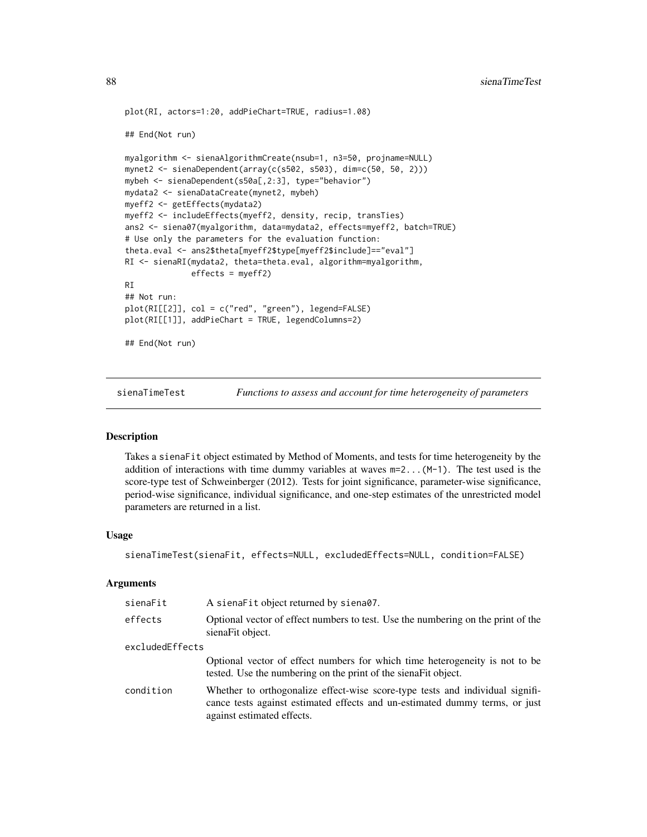```
plot(RI, actors=1:20, addPieChart=TRUE, radius=1.08)
## End(Not run)
myalgorithm <- sienaAlgorithmCreate(nsub=1, n3=50, projname=NULL)
mynet2 <- sienaDependent(array(c(s502, s503), dim=c(50, 50, 2)))
mybeh <- sienaDependent(s50a[,2:3], type="behavior")
mydata2 <- sienaDataCreate(mynet2, mybeh)
myeff2 <- getEffects(mydata2)
myeff2 <- includeEffects(myeff2, density, recip, transTies)
ans2 <- siena07(myalgorithm, data=mydata2, effects=myeff2, batch=TRUE)
# Use only the parameters for the evaluation function:
theta.eval <- ans2$theta[myeff2$type[myeff2$include]=="eval"]
RI <- sienaRI(mydata2, theta=theta.eval, algorithm=myalgorithm,
              effects = myeff2)
RI
## Not run:
plot(RI[[2]], col = c("red", "green"), legend=FALSE)
plot(RI[[1]], addPieChart = TRUE, legendColumns=2)
## End(Not run)
```
<span id="page-87-0"></span>sienaTimeTest *Functions to assess and account for time heterogeneity of parameters*

# Description

Takes a sienaFit object estimated by Method of Moments, and tests for time heterogeneity by the addition of interactions with time dummy variables at waves  $m=2... (M-1)$ . The test used is the score-type test of Schweinberger (2012). Tests for joint significance, parameter-wise significance, period-wise significance, individual significance, and one-step estimates of the unrestricted model parameters are returned in a list.

# Usage

```
sienaTimeTest(sienaFit, effects=NULL, excludedEffects=NULL, condition=FALSE)
```

| sienaFit        | A siena Fit object returned by siena07.                                                                                                                                                    |
|-----------------|--------------------------------------------------------------------------------------------------------------------------------------------------------------------------------------------|
| effects         | Optional vector of effect numbers to test. Use the numbering on the print of the<br>sienaFit object.                                                                                       |
| excludedEffects |                                                                                                                                                                                            |
|                 | Optional vector of effect numbers for which time heterogeneity is not to be<br>tested. Use the numbering on the print of the siena Fit object.                                             |
| condition       | Whether to orthogonalize effect-wise score-type tests and individual signifi-<br>cance tests against estimated effects and un-estimated dummy terms, or just<br>against estimated effects. |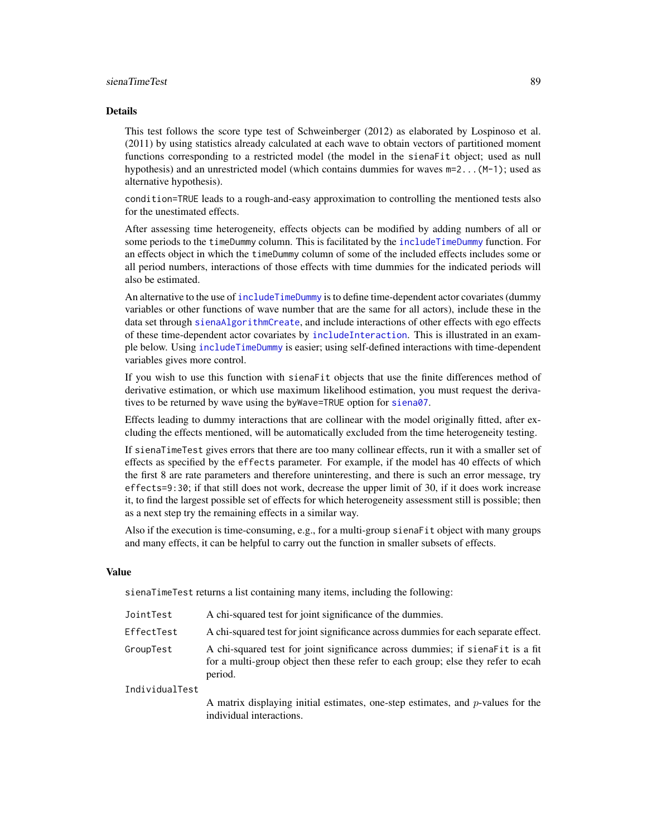#### <span id="page-88-0"></span>sienaTimeTest 89

#### Details

This test follows the score type test of Schweinberger (2012) as elaborated by Lospinoso et al. (2011) by using statistics already calculated at each wave to obtain vectors of partitioned moment functions corresponding to a restricted model (the model in the sienaFit object; used as null hypothesis) and an unrestricted model (which contains dummies for waves m=2...(M-1); used as alternative hypothesis).

condition=TRUE leads to a rough-and-easy approximation to controlling the mentioned tests also for the unestimated effects.

After assessing time heterogeneity, effects objects can be modified by adding numbers of all or some periods to the timeDummy column. This is facilitated by the [includeTimeDummy](#page-20-0) function. For an effects object in which the timeDummy column of some of the included effects includes some or all period numbers, interactions of those effects with time dummies for the indicated periods will also be estimated.

An alternative to the use of [includeTimeDummy](#page-20-0) is to define time-dependent actor covariates (dummy variables or other functions of wave number that are the same for all actors), include these in the data set through [sienaAlgorithmCreate](#page-52-0), and include interactions of other effects with ego effects of these time-dependent actor covariates by [includeInteraction](#page-18-0). This is illustrated in an example below. Using [includeTimeDummy](#page-20-0) is easier; using self-defined interactions with time-dependent variables gives more control.

If you wish to use this function with sienaFit objects that use the finite differences method of derivative estimation, or which use maximum likelihood estimation, you must request the derivatives to be returned by wave using the byWave=TRUE option for [siena07](#page-42-0).

Effects leading to dummy interactions that are collinear with the model originally fitted, after excluding the effects mentioned, will be automatically excluded from the time heterogeneity testing.

If sienaTimeTest gives errors that there are too many collinear effects, run it with a smaller set of effects as specified by the effects parameter. For example, if the model has 40 effects of which the first 8 are rate parameters and therefore uninteresting, and there is such an error message, try effects=9:30; if that still does not work, decrease the upper limit of 30, if it does work increase it, to find the largest possible set of effects for which heterogeneity assessment still is possible; then as a next step try the remaining effects in a similar way.

Also if the execution is time-consuming, e.g., for a multi-group sienaFit object with many groups and many effects, it can be helpful to carry out the function in smaller subsets of effects.

#### Value

sienaTimeTest returns a list containing many items, including the following:

| JointTest      | A chi-squared test for joint significance of the dummies.                                                                                                                     |
|----------------|-------------------------------------------------------------------------------------------------------------------------------------------------------------------------------|
| EffectTest     | A chi-squared test for joint significance across dummies for each separate effect.                                                                                            |
| GroupTest      | A chi-squared test for joint significance across dummies; if sienafit is a fit<br>for a multi-group object then these refer to each group; else they refer to ecah<br>period. |
| IndividualTest |                                                                                                                                                                               |
|                | A metrix displaying initial estimates, and stan estimates, and a values for the                                                                                               |

A matrix displaying initial estimates, one-step estimates, and  $p$ -values for the individual interactions.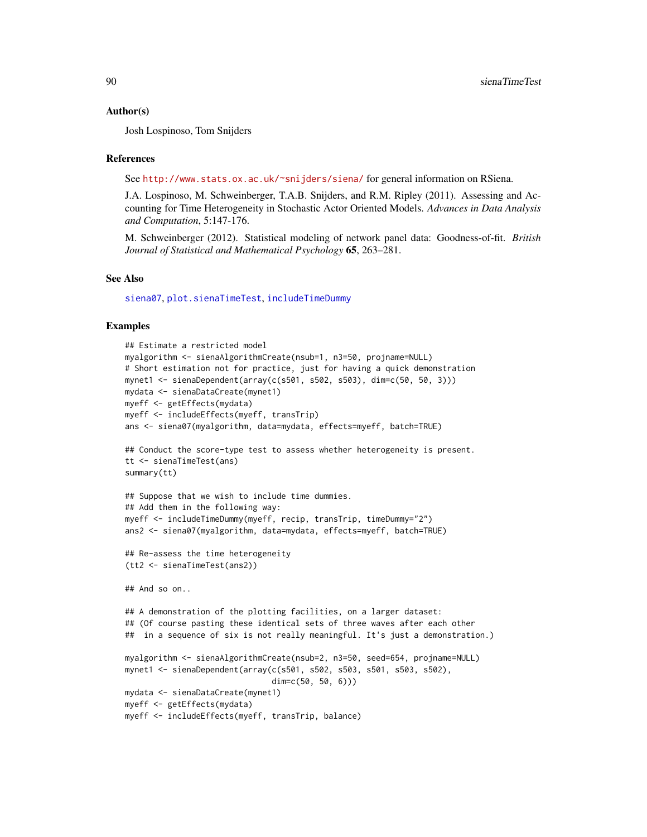#### Author(s)

Josh Lospinoso, Tom Snijders

# References

See <http://www.stats.ox.ac.uk/~snijders/siena/> for general information on RSiena.

J.A. Lospinoso, M. Schweinberger, T.A.B. Snijders, and R.M. Ripley (2011). Assessing and Accounting for Time Heterogeneity in Stochastic Actor Oriented Models. *Advances in Data Analysis and Computation*, 5:147-176.

M. Schweinberger (2012). Statistical modeling of network panel data: Goodness-of-fit. *British Journal of Statistical and Mathematical Psychology* 65, 263–281.

# See Also

[siena07](#page-42-0), [plot.sienaTimeTest](#page-28-0), [includeTimeDummy](#page-20-0)

# Examples

```
## Estimate a restricted model
myalgorithm <- sienaAlgorithmCreate(nsub=1, n3=50, projname=NULL)
# Short estimation not for practice, just for having a quick demonstration
mynet1 <- sienaDependent(array(c(s501, s502, s503), dim=c(50, 50, 3)))
mydata <- sienaDataCreate(mynet1)
myeff <- getEffects(mydata)
myeff <- includeEffects(myeff, transTrip)
ans <- siena07(myalgorithm, data=mydata, effects=myeff, batch=TRUE)
## Conduct the score-type test to assess whether heterogeneity is present.
tt <- sienaTimeTest(ans)
summary(tt)
## Suppose that we wish to include time dummies.
## Add them in the following way:
myeff <- includeTimeDummy(myeff, recip, transTrip, timeDummy="2")
ans2 <- siena07(myalgorithm, data=mydata, effects=myeff, batch=TRUE)
## Re-assess the time heterogeneity
(tt2 <- sienaTimeTest(ans2))
## And so on..
## A demonstration of the plotting facilities, on a larger dataset:
## (Of course pasting these identical sets of three waves after each other
## in a sequence of six is not really meaningful. It's just a demonstration.)
myalgorithm <- sienaAlgorithmCreate(nsub=2, n3=50, seed=654, projname=NULL)
mynet1 <- sienaDependent(array(c(s501, s502, s503, s501, s503, s502),
                               dim=c(50, 50, 6)))
mydata <- sienaDataCreate(mynet1)
myeff <- getEffects(mydata)
myeff <- includeEffects(myeff, transTrip, balance)
```
<span id="page-89-0"></span>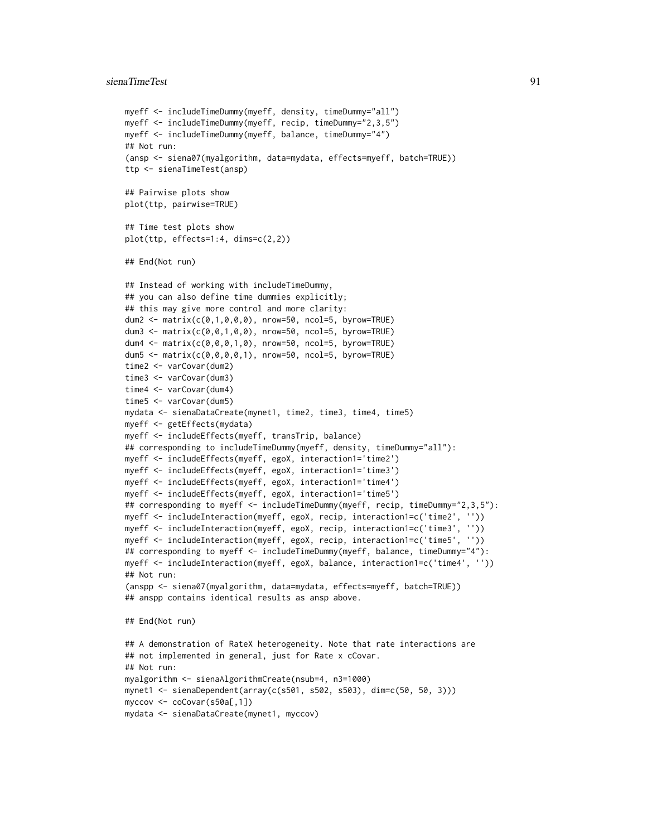```
myeff <- includeTimeDummy(myeff, density, timeDummy="all")
myeff <- includeTimeDummy(myeff, recip, timeDummy="2,3,5")
myeff <- includeTimeDummy(myeff, balance, timeDummy="4")
## Not run:
(ansp <- siena07(myalgorithm, data=mydata, effects=myeff, batch=TRUE))
ttp <- sienaTimeTest(ansp)
## Pairwise plots show
plot(ttp, pairwise=TRUE)
## Time test plots show
plot(ttp, effects=1:4, dims=c(2,2))
## End(Not run)
## Instead of working with includeTimeDummy,
## you can also define time dummies explicitly;
## this may give more control and more clarity:
dum2 <- matrix(c(0,1,0,0,0), nrow=50, ncol=5, byrow=TRUE)
dum3 <- matrix(c(0,0,1,0,0), nrow=50, ncol=5, byrow=TRUE)
dum4 <- matrix(c(0,0,0,1,0), nrow=50, ncol=5, byrow=TRUE)
dum5 <- matrix(c(0,0,0,0,1), nrow=50, ncol=5, byrow=TRUE)
time2 <- varCovar(dum2)
time3 <- varCovar(dum3)
time4 <- varCovar(dum4)
time5 <- varCovar(dum5)
mydata <- sienaDataCreate(mynet1, time2, time3, time4, time5)
myeff <- getEffects(mydata)
myeff <- includeEffects(myeff, transTrip, balance)
## corresponding to includeTimeDummy(myeff, density, timeDummy="all"):
myeff <- includeEffects(myeff, egoX, interaction1='time2')
myeff <- includeEffects(myeff, egoX, interaction1='time3')
myeff <- includeEffects(myeff, egoX, interaction1='time4')
myeff <- includeEffects(myeff, egoX, interaction1='time5')
## corresponding to myeff <- includeTimeDummy(myeff, recip, timeDummy="2,3,5"):
myeff <- includeInteraction(myeff, egoX, recip, interaction1=c('time2', ''))
myeff <- includeInteraction(myeff, egoX, recip, interaction1=c('time3', ''))
myeff <- includeInteraction(myeff, egoX, recip, interaction1=c('time5', ''))
## corresponding to myeff <- includeTimeDummy(myeff, balance, timeDummy="4"):
myeff <- includeInteraction(myeff, egoX, balance, interaction1=c('time4', ''))
## Not run:
(anspp <- siena07(myalgorithm, data=mydata, effects=myeff, batch=TRUE))
## anspp contains identical results as ansp above.
## End(Not run)
## A demonstration of RateX heterogeneity. Note that rate interactions are
## not implemented in general, just for Rate x cCovar.
## Not run:
myalgorithm <- sienaAlgorithmCreate(nsub=4, n3=1000)
mynet1 <- sienaDependent(array(c(s501, s502, s503), dim=c(50, 50, 3)))
myccov <- coCovar(s50a[,1])
```

```
mydata <- sienaDataCreate(mynet1, myccov)
```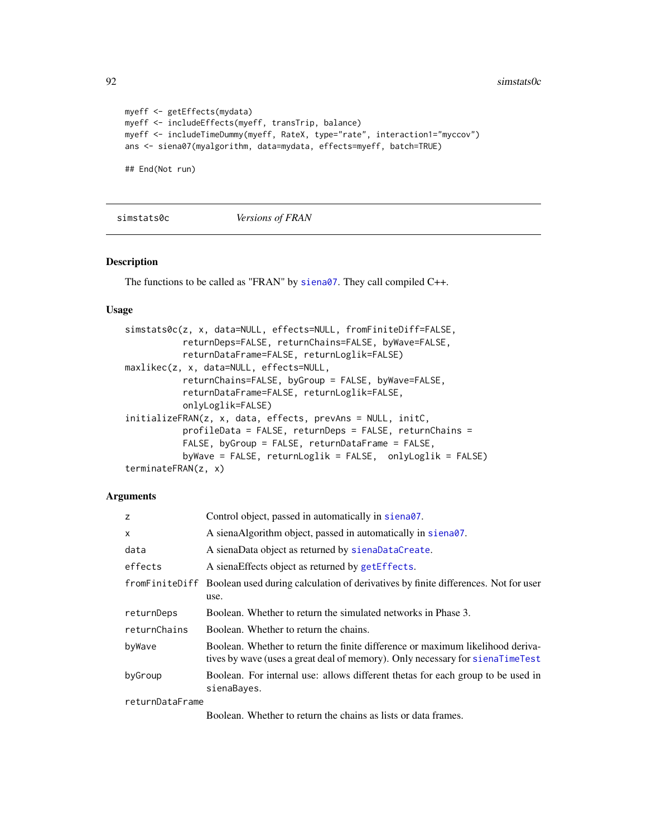$92$  simstats0c

```
myeff <- getEffects(mydata)
myeff <- includeEffects(myeff, transTrip, balance)
myeff <- includeTimeDummy(myeff, RateX, type="rate", interaction1="myccov")
ans <- siena07(myalgorithm, data=mydata, effects=myeff, batch=TRUE)
## End(Not run)
```
simstats0c *Versions of FRAN*

# Description

The functions to be called as "FRAN" by [siena07](#page-42-0). They call compiled C++.

# Usage

```
simstats0c(z, x, data=NULL, effects=NULL, fromFiniteDiff=FALSE,
           returnDeps=FALSE, returnChains=FALSE, byWave=FALSE,
           returnDataFrame=FALSE, returnLoglik=FALSE)
maxlikec(z, x, data=NULL, effects=NULL,
           returnChains=FALSE, byGroup = FALSE, byWave=FALSE,
           returnDataFrame=FALSE, returnLoglik=FALSE,
           onlyLoglik=FALSE)
initializeFRAN(z, x, data, effects, prevAns = NULL, initC,
           profileData = FALSE, returnDeps = FALSE, returnChains =
          FALSE, byGroup = FALSE, returnDataFrame = FALSE,
          byWave = FALSE, returnLoglik = FALSE, onlyLoglik = FALSE)
terminateFRAN(z, x)
```

| z               | Control object, passed in automatically in siena07.                                                                                                              |
|-----------------|------------------------------------------------------------------------------------------------------------------------------------------------------------------|
| X               | A sienaAlgorithm object, passed in automatically in siena07.                                                                                                     |
| data            | A sienaData object as returned by sienaDataCreate.                                                                                                               |
| effects         | A siena Effects object as returned by get Effects.                                                                                                               |
|                 | from FiniteDiff Boolean used during calculation of derivatives by finite differences. Not for user<br>use.                                                       |
| returnDeps      | Boolean. Whether to return the simulated networks in Phase 3.                                                                                                    |
| returnChains    | Boolean. Whether to return the chains.                                                                                                                           |
| byWave          | Boolean. Whether to return the finite difference or maximum likelihood deriva-<br>tives by wave (uses a great deal of memory). Only necessary for signal imerity |
| byGroup         | Boolean. For internal use: allows different thetas for each group to be used in<br>sienaBayes.                                                                   |
| returnDataFrame |                                                                                                                                                                  |
|                 | Boolean. Whether to return the chains as lists or data frames.                                                                                                   |

<span id="page-91-0"></span>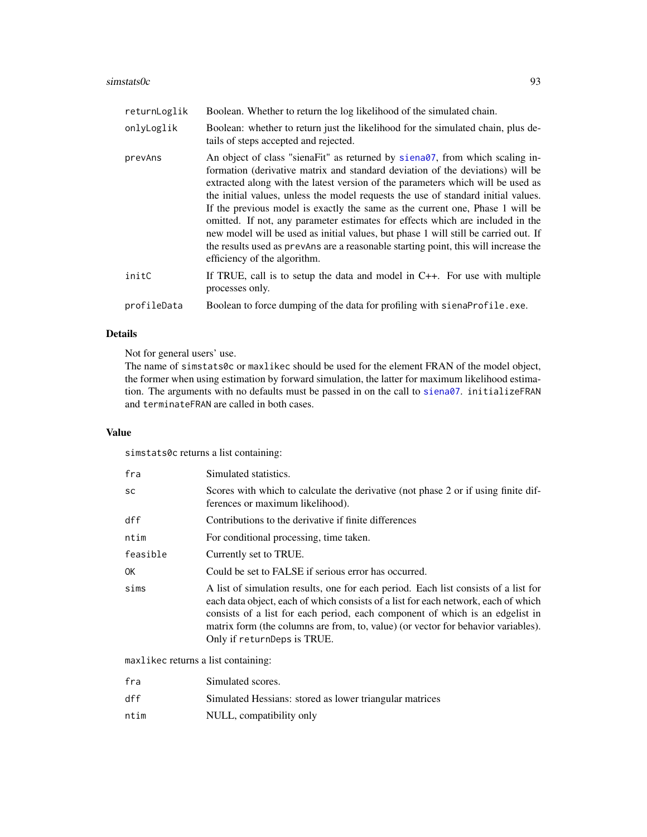# $\sin\theta$ simstats0c 93

| returnLoglik | Boolean. Whether to return the log likelihood of the simulated chain.                                                                                                                                                                                                                                                                                                                                                                                                                                                                                                                                                                                                                                                      |
|--------------|----------------------------------------------------------------------------------------------------------------------------------------------------------------------------------------------------------------------------------------------------------------------------------------------------------------------------------------------------------------------------------------------------------------------------------------------------------------------------------------------------------------------------------------------------------------------------------------------------------------------------------------------------------------------------------------------------------------------------|
| onlyLoglik   | Boolean: whether to return just the likelihood for the simulated chain, plus de-<br>tails of steps accepted and rejected.                                                                                                                                                                                                                                                                                                                                                                                                                                                                                                                                                                                                  |
| prevAns      | An object of class "siena Fit" as returned by siena 07, from which scaling in-<br>formation (derivative matrix and standard deviation of the deviations) will be<br>extracted along with the latest version of the parameters which will be used as<br>the initial values, unless the model requests the use of standard initial values.<br>If the previous model is exactly the same as the current one, Phase 1 will be<br>omitted. If not, any parameter estimates for effects which are included in the<br>new model will be used as initial values, but phase 1 will still be carried out. If<br>the results used as prevants are a reasonable starting point, this will increase the<br>efficiency of the algorithm. |
| initC        | If TRUE, call is to setup the data and model in $C_{++}$ . For use with multiple<br>processes only.                                                                                                                                                                                                                                                                                                                                                                                                                                                                                                                                                                                                                        |
| profileData  | Boolean to force dumping of the data for profiling with sienaProfile.exe.                                                                                                                                                                                                                                                                                                                                                                                                                                                                                                                                                                                                                                                  |
|              |                                                                                                                                                                                                                                                                                                                                                                                                                                                                                                                                                                                                                                                                                                                            |

# Details

Not for general users' use.

The name of simstats0c or maxlikec should be used for the element FRAN of the model object, the former when using estimation by forward simulation, the latter for maximum likelihood estimation. The arguments with no defaults must be passed in on the call to [siena07](#page-42-0). initializeFRAN and terminateFRAN are called in both cases.

# Value

simstats0c returns a list containing:

| fra      | Simulated statistics.                                                                                                                                                                                                                                                                                                                                                          |
|----------|--------------------------------------------------------------------------------------------------------------------------------------------------------------------------------------------------------------------------------------------------------------------------------------------------------------------------------------------------------------------------------|
| SC       | Scores with which to calculate the derivative (not phase 2 or if using finite dif-<br>ferences or maximum likelihood).                                                                                                                                                                                                                                                         |
| dff      | Contributions to the derivative if finite differences                                                                                                                                                                                                                                                                                                                          |
| ntim     | For conditional processing, time taken.                                                                                                                                                                                                                                                                                                                                        |
| feasible | Currently set to TRUE.                                                                                                                                                                                                                                                                                                                                                         |
| ОK       | Could be set to FALSE if serious error has occurred.                                                                                                                                                                                                                                                                                                                           |
| sims     | A list of simulation results, one for each period. Each list consists of a list for<br>each data object, each of which consists of a list for each network, each of which<br>consists of a list for each period, each component of which is an edgelist in<br>matrix form (the columns are from, to, value) (or vector for behavior variables).<br>Only if returnDeps is TRUE. |

maxlikec returns a list containing:

| fra  | Simulated scores.                                       |
|------|---------------------------------------------------------|
| dff  | Simulated Hessians: stored as lower triangular matrices |
| ntim | NULL, compatibility only                                |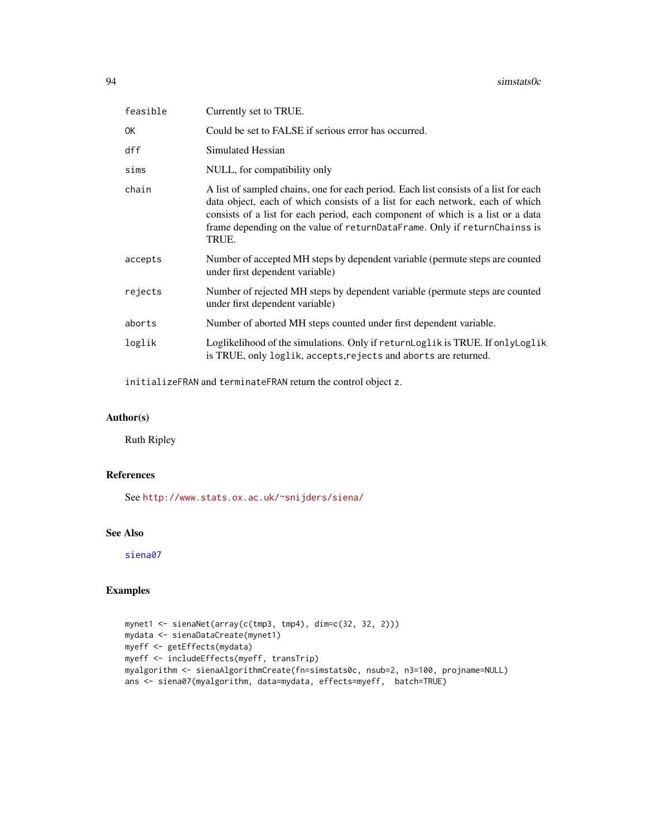<span id="page-93-0"></span>

| feasible | Currently set to TRUE.                                                                                                                                                                                                                                                                                                                         |  |
|----------|------------------------------------------------------------------------------------------------------------------------------------------------------------------------------------------------------------------------------------------------------------------------------------------------------------------------------------------------|--|
| 0K       | Could be set to FALSE if serious error has occurred.                                                                                                                                                                                                                                                                                           |  |
| dff      | Simulated Hessian                                                                                                                                                                                                                                                                                                                              |  |
| sims     | NULL, for compatibility only                                                                                                                                                                                                                                                                                                                   |  |
| chain    | A list of sampled chains, one for each period. Each list consists of a list for each<br>data object, each of which consists of a list for each network, each of which<br>consists of a list for each period, each component of which is a list or a data<br>frame depending on the value of returnDataFrame. Only if returnChainss is<br>TRUE. |  |
| accepts  | Number of accepted MH steps by dependent variable (permute steps are counted<br>under first dependent variable)                                                                                                                                                                                                                                |  |
| rejects  | Number of rejected MH steps by dependent variable (permute steps are counted<br>under first dependent variable)                                                                                                                                                                                                                                |  |
| aborts   | Number of aborted MH steps counted under first dependent variable.                                                                                                                                                                                                                                                                             |  |
| loglik   | Loglikelihood of the simulations. Only if returnLoglik is TRUE. If onlyLoglik<br>is TRUE, only loglik, accepts, rejects and aborts are returned.                                                                                                                                                                                               |  |
|          |                                                                                                                                                                                                                                                                                                                                                |  |

initializeFRAN and terminateFRAN return the control object z.

# Author(s)

Ruth Ripley

# References

See <http://www.stats.ox.ac.uk/~snijders/siena/>

# See Also

[siena07](#page-42-0)

# Examples

```
mynet1 <- sienaNet(array(c(tmp3, tmp4), dim=c(32, 32, 2)))
mydata <- sienaDataCreate(mynet1)
myeff <- getEffects(mydata)
myeff <- includeEffects(myeff, transTrip)
myalgorithm <- sienaAlgorithmCreate(fn=simstats0c, nsub=2, n3=100, projname=NULL)
ans <- siena07(myalgorithm, data=mydata, effects=myeff, batch=TRUE)
```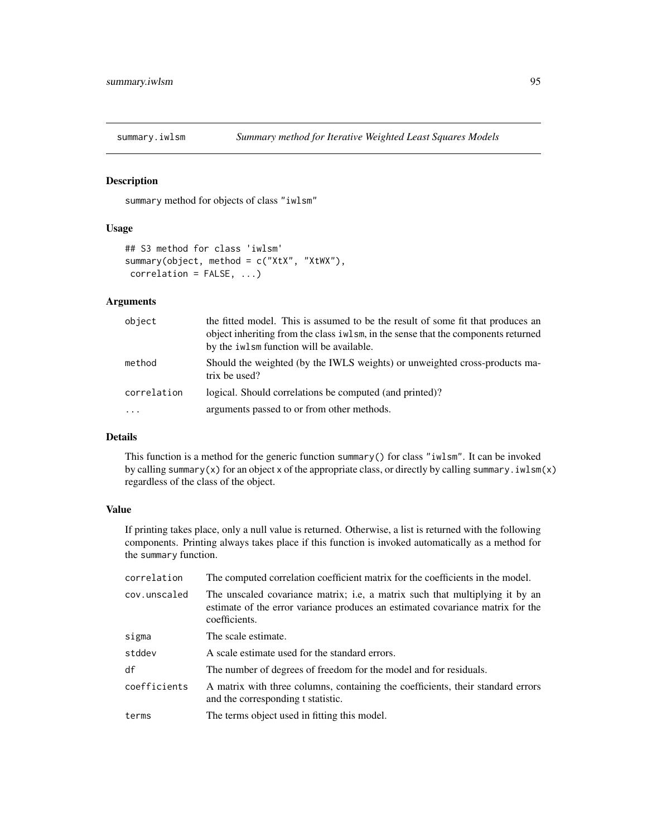<span id="page-94-0"></span>

# Description

summary method for objects of class "iwlsm"

# Usage

```
## S3 method for class 'iwlsm'
summary(object, method = c("XtX", "XtWX"),
correlation = FALSE, ...)
```
# Arguments

| object              | the fitted model. This is assumed to be the result of some fit that produces an<br>object inheriting from the class iwlsm, in the sense that the components returned<br>by the iwlsm function will be available. |
|---------------------|------------------------------------------------------------------------------------------------------------------------------------------------------------------------------------------------------------------|
| method              | Should the weighted (by the IWLS weights) or unweighted cross-products ma-<br>trix be used?                                                                                                                      |
| correlation         | logical. Should correlations be computed (and printed)?                                                                                                                                                          |
| $\cdot \cdot \cdot$ | arguments passed to or from other methods.                                                                                                                                                                       |

# Details

This function is a method for the generic function summary() for class "iwlsm". It can be invoked by calling summary(x) for an object x of the appropriate class, or directly by calling summary.  $i$ wlsm(x) regardless of the class of the object.

# Value

If printing takes place, only a null value is returned. Otherwise, a list is returned with the following components. Printing always takes place if this function is invoked automatically as a method for the summary function.

| correlation  | The computed correlation coefficient matrix for the coefficients in the model.                                                                                                   |
|--------------|----------------------------------------------------------------------------------------------------------------------------------------------------------------------------------|
| cov.unscaled | The unscaled covariance matrix; i.e., a matrix such that multiplying it by an<br>estimate of the error variance produces an estimated covariance matrix for the<br>coefficients. |
| sigma        | The scale estimate.                                                                                                                                                              |
| stddev       | A scale estimate used for the standard errors.                                                                                                                                   |
| df           | The number of degrees of freedom for the model and for residuals.                                                                                                                |
| coefficients | A matrix with three columns, containing the coefficients, their standard errors<br>and the corresponding t statistic.                                                            |
| terms        | The terms object used in fitting this model.                                                                                                                                     |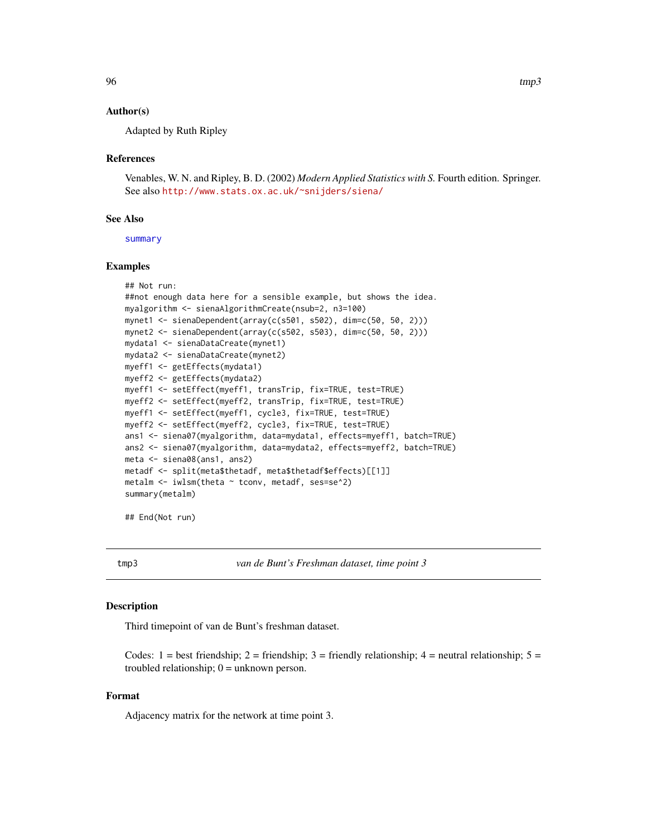# <span id="page-95-1"></span>Author(s)

Adapted by Ruth Ripley

# References

Venables, W. N. and Ripley, B. D. (2002) *Modern Applied Statistics with S.* Fourth edition. Springer. See also <http://www.stats.ox.ac.uk/~snijders/siena/>

#### See Also

[summary](#page-0-0)

# Examples

```
## Not run:
##not enough data here for a sensible example, but shows the idea.
myalgorithm <- sienaAlgorithmCreate(nsub=2, n3=100)
mynet1 <- sienaDependent(array(c(s501, s502), dim=c(50, 50, 2)))
mynet2 <- sienaDependent(array(c(s502, s503), dim=c(50, 50, 2)))
mydata1 <- sienaDataCreate(mynet1)
mydata2 <- sienaDataCreate(mynet2)
myeff1 <- getEffects(mydata1)
myeff2 <- getEffects(mydata2)
myeff1 <- setEffect(myeff1, transTrip, fix=TRUE, test=TRUE)
myeff2 <- setEffect(myeff2, transTrip, fix=TRUE, test=TRUE)
myeff1 <- setEffect(myeff1, cycle3, fix=TRUE, test=TRUE)
myeff2 <- setEffect(myeff2, cycle3, fix=TRUE, test=TRUE)
ans1 <- siena07(myalgorithm, data=mydata1, effects=myeff1, batch=TRUE)
ans2 <- siena07(myalgorithm, data=mydata2, effects=myeff2, batch=TRUE)
meta <- siena08(ans1, ans2)
metadf <- split(meta$thetadf, meta$thetadf$effects)[[1]]
metalm \le iwlsm(theta \sim tconv, metadf, ses=se^2)
summary(metalm)
```

```
## End(Not run)
```
<span id="page-95-0"></span>tmp3 *van de Bunt's Freshman dataset, time point 3*

#### Description

Third timepoint of van de Bunt's freshman dataset.

Codes: 1 = best friendship; 2 = friendship; 3 = friendly relationship; 4 = neutral relationship;  $5 =$ troubled relationship;  $0 =$  unknown person.

# Format

Adjacency matrix for the network at time point 3.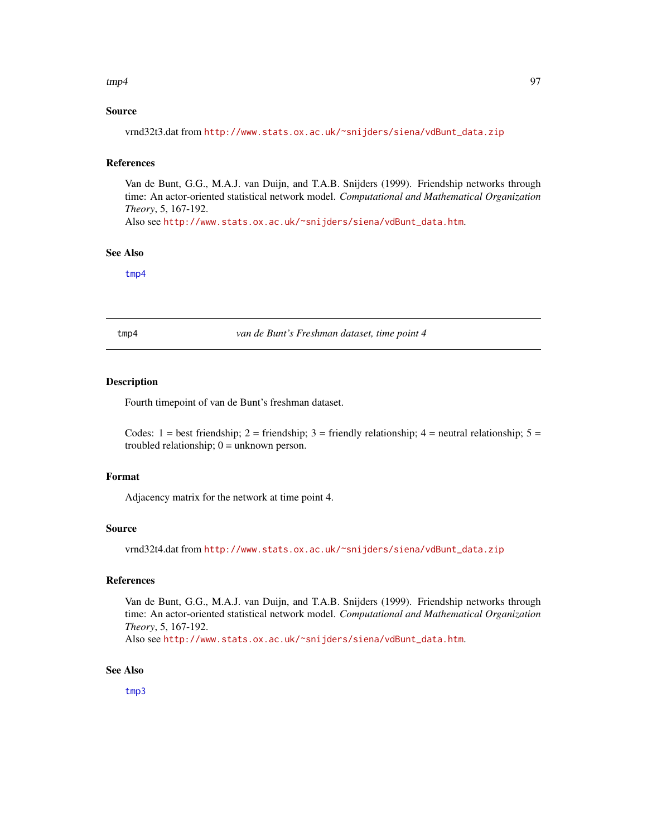#### <span id="page-96-1"></span> $\text{tmp4}$  97

# Source

vrnd32t3.dat from [http://www.stats.ox.ac.uk/~snijders/siena/vdBunt\\_data.zip](http://www.stats.ox.ac.uk/~snijders/siena/vdBunt_data.zip)

# References

Van de Bunt, G.G., M.A.J. van Duijn, and T.A.B. Snijders (1999). Friendship networks through time: An actor-oriented statistical network model. *Computational and Mathematical Organization Theory*, 5, 167-192.

Also see [http://www.stats.ox.ac.uk/~snijders/siena/vdBunt\\_data.htm](http://www.stats.ox.ac.uk/~snijders/siena/vdBunt_data.htm).

# See Also

[tmp4](#page-96-0)

<span id="page-96-0"></span>tmp4 *van de Bunt's Freshman dataset, time point 4*

# Description

Fourth timepoint of van de Bunt's freshman dataset.

Codes: 1 = best friendship; 2 = friendship; 3 = friendly relationship; 4 = neutral relationship;  $5 =$ troubled relationship;  $0 =$  unknown person.

## Format

Adjacency matrix for the network at time point 4.

### Source

vrnd32t4.dat from [http://www.stats.ox.ac.uk/~snijders/siena/vdBunt\\_data.zip](http://www.stats.ox.ac.uk/~snijders/siena/vdBunt_data.zip)

# References

Van de Bunt, G.G., M.A.J. van Duijn, and T.A.B. Snijders (1999). Friendship networks through time: An actor-oriented statistical network model. *Computational and Mathematical Organization Theory*, 5, 167-192.

Also see [http://www.stats.ox.ac.uk/~snijders/siena/vdBunt\\_data.htm](http://www.stats.ox.ac.uk/~snijders/siena/vdBunt_data.htm).

# See Also

[tmp3](#page-95-0)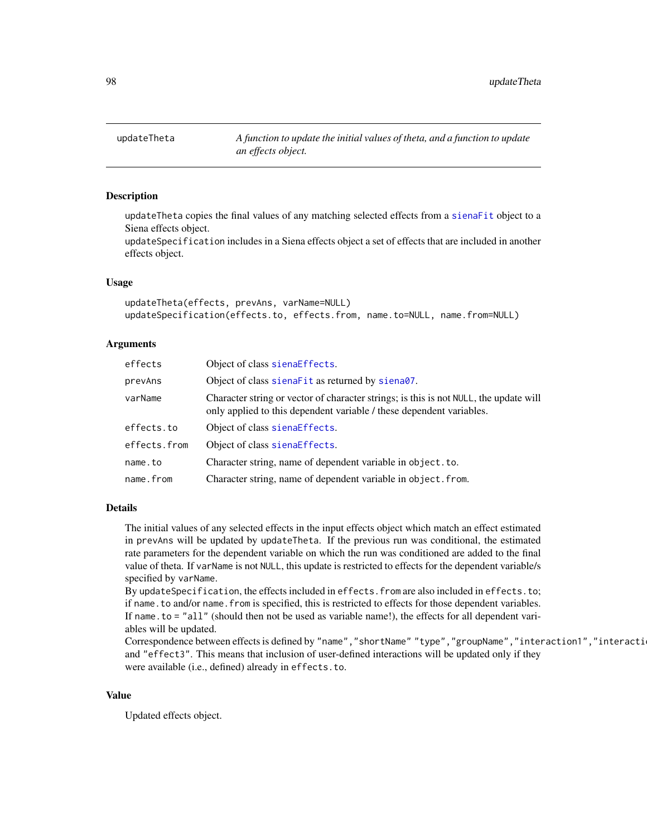# **Description**

updateTheta copies the final values of any matching selected effects from a [sienaFit](#page-64-0) object to a Siena effects object.

updateSpecification includes in a Siena effects object a set of effects that are included in another effects object.

# Usage

```
updateTheta(effects, prevAns, varName=NULL)
updateSpecification(effects.to, effects.from, name.to=NULL, name.from=NULL)
```
# Arguments

| effects      | Object of class sienaEffects.                                                                                                                                 |  |
|--------------|---------------------------------------------------------------------------------------------------------------------------------------------------------------|--|
| prevAns      | Object of class sienaFit as returned by siena07.                                                                                                              |  |
| varName      | Character string or vector of character strings; is this is not NULL, the update will<br>only applied to this dependent variable / these dependent variables. |  |
| effects.to   | Object of class sienaEffects.                                                                                                                                 |  |
| effects.from | Object of class sienaEffects.                                                                                                                                 |  |
| name.to      | Character string, name of dependent variable in object. to.                                                                                                   |  |
| name.from    | Character string, name of dependent variable in object. from.                                                                                                 |  |

#### Details

The initial values of any selected effects in the input effects object which match an effect estimated in prevAns will be updated by updateTheta. If the previous run was conditional, the estimated rate parameters for the dependent variable on which the run was conditioned are added to the final value of theta. If varName is not NULL, this update is restricted to effects for the dependent variable/s specified by varName.

By updateSpecification, the effects included in effects.from are also included in effects.to; if name.to and/or name.from is specified, this is restricted to effects for those dependent variables. If name.to = "all" (should then not be used as variable name!), the effects for all dependent variables will be updated.

Correspondence between effects is defined by "name","shortName" "type","groupName","interaction1","interacti and "effect3". This means that inclusion of user-defined interactions will be updated only if they were available (i.e., defined) already in effects.to.

#### Value

Updated effects object.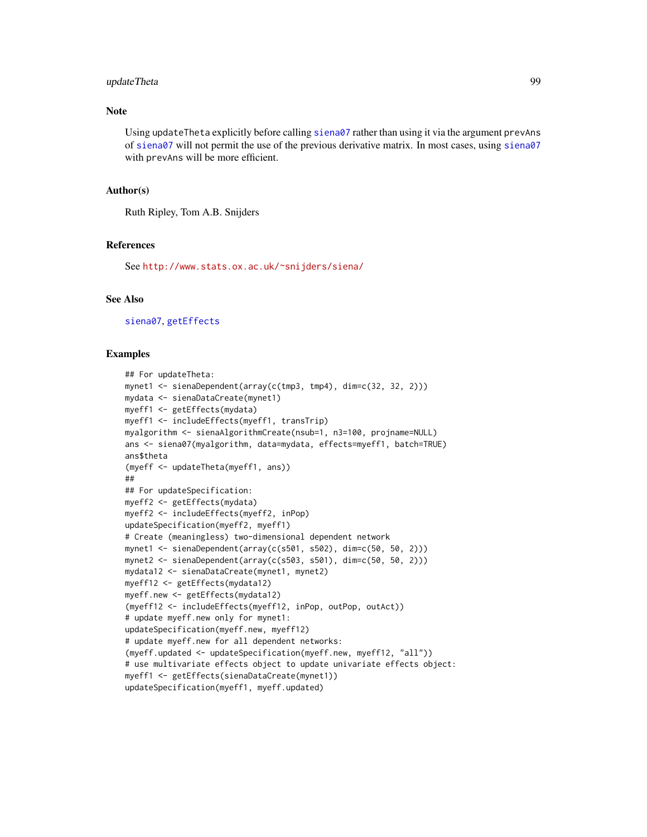# <span id="page-98-0"></span>updateTheta 99

# **Note**

Using updateTheta explicitly before calling [siena07](#page-42-0) rather than using it via the argument prevAns of [siena07](#page-42-0) will not permit the use of the previous derivative matrix. In most cases, using [siena07](#page-42-0) with prevAns will be more efficient.

# Author(s)

Ruth Ripley, Tom A.B. Snijders

# References

See <http://www.stats.ox.ac.uk/~snijders/siena/>

# See Also

[siena07](#page-42-0), [getEffects](#page-12-0)

# Examples

```
## For updateTheta:
mynet1 <- sienaDependent(array(c(tmp3, tmp4), dim=c(32, 32, 2)))
mydata <- sienaDataCreate(mynet1)
myeff1 <- getEffects(mydata)
myeff1 <- includeEffects(myeff1, transTrip)
myalgorithm <- sienaAlgorithmCreate(nsub=1, n3=100, projname=NULL)
ans <- siena07(myalgorithm, data=mydata, effects=myeff1, batch=TRUE)
ans$theta
(myeff <- updateTheta(myeff1, ans))
##
## For updateSpecification:
myeff2 <- getEffects(mydata)
myeff2 <- includeEffects(myeff2, inPop)
updateSpecification(myeff2, myeff1)
# Create (meaningless) two-dimensional dependent network
mynet1 <- sienaDependent(array(c(s501, s502), dim=c(50, 50, 2)))
mynet2 <- sienaDependent(array(c(s503, s501), dim=c(50, 50, 2)))
mydata12 <- sienaDataCreate(mynet1, mynet2)
myeff12 <- getEffects(mydata12)
myeff.new <- getEffects(mydata12)
(myeff12 <- includeEffects(myeff12, inPop, outPop, outAct))
# update myeff.new only for mynet1:
updateSpecification(myeff.new, myeff12)
# update myeff.new for all dependent networks:
(myeff.updated <- updateSpecification(myeff.new, myeff12, "all"))
# use multivariate effects object to update univariate effects object:
myeff1 <- getEffects(sienaDataCreate(mynet1))
updateSpecification(myeff1, myeff.updated)
```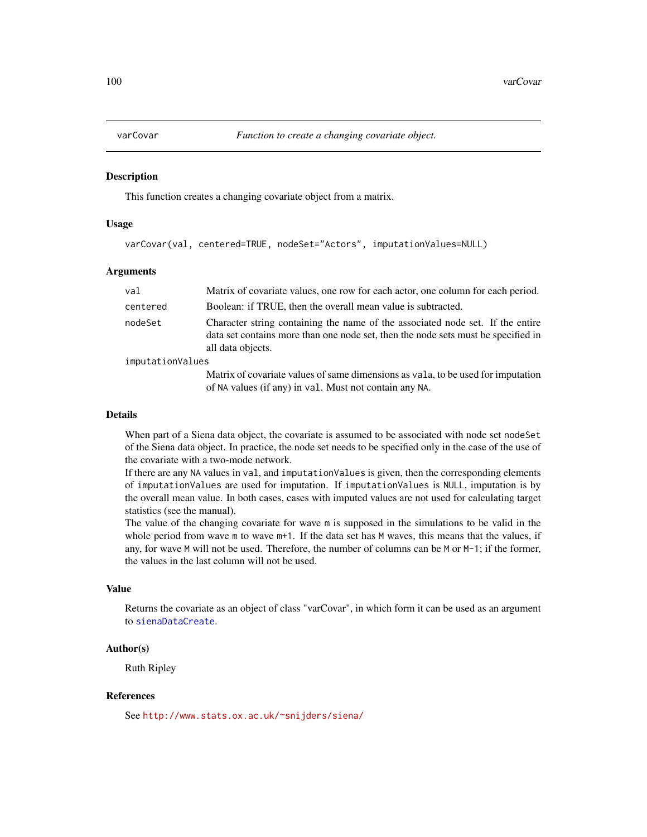<span id="page-99-1"></span><span id="page-99-0"></span>

#### **Description**

This function creates a changing covariate object from a matrix.

# Usage

varCovar(val, centered=TRUE, nodeSet="Actors", imputationValues=NULL)

# Arguments

| val              | Matrix of covariate values, one row for each actor, one column for each period.                                                                                                          |  |
|------------------|------------------------------------------------------------------------------------------------------------------------------------------------------------------------------------------|--|
| centered         | Boolean: if TRUE, then the overall mean value is subtracted.                                                                                                                             |  |
| nodeSet          | Character string containing the name of the associated node set. If the entire<br>data set contains more than one node set, then the node sets must be specified in<br>all data objects. |  |
| imputationValues |                                                                                                                                                                                          |  |
|                  | Matrix of covariate values of same dimensions as vala, to be used for imputation<br>of NA values (if any) in val. Must not contain any NA.                                               |  |

#### Details

When part of a Siena data object, the covariate is assumed to be associated with node set nodeSet of the Siena data object. In practice, the node set needs to be specified only in the case of the use of the covariate with a two-mode network.

If there are any NA values in val, and imputationValues is given, then the corresponding elements of imputationValues are used for imputation. If imputationValues is NULL, imputation is by the overall mean value. In both cases, cases with imputed values are not used for calculating target statistics (see the manual).

The value of the changing covariate for wave m is supposed in the simulations to be valid in the whole period from wave m to wave m+1. If the data set has M waves, this means that the values, if any, for wave M will not be used. Therefore, the number of columns can be M or M-1; if the former, the values in the last column will not be used.

# Value

Returns the covariate as an object of class "varCovar", in which form it can be used as an argument to [sienaDataCreate](#page-60-0).

# Author(s)

Ruth Ripley

# References

See <http://www.stats.ox.ac.uk/~snijders/siena/>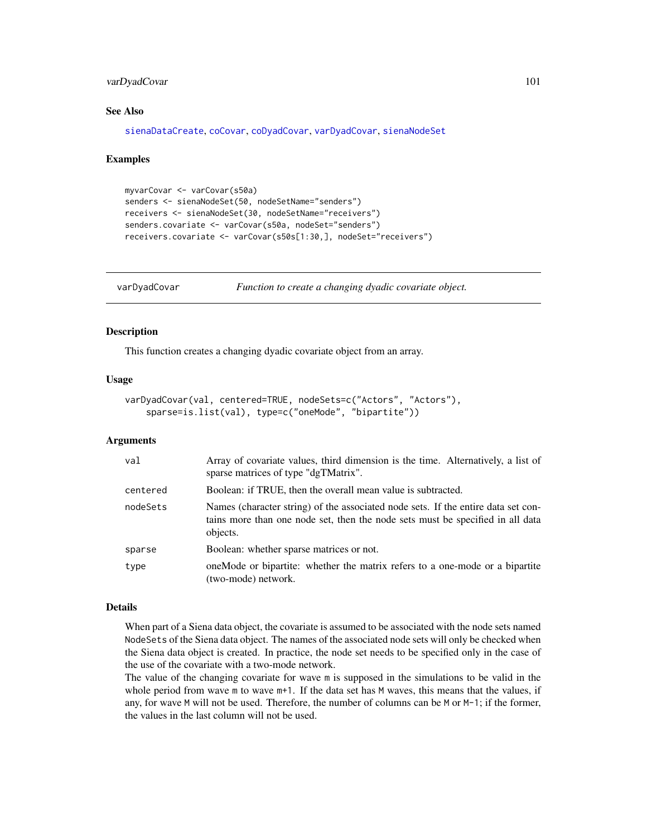# <span id="page-100-1"></span>varDyadCovar 101

# See Also

[sienaDataCreate](#page-60-0), [coCovar](#page-6-0), [coDyadCovar](#page-7-0), [varDyadCovar](#page-100-0), [sienaNodeSet](#page-82-0)

#### Examples

```
myvarCovar <- varCovar(s50a)
senders <- sienaNodeSet(50, nodeSetName="senders")
receivers <- sienaNodeSet(30, nodeSetName="receivers")
senders.covariate <- varCovar(s50a, nodeSet="senders")
receivers.covariate <- varCovar(s50s[1:30,], nodeSet="receivers")
```
<span id="page-100-0"></span>varDyadCovar *Function to create a changing dyadic covariate object.*

# Description

This function creates a changing dyadic covariate object from an array.

# Usage

```
varDyadCovar(val, centered=TRUE, nodeSets=c("Actors", "Actors"),
    sparse=is.list(val), type=c("oneMode", "bipartite"))
```
# Arguments

| val      | Array of covariate values, third dimension is the time. Alternatively, a list of<br>sparse matrices of type "dgTMatrix".                                                        |
|----------|---------------------------------------------------------------------------------------------------------------------------------------------------------------------------------|
| centered | Boolean: if TRUE, then the overall mean value is subtracted.                                                                                                                    |
| nodeSets | Names (character string) of the associated node sets. If the entire data set con-<br>tains more than one node set, then the node sets must be specified in all data<br>objects. |
| sparse   | Boolean: whether sparse matrices or not.                                                                                                                                        |
| type     | one Mode or bipartite: whether the matrix refers to a one-mode or a bipartite<br>(two-mode) network.                                                                            |

# Details

When part of a Siena data object, the covariate is assumed to be associated with the node sets named NodeSets of the Siena data object. The names of the associated node sets will only be checked when the Siena data object is created. In practice, the node set needs to be specified only in the case of the use of the covariate with a two-mode network.

The value of the changing covariate for wave m is supposed in the simulations to be valid in the whole period from wave m to wave m+1. If the data set has M waves, this means that the values, if any, for wave M will not be used. Therefore, the number of columns can be M or M-1; if the former, the values in the last column will not be used.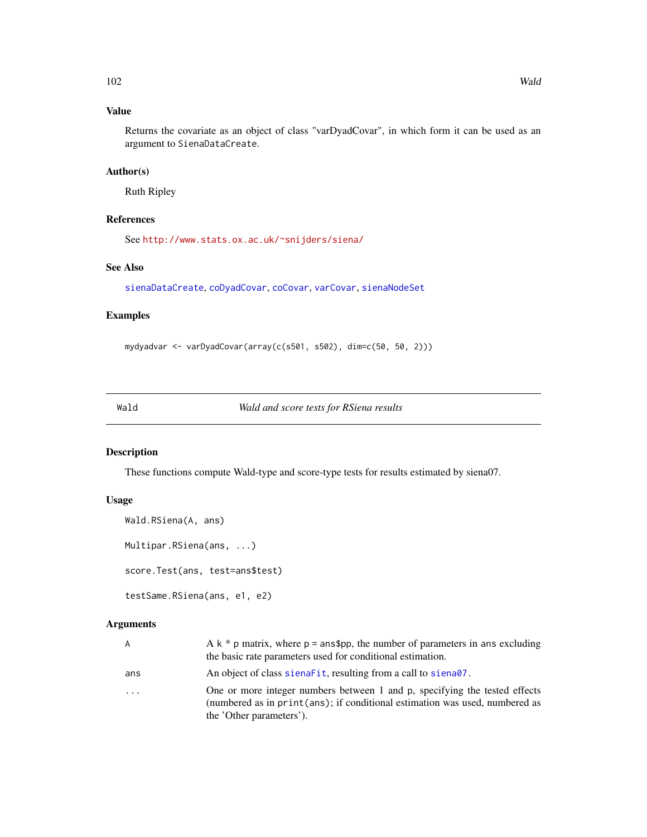# <span id="page-101-0"></span>Value

Returns the covariate as an object of class "varDyadCovar", in which form it can be used as an argument to SienaDataCreate.

# Author(s)

Ruth Ripley

# References

See <http://www.stats.ox.ac.uk/~snijders/siena/>

# See Also

[sienaDataCreate](#page-60-0), [coDyadCovar](#page-7-0), [coCovar](#page-6-0), [varCovar](#page-99-0), [sienaNodeSet](#page-82-0)

# Examples

```
mydyadvar <- varDyadCovar(array(c(s501, s502), dim=c(50, 50, 2)))
```
Wald *Wald and score tests for RSiena results*

# Description

These functions compute Wald-type and score-type tests for results estimated by siena07.

# Usage

```
Wald.RSiena(A, ans)
Multipar.RSiena(ans, ...)
```
score.Test(ans, test=ans\$test)

```
testSame.RSiena(ans, e1, e2)
```

| A   | A $k * p$ matrix, where $p = \text{ans}\$ p, the number of parameters in ans excluding<br>the basic rate parameters used for conditional estimation.                                  |
|-----|---------------------------------------------------------------------------------------------------------------------------------------------------------------------------------------|
| ans | An object of class signarit, resulting from a call to signard.                                                                                                                        |
| .   | One or more integer numbers between 1 and p, specifying the tested effects<br>(numbered as in print(ans); if conditional estimation was used, numbered as<br>the 'Other parameters'). |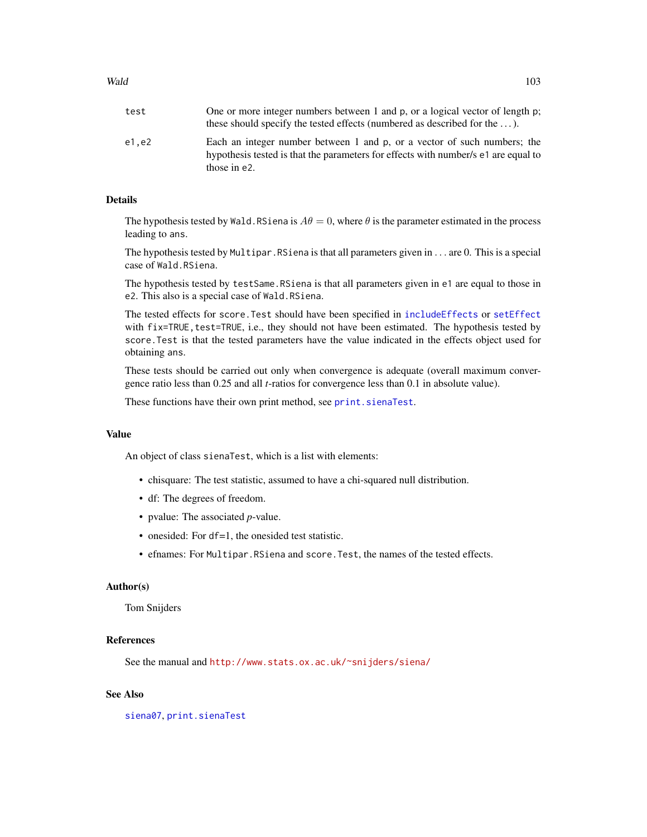# <span id="page-102-0"></span>Wald 103

| test  | One or more integer numbers between 1 and p, or a logical vector of length p;<br>these should specify the tested effects (numbered as described for the $\dots$ ).             |
|-------|--------------------------------------------------------------------------------------------------------------------------------------------------------------------------------|
| e1.e2 | Each an integer number between 1 and p, or a vector of such numbers; the<br>hypothesis tested is that the parameters for effects with number/s e1 are equal to<br>those in e2. |

# Details

The hypothesis tested by Wald.RSiena is  $A\theta = 0$ , where  $\theta$  is the parameter estimated in the process leading to ans.

The hypothesis tested by Multipar.RSiena is that all parameters given in . . . are 0. This is a special case of Wald.RSiena.

The hypothesis tested by testSame.RSiena is that all parameters given in e1 are equal to those in e2. This also is a special case of Wald.RSiena.

The tested effects for score.Test should have been specified in [includeEffects](#page-15-0) or [setEffect](#page-40-0) with fix=TRUE, test=TRUE, i.e., they should not have been estimated. The hypothesis tested by score.Test is that the tested parameters have the value indicated in the effects object used for obtaining ans.

These tests should be carried out only when convergence is adequate (overall maximum convergence ratio less than 0.25 and all *t*-ratios for convergence less than 0.1 in absolute value).

These functions have their own print method, see [print.sienaTest](#page-34-0).

#### Value

An object of class sienaTest, which is a list with elements:

- chisquare: The test statistic, assumed to have a chi-squared null distribution.
- df: The degrees of freedom.
- pvalue: The associated *p*-value.
- onesided: For df=1, the onesided test statistic.
- efnames: For Multipar.RSiena and score.Test, the names of the tested effects.

# Author(s)

Tom Snijders

# References

See the manual and <http://www.stats.ox.ac.uk/~snijders/siena/>

# See Also

[siena07](#page-42-0), [print.sienaTest](#page-34-0)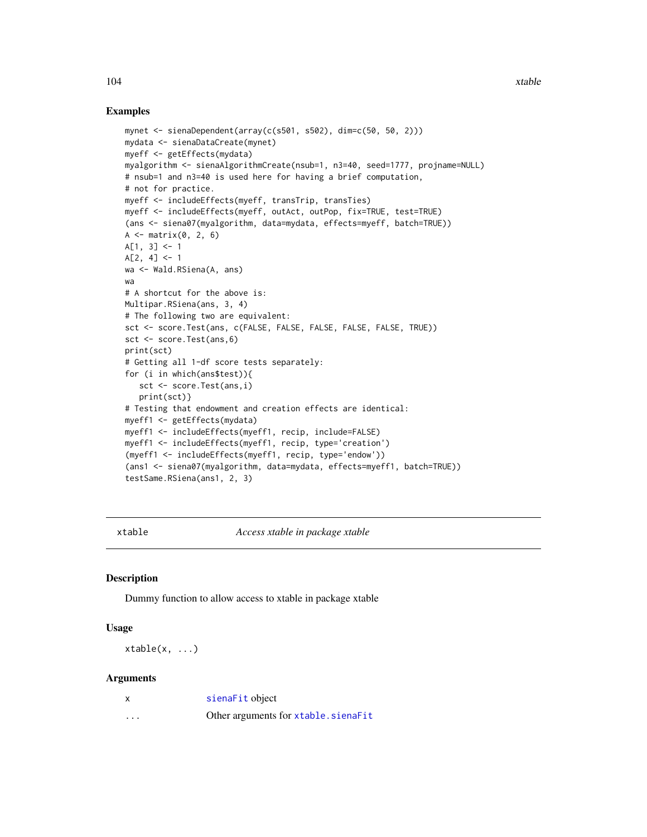# Examples

```
mynet <- sienaDependent(array(c(s501, s502), dim=c(50, 50, 2)))
mydata <- sienaDataCreate(mynet)
myeff <- getEffects(mydata)
myalgorithm <- sienaAlgorithmCreate(nsub=1, n3=40, seed=1777, projname=NULL)
# nsub=1 and n3=40 is used here for having a brief computation,
# not for practice.
myeff <- includeEffects(myeff, transTrip, transTies)
myeff <- includeEffects(myeff, outAct, outPop, fix=TRUE, test=TRUE)
(ans <- siena07(myalgorithm, data=mydata, effects=myeff, batch=TRUE))
A \leftarrow matrix(0, 2, 6)A[1, 3] <- 1
A[2, 4] < -1wa <- Wald.RSiena(A, ans)
wa
# A shortcut for the above is:
Multipar.RSiena(ans, 3, 4)
# The following two are equivalent:
sct <- score.Test(ans, c(FALSE, FALSE, FALSE, FALSE, FALSE, TRUE))
sct <- score.Test(ans,6)
print(sct)
# Getting all 1-df score tests separately:
for (i in which(ans$test)){
   sct <- score.Test(ans,i)
   print(sct)}
# Testing that endowment and creation effects are identical:
myeff1 <- getEffects(mydata)
myeff1 <- includeEffects(myeff1, recip, include=FALSE)
myeff1 <- includeEffects(myeff1, recip, type='creation')
(myeff1 <- includeEffects(myeff1, recip, type='endow'))
(ans1 <- siena07(myalgorithm, data=mydata, effects=myeff1, batch=TRUE))
testSame.RSiena(ans1, 2, 3)
```
xtable *Access xtable in package xtable*

# Description

Dummy function to allow access to xtable in package xtable

# Usage

xtable(x, ...)

| x        | sienaFit object                     |
|----------|-------------------------------------|
| $\cdots$ | Other arguments for xtable.sienaFit |

<span id="page-103-0"></span>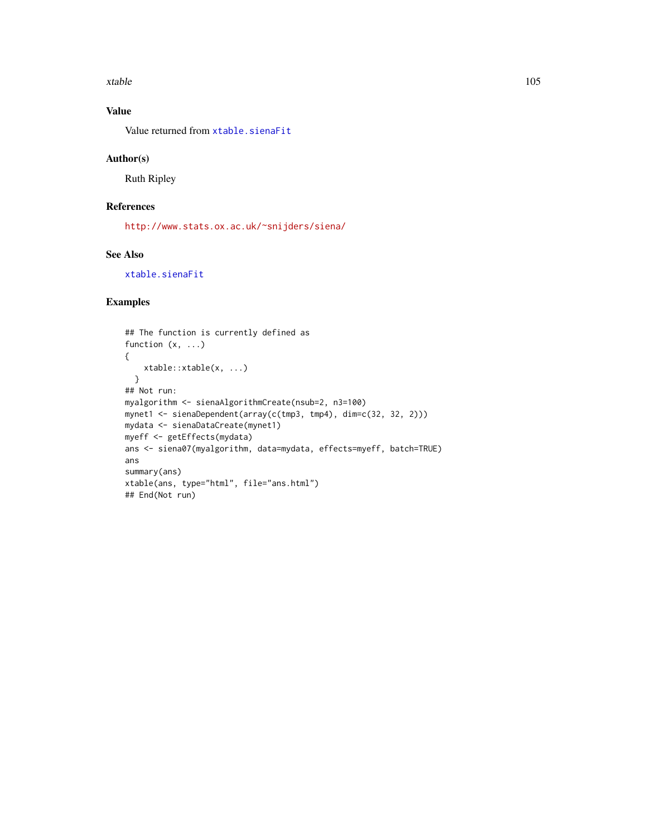<span id="page-104-0"></span>xtable to the contract of the contract of the contract of the contract of the contract of the contract of the contract of the contract of the contract of the contract of the contract of the contract of the contract of the

# Value

Value returned from [xtable.sienaFit](#page-64-0)

# Author(s)

Ruth Ripley

# References

<http://www.stats.ox.ac.uk/~snijders/siena/>

# See Also

[xtable.sienaFit](#page-64-0)

# Examples

```
## The function is currently defined as
function (x, ...)
{
   xtable::xtable(x, ...)
  }
## Not run:
myalgorithm <- sienaAlgorithmCreate(nsub=2, n3=100)
mynet1 <- sienaDependent(array(c(tmp3, tmp4), dim=c(32, 32, 2)))
mydata <- sienaDataCreate(mynet1)
myeff <- getEffects(mydata)
ans <- siena07(myalgorithm, data=mydata, effects=myeff, batch=TRUE)
ans
summary(ans)
xtable(ans, type="html", file="ans.html")
## End(Not run)
```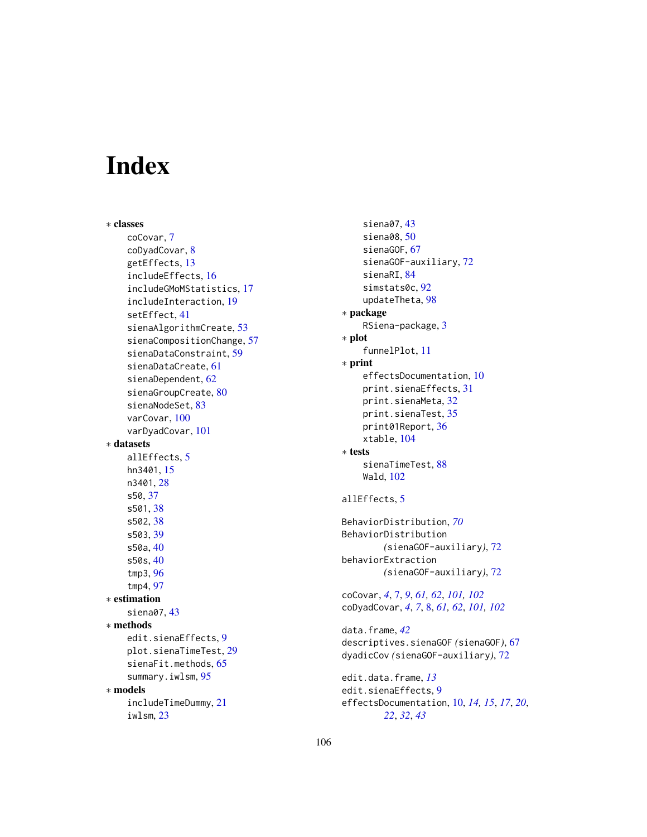# Index

∗ classes coCovar, [7](#page-6-1) coDyadCovar, [8](#page-7-1) getEffects, [13](#page-12-2) includeEffects, [16](#page-15-1) includeGMoMStatistics, [17](#page-16-0) includeInteraction, [19](#page-18-1) setEffect, [41](#page-40-1) sienaAlgorithmCreate, [53](#page-52-1) sienaCompositionChange, [57](#page-56-0) sienaDataConstraint, [59](#page-58-1) sienaDataCreate, [61](#page-60-1) sienaDependent, [62](#page-61-1) sienaGroupCreate, [80](#page-79-0) sienaNodeSet, [83](#page-82-1) varCovar, [100](#page-99-1) varDyadCovar, [101](#page-100-1) ∗ datasets allEffects, [5](#page-4-0) hn3401, [15](#page-14-0) n3401, [28](#page-27-0) s50, [37](#page-36-0) s501, [38](#page-37-0) s502, [38](#page-37-0) s503, [39](#page-38-0) s50a, [40](#page-39-0) s50s, [40](#page-39-0) tmp3, [96](#page-95-1) tmp4, [97](#page-96-1) ∗ estimation siena07, [43](#page-42-1) ∗ methods edit.sienaEffects, [9](#page-8-0) plot.sienaTimeTest, [29](#page-28-1) sienaFit.methods, [65](#page-64-1) summary.iwlsm, [95](#page-94-0) ∗ models includeTimeDummy, [21](#page-20-1) iwlsm, [23](#page-22-0)

siena07, [43](#page-42-1) siena08, [50](#page-49-0) sienaGOF, [67](#page-66-1) sienaGOF-auxiliary, [72](#page-71-0) sienaRI, [84](#page-83-0) simstats0c, [92](#page-91-0) updateTheta, [98](#page-97-0) ∗ package RSiena-package, [3](#page-2-0) ∗ plot funnelPlot, [11](#page-10-0) ∗ print effectsDocumentation, [10](#page-9-0) print.sienaEffects, [31](#page-30-0) print.sienaMeta, [32](#page-31-0) print.sienaTest, [35](#page-34-1) print01Report, [36](#page-35-0) xtable, [104](#page-103-0) ∗ tests sienaTimeTest, [88](#page-87-1) Wald, [102](#page-101-0) allEffects, [5](#page-4-0) BehaviorDistribution, *[70](#page-69-0)* BehaviorDistribution *(*sienaGOF-auxiliary*)*, [72](#page-71-0) behaviorExtraction *(*sienaGOF-auxiliary*)*, [72](#page-71-0) coCovar, *[4](#page-3-0)*, [7,](#page-6-1) *[9](#page-8-0)*, *[61,](#page-60-1) [62](#page-61-1)*, *[101,](#page-100-1) [102](#page-101-0)* coDyadCovar, *[4](#page-3-0)*, *[7](#page-6-1)*, [8,](#page-7-1) *[61,](#page-60-1) [62](#page-61-1)*, *[101,](#page-100-1) [102](#page-101-0)* data.frame, *[42](#page-41-0)* descriptives.sienaGOF *(*sienaGOF*)*, [67](#page-66-1) dyadicCov *(*sienaGOF-auxiliary*)*, [72](#page-71-0) edit.data.frame, *[13](#page-12-2)* edit.sienaEffects, [9](#page-8-0) effectsDocumentation, [10,](#page-9-0) *[14,](#page-13-0) [15](#page-14-0)*, *[17](#page-16-0)*, *[20](#page-19-0)*, *[22](#page-21-0)*, *[32](#page-31-0)*, *[43](#page-42-1)*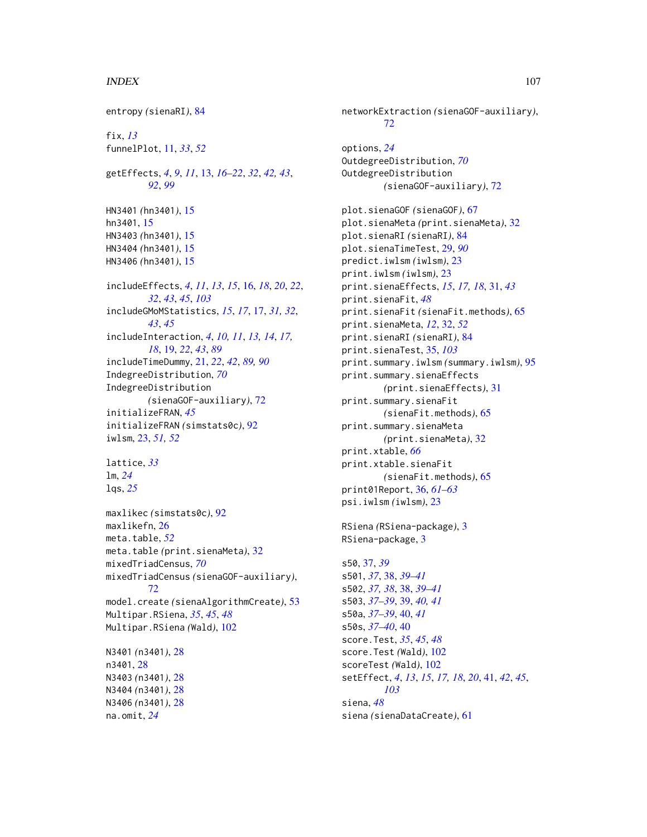# INDEX  $107$

entropy *(*sienaRI*)*, [84](#page-83-0) fix, *[13](#page-12-2)* funnelPlot, [11,](#page-10-0) *[33](#page-32-0)*, *[52](#page-51-0)* getEffects, *[4](#page-3-0)*, *[9](#page-8-0)*, *[11](#page-10-0)*, [13,](#page-12-2) *[16–](#page-15-1)[22](#page-21-0)*, *[32](#page-31-0)*, *[42,](#page-41-0) [43](#page-42-1)*, *[92](#page-91-0)*, *[99](#page-98-0)* HN3401 *(*hn3401*)*, [15](#page-14-0) hn3401, [15](#page-14-0) HN3403 *(*hn3401*)*, [15](#page-14-0) HN3404 *(*hn3401*)*, [15](#page-14-0) HN3406 *(*hn3401*)*, [15](#page-14-0) includeEffects, *[4](#page-3-0)*, *[11](#page-10-0)*, *[13](#page-12-2)*, *[15](#page-14-0)*, [16,](#page-15-1) *[18](#page-17-0)*, *[20](#page-19-0)*, *[22](#page-21-0)*, *[32](#page-31-0)*, *[43](#page-42-1)*, *[45](#page-44-0)*, *[103](#page-102-0)* includeGMoMStatistics, *[15](#page-14-0)*, *[17](#page-16-0)*, [17,](#page-16-0) *[31,](#page-30-0) [32](#page-31-0)*, *[43](#page-42-1)*, *[45](#page-44-0)* includeInteraction, *[4](#page-3-0)*, *[10,](#page-9-0) [11](#page-10-0)*, *[13,](#page-12-2) [14](#page-13-0)*, *[17,](#page-16-0) [18](#page-17-0)*, [19,](#page-18-1) *[22](#page-21-0)*, *[43](#page-42-1)*, *[89](#page-88-0)* includeTimeDummy, [21,](#page-20-1) *[22](#page-21-0)*, *[42](#page-41-0)*, *[89,](#page-88-0) [90](#page-89-0)* IndegreeDistribution, *[70](#page-69-0)* IndegreeDistribution *(*sienaGOF-auxiliary*)*, [72](#page-71-0) initializeFRAN, *[45](#page-44-0)* initializeFRAN *(*simstats0c*)*, [92](#page-91-0) iwlsm, [23,](#page-22-0) *[51,](#page-50-0) [52](#page-51-0)* lattice, *[33](#page-32-0)* lm, *[24](#page-23-0)* lqs, *[25](#page-24-0)* maxlikec *(*simstats0c*)*, [92](#page-91-0) maxlikefn, [26](#page-25-0) meta.table, *[52](#page-51-0)* meta.table *(*print.sienaMeta*)*, [32](#page-31-0) mixedTriadCensus, *[70](#page-69-0)* mixedTriadCensus *(*sienaGOF-auxiliary*)*, [72](#page-71-0) model.create *(*sienaAlgorithmCreate*)*, [53](#page-52-1) Multipar.RSiena, *[35](#page-34-1)*, *[45](#page-44-0)*, *[48](#page-47-0)* Multipar.RSiena *(*Wald*)*, [102](#page-101-0) N3401 *(*n3401*)*, [28](#page-27-0) n3401, [28](#page-27-0) N3403 *(*n3401*)*, [28](#page-27-0) N3404 *(*n3401*)*, [28](#page-27-0) N3406 *(*n3401*)*, [28](#page-27-0) na.omit, *[24](#page-23-0)*

networkExtraction *(*sienaGOF-auxiliary*)*, [72](#page-71-0) options, *[24](#page-23-0)* OutdegreeDistribution, *[70](#page-69-0)* OutdegreeDistribution *(*sienaGOF-auxiliary*)*, [72](#page-71-0) plot.sienaGOF *(*sienaGOF*)*, [67](#page-66-1) plot.sienaMeta *(*print.sienaMeta*)*, [32](#page-31-0) plot.sienaRI *(*sienaRI*)*, [84](#page-83-0) plot.sienaTimeTest, [29,](#page-28-1) *[90](#page-89-0)* predict.iwlsm *(*iwlsm*)*, [23](#page-22-0) print.iwlsm *(*iwlsm*)*, [23](#page-22-0) print.sienaEffects, *[15](#page-14-0)*, *[17,](#page-16-0) [18](#page-17-0)*, [31,](#page-30-0) *[43](#page-42-1)* print.sienaFit, *[48](#page-47-0)* print.sienaFit *(*sienaFit.methods*)*, [65](#page-64-1) print.sienaMeta, *[12](#page-11-0)*, [32,](#page-31-0) *[52](#page-51-0)* print.sienaRI *(*sienaRI*)*, [84](#page-83-0) print.sienaTest, [35,](#page-34-1) *[103](#page-102-0)* print.summary.iwlsm *(*summary.iwlsm*)*, [95](#page-94-0) print.summary.sienaEffects *(*print.sienaEffects*)*, [31](#page-30-0) print.summary.sienaFit *(*sienaFit.methods*)*, [65](#page-64-1) print.summary.sienaMeta *(*print.sienaMeta*)*, [32](#page-31-0) print.xtable, *[66](#page-65-0)* print.xtable.sienaFit *(*sienaFit.methods*)*, [65](#page-64-1) print01Report, [36,](#page-35-0) *[61](#page-60-1)[–63](#page-62-0)* psi.iwlsm *(*iwlsm*)*, [23](#page-22-0) RSiena *(*RSiena-package*)*, [3](#page-2-0) RSiena-package, [3](#page-2-0) s50, [37,](#page-36-0) *[39](#page-38-0)* s501, *[37](#page-36-0)*, [38,](#page-37-0) *[39](#page-38-0)[–41](#page-40-1)* s502, *[37,](#page-36-0) [38](#page-37-0)*, [38,](#page-37-0) *[39](#page-38-0)[–41](#page-40-1)* s503, *[37–](#page-36-0)[39](#page-38-0)*, [39,](#page-38-0) *[40,](#page-39-0) [41](#page-40-1)* s50a, *[37–](#page-36-0)[39](#page-38-0)*, [40,](#page-39-0) *[41](#page-40-1)* s50s, *[37–](#page-36-0)[40](#page-39-0)*, [40](#page-39-0) score.Test, *[35](#page-34-1)*, *[45](#page-44-0)*, *[48](#page-47-0)* score.Test *(*Wald*)*, [102](#page-101-0) scoreTest *(*Wald*)*, [102](#page-101-0)

setEffect, *[4](#page-3-0)*, *[13](#page-12-2)*, *[15](#page-14-0)*, *[17,](#page-16-0) [18](#page-17-0)*, *[20](#page-19-0)*, [41,](#page-40-1) *[42](#page-41-0)*, *[45](#page-44-0)*,

*[103](#page-102-0)*

siena *(*sienaDataCreate*)*, [61](#page-60-1)

siena, *[48](#page-47-0)*